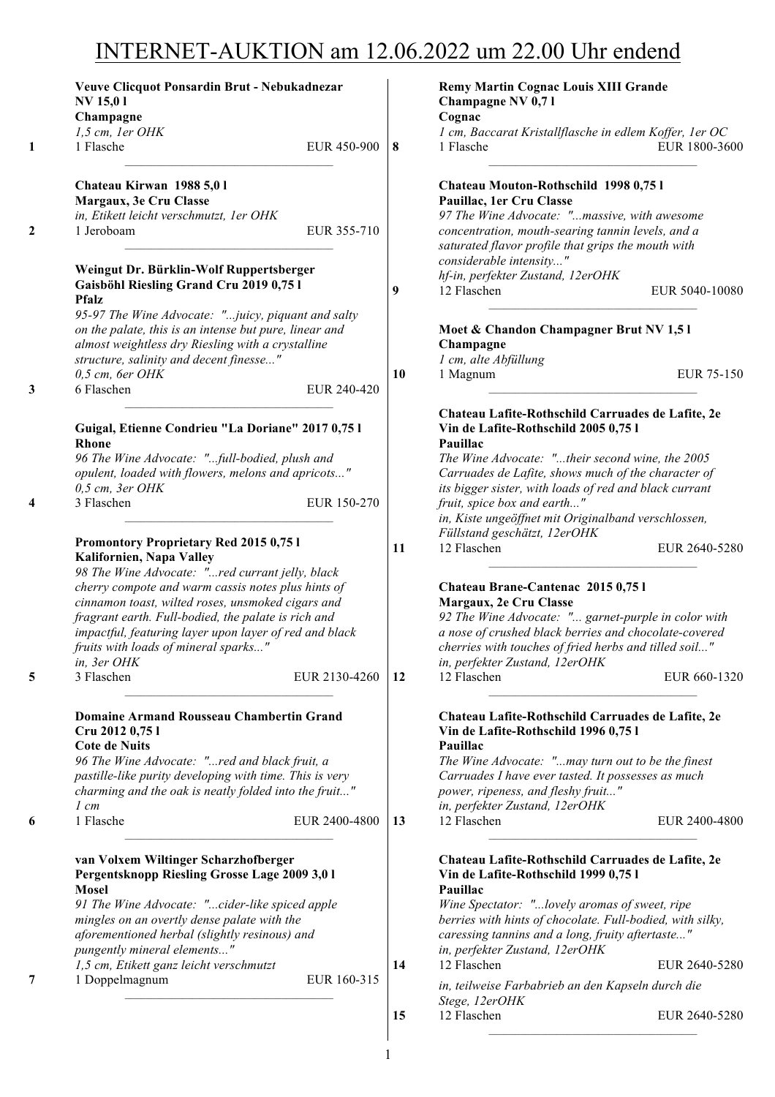## INTERNET-AUKTION am 12.06.2022 um 22.00 Uhr endend

| <b>NV 15,01</b>                                                                                                                                                   | Veuve Clicquot Ponsardin Brut - Nebukadnezar |           | <b>Remy Martin Cognac Louis XIII Grande</b><br>Champagne NV 0,71                                                                   |                                                                 |
|-------------------------------------------------------------------------------------------------------------------------------------------------------------------|----------------------------------------------|-----------|------------------------------------------------------------------------------------------------------------------------------------|-----------------------------------------------------------------|
| Champagne                                                                                                                                                         |                                              |           | Cognac                                                                                                                             |                                                                 |
| 1,5 cm, 1er OHK<br>1 Flasche                                                                                                                                      | EUR 450-900                                  | $\vert 8$ | 1 cm, Baccarat Kristallflasche in edlem Koffer, 1er OC<br>1 Flasche                                                                | EUR 1800-3600                                                   |
| Chateau Kirwan 1988 5,01                                                                                                                                          |                                              |           | Chateau Mouton-Rothschild 1998 0,75 l                                                                                              |                                                                 |
| Margaux, 3e Cru Classe                                                                                                                                            |                                              |           | Pauillac, 1er Cru Classe                                                                                                           |                                                                 |
| in, Etikett leicht verschmutzt, 1er OHK                                                                                                                           |                                              |           | 97 The Wine Advocate: "massive, with awesome                                                                                       |                                                                 |
| 1 Jeroboam                                                                                                                                                        | EUR 355-710                                  |           | concentration, mouth-searing tannin levels, and a<br>saturated flavor profile that grips the mouth with<br>considerable intensity" |                                                                 |
| Weingut Dr. Bürklin-Wolf Ruppertsberger                                                                                                                           |                                              |           | hf-in, perfekter Zustand, 12erOHK                                                                                                  |                                                                 |
| Gaisböhl Riesling Grand Cru 2019 0,75 l<br><b>Pfalz</b>                                                                                                           |                                              | 9         | 12 Flaschen                                                                                                                        | EUR 5040-10080                                                  |
| 95-97 The Wine Advocate: "juicy, piquant and salty<br>on the palate, this is an intense but pure, linear and<br>almost weightless dry Riesling with a crystalline |                                              |           | Moet & Chandon Champagner Brut NV 1,51<br>Champagne                                                                                |                                                                 |
| structure, salinity and decent finesse"                                                                                                                           |                                              |           | 1 cm, alte Abfüllung                                                                                                               |                                                                 |
| $0,5$ cm, 6er OHK                                                                                                                                                 |                                              | 10        | 1 Magnum                                                                                                                           | EUR 75-150                                                      |
| 6 Flaschen                                                                                                                                                        | EUR 240-420                                  |           |                                                                                                                                    |                                                                 |
| Guigal, Etienne Condrieu "La Doriane" 2017 0,75 l<br><b>Rhone</b>                                                                                                 |                                              |           | Chateau Lafite-Rothschild Carruades de Lafite, 2e<br>Vin de Lafite-Rothschild 2005 0,75 l<br>Pauillac                              |                                                                 |
| 96 The Wine Advocate: "full-bodied, plush and                                                                                                                     |                                              |           | The Wine Advocate: "their second wine, the 2005                                                                                    |                                                                 |
| opulent, loaded with flowers, melons and apricots"                                                                                                                |                                              |           | Carruades de Lafite, shows much of the character of                                                                                |                                                                 |
| $0,5$ cm, $3er$ OHK                                                                                                                                               |                                              |           | its bigger sister, with loads of red and black currant                                                                             |                                                                 |
| 3 Flaschen                                                                                                                                                        | EUR 150-270                                  |           | fruit, spice box and earth"                                                                                                        |                                                                 |
|                                                                                                                                                                   |                                              |           | in, Kiste ungeöffnet mit Originalband verschlossen,                                                                                |                                                                 |
|                                                                                                                                                                   |                                              |           | Füllstand geschätzt, 12erOHK                                                                                                       |                                                                 |
|                                                                                                                                                                   |                                              |           |                                                                                                                                    |                                                                 |
| Promontory Proprietary Red 2015 0,75 l                                                                                                                            |                                              | 11        | 12 Flaschen                                                                                                                        |                                                                 |
| Kalifornien, Napa Valley                                                                                                                                          |                                              |           |                                                                                                                                    |                                                                 |
| 98 The Wine Advocate: "red currant jelly, black                                                                                                                   |                                              |           |                                                                                                                                    |                                                                 |
| cherry compote and warm cassis notes plus hints of                                                                                                                |                                              |           | Chateau Brane-Cantenac 2015 0,75 l                                                                                                 |                                                                 |
| cinnamon toast, wilted roses, unsmoked cigars and                                                                                                                 |                                              |           | Margaux, 2e Cru Classe                                                                                                             |                                                                 |
| fragrant earth. Full-bodied, the palate is rich and                                                                                                               |                                              |           | 92 The Wine Advocate: " garnet-purple in color with<br>a nose of crushed black berries and chocolate-covered                       |                                                                 |
| impactful, featuring layer upon layer of red and black<br>fruits with loads of mineral sparks"                                                                    |                                              |           | cherries with touches of fried herbs and tilled soil"                                                                              |                                                                 |
| in, 3er OHK                                                                                                                                                       |                                              |           | in, perfekter Zustand, 12erOHK                                                                                                     |                                                                 |
| 3 Flaschen                                                                                                                                                        | EUR 2130-4260                                | 12        | 12 Flaschen                                                                                                                        |                                                                 |
| Domaine Armand Rousseau Chambertin Grand<br>Cru 2012 0,75 l                                                                                                       |                                              |           | Chateau Lafite-Rothschild Carruades de Lafite, 2e<br>Vin de Lafite-Rothschild 1996 0,75 l                                          |                                                                 |
| <b>Cote de Nuits</b>                                                                                                                                              |                                              |           | Pauillac                                                                                                                           |                                                                 |
| 96 The Wine Advocate: "red and black fruit, a                                                                                                                     |                                              |           | The Wine Advocate: "may turn out to be the finest                                                                                  |                                                                 |
| pastille-like purity developing with time. This is very                                                                                                           |                                              |           | Carruades I have ever tasted. It possesses as much                                                                                 |                                                                 |
| charming and the oak is neatly folded into the fruit"                                                                                                             |                                              |           | power, ripeness, and fleshy fruit"                                                                                                 |                                                                 |
| $1 \, cm$                                                                                                                                                         |                                              |           | in, perfekter Zustand, 12erOHK                                                                                                     |                                                                 |
| 1 Flasche                                                                                                                                                         | EUR 2400-4800                                | 13        | 12 Flaschen                                                                                                                        |                                                                 |
| van Volxem Wiltinger Scharzhofberger<br>Pergentsknopp Riesling Grosse Lage 2009 3,0 1                                                                             |                                              |           | Chateau Lafite-Rothschild Carruades de Lafite, 2e<br>Vin de Lafite-Rothschild 1999 0,75 l                                          |                                                                 |
| <b>Mosel</b>                                                                                                                                                      |                                              |           | Pauillac                                                                                                                           |                                                                 |
| 91 The Wine Advocate: "cider-like spiced apple                                                                                                                    |                                              |           | Wine Spectator: "lovely aromas of sweet, ripe                                                                                      |                                                                 |
| mingles on an overtly dense palate with the                                                                                                                       |                                              |           | berries with hints of chocolate. Full-bodied, with silky,                                                                          |                                                                 |
| aforementioned herbal (slightly resinous) and                                                                                                                     |                                              |           | caressing tannins and a long, fruity aftertaste"                                                                                   |                                                                 |
|                                                                                                                                                                   |                                              | 14        | in, perfekter Zustand, 12erOHK<br>12 Flaschen                                                                                      |                                                                 |
|                                                                                                                                                                   | EUR 160-315                                  |           |                                                                                                                                    | EUR 2640-5280<br>EUR 660-1320<br>EUR 2400-4800<br>EUR 2640-5280 |
| pungently mineral elements"<br>1,5 cm, Etikett ganz leicht verschmutzt<br>1 Doppelmagnum                                                                          |                                              | 15        | in, teilweise Farbabrieb an den Kapseln durch die<br>Stege, 12erOHK<br>12 Flaschen                                                 | EUR 2640-5280                                                   |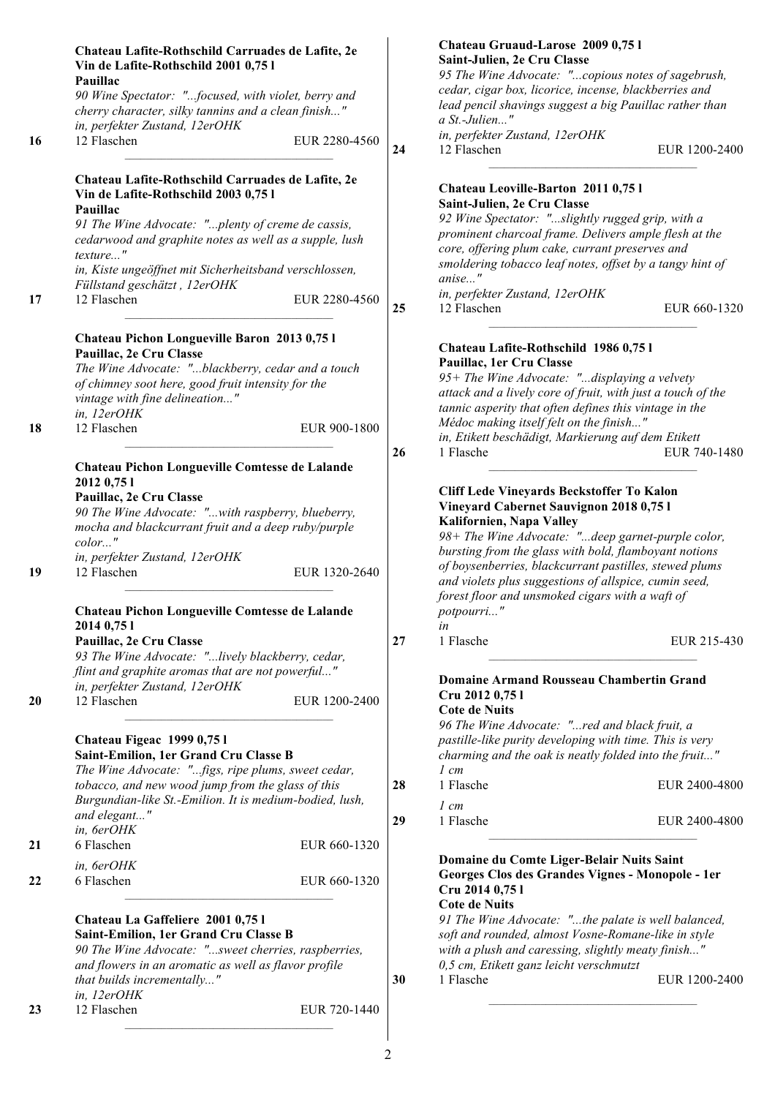|    | Chateau Lafite-Rothschild Carruades de Lafite, 2e<br>Vin de Lafite-Rothschild 2001 0,75 l   |               |    | Chateau Gruaud-Larose 2009 0,751<br>Saint-Julien, 2e Cru Classe                                            |               |
|----|---------------------------------------------------------------------------------------------|---------------|----|------------------------------------------------------------------------------------------------------------|---------------|
|    | Pauillac                                                                                    |               |    | 95 The Wine Advocate: "copious notes of sagebrush,                                                         |               |
|    | 90 Wine Spectator: "focused, with violet, berry and                                         |               |    | cedar, cigar box, licorice, incense, blackberries and                                                      |               |
|    | cherry character, silky tannins and a clean finish"                                         |               |    | lead pencil shavings suggest a big Pauillac rather than                                                    |               |
|    | in, perfekter Zustand, 12erOHK                                                              |               |    | a St.-Julien"                                                                                              |               |
| 16 | 12 Flaschen                                                                                 | EUR 2280-4560 |    | in, perfekter Zustand, 12erOHK                                                                             |               |
|    |                                                                                             |               | 24 | 12 Flaschen                                                                                                | EUR 1200-2400 |
|    | Chateau Lafite-Rothschild Carruades de Lafite, 2e                                           |               |    | Chateau Leoville-Barton 2011 0,75 l                                                                        |               |
|    | Vin de Lafite-Rothschild 2003 0,75 l                                                        |               |    | Saint-Julien, 2e Cru Classe                                                                                |               |
|    | Pauillac                                                                                    |               |    | 92 Wine Spectator: "slightly rugged grip, with a                                                           |               |
|    | 91 The Wine Advocate: "plenty of creme de cassis,                                           |               |    | prominent charcoal frame. Delivers ample flesh at the                                                      |               |
|    | cedarwood and graphite notes as well as a supple, lush<br>texture"                          |               |    | core, offering plum cake, currant preserves and                                                            |               |
|    |                                                                                             |               |    | smoldering tobacco leaf notes, offset by a tangy hint of                                                   |               |
|    | in, Kiste ungeöffnet mit Sicherheitsband verschlossen,                                      |               |    | anise"                                                                                                     |               |
| 17 | Füllstand geschätzt, 12erOHK<br>12 Flaschen                                                 | EUR 2280-4560 |    | in, perfekter Zustand, 12erOHK                                                                             |               |
|    |                                                                                             |               | 25 | 12 Flaschen                                                                                                | EUR 660-1320  |
|    | Chateau Pichon Longueville Baron 2013 0,75 l                                                |               |    |                                                                                                            |               |
|    | Pauillac, 2e Cru Classe                                                                     |               |    | Chateau Lafite-Rothschild 1986 0,751                                                                       |               |
|    | The Wine Advocate: "blackberry, cedar and a touch                                           |               |    | Pauillac, 1er Cru Classe                                                                                   |               |
|    | of chimney soot here, good fruit intensity for the                                          |               |    | 95+ The Wine Advocate: "displaying a velvety                                                               |               |
|    | vintage with fine delineation"                                                              |               |    | attack and a lively core of fruit, with just a touch of the                                                |               |
|    | in, 12erOHK                                                                                 |               |    | tannic asperity that often defines this vintage in the                                                     |               |
| 18 | 12 Flaschen                                                                                 | EUR 900-1800  |    | Médoc making itself felt on the finish"                                                                    |               |
|    |                                                                                             |               |    | in, Etikett beschädigt, Markierung auf dem Etikett                                                         |               |
|    |                                                                                             |               | 26 | 1 Flasche                                                                                                  | EUR 740-1480  |
|    | Chateau Pichon Longueville Comtesse de Lalande                                              |               |    |                                                                                                            |               |
|    | 2012 0,75 1                                                                                 |               |    | Cliff Lede Vineyards Beckstoffer To Kalon                                                                  |               |
|    | Pauillac, 2e Cru Classe                                                                     |               |    | Vineyard Cabernet Sauvignon 2018 0,75 l                                                                    |               |
|    | 90 The Wine Advocate: "with raspberry, blueberry,                                           |               |    | Kalifornien, Napa Valley                                                                                   |               |
|    | mocha and blackcurrant fruit and a deep ruby/purple                                         |               |    | 98+ The Wine Advocate: "deep garnet-purple color,                                                          |               |
|    | color"                                                                                      |               |    | bursting from the glass with bold, flamboyant notions                                                      |               |
|    | in, perfekter Zustand, 12erOHK                                                              |               |    | of boysenberries, blackcurrant pastilles, stewed plums                                                     |               |
| 19 | 12 Flaschen                                                                                 | EUR 1320-2640 |    | and violets plus suggestions of allspice, cumin seed,                                                      |               |
|    |                                                                                             |               |    | forest floor and unsmoked cigars with a waft of                                                            |               |
|    | Chateau Pichon Longueville Comtesse de Lalande                                              |               |    | potpourri"                                                                                                 |               |
|    | 2014 0,75 1                                                                                 |               |    | in                                                                                                         |               |
|    | Pauillac, 2e Cru Classe                                                                     |               | 27 | 1 Flasche                                                                                                  | EUR 215-430   |
|    | 93 The Wine Advocate: "lively blackberry, cedar,                                            |               |    |                                                                                                            |               |
|    | flint and graphite aromas that are not powerful"                                            |               |    |                                                                                                            |               |
|    | in, perfekter Zustand, 12erOHK                                                              |               |    | Domaine Armand Rousseau Chambertin Grand                                                                   |               |
| 20 | 12 Flaschen                                                                                 | EUR 1200-2400 |    | Cru 2012 0,75 l                                                                                            |               |
|    |                                                                                             |               |    | <b>Cote de Nuits</b>                                                                                       |               |
|    |                                                                                             |               |    | 96 The Wine Advocate: "red and black fruit, a                                                              |               |
|    | Chateau Figeac 1999 0,751                                                                   |               |    | pastille-like purity developing with time. This is very                                                    |               |
|    | Saint-Emilion, 1er Grand Cru Classe B<br>The Wine Advocate: "figs, ripe plums, sweet cedar, |               |    | charming and the oak is neatly folded into the fruit"<br>$1 \, cm$                                         |               |
|    |                                                                                             |               | 28 | 1 Flasche                                                                                                  | EUR 2400-4800 |
|    | tobacco, and new wood jump from the glass of this                                           |               |    |                                                                                                            |               |
|    | Burgundian-like St.-Emilion. It is medium-bodied, lush,                                     |               |    | $1 \, cm$                                                                                                  |               |
|    | and elegant"<br>in, 6erOHK                                                                  |               | 29 | 1 Flasche                                                                                                  | EUR 2400-4800 |
| 21 | 6 Flaschen                                                                                  | EUR 660-1320  |    |                                                                                                            |               |
|    |                                                                                             |               |    | Domaine du Comte Liger-Belair Nuits Saint                                                                  |               |
|    | in, 6erOHK                                                                                  |               |    | Georges Clos des Grandes Vignes - Monopole - 1er                                                           |               |
| 22 | 6 Flaschen                                                                                  | EUR 660-1320  |    | Cru 2014 0,75 l                                                                                            |               |
|    |                                                                                             |               |    | <b>Cote de Nuits</b>                                                                                       |               |
|    | Chateau La Gaffeliere 2001 0,75 l                                                           |               |    |                                                                                                            |               |
|    | Saint-Emilion, 1er Grand Cru Classe B                                                       |               |    | 91 The Wine Advocate: "the palate is well balanced,<br>soft and rounded, almost Vosne-Romane-like in style |               |
|    | 90 The Wine Advocate: "sweet cherries, raspberries,                                         |               |    | with a plush and caressing, slightly meaty finish"                                                         |               |
|    | and flowers in an aromatic as well as flavor profile                                        |               |    | 0,5 cm, Etikett ganz leicht verschmutzt                                                                    |               |
|    | that builds incrementally"                                                                  |               | 30 | 1 Flasche                                                                                                  | EUR 1200-2400 |
|    | in, 12erOHK                                                                                 |               |    |                                                                                                            |               |
| 23 | 12 Flaschen                                                                                 | EUR 720-1440  |    |                                                                                                            |               |
|    |                                                                                             |               |    |                                                                                                            |               |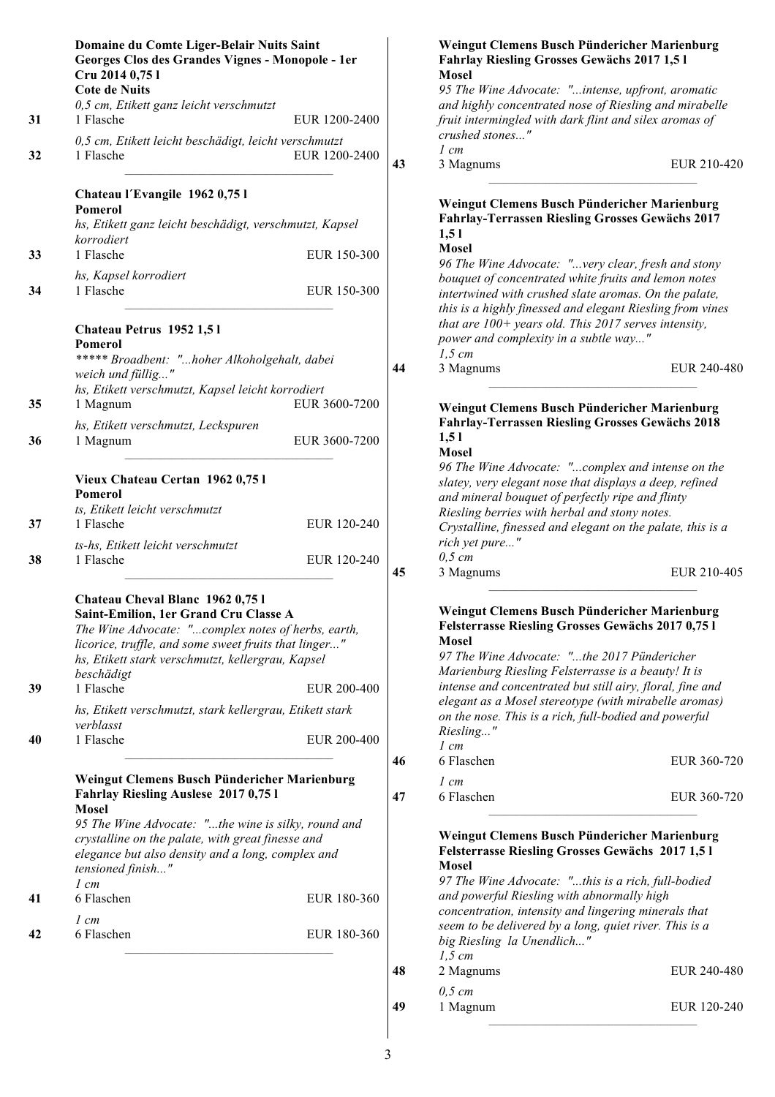|    | Domaine du Comte Liger-Belair Nuits Saint<br>Georges Clos des Grandes Vignes - Monopole - 1er<br>Cru 2014 0,75 l<br><b>Cote de Nuits</b><br>0,5 cm, Etikett ganz leicht verschmutzt                                                                                      |               |    | Weingut Clemens Busch Pündericher Marienburg<br>Fahrlay Riesling Grosses Gewächs 2017 1,5 l<br><b>Mosel</b><br>95 The Wine Advocate: "intense, upfront, aromatic<br>and highly concentrated nose of Riesling and mirabell                                                           |                |
|----|--------------------------------------------------------------------------------------------------------------------------------------------------------------------------------------------------------------------------------------------------------------------------|---------------|----|-------------------------------------------------------------------------------------------------------------------------------------------------------------------------------------------------------------------------------------------------------------------------------------|----------------|
| 31 | 1 Flasche                                                                                                                                                                                                                                                                | EUR 1200-2400 |    | fruit intermingled with dark flint and silex aromas of<br>crushed stones"                                                                                                                                                                                                           |                |
| 32 | 0,5 cm, Etikett leicht beschädigt, leicht verschmutzt<br>1 Flasche                                                                                                                                                                                                       | EUR 1200-2400 | 43 | $1 \, cm$<br>3 Magnums                                                                                                                                                                                                                                                              | <b>EUR 210</b> |
|    | Chateau l'Evangile 1962 0,75 l<br><b>Pomerol</b><br>hs, Etikett ganz leicht beschädigt, verschmutzt, Kapsel<br>korrodiert                                                                                                                                                |               |    | Weingut Clemens Busch Pündericher Marienburg<br>Fahrlay-Terrassen Riesling Grosses Gewächs 2017<br>1,51<br><b>Mosel</b>                                                                                                                                                             |                |
| 33 | 1 Flasche                                                                                                                                                                                                                                                                | EUR 150-300   |    | 96 The Wine Advocate: "very clear, fresh and stony                                                                                                                                                                                                                                  |                |
| 34 | hs, Kapsel korrodiert<br>1 Flasche                                                                                                                                                                                                                                       | EUR 150-300   |    | bouquet of concentrated white fruits and lemon notes<br>intertwined with crushed slate aromas. On the palate,<br>this is a highly finessed and elegant Riesling from vine                                                                                                           |                |
|    | Chateau Petrus 1952 1,51<br>Pomerol<br>***** Broadbent: "hoher Alkoholgehalt, dabei                                                                                                                                                                                      |               | 44 | that are $100+$ years old. This 2017 serves intensity,<br>power and complexity in a subtle way"<br>$1,5$ cm<br>3 Magnums                                                                                                                                                            | <b>EUR 240</b> |
|    | weich und füllig"<br>hs, Etikett verschmutzt, Kapsel leicht korrodiert                                                                                                                                                                                                   |               |    |                                                                                                                                                                                                                                                                                     |                |
| 35 | 1 Magnum                                                                                                                                                                                                                                                                 | EUR 3600-7200 |    | Weingut Clemens Busch Pündericher Marienburg                                                                                                                                                                                                                                        |                |
| 36 | hs, Etikett verschmutzt, Leckspuren<br>1 Magnum                                                                                                                                                                                                                          | EUR 3600-7200 |    | <b>Fahrlay-Terrassen Riesling Grosses Gewächs 2018</b><br>1,51<br><b>Mosel</b>                                                                                                                                                                                                      |                |
|    | Vieux Chateau Certan 1962 0,751<br><b>Pomerol</b><br>ts, Etikett leicht verschmutzt                                                                                                                                                                                      |               |    | 96 The Wine Advocate: "complex and intense on the<br>slatey, very elegant nose that displays a deep, refined<br>and mineral bouquet of perfectly ripe and flinty<br>Riesling berries with herbal and stony notes.                                                                   |                |
| 37 | 1 Flasche                                                                                                                                                                                                                                                                | EUR 120-240   |    | Crystalline, finessed and elegant on the palate, this is                                                                                                                                                                                                                            |                |
| 38 | ts-hs, Etikett leicht verschmutzt<br>1 Flasche                                                                                                                                                                                                                           | EUR 120-240   | 45 | rich yet pure"<br>$0,5$ cm<br>3 Magnums                                                                                                                                                                                                                                             | <b>EUR 210</b> |
| 39 | Chateau Cheval Blanc 1962 0,75 l<br>Saint-Emilion, 1er Grand Cru Classe A<br>The Wine Advocate: "complex notes of herbs, earth,<br>licorice, truffle, and some sweet fruits that linger"<br>hs, Etikett stark verschmutzt, kellergrau, Kapsel<br>beschädigt<br>1 Flasche | EUR 200-400   |    | Weingut Clemens Busch Pündericher Marienburg<br><b>Felsterrasse Riesling Grosses Gewächs 2017 0,751</b><br>Mosel<br>97 The Wine Advocate: "the 2017 Pündericher<br>Marienburg Riesling Felsterrasse is a beauty! It is<br>intense and concentrated but still airy, floral, fine and |                |
|    | hs, Etikett verschmutzt, stark kellergrau, Etikett stark<br>verblasst                                                                                                                                                                                                    |               |    | elegant as a Mosel stereotype (with mirabelle aromas)<br>on the nose. This is a rich, full-bodied and powerful                                                                                                                                                                      |                |
| 40 | 1 Flasche                                                                                                                                                                                                                                                                | EUR 200-400   | 46 | Riesling"<br>$1 \, cm$<br>6 Flaschen                                                                                                                                                                                                                                                | <b>EUR 360</b> |
|    | Weingut Clemens Busch Pündericher Marienburg<br>Fahrlay Riesling Auslese 2017 0,75 l<br><b>Mosel</b>                                                                                                                                                                     |               | 47 | $1 \, cm$<br>6 Flaschen                                                                                                                                                                                                                                                             | <b>EUR 360</b> |
|    | 95 The Wine Advocate: "the wine is silky, round and<br>crystalline on the palate, with great finesse and<br>elegance but also density and a long, complex and<br>tensioned finish"                                                                                       |               |    | Weingut Clemens Busch Pündericher Marienburg<br><b>Felsterrasse Riesling Grosses Gewächs 2017 1,51</b><br><b>Mosel</b>                                                                                                                                                              |                |
| 41 | $1 \, cm$<br>6 Flaschen                                                                                                                                                                                                                                                  | EUR 180-360   |    | 97 The Wine Advocate: "this is a rich, full-bodied<br>and powerful Riesling with abnormally high<br>concentration, intensity and lingering minerals that                                                                                                                            |                |
| 42 | $1 \, cm$<br>6 Flaschen                                                                                                                                                                                                                                                  | EUR 180-360   |    | seem to be delivered by a long, quiet river. This is a<br>big Riesling la Unendlich"<br>$1,5$ cm                                                                                                                                                                                    |                |
|    |                                                                                                                                                                                                                                                                          |               |    |                                                                                                                                                                                                                                                                                     |                |

|    | <b>Fahrlay Riesling Grosses Gewächs 2017 1,51</b><br><b>Mosel</b>                                                                                                                                                                                                                                                                                                                                                                                  |             |
|----|----------------------------------------------------------------------------------------------------------------------------------------------------------------------------------------------------------------------------------------------------------------------------------------------------------------------------------------------------------------------------------------------------------------------------------------------------|-------------|
|    | 95 The Wine Advocate: "intense, upfront, aromatic<br>and highly concentrated nose of Riesling and mirabelle<br>fruit intermingled with dark flint and silex aromas of                                                                                                                                                                                                                                                                              |             |
|    | crushed stones"                                                                                                                                                                                                                                                                                                                                                                                                                                    |             |
|    | $1 \, cm$                                                                                                                                                                                                                                                                                                                                                                                                                                          |             |
| 43 | 3 Magnums                                                                                                                                                                                                                                                                                                                                                                                                                                          | EUR 210-420 |
|    | Weingut Clemens Busch Pündericher Marienburg<br>Fahrlay-Terrassen Riesling Grosses Gewächs 2017<br>1,51<br><b>Mosel</b>                                                                                                                                                                                                                                                                                                                            |             |
|    | 96 The Wine Advocate: "very clear, fresh and stony<br>bouquet of concentrated white fruits and lemon notes<br>intertwined with crushed slate aromas. On the palate,<br>this is a highly finessed and elegant Riesling from vines<br>that are 100+ years old. This 2017 serves intensity,<br>power and complexity in a subtle way"                                                                                                                  |             |
| 44 | $1,5$ cm<br>3 Magnums                                                                                                                                                                                                                                                                                                                                                                                                                              | EUR 240-480 |
|    | Weingut Clemens Busch Pündericher Marienburg<br><b>Fahrlay-Terrassen Riesling Grosses Gewächs 2018</b><br>1,51<br><b>Mosel</b><br>96 The Wine Advocate: "complex and intense on the<br>slatey, very elegant nose that displays a deep, refined<br>and mineral bouquet of perfectly ripe and flinty<br>Riesling berries with herbal and stony notes.<br>Crystalline, finessed and elegant on the palate, this is a<br>rich yet pure"<br>$0,5 \, cm$ |             |
| 45 | 3 Magnums                                                                                                                                                                                                                                                                                                                                                                                                                                          | EUR 210-405 |
|    | Weingut Clemens Busch Pündericher Marienburg<br>Felsterrasse Riesling Grosses Gewächs 2017 0,75 l<br>Mosel<br>97 The Wine Advocate: "the 2017 Pündericher<br>Marienburg Riesling Felsterrasse is a beauty! It is<br>intense and concentrated but still airy, floral, fine and<br>elegant as a Mosel stereotype (with mirabelle aromas)<br>on the nose. This is a rich, full-bodied and powerful<br>Riesling"<br>$1 \, cm$                          |             |
| 46 | 6 Flaschen<br>$l$ cm                                                                                                                                                                                                                                                                                                                                                                                                                               | EUR 360-720 |
|    |                                                                                                                                                                                                                                                                                                                                                                                                                                                    |             |

**47** EUR 360-720

## **Weingut Clemens Busch Pündericher Marienburg Felsterrasse Riesling Grosses Gewächs 2017 1,5 l**

*97 The Wine Advocate: "...this is a rich, full-bodied and powerful Riesling with abnormally high concentration, intensity and lingering minerals that seem to be delivered by a long, quiet river. This is a big Riesling la Unendlich..."* **48** 2 Magnums EUR 240-480 *0,5 cm* **49** 1 Magnum EUR 120-240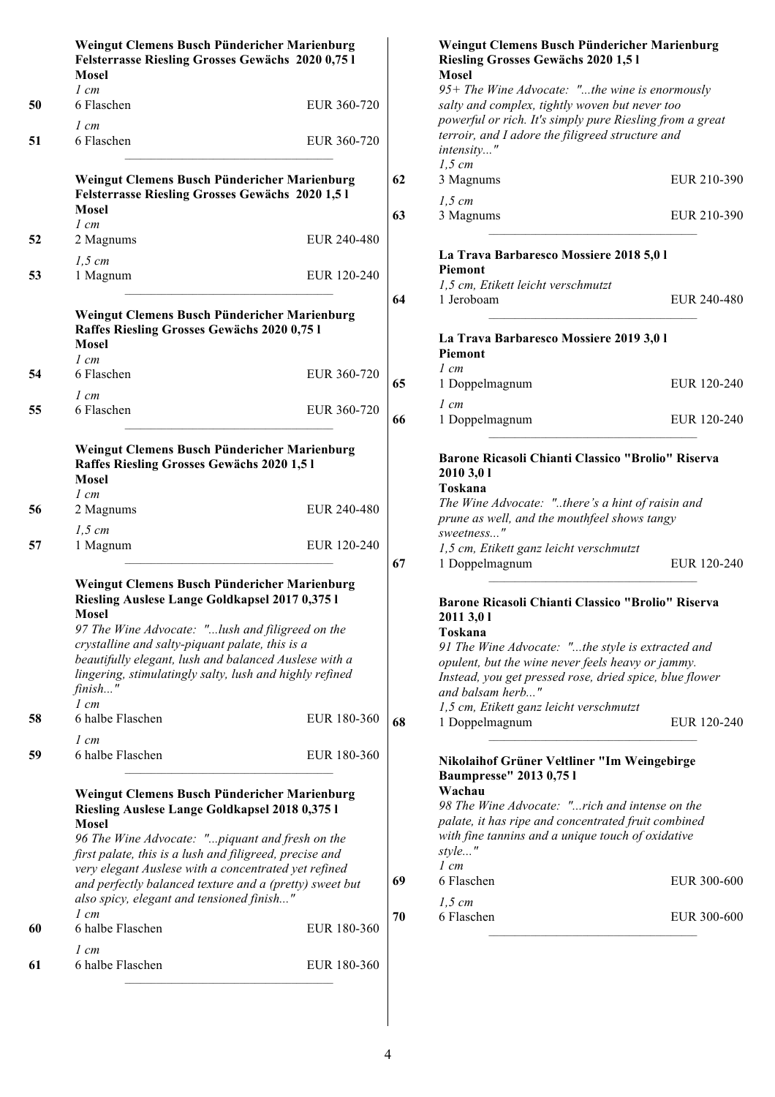|    | Weingut Clemens Busch Pündericher Marienburg<br>Felsterrasse Riesling Grosses Gewächs 2020 0,75 l<br><b>Mosel</b>                                                                                                                                                                                                                                                                            |             |  |  |
|----|----------------------------------------------------------------------------------------------------------------------------------------------------------------------------------------------------------------------------------------------------------------------------------------------------------------------------------------------------------------------------------------------|-------------|--|--|
| 50 | $1 \, cm$<br>6 Flaschen                                                                                                                                                                                                                                                                                                                                                                      | EUR 360-720 |  |  |
| 51 | 1 cm<br>6 Flaschen                                                                                                                                                                                                                                                                                                                                                                           | EUR 360-720 |  |  |
|    | Weingut Clemens Busch Pündericher Marienburg<br>Felsterrasse Riesling Grosses Gewächs 2020 1,5 l<br><b>Mosel</b>                                                                                                                                                                                                                                                                             |             |  |  |
| 52 | 1 cm<br>2 Magnums                                                                                                                                                                                                                                                                                                                                                                            | EUR 240-480 |  |  |
| 53 | $1,5$ cm<br>1 Magnum                                                                                                                                                                                                                                                                                                                                                                         | EUR 120-240 |  |  |
|    | Weingut Clemens Busch Pündericher Marienburg<br>Raffes Riesling Grosses Gewächs 2020 0,75 l<br>Mosel<br>$1 \, cm$                                                                                                                                                                                                                                                                            |             |  |  |
| 54 | 6 Flaschen<br>1 cm                                                                                                                                                                                                                                                                                                                                                                           | EUR 360-720 |  |  |
| 55 | 6 Flaschen                                                                                                                                                                                                                                                                                                                                                                                   | EUR 360-720 |  |  |
|    | Weingut Clemens Busch Pündericher Marienburg<br>Raffes Riesling Grosses Gewächs 2020 1,5 l<br><b>Mosel</b><br>1 cm                                                                                                                                                                                                                                                                           |             |  |  |
| 56 | 2 Magnums                                                                                                                                                                                                                                                                                                                                                                                    | EUR 240-480 |  |  |
| 57 | $1,5$ cm<br>1 Magnum                                                                                                                                                                                                                                                                                                                                                                         | EUR 120-240 |  |  |
|    | Weingut Clemens Busch Pündericher Marienburg<br>Riesling Auslese Lange Goldkapsel 2017 0,375 l<br><b>Mosel</b><br>97 The Wine Advocate: "lush and filigreed on the                                                                                                                                                                                                                           |             |  |  |
|    | crystalline and salty-piquant palate, this is a<br>beautifully elegant, lush and balanced Auslese with a<br>lingering, stimulatingly salty, lush and highly refined<br>finish'<br>$1 \, cm$                                                                                                                                                                                                  |             |  |  |
| 58 | 6 halbe Flaschen                                                                                                                                                                                                                                                                                                                                                                             | EUR 180-360 |  |  |
| 59 | 1 cm<br>6 halbe Flaschen                                                                                                                                                                                                                                                                                                                                                                     | EUR 180-360 |  |  |
|    | Weingut Clemens Busch Pündericher Marienburg<br>Riesling Auslese Lange Goldkapsel 2018 0,375 l<br><b>Mosel</b><br>96 The Wine Advocate: "piquant and fresh on the<br>first palate, this is a lush and filigreed, precise and<br>very elegant Auslese with a concentrated yet refined<br>and perfectly balanced texture and a (pretty) sweet but<br>also spicy, elegant and tensioned finish" |             |  |  |
| 60 | 1 cm<br>6 halbe Flaschen                                                                                                                                                                                                                                                                                                                                                                     | EUR 180-360 |  |  |
| 61 | 1 cm<br>6 halbe Flaschen                                                                                                                                                                                                                                                                                                                                                                     | EUR 180-360 |  |  |

|    | Weingut Clemens Busch Pündericher Marienburg<br>Riesling Grosses Gewächs 2020 1,5 1                   |             |
|----|-------------------------------------------------------------------------------------------------------|-------------|
|    | <b>Mosel</b>                                                                                          |             |
|    | 95+ The Wine Advocate: "the wine is enormously                                                        |             |
|    | salty and complex, tightly woven but never too                                                        |             |
|    | powerful or rich. It's simply pure Riesling from a great                                              |             |
|    | terroir, and I adore the filigreed structure and<br>intensity"                                        |             |
|    | $1,5$ cm                                                                                              |             |
| 62 | 3 Magnums                                                                                             | EUR 210-390 |
|    | $1,5 \, cm$                                                                                           |             |
| 63 | 3 Magnums                                                                                             | EUR 210-390 |
|    | La Trava Barbaresco Mossiere 2018 5,0 l                                                               |             |
|    | <b>Piemont</b><br>1,5 cm, Etikett leicht verschmutzt                                                  |             |
| 64 | 1 Jeroboam                                                                                            | EUR 240-480 |
|    | La Trava Barbaresco Mossiere 2019 3,0 l                                                               |             |
|    | Piemont                                                                                               |             |
|    | $l$ cm                                                                                                |             |
| 65 | 1 Doppelmagnum                                                                                        | EUR 120-240 |
|    | 1 cm                                                                                                  |             |
| 66 | 1 Doppelmagnum                                                                                        | EUR 120-240 |
|    |                                                                                                       |             |
|    | Barone Ricasoli Chianti Classico "Brolio" Riserva<br>2010 3,01                                        |             |
|    | Toskana                                                                                               |             |
|    | The Wine Advocate: "there's a hint of raisin and                                                      |             |
|    | prune as well, and the mouthfeel shows tangy                                                          |             |
|    | sweetness"<br>1,5 cm, Etikett ganz leicht verschmutzt                                                 |             |
| 67 | 1 Doppelmagnum                                                                                        | EUR 120-240 |
|    |                                                                                                       |             |
|    | Barone Ricasoli Chianti Classico "Brolio" Riserva                                                     |             |
|    | 2011 3,01<br>Toskana                                                                                  |             |
|    | 91 The Wine Advocate: "the style is extracted and                                                     |             |
|    | opulent, but the wine never feels heavy or jammy.                                                     |             |
|    | Instead, you get pressed rose, dried spice, blue flower                                               |             |
|    | and balsam herb"                                                                                      |             |
|    | 1,5 cm, Etikett ganz leicht verschmutzt                                                               |             |
| 68 | 1 Doppelmagnum                                                                                        | EUR 120-240 |
|    | Nikolaihof Grüner Veltliner "Im Weingebirge                                                           |             |
|    | <b>Baumpresse" 2013 0,75 l</b>                                                                        |             |
|    | Wachau                                                                                                |             |
|    | 98 The Wine Advocate: "rich and intense on the<br>palate, it has ripe and concentrated fruit combined |             |
|    | with fine tannins and a unique touch of oxidative                                                     |             |

**69** 6 Flaschen EUR 300-600

**70** 6 Flaschen EUR 300-600

*style..." 1 cm*

*1,5 cm*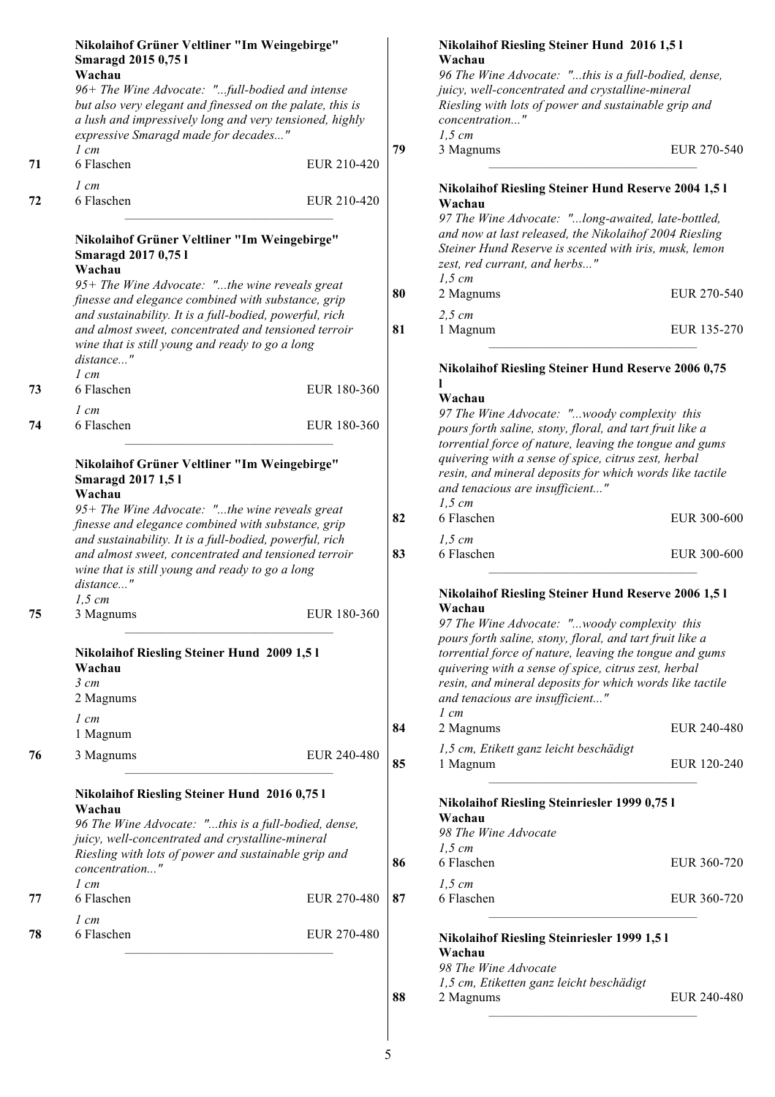|    | Nikolaihof Grüner Veltliner "Im Weingebirge"<br><b>Smaragd 2015 0,751</b><br>Wachau<br>96+ The Wine Advocate: "full-bodied and intense<br>but also very elegant and finessed on the palate, this is<br>a lush and impressively long and very tensioned, highly<br>expressive Smaragd made for decades" |             |    | <b>Nikolaihof Riesling Steiner Hund 2016 1,51</b><br>Wachau<br>96 The Wine Advocate: "this is a full-bodied, dense,<br>juicy, well-concentrated and crystalline-mineral<br>Riesling with lots of power and sustainable grip and<br>concentration"<br>$1,5$ cm |             |
|----|--------------------------------------------------------------------------------------------------------------------------------------------------------------------------------------------------------------------------------------------------------------------------------------------------------|-------------|----|---------------------------------------------------------------------------------------------------------------------------------------------------------------------------------------------------------------------------------------------------------------|-------------|
| 71 | $1 \, cm$<br>6 Flaschen                                                                                                                                                                                                                                                                                | EUR 210-420 | 79 | 3 Magnums                                                                                                                                                                                                                                                     | EUR 270-540 |
| 72 | $1 \, cm$<br>6 Flaschen                                                                                                                                                                                                                                                                                | EUR 210-420 |    | <b>Nikolaihof Riesling Steiner Hund Reserve 2004 1,5 I</b><br>Wachau<br>97 The Wine Advocate: "long-awaited, late-bottled,                                                                                                                                    |             |
|    | Nikolaihof Grüner Veltliner "Im Weingebirge"<br><b>Smaragd 2017 0,751</b><br>Wachau<br>95+ The Wine Advocate: "the wine reveals great<br>finesse and elegance combined with substance, grip                                                                                                            |             | 80 | and now at last released, the Nikolaihof 2004 Riesling<br>Steiner Hund Reserve is scented with iris, musk, lemon<br>zest, red currant, and herbs"<br>$1,5$ cm<br>2 Magnums                                                                                    | EUR 270-540 |
|    | and sustainability. It is a full-bodied, powerful, rich<br>and almost sweet, concentrated and tensioned terroir<br>wine that is still young and ready to go a long<br>distance"                                                                                                                        |             | 81 | $2,5$ cm<br>1 Magnum                                                                                                                                                                                                                                          | EUR 135-270 |
| 73 | $1 \, cm$<br>6 Flaschen                                                                                                                                                                                                                                                                                | EUR 180-360 |    | <b>Nikolaihof Riesling Steiner Hund Reserve 2006 0,75</b>                                                                                                                                                                                                     |             |
| 74 | $1 \, cm$<br>6 Flaschen                                                                                                                                                                                                                                                                                | EUR 180-360 |    | Wachau<br>97 The Wine Advocate: "woody complexity this<br>pours forth saline, stony, floral, and tart fruit like a<br>torrential force of nature, leaving the tongue and gums                                                                                 |             |
|    | Nikolaihof Grüner Veltliner "Im Weingebirge"<br><b>Smaragd 2017 1,51</b><br>Wachau                                                                                                                                                                                                                     |             |    | quivering with a sense of spice, citrus zest, herbal<br>resin, and mineral deposits for which words like tactile<br>and tenacious are insufficient"                                                                                                           |             |
|    | 95+ The Wine Advocate: "the wine reveals great<br>finesse and elegance combined with substance, grip                                                                                                                                                                                                   |             | 82 | $1,5$ cm<br>6 Flaschen                                                                                                                                                                                                                                        | EUR 300-600 |
|    | and sustainability. It is a full-bodied, powerful, rich<br>and almost sweet, concentrated and tensioned terroir<br>wine that is still young and ready to go a long<br>distance"                                                                                                                        |             | 83 | $1,5$ cm<br>6 Flaschen                                                                                                                                                                                                                                        | EUR 300-600 |
| 75 | $1,5$ cm<br>3 Magnums                                                                                                                                                                                                                                                                                  | EUR 180-360 |    | <b>Nikolaihof Riesling Steiner Hund Reserve 2006 1,5 1</b><br>Wachau<br>97 The Wine Advocate: "woody complexity this<br>pours forth saline, stony, floral, and tart fruit like a                                                                              |             |
|    | <b>Nikolaihof Riesling Steiner Hund 2009 1,51</b><br>Wachau<br>$3 \, cm$<br>2 Magnums                                                                                                                                                                                                                  |             |    | torrential force of nature, leaving the tongue and gums<br>quivering with a sense of spice, citrus zest, herbal<br>resin, and mineral deposits for which words like tactile<br>and tenacious are insufficient"                                                |             |
|    | $1 \, cm$<br>1 Magnum                                                                                                                                                                                                                                                                                  |             | 84 | $1 \, cm$<br>2 Magnums                                                                                                                                                                                                                                        | EUR 240-480 |
| 76 | 3 Magnums                                                                                                                                                                                                                                                                                              | EUR 240-480 | 85 | 1,5 cm, Etikett ganz leicht beschädigt<br>1 Magnum                                                                                                                                                                                                            | EUR 120-240 |
|    | Nikolaihof Riesling Steiner Hund 2016 0,75 l<br>Wachau<br>96 The Wine Advocate: "this is a full-bodied, dense,<br>juicy, well-concentrated and crystalline-mineral<br>Riesling with lots of power and sustainable grip and                                                                             |             | 86 | Nikolaihof Riesling Steinriesler 1999 0,75 l<br>Wachau<br>98 The Wine Advocate<br>$1,5$ cm<br>6 Flaschen                                                                                                                                                      |             |
|    | concentration"<br>$1 \, cm$                                                                                                                                                                                                                                                                            |             |    | $1,5$ cm                                                                                                                                                                                                                                                      | EUR 360-720 |
| 77 | 6 Flaschen<br>$1 \, cm$                                                                                                                                                                                                                                                                                | EUR 270-480 | 87 | 6 Flaschen                                                                                                                                                                                                                                                    | EUR 360-720 |
| 78 | 6 Flaschen                                                                                                                                                                                                                                                                                             | EUR 270-480 |    | <b>Nikolaihof Riesling Steinriesler 1999 1,5 l</b><br>Wachau<br>98 The Wine Advocate<br>1,5 cm, Etiketten ganz leicht beschädigt                                                                                                                              |             |

**88** 2 Magnums EUR 240-480

5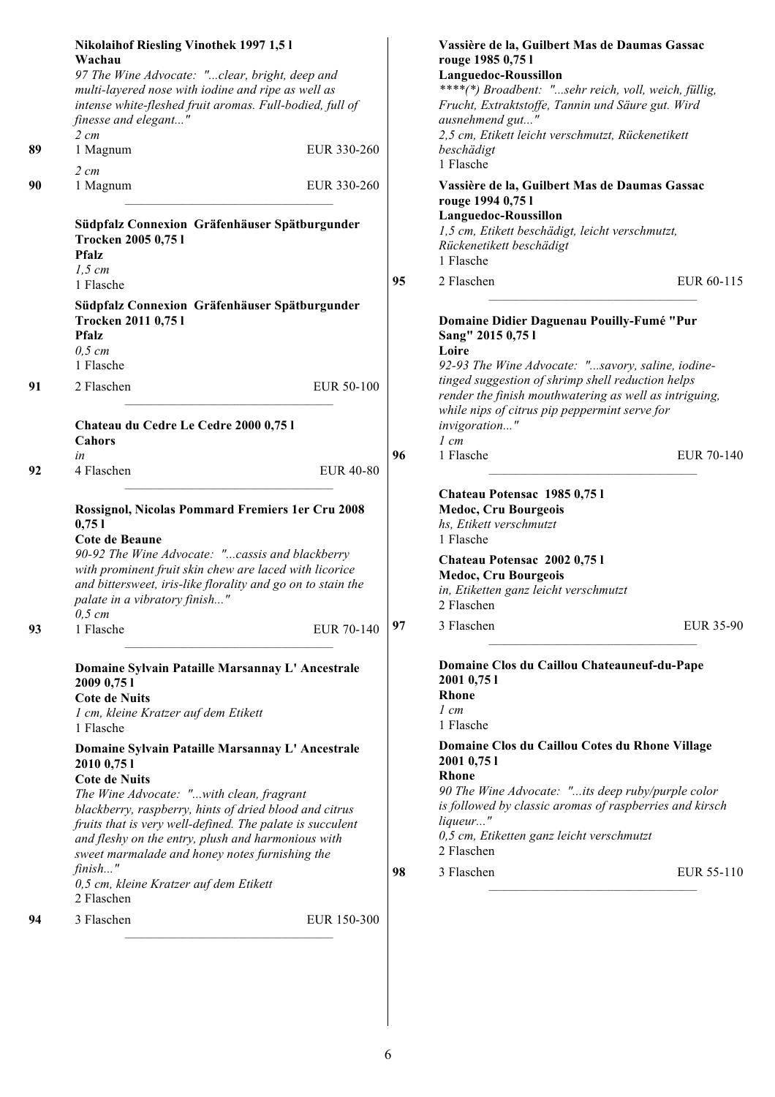| 1 Flasche<br>$2 \, cm$<br>90<br>1 Magnum<br>EUR 330-260<br>Vassière de la, Guilbert Mas de Daumas Gassac<br>rouge 1994 0,75 l<br>Languedoc-Roussillon                                                                                                                                                                                                                                                                                                                                                                                                                                                                                                                                                                                                                                                                                                                                                                                                                     |            |
|---------------------------------------------------------------------------------------------------------------------------------------------------------------------------------------------------------------------------------------------------------------------------------------------------------------------------------------------------------------------------------------------------------------------------------------------------------------------------------------------------------------------------------------------------------------------------------------------------------------------------------------------------------------------------------------------------------------------------------------------------------------------------------------------------------------------------------------------------------------------------------------------------------------------------------------------------------------------------|------------|
| Südpfalz Connexion Gräfenhäuser Spätburgunder<br>1,5 cm, Etikett beschädigt, leicht verschmutzt,<br>Trocken 2005 0,75 l<br>Rückenetikett beschädigt<br><b>Pfalz</b><br>1 Flasche<br>$1,5$ cm                                                                                                                                                                                                                                                                                                                                                                                                                                                                                                                                                                                                                                                                                                                                                                              |            |
| 95<br>2 Flaschen<br>1 Flasche<br>Südpfalz Connexion Gräfenhäuser Spätburgunder<br>Trocken 2011 0,75 l<br>Domaine Didier Daguenau Pouilly-Fumé "Pur<br><b>Pfalz</b><br>Sang" 2015 0,75 l<br>$0,5$ cm<br>Loire<br>1 Flasche<br>92-93 The Wine Advocate: "savory, saline, iodine-                                                                                                                                                                                                                                                                                                                                                                                                                                                                                                                                                                                                                                                                                            | EUR 60-115 |
| tinged suggestion of shrimp shell reduction helps<br>EUR 50-100<br>91<br>2 Flaschen<br>render the finish mouthwatering as well as intriguing,<br>while nips of citrus pip peppermint serve for<br>invigoration"<br>Chateau du Cedre Le Cedre 2000 0,75 l<br>Cahors<br>$1 \, cm$<br>1 Flasche<br>96<br>in<br>92<br>4 Flaschen<br><b>EUR 40-80</b>                                                                                                                                                                                                                                                                                                                                                                                                                                                                                                                                                                                                                          | EUR 70-140 |
| Chateau Potensac 1985 0,751<br>Medoc, Cru Bourgeois<br>Rossignol, Nicolas Pommard Fremiers 1er Cru 2008<br>hs, Etikett verschmutzt<br>0,751<br>Cote de Beaune<br>1 Flasche<br>90-92 The Wine Advocate: "cassis and blackberry<br>Chateau Potensac 2002 0,75 l<br>with prominent fruit skin chew are laced with licorice<br>Medoc, Cru Bourgeois<br>and bittersweet, iris-like florality and go on to stain the<br>in, Etiketten ganz leicht verschmutzt<br>palate in a vibratory finish"<br>2 Flaschen<br>$0,5$ cm<br>3 Flaschen<br>97<br>EUR 70-140<br>93<br>1 Flasche                                                                                                                                                                                                                                                                                                                                                                                                   | EUR 35-90  |
| Domaine Clos du Caillou Chateauneuf-du-Pape<br>Domaine Sylvain Pataille Marsannay L' Ancestrale<br>2001 0,75 1<br>2009 0,75 1<br><b>Rhone</b><br><b>Cote de Nuits</b><br>$1 \, cm$<br>1 cm, kleine Kratzer auf dem Etikett<br>1 Flasche<br>1 Flasche<br>Domaine Clos du Caillou Cotes du Rhone Village<br>Domaine Sylvain Pataille Marsannay L' Ancestrale<br>2001 0,75 1<br>20100,751<br><b>Rhone</b><br><b>Cote de Nuits</b><br>90 The Wine Advocate: "its deep ruby/purple color<br>The Wine Advocate: "with clean, fragrant<br>is followed by classic aromas of raspberries and kirsch<br>blackberry, raspberry, hints of dried blood and citrus<br>liqueur"<br>fruits that is very well-defined. The palate is succulent<br>0,5 cm, Etiketten ganz leicht verschmutzt<br>and fleshy on the entry, plush and harmonious with<br>2 Flaschen<br>sweet marmalade and honey notes furnishing the<br>finish"<br>3 Flaschen<br>98<br>0,5 cm, kleine Kratzer auf dem Etikett | EUR 55-110 |
| 2 Flaschen<br>3 Flaschen<br>EUR 150-300<br>94                                                                                                                                                                                                                                                                                                                                                                                                                                                                                                                                                                                                                                                                                                                                                                                                                                                                                                                             |            |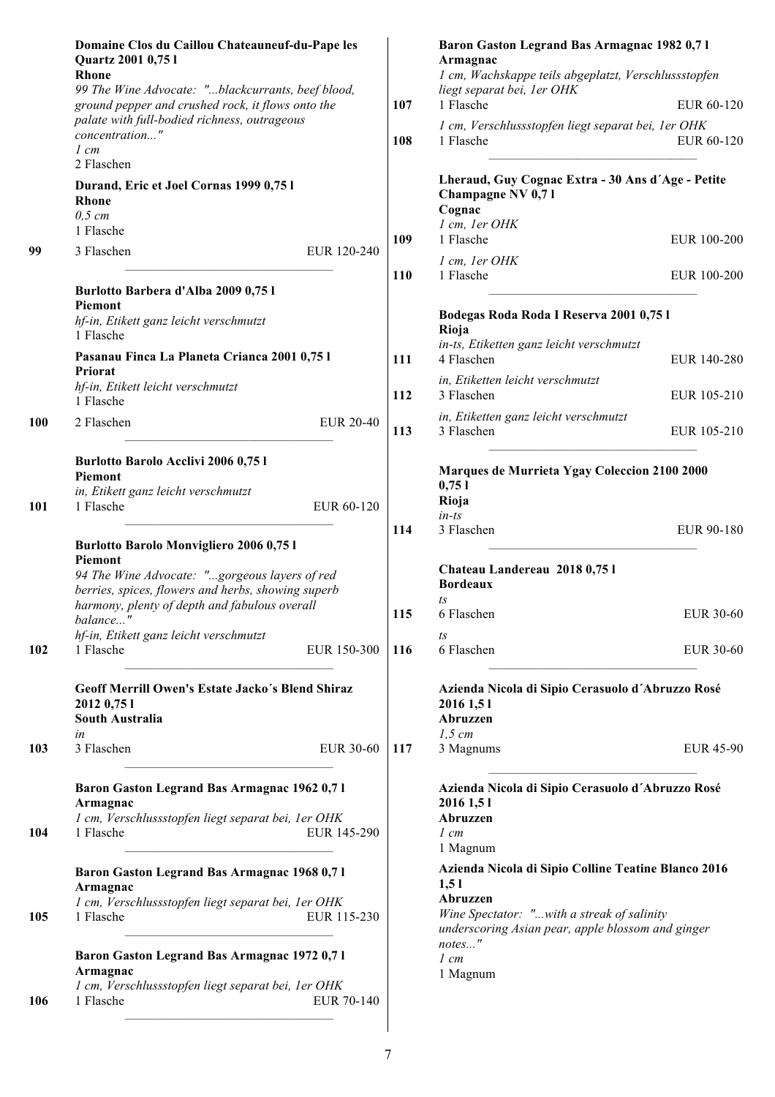|            | Domaine Clos du Caillou Chateauneuf-du-Pape les<br>Quartz 2001 0,75 l<br>Rhone                                                                                                                                                      | Baron Gaston Legrand Bas Armagnac 1982 0,71<br>Armagnac<br>1 cm, Wachskappe teils abgeplatzt, Verschlussstopfen                                                            |  |
|------------|-------------------------------------------------------------------------------------------------------------------------------------------------------------------------------------------------------------------------------------|----------------------------------------------------------------------------------------------------------------------------------------------------------------------------|--|
|            | 99 The Wine Advocate: "blackcurrants, beef blood,                                                                                                                                                                                   | liegt separat bei, 1 er OHK                                                                                                                                                |  |
|            | ground pepper and crushed rock, it flows onto the                                                                                                                                                                                   | 1 Flasche<br>107<br>EUR 60-120                                                                                                                                             |  |
|            | palate with full-bodied richness, outrageous<br>concentration"<br>$1 \, cm$                                                                                                                                                         | 1 cm, Verschlussstopfen liegt separat bei, 1er OHK<br>108<br>1 Flasche<br>EUR 60-120                                                                                       |  |
|            | 2 Flaschen                                                                                                                                                                                                                          |                                                                                                                                                                            |  |
|            | Durand, Eric et Joel Cornas 1999 0,75 l<br><b>Rhone</b>                                                                                                                                                                             | Lheraud, Guy Cognac Extra - 30 Ans d'Age - Petite<br>Champagne NV 0,71<br>Cognac                                                                                           |  |
|            | $0.5$ cm<br>1 Flasche                                                                                                                                                                                                               | 1 cm, 1er OHK                                                                                                                                                              |  |
|            |                                                                                                                                                                                                                                     | 1 Flasche<br>109<br>EUR 100-200                                                                                                                                            |  |
| 99         | 3 Flaschen<br>EUR 120-240                                                                                                                                                                                                           | 1 cm, 1er OHK<br>110<br>1 Flasche<br>EUR 100-200                                                                                                                           |  |
|            | Burlotto Barbera d'Alba 2009 0,75 l                                                                                                                                                                                                 |                                                                                                                                                                            |  |
|            | Piemont<br>hf-in, Etikett ganz leicht verschmutzt<br>1 Flasche                                                                                                                                                                      | Bodegas Roda Roda I Reserva 2001 0,75 l<br>Rioja                                                                                                                           |  |
|            | Pasanau Finca La Planeta Crianca 2001 0,751                                                                                                                                                                                         | in-ts, Etiketten ganz leicht verschmutzt<br>4 Flaschen<br>111<br>EUR 140-280                                                                                               |  |
|            | Priorat                                                                                                                                                                                                                             | in, Etiketten leicht verschmutzt                                                                                                                                           |  |
|            | hf-in, Etikett leicht verschmutzt<br>1 Flasche                                                                                                                                                                                      | 112<br>3 Flaschen<br>EUR 105-210                                                                                                                                           |  |
| <b>100</b> | 2 Flaschen<br><b>EUR 20-40</b>                                                                                                                                                                                                      | in, Etiketten ganz leicht verschmutzt<br>3 Flaschen<br>113<br>EUR 105-210                                                                                                  |  |
|            | Burlotto Barolo Acclivi 2006 0,75 l<br><b>Piemont</b><br>in, Etikett ganz leicht verschmutzt                                                                                                                                        | Marques de Murrieta Ygay Coleccion 2100 2000<br>0,751                                                                                                                      |  |
| 101        | 1 Flasche<br>EUR 60-120                                                                                                                                                                                                             | Rioja<br>$in-ts$<br>3 Flaschen<br>114<br>EUR 90-180                                                                                                                        |  |
|            | <b>Burlotto Barolo Monvigliero 2006 0,751</b><br><b>Piemont</b><br>94 The Wine Advocate: "gorgeous layers of red<br>berries, spices, flowers and herbs, showing superb<br>harmony, plenty of depth and fabulous overall<br>balance" | Chateau Landereau 2018 0,751<br><b>Bordeaux</b><br>ts<br>115<br>6 Flaschen<br>EUR 30-60                                                                                    |  |
|            | hf-in, Etikett ganz leicht verschmutzt                                                                                                                                                                                              | $t_s$                                                                                                                                                                      |  |
| 102        | 1 Flasche<br>EUR 150-300                                                                                                                                                                                                            | 6 Flaschen<br>116<br>EUR 30-60                                                                                                                                             |  |
|            | Geoff Merrill Owen's Estate Jacko's Blend Shiraz<br>2012 0,75 1<br>South Australia<br>in                                                                                                                                            | Azienda Nicola di Sipio Cerasuolo d'Abruzzo Rosé<br>2016 1,51<br>Abruzzen<br>1.5 cm                                                                                        |  |
| 103        | 3 Flaschen<br>EUR 30-60                                                                                                                                                                                                             | 117<br>3 Magnums<br><b>EUR 45-90</b>                                                                                                                                       |  |
| 104        | Baron Gaston Legrand Bas Armagnac 1962 0,71<br>Armagnac<br>1 cm, Verschlussstopfen liegt separat bei, 1 er OHK<br>1 Flasche<br>EUR 145-290                                                                                          | Azienda Nicola di Sipio Cerasuolo d'Abruzzo Rosé<br>2016 1,51<br>Abruzzen<br>$1 \, cm$<br>1 Magnum                                                                         |  |
| 105        | Baron Gaston Legrand Bas Armagnac 1968 0,71<br>Armagnac<br>1 cm, Verschlussstopfen liegt separat bei, 1 er OHK<br>1 Flasche<br>EUR 115-230                                                                                          | Azienda Nicola di Sipio Colline Teatine Blanco 2016<br>1,51<br>Abruzzen<br>Wine Spectator: "with a streak of salinity<br>underscoring Asian pear, apple blossom and ginger |  |
| 106        | Baron Gaston Legrand Bas Armagnac 1972 0,71<br>Armagnac<br>1 cm, Verschlussstopfen liegt separat bei, 1 er OHK<br>1 Flasche<br>EUR 70-140                                                                                           | notes"<br>$1 \, cm$<br>1 Magnum                                                                                                                                            |  |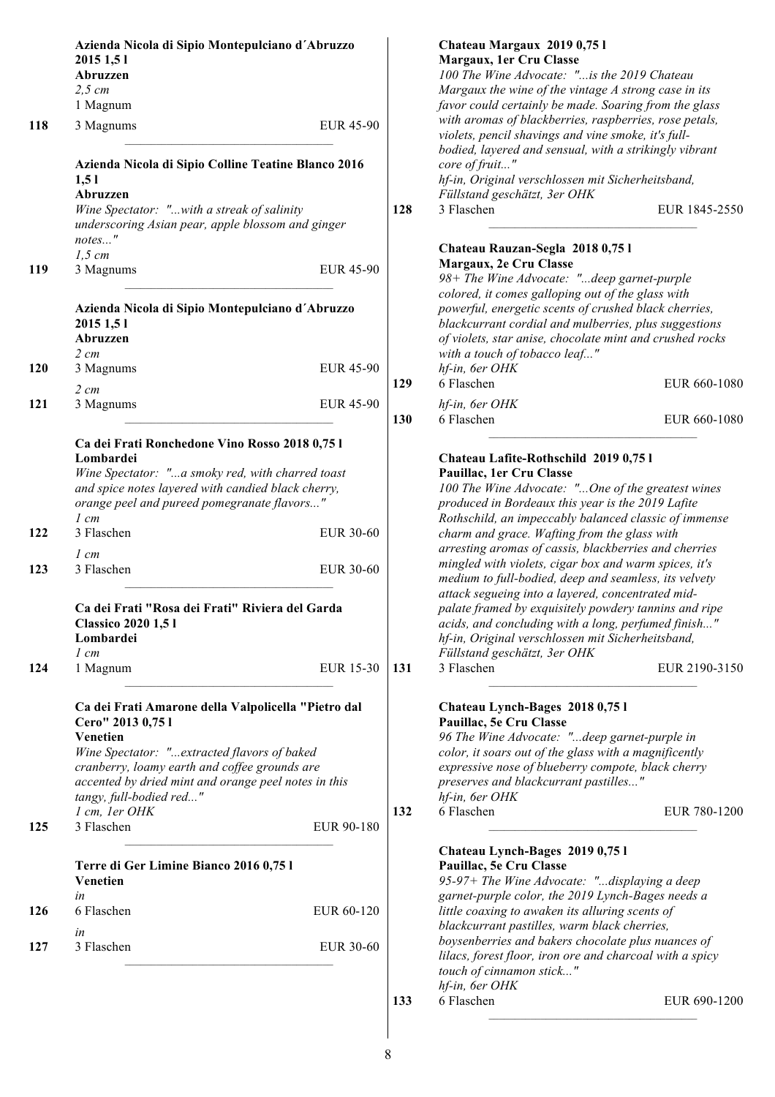|            | Azienda Nicola di Sipio Montepulciano d'Abruzzo                                                        |                  |                                                                                                     | Chateau Margaux 2019 0,751                               |               |
|------------|--------------------------------------------------------------------------------------------------------|------------------|-----------------------------------------------------------------------------------------------------|----------------------------------------------------------|---------------|
|            | 2015 1,51<br>Abruzzen                                                                                  |                  |                                                                                                     | Margaux, 1er Cru Classe                                  |               |
|            | $2,5$ cm<br>1 Magnum                                                                                   |                  | 100 The Wine Advocate: "is the 2019 Chateau<br>Margaux the wine of the vintage A strong case in its |                                                          |               |
|            |                                                                                                        |                  |                                                                                                     | favor could certainly be made. Soaring from the glass    |               |
|            |                                                                                                        |                  |                                                                                                     | with aromas of blackberries, raspberries, rose petals,   |               |
| 118        | 3 Magnums                                                                                              | <b>EUR 45-90</b> |                                                                                                     | violets, pencil shavings and vine smoke, it's full-      |               |
|            |                                                                                                        |                  |                                                                                                     | bodied, layered and sensual, with a strikingly vibrant   |               |
|            | Azienda Nicola di Sipio Colline Teatine Blanco 2016                                                    |                  |                                                                                                     | core of fruit"                                           |               |
|            | 1,51                                                                                                   |                  |                                                                                                     | hf-in, Original verschlossen mit Sicherheitsband,        |               |
|            | Abruzzen                                                                                               |                  |                                                                                                     | Füllstand geschätzt, 3er OHK                             |               |
|            | Wine Spectator: "with a streak of salinity                                                             |                  | 128                                                                                                 | 3 Flaschen                                               | EUR 1845-2550 |
|            | underscoring Asian pear, apple blossom and ginger                                                      |                  |                                                                                                     |                                                          |               |
|            | notes"                                                                                                 |                  |                                                                                                     |                                                          |               |
|            | $1,5$ cm                                                                                               |                  |                                                                                                     | Chateau Rauzan-Segla 2018 0,75 l                         |               |
| 119        | 3 Magnums                                                                                              | <b>EUR 45-90</b> |                                                                                                     | Margaux, 2e Cru Classe                                   |               |
|            |                                                                                                        |                  |                                                                                                     | 98+ The Wine Advocate: "deep garnet-purple               |               |
|            |                                                                                                        |                  |                                                                                                     | colored, it comes galloping out of the glass with        |               |
|            | Azienda Nicola di Sipio Montepulciano d'Abruzzo                                                        |                  |                                                                                                     | powerful, energetic scents of crushed black cherries,    |               |
|            | 2015 1,51                                                                                              |                  |                                                                                                     | blackcurrant cordial and mulberries, plus suggestions    |               |
|            | Abruzzen                                                                                               |                  |                                                                                                     | of violets, star anise, chocolate mint and crushed rocks |               |
|            | $2 \, cm$                                                                                              |                  |                                                                                                     | with a touch of tobacco leaf"                            |               |
| <b>120</b> | 3 Magnums                                                                                              | <b>EUR 45-90</b> |                                                                                                     | hf-in, 6er OHK                                           |               |
|            | $2 \, cm$                                                                                              |                  | 129                                                                                                 | 6 Flaschen                                               | EUR 660-1080  |
| 121        | 3 Magnums                                                                                              | <b>EUR 45-90</b> |                                                                                                     | hf-in, 6er OHK                                           |               |
|            |                                                                                                        |                  | 130                                                                                                 | 6 Flaschen                                               | EUR 660-1080  |
|            |                                                                                                        |                  |                                                                                                     |                                                          |               |
|            | Ca dei Frati Ronchedone Vino Rosso 2018 0,75 l                                                         |                  |                                                                                                     |                                                          |               |
|            | Lombardei                                                                                              |                  |                                                                                                     | Chateau Lafite-Rothschild 2019 0,75 l                    |               |
|            | Wine Spectator: "a smoky red, with charred toast<br>and spice notes layered with candied black cherry, |                  |                                                                                                     | Pauillac, 1er Cru Classe                                 |               |
|            |                                                                                                        |                  |                                                                                                     | 100 The Wine Advocate: "One of the greatest wines        |               |
|            | orange peel and pureed pomegranate flavors"                                                            |                  |                                                                                                     | produced in Bordeaux this year is the 2019 Lafite        |               |
|            | $1 \, cm$                                                                                              |                  |                                                                                                     | Rothschild, an impeccably balanced classic of immense    |               |
| 122        | 3 Flaschen                                                                                             | EUR 30-60        |                                                                                                     | charm and grace. Wafting from the glass with             |               |
|            | $1 \, cm$                                                                                              |                  |                                                                                                     | arresting aromas of cassis, blackberries and cherries    |               |
| 123        | 3 Flaschen                                                                                             | EUR 30-60        |                                                                                                     | mingled with violets, cigar box and warm spices, it's    |               |
|            | Ca dei Frati "Rosa dei Frati" Riviera del Garda                                                        |                  |                                                                                                     | medium to full-bodied, deep and seamless, its velvety    |               |
|            |                                                                                                        |                  |                                                                                                     | attack segueing into a layered, concentrated mid-        |               |
|            |                                                                                                        |                  |                                                                                                     | palate framed by exquisitely powdery tannins and ripe    |               |
|            | <b>Classico 2020 1,51</b>                                                                              |                  |                                                                                                     | acids, and concluding with a long, perfumed finish'      |               |
|            | Lombardei                                                                                              |                  |                                                                                                     | hf-in, Original verschlossen mit Sicherheitsband,        |               |
|            | $1 \, cm$                                                                                              |                  |                                                                                                     | Füllstand geschätzt, 3er OHK                             |               |
| 124        | 1 Magnum                                                                                               | EUR 15-30        | 131                                                                                                 | 3 Flaschen                                               | EUR 2190-3150 |
|            |                                                                                                        |                  |                                                                                                     |                                                          |               |
|            | Ca dei Frati Amarone della Valpolicella "Pietro dal                                                    |                  |                                                                                                     | Chateau Lynch-Bages 2018 0,751                           |               |
|            | Cero" 2013 0,75 l                                                                                      |                  |                                                                                                     | Pauillac, 5e Cru Classe                                  |               |
|            | Venetien                                                                                               |                  |                                                                                                     | 96 The Wine Advocate: "deep garnet-purple in             |               |
|            | Wine Spectator: "extracted flavors of baked                                                            |                  |                                                                                                     | color, it soars out of the glass with a magnificently    |               |
|            | cranberry, loamy earth and coffee grounds are                                                          |                  |                                                                                                     | expressive nose of blueberry compote, black cherry       |               |
|            | accented by dried mint and orange peel notes in this                                                   |                  |                                                                                                     | preserves and blackcurrant pastilles"                    |               |
|            | tangy, full-bodied red"                                                                                |                  |                                                                                                     | hf-in, 6er OHK                                           |               |
|            | 1 cm, 1er OHK                                                                                          |                  | 132                                                                                                 | 6 Flaschen                                               | EUR 780-1200  |
| 125        | 3 Flaschen                                                                                             | EUR 90-180       |                                                                                                     |                                                          |               |
|            |                                                                                                        |                  |                                                                                                     |                                                          |               |
|            |                                                                                                        |                  |                                                                                                     | Chateau Lynch-Bages 2019 0,75 l                          |               |
|            | Terre di Ger Limine Bianco 2016 0,75 l                                                                 |                  |                                                                                                     | Pauillac, 5e Cru Classe                                  |               |
|            | Venetien                                                                                               |                  |                                                                                                     | 95-97+ The Wine Advocate: "displaying a deep             |               |
|            | in                                                                                                     |                  |                                                                                                     | garnet-purple color, the 2019 Lynch-Bages needs a        |               |
| 126        | 6 Flaschen                                                                                             | EUR 60-120       |                                                                                                     | little coaxing to awaken its alluring scents of          |               |
|            | in                                                                                                     |                  |                                                                                                     | blackcurrant pastilles, warm black cherries,             |               |
| 127        | 3 Flaschen                                                                                             | EUR 30-60        |                                                                                                     | boysenberries and bakers chocolate plus nuances of       |               |
|            |                                                                                                        |                  |                                                                                                     | lilacs, forest floor, iron ore and charcoal with a spicy |               |
|            |                                                                                                        |                  |                                                                                                     | touch of cinnamon stick"                                 |               |
|            |                                                                                                        |                  |                                                                                                     | hf-in, 6er OHK                                           |               |
|            |                                                                                                        |                  | 133                                                                                                 | 6 Flaschen                                               | EUR 690-1200  |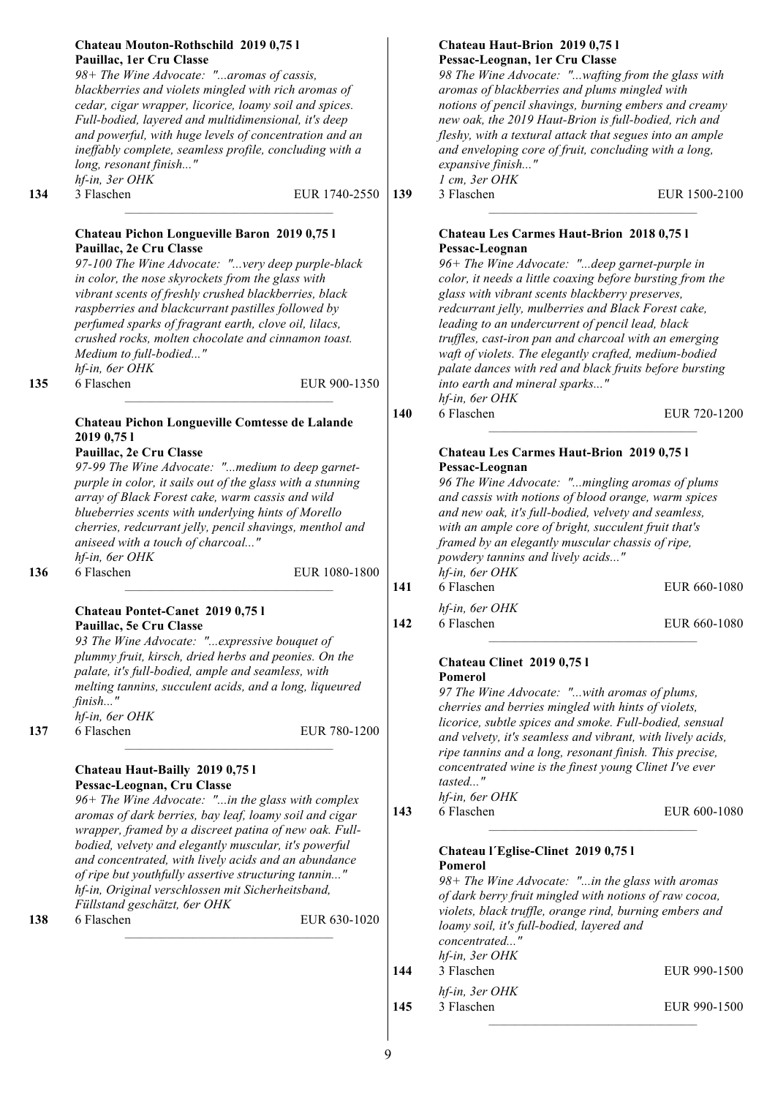|     | Chateau Mouton-Rothschild 2019 0,75 l<br>Pauillac, 1er Cru Classe<br>98+ The Wine Advocate: "aromas of cassis,<br>blackberries and violets mingled with rich aromas of<br>cedar, cigar wrapper, licorice, loamy soil and spices.<br>Full-bodied, layered and multidimensional, it's deep<br>and powerful, with huge levels of concentration and an<br>ineffably complete, seamless profile, concluding with a<br>long, resonant finish"<br>hf-in, 3er OHK                                                                                                                                                                                  |     | Chateau Haut-Brion 2019 0,75 l<br>Pessac-Leognan, 1er Cru Classe<br>98 The Wine Advocate: "wafting from the glass with<br>aromas of blackberries and plums mingled with<br>notions of pencil shavings, burning embers and creamy<br>new oak, the 2019 Haut-Brion is full-bodied, rich and<br>fleshy, with a textural attack that segues into an ample<br>and enveloping core of fruit, concluding with a long,<br>expansive finish"<br>1 cm, 3er OHK                                                                                                                                                                                                  |               |
|-----|--------------------------------------------------------------------------------------------------------------------------------------------------------------------------------------------------------------------------------------------------------------------------------------------------------------------------------------------------------------------------------------------------------------------------------------------------------------------------------------------------------------------------------------------------------------------------------------------------------------------------------------------|-----|-------------------------------------------------------------------------------------------------------------------------------------------------------------------------------------------------------------------------------------------------------------------------------------------------------------------------------------------------------------------------------------------------------------------------------------------------------------------------------------------------------------------------------------------------------------------------------------------------------------------------------------------------------|---------------|
| 134 | 3 Flaschen<br>EUR 1740-2550                                                                                                                                                                                                                                                                                                                                                                                                                                                                                                                                                                                                                | 139 | 3 Flaschen                                                                                                                                                                                                                                                                                                                                                                                                                                                                                                                                                                                                                                            | EUR 1500-2100 |
| 135 | Chateau Pichon Longueville Baron 2019 0,75 l<br>Pauillac, 2e Cru Classe<br>97-100 The Wine Advocate: "very deep purple-black<br>in color, the nose skyrockets from the glass with<br>vibrant scents of freshly crushed blackberries, black<br>raspberries and blackcurrant pastilles followed by<br>perfumed sparks of fragrant earth, clove oil, lilacs,<br>crushed rocks, molten chocolate and cinnamon toast.<br>Medium to full-bodied"<br>hf-in, 6er OHK<br>6 Flaschen<br>EUR 900-1350<br>Chateau Pichon Longueville Comtesse de Lalande<br>2019 0,75 1<br>Pauillac, 2e Cru Classe<br>97-99 The Wine Advocate: "medium to deep garnet- | 140 | Chateau Les Carmes Haut-Brion 2018 0,75 l<br>Pessac-Leognan<br>96+ The Wine Advocate: "deep garnet-purple in<br>color, it needs a little coaxing before bursting from the<br>glass with vibrant scents blackberry preserves,<br>redcurrant jelly, mulberries and Black Forest cake,<br>leading to an undercurrent of pencil lead, black<br>truffles, cast-iron pan and charcoal with an emerging<br>waft of violets. The elegantly crafted, medium-bodied<br>palate dances with red and black fruits before bursting<br>into earth and mineral sparks"<br>hf-in, 6er OHK<br>6 Flaschen<br>Chateau Les Carmes Haut-Brion 2019 0,75 l<br>Pessac-Leognan | EUR 720-1200  |
| 136 | purple in color, it sails out of the glass with a stunning<br>array of Black Forest cake, warm cassis and wild<br>blueberries scents with underlying hints of Morello<br>cherries, redcurrant jelly, pencil shavings, menthol and<br>aniseed with a touch of charcoal"<br>hf-in, 6er OHK<br>6 Flaschen<br>EUR 1080-1800                                                                                                                                                                                                                                                                                                                    | 141 | 96 The Wine Advocate: "mingling aromas of plums<br>and cassis with notions of blood orange, warm spices<br>and new oak, it's full-bodied, velvety and seamless,<br>with an ample core of bright, succulent fruit that's<br>framed by an elegantly muscular chassis of ripe,<br>powdery tannins and lively acids"<br>hf-in, 6er OHK<br>6 Flaschen                                                                                                                                                                                                                                                                                                      | EUR 660-1080  |
|     | Chateau Pontet-Canet 2019 0,75 l<br>Pauillac, 5e Cru Classe<br>93 The Wine Advocate: "expressive bouquet of<br>plummy fruit, kirsch, dried herbs and peonies. On the<br>palate, it's full-bodied, ample and seamless, with<br>melting tannins, succulent acids, and a long, liqueured<br>finish"<br>hf-in, 6er OHK                                                                                                                                                                                                                                                                                                                         | 142 | hf-in, 6er OHK<br>6 Flaschen<br><b>Chateau Clinet 2019 0,751</b><br>Pomerol<br>97 The Wine Advocate: "with aromas of plums,<br>cherries and berries mingled with hints of violets,<br>licorice, subtle spices and smoke. Full-bodied, sensual                                                                                                                                                                                                                                                                                                                                                                                                         | EUR 660-1080  |
| 137 | 6 Flaschen<br>EUR 780-1200<br>Chateau Haut-Bailly 2019 0,75 l<br>Pessac-Leognan, Cru Classe<br>96+ The Wine Advocate: "in the glass with complex<br>aromas of dark berries, bay leaf, loamy soil and cigar<br>wrapper, framed by a discreet patina of new oak. Full-<br>bodied, velvety and elegantly muscular, it's powerful<br>and concentrated, with lively acids and an abundance<br>of ripe but youthfully assertive structuring tannin"                                                                                                                                                                                              | 143 | and velvety, it's seamless and vibrant, with lively acids,<br>ripe tannins and a long, resonant finish. This precise,<br>concentrated wine is the finest young Clinet I've ever<br>tasted"<br>hf-in, 6er OHK<br>6 Flaschen<br>Chateau l'Eglise-Clinet 2019 0,75 l<br>Pomerol                                                                                                                                                                                                                                                                                                                                                                          | EUR 600-1080  |
| 138 | hf-in, Original verschlossen mit Sicherheitsband,<br>Füllstand geschätzt, 6er OHK<br>6 Flaschen<br>EUR 630-1020                                                                                                                                                                                                                                                                                                                                                                                                                                                                                                                            | 144 | 98+ The Wine Advocate: "in the glass with aromas<br>of dark berry fruit mingled with notions of raw cocoa,<br>violets, black truffle, orange rind, burning embers and<br>loamy soil, it's full-bodied, layered and<br>concentrated"<br>hf-in, 3er OHK<br>3 Flaschen<br>hf-in, 3er OHK                                                                                                                                                                                                                                                                                                                                                                 | EUR 990-1500  |
|     |                                                                                                                                                                                                                                                                                                                                                                                                                                                                                                                                                                                                                                            | 145 | 3 Flaschen                                                                                                                                                                                                                                                                                                                                                                                                                                                                                                                                                                                                                                            | EUR 990-1500  |
|     |                                                                                                                                                                                                                                                                                                                                                                                                                                                                                                                                                                                                                                            |     |                                                                                                                                                                                                                                                                                                                                                                                                                                                                                                                                                                                                                                                       |               |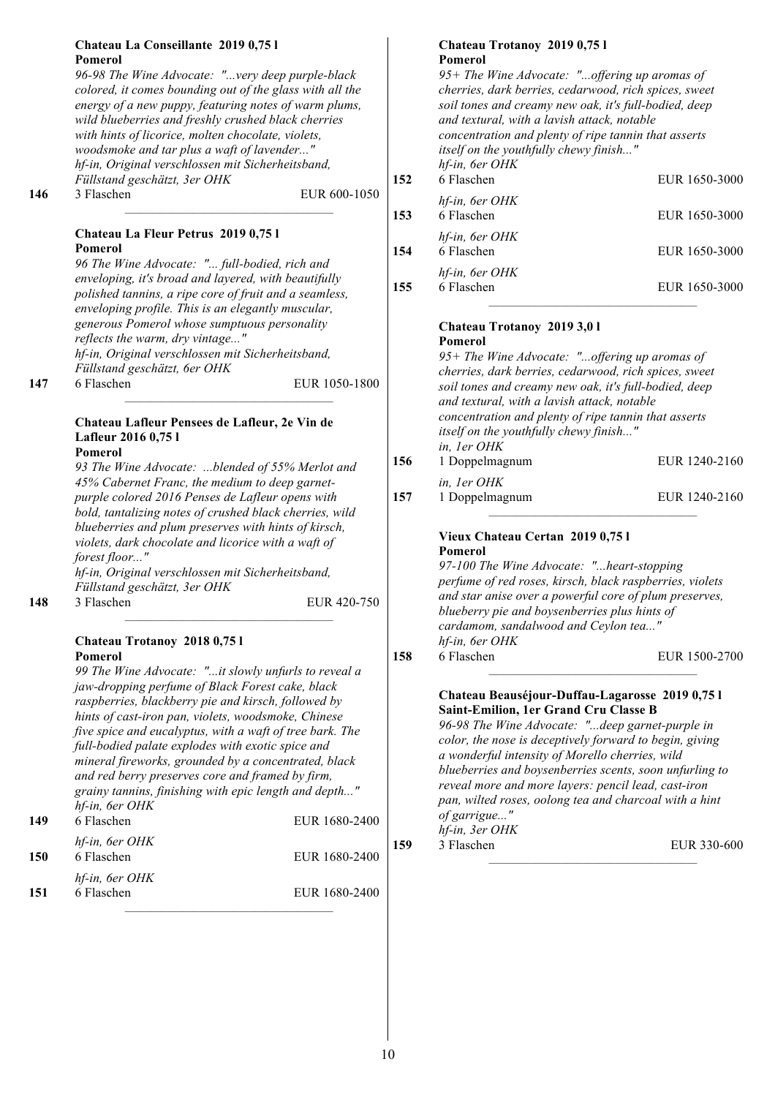#### **Chateau La Conseillante 2019 0,75 l Pomerol**

*96-98 The Wine Advocate: "...very deep purple-black colored, it comes bounding out of the glass with all the energy of a new puppy, featuring notes of warm plums, wild blueberries and freshly crushed black cherries with hints of licorice, molten chocolate, violets, woodsmoke and tar plus a waft of lavender..." hf-in, Original verschlossen mit Sicherheitsband, Füllstand geschätzt, 3er OHK*

**146** 3 Flaschen EUR 600-1050

#### **Chateau La Fleur Petrus 2019 0,75 l Pomerol**

*96 The Wine Advocate: "... full-bodied, rich and enveloping, it's broad and layered, with beautifully polished tannins, a ripe core of fruit and a seamless, enveloping profile. This is an elegantly muscular, generous Pomerol whose sumptuous personality reflects the warm, dry vintage..." hf-in, Original verschlossen mit Sicherheitsband, Füllstand geschätzt, 6er OHK* **147** 6 Flaschen EUR 1050-1800

#### **Chateau Lafleur Pensees de Lafleur, 2e Vin de Lafleur 2016 0,75 l Pomerol**

*93 The Wine Advocate: ...blended of 55% Merlot and 45% Cabernet Franc, the medium to deep garnetpurple colored 2016 Penses de Lafleur opens with bold, tantalizing notes of crushed black cherries, wild blueberries and plum preserves with hints of kirsch, violets, dark chocolate and licorice with a waft of forest floor..."*

*hf-in, Original verschlossen mit Sicherheitsband, Füllstand geschätzt, 3er OHK*

## **148** 3 Flaschen EUR 420-750

#### **Chateau Trotanoy 2018 0,75 l Pomerol**

*99 The Wine Advocate: "...it slowly unfurls to reveal a jaw-dropping perfume of Black Forest cake, black raspberries, blackberry pie and kirsch, followed by hints of cast-iron pan, violets, woodsmoke, Chinese five spice and eucalyptus, with a waft of tree bark. The full-bodied palate explodes with exotic spice and mineral fireworks, grounded by a concentrated, black and red berry preserves core and framed by firm, grainy tannins, finishing with epic length and depth..." hf-in, 6er OHK*

| 149 | 6 Flaschen                   | EUR 1680-2400 |
|-----|------------------------------|---------------|
| 150 | hf-in, 6er OHK<br>6 Flaschen | EUR 1680-2400 |
| 151 | hf-in, 6er OHK<br>6 Flaschen | EUR 1680-2400 |

#### **Chateau Trotanoy 2019 0,75 l Pomerol**

|     | 95+ The Wine Advocate: "offering up aromas of<br>cherries, dark berries, cedarwood, rich spices, sweet<br>soil tones and creamy new oak, it's full-bodied, deep<br>and textural, with a lavish attack, notable<br>concentration and plenty of ripe tannin that asserts<br><i>itself on the youthfully chewy finish"</i><br>hf-in, 6er OHK |               |
|-----|-------------------------------------------------------------------------------------------------------------------------------------------------------------------------------------------------------------------------------------------------------------------------------------------------------------------------------------------|---------------|
| 152 | 6 Flaschen                                                                                                                                                                                                                                                                                                                                | EUR 1650-3000 |
| 153 | hf-in, 6er OHK<br>6 Flaschen                                                                                                                                                                                                                                                                                                              | EUR 1650-3000 |
| 154 | hf-in, 6er OHK<br>6 Flaschen                                                                                                                                                                                                                                                                                                              | EUR 1650-3000 |
| 155 | hf-in, 6er OHK<br>6 Flaschen                                                                                                                                                                                                                                                                                                              | EUR 1650-3000 |

#### **Chateau Trotanoy 2019 3,0 l Pomerol**

*95+ The Wine Advocate: "...offering up aromas of cherries, dark berries, cedarwood, rich spices, sweet soil tones and creamy new oak, it's full-bodied, deep and textural, with a lavish attack, notable concentration and plenty of ripe tannin that asserts itself on the youthfully chewy finish..." in, 1er OHK* **156** 1 Doppelmagnum EUR 1240-2160 *in, 1er OHK* **157** 1 Doppelmagnum EUR 1240-2160

#### **Vieux Chateau Certan 2019 0,75 l Pomerol**

*97-100 The Wine Advocate: "...heart-stopping perfume of red roses, kirsch, black raspberries, violets and star anise over a powerful core of plum preserves, blueberry pie and boysenberries plus hints of cardamom, sandalwood and Ceylon tea..." hf-in, 6er OHK* **158** 6 Flaschen EUR 1500-2700

#### **Chateau Beauséjour-Duffau-Lagarosse 2019 0,75 l Saint-Emilion, 1er Grand Cru Classe B**

*96-98 The Wine Advocate: "...deep garnet-purple in color, the nose is deceptively forward to begin, giving a wonderful intensity of Morello cherries, wild blueberries and boysenberries scents, soon unfurling to reveal more and more layers: pencil lead, cast-iron pan, wilted roses, oolong tea and charcoal with a hint of garrigue..." hf-in, 3er OHK*

**159** 3 Flaschen EUR 330-600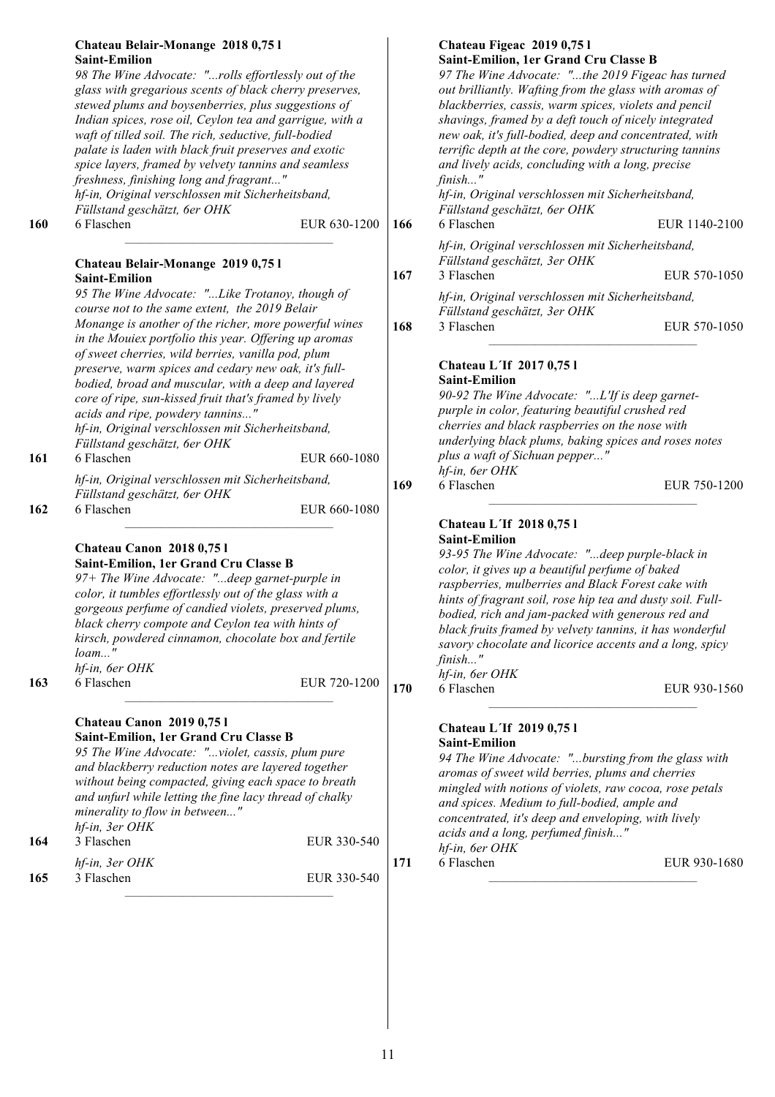| <b>160</b> | Chateau Belair-Monange 2018 0,75 l<br><b>Saint-Emilion</b><br>98 The Wine Advocate: "rolls effortlessly out of the<br>glass with gregarious scents of black cherry preserves,<br>stewed plums and boysenberries, plus suggestions of<br>Indian spices, rose oil, Ceylon tea and garrigue, with a<br>waft of tilled soil. The rich, seductive, full-bodied<br>palate is laden with black fruit preserves and exotic<br>spice layers, framed by velvety tannins and seamless<br>freshness, finishing long and fragrant"<br>hf-in, Original verschlossen mit Sicherheitsband,<br>Füllstand geschätzt, 6er OHK<br>6 Flaschen | EUR 630-1200 | 166 | Chateau Figeac 2019 0,75 l<br>Saint-Emilion, 1er Grand Cru Classe B<br>97 The Wine Advocate: "the 2019 Figeac has turned<br>out brilliantly. Wafting from the glass with aromas of<br>blackberries, cassis, warm spices, violets and pencil<br>shavings, framed by a deft touch of nicely integrated<br>new oak, it's full-bodied, deep and concentrated, with<br>terrific depth at the core, powdery structuring tannins<br>and lively acids, concluding with a long, precise<br>finish"<br>hf-in, Original verschlossen mit Sicherheitsband,<br>Füllstand geschätzt, 6er OHK<br>6 Flaschen | EUR 1140-2100 |
|------------|--------------------------------------------------------------------------------------------------------------------------------------------------------------------------------------------------------------------------------------------------------------------------------------------------------------------------------------------------------------------------------------------------------------------------------------------------------------------------------------------------------------------------------------------------------------------------------------------------------------------------|--------------|-----|----------------------------------------------------------------------------------------------------------------------------------------------------------------------------------------------------------------------------------------------------------------------------------------------------------------------------------------------------------------------------------------------------------------------------------------------------------------------------------------------------------------------------------------------------------------------------------------------|---------------|
|            | Chateau Belair-Monange 2019 0,75 l                                                                                                                                                                                                                                                                                                                                                                                                                                                                                                                                                                                       |              |     | hf-in, Original verschlossen mit Sicherheitsband,<br>Füllstand geschätzt, 3er OHK                                                                                                                                                                                                                                                                                                                                                                                                                                                                                                            |               |
|            | <b>Saint-Emilion</b>                                                                                                                                                                                                                                                                                                                                                                                                                                                                                                                                                                                                     |              | 167 | 3 Flaschen                                                                                                                                                                                                                                                                                                                                                                                                                                                                                                                                                                                   | EUR 570-1050  |
|            | 95 The Wine Advocate: " Like Trotanoy, though of<br>course not to the same extent, the 2019 Belair                                                                                                                                                                                                                                                                                                                                                                                                                                                                                                                       |              |     | hf-in, Original verschlossen mit Sicherheitsband,<br>Füllstand geschätzt, 3er OHK                                                                                                                                                                                                                                                                                                                                                                                                                                                                                                            |               |
|            | Monange is another of the richer, more powerful wines<br>in the Mouiex portfolio this year. Offering up aromas                                                                                                                                                                                                                                                                                                                                                                                                                                                                                                           |              | 168 | 3 Flaschen                                                                                                                                                                                                                                                                                                                                                                                                                                                                                                                                                                                   | EUR 570-1050  |
| 161        | of sweet cherries, wild berries, vanilla pod, plum<br>preserve, warm spices and cedary new oak, it's full-<br>bodied, broad and muscular, with a deep and layered<br>core of ripe, sun-kissed fruit that's framed by lively<br>acids and ripe, powdery tannins"<br>hf-in, Original verschlossen mit Sicherheitsband,<br>Füllstand geschätzt, 6er OHK<br>6 Flaschen<br>hf-in, Original verschlossen mit Sicherheitsband,<br>Füllstand geschätzt, 6er OHK                                                                                                                                                                  | EUR 660-1080 | 169 | Chateau L'If 2017 0,75 l<br><b>Saint-Emilion</b><br>90-92 The Wine Advocate: "L'If is deep garnet-<br>purple in color, featuring beautiful crushed red<br>cherries and black raspberries on the nose with<br>underlying black plums, baking spices and roses notes<br>plus a waft of Sichuan pepper"<br>hf-in, 6er OHK<br>6 Flaschen                                                                                                                                                                                                                                                         | EUR 750-1200  |
| 162        | 6 Flaschen<br>Chateau Canon 2018 0,75 l<br>Saint-Emilion, 1er Grand Cru Classe B<br>97+ The Wine Advocate: "deep garnet-purple in<br>color, it tumbles effortlessly out of the glass with a<br>gorgeous perfume of candied violets, preserved plums,<br>black cherry compote and Ceylon tea with hints of<br>kirsch, powdered cinnamon, chocolate box and fertile<br>$l \circ a m \dots$ "<br>hf-in, 6er OHK                                                                                                                                                                                                             | EUR 660-1080 |     | Chateau L'If 2018 0,75 l<br><b>Saint-Emilion</b><br>93-95 The Wine Advocate: "deep purple-black in<br>color, it gives up a beautiful perfume of baked<br>raspberries, mulberries and Black Forest cake with<br>hints of fragrant soil, rose hip tea and dusty soil. Full-<br>bodied, rich and jam-packed with generous red and<br>black fruits framed by velvety tannins, it has wonderful<br>savory chocolate and licorice accents and a long, spicy<br>$finish$ "                                                                                                                          |               |
| 163        | 6 Flaschen                                                                                                                                                                                                                                                                                                                                                                                                                                                                                                                                                                                                               | EUR 720-1200 | 170 | hf-in, 6er OHK<br>6 Flaschen                                                                                                                                                                                                                                                                                                                                                                                                                                                                                                                                                                 | EUR 930-1560  |
| 164        | Chateau Canon 2019 0,751<br>Saint-Emilion, 1er Grand Cru Classe B<br>95 The Wine Advocate: "violet, cassis, plum pure<br>and blackberry reduction notes are layered together<br>without being compacted, giving each space to breath<br>and unfurl while letting the fine lacy thread of chalky<br>minerality to flow in between"<br>hf-in, 3er OHK<br>3 Flaschen                                                                                                                                                                                                                                                        | EUR 330-540  |     | Chateau L'If 2019 0,75 l<br><b>Saint-Emilion</b><br>94 The Wine Advocate: "bursting from the glass with<br>aromas of sweet wild berries, plums and cherries<br>mingled with notions of violets, raw cocoa, rose petals<br>and spices. Medium to full-bodied, ample and<br>concentrated, it's deep and enveloping, with lively<br>acids and a long, perfumed finish"                                                                                                                                                                                                                          |               |
|            | hf-in, 3er OHK                                                                                                                                                                                                                                                                                                                                                                                                                                                                                                                                                                                                           |              | 171 | hf-in, 6er OHK<br>6 Flaschen                                                                                                                                                                                                                                                                                                                                                                                                                                                                                                                                                                 | EUR 930-1680  |
| 165        | 3 Flaschen                                                                                                                                                                                                                                                                                                                                                                                                                                                                                                                                                                                                               | EUR 330-540  |     |                                                                                                                                                                                                                                                                                                                                                                                                                                                                                                                                                                                              |               |

*h<sub>1</sub> iii, iii*, *3* Flaschen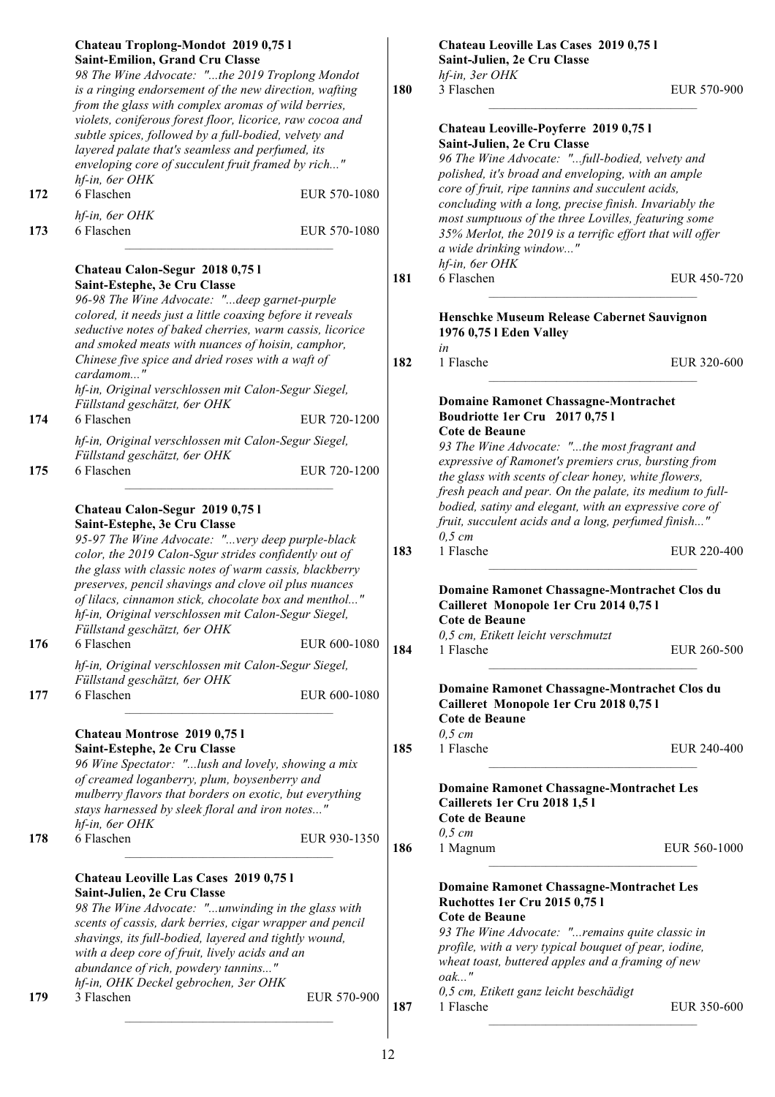|     | Chateau Troplong-Mondot 2019 0,75 l<br><b>Saint-Emilion, Grand Cru Classe</b>                                      |              |     | Chateau Leoville Las Cases 2019 0,75 l<br>Saint-Julien, 2e Cru Classe                                |              |
|-----|--------------------------------------------------------------------------------------------------------------------|--------------|-----|------------------------------------------------------------------------------------------------------|--------------|
|     | 98 The Wine Advocate: "the 2019 Troplong Mondot                                                                    |              |     | hf-in, 3er OHK                                                                                       |              |
|     | is a ringing endorsement of the new direction, wafting<br>from the glass with complex aromas of wild berries,      |              | 180 | 3 Flaschen                                                                                           | EUR 570-900  |
|     | violets, coniferous forest floor, licorice, raw cocoa and<br>subtle spices, followed by a full-bodied, velvety and |              |     | Chateau Leoville-Poyferre 2019 0,75 l                                                                |              |
|     | layered palate that's seamless and perfumed, its                                                                   |              |     | Saint-Julien, 2e Cru Classe                                                                          |              |
|     | enveloping core of succulent fruit framed by rich"                                                                 |              |     | 96 The Wine Advocate: "full-bodied, velvety and                                                      |              |
|     | hf-in, 6er OHK                                                                                                     |              |     | polished, it's broad and enveloping, with an ample                                                   |              |
| 172 | 6 Flaschen                                                                                                         | EUR 570-1080 |     | core of fruit, ripe tannins and succulent acids,                                                     |              |
|     | hf-in, 6er OHK                                                                                                     |              |     | concluding with a long, precise finish. Invariably the                                               |              |
| 173 | 6 Flaschen                                                                                                         | EUR 570-1080 |     | most sumptuous of the three Lovilles, featuring some                                                 |              |
|     |                                                                                                                    |              |     | 35% Merlot, the 2019 is a terrific effort that will offer                                            |              |
|     |                                                                                                                    |              |     | a wide drinking window"<br>hf-in, 6er OHK                                                            |              |
|     | Chateau Calon-Segur 2018 0,75 l                                                                                    |              | 181 | 6 Flaschen                                                                                           | EUR 450-720  |
|     | Saint-Estephe, 3e Cru Classe                                                                                       |              |     |                                                                                                      |              |
|     | 96-98 The Wine Advocate: "deep garnet-purple<br>colored, it needs just a little coaxing before it reveals          |              |     |                                                                                                      |              |
|     | seductive notes of baked cherries, warm cassis, licorice                                                           |              |     | Henschke Museum Release Cabernet Sauvignon                                                           |              |
|     | and smoked meats with nuances of hoisin, camphor,                                                                  |              |     | 1976 0,75 l Eden Valley<br>in                                                                        |              |
|     | Chinese five spice and dried roses with a waft of                                                                  |              | 182 | 1 Flasche                                                                                            | EUR 320-600  |
|     | cardamom"                                                                                                          |              |     |                                                                                                      |              |
|     | hf-in, Original verschlossen mit Calon-Segur Siegel,                                                               |              |     |                                                                                                      |              |
|     | Füllstand geschätzt, 6er OHK                                                                                       |              |     | <b>Domaine Ramonet Chassagne-Montrachet</b>                                                          |              |
| 174 | 6 Flaschen                                                                                                         | EUR 720-1200 |     | Boudriotte 1er Cru 2017 0,75 l                                                                       |              |
|     | hf-in, Original verschlossen mit Calon-Segur Siegel,                                                               |              |     | Cote de Beaune                                                                                       |              |
|     | Füllstand geschätzt, 6er OHK                                                                                       |              |     | 93 The Wine Advocate: "the most fragrant and<br>expressive of Ramonet's premiers crus, bursting from |              |
| 175 | 6 Flaschen                                                                                                         | EUR 720-1200 |     | the glass with scents of clear honey, white flowers,                                                 |              |
|     |                                                                                                                    |              |     | fresh peach and pear. On the palate, its medium to full-                                             |              |
|     | Chateau Calon-Segur 2019 0,75 l                                                                                    |              |     | bodied, satiny and elegant, with an expressive core of                                               |              |
|     | Saint-Estephe, 3e Cru Classe                                                                                       |              |     | fruit, succulent acids and a long, perfumed finish"                                                  |              |
|     | 95-97 The Wine Advocate: "very deep purple-black                                                                   |              |     | $0,5$ cm                                                                                             |              |
|     | color, the 2019 Calon-Sgur strides confidently out of                                                              |              | 183 | 1 Flasche                                                                                            | EUR 220-400  |
|     | the glass with classic notes of warm cassis, blackberry                                                            |              |     |                                                                                                      |              |
|     | preserves, pencil shavings and clove oil plus nuances                                                              |              |     | Domaine Ramonet Chassagne-Montrachet Clos du                                                         |              |
|     | of lilacs, cinnamon stick, chocolate box and menthol"                                                              |              |     | Cailleret Monopole 1er Cru 2014 0,75 l                                                               |              |
|     | hf-in, Original verschlossen mit Calon-Segur Siegel,                                                               |              |     | Cote de Beaune                                                                                       |              |
|     | Füllstand geschätzt, 6er OHK                                                                                       |              |     | 0,5 cm, Etikett leicht verschmutzt                                                                   |              |
| 176 | 6 Flaschen                                                                                                         | EUR 600-1080 | 184 | 1 Flasche                                                                                            | EUR 260-500  |
|     | hf-in, Original verschlossen mit Calon-Segur Siegel,                                                               |              |     |                                                                                                      |              |
|     | Füllstand geschätzt, 6er OHK                                                                                       |              |     | Domaine Ramonet Chassagne-Montrachet Clos du                                                         |              |
| 177 | 6 Flaschen                                                                                                         | EUR 600-1080 |     | Cailleret Monopole 1er Cru 2018 0,75 l                                                               |              |
|     |                                                                                                                    |              |     | Cote de Beaune                                                                                       |              |
|     | Chateau Montrose 2019 0,75 l                                                                                       |              |     | $0,5$ cm                                                                                             |              |
|     | Saint-Estephe, 2e Cru Classe                                                                                       |              | 185 | 1 Flasche                                                                                            | EUR 240-400  |
|     | 96 Wine Spectator: "lush and lovely, showing a mix                                                                 |              |     |                                                                                                      |              |
|     | of creamed loganberry, plum, boysenberry and                                                                       |              |     | <b>Domaine Ramonet Chassagne-Montrachet Les</b>                                                      |              |
|     | mulberry flavors that borders on exotic, but everything                                                            |              |     | Caillerets 1er Cru 2018 1,51                                                                         |              |
|     | stays harnessed by sleek floral and iron notes"                                                                    |              |     | Cote de Beaune                                                                                       |              |
|     | hf-in, 6er OHK<br>6 Flaschen                                                                                       |              |     | $0,5$ cm                                                                                             |              |
| 178 |                                                                                                                    | EUR 930-1350 | 186 | 1 Magnum                                                                                             | EUR 560-1000 |
|     |                                                                                                                    |              |     |                                                                                                      |              |
|     | Chateau Leoville Las Cases 2019 0,75 l                                                                             |              |     |                                                                                                      |              |
|     | Saint-Julien, 2e Cru Classe                                                                                        |              |     | <b>Domaine Ramonet Chassagne-Montrachet Les</b><br><b>Ruchottes 1er Cru 2015 0,751</b>               |              |
|     | 98 The Wine Advocate: "unwinding in the glass with                                                                 |              |     | Cote de Beaune                                                                                       |              |
|     | scents of cassis, dark berries, cigar wrapper and pencil                                                           |              |     | 93 The Wine Advocate: "remains quite classic in                                                      |              |
|     | shavings, its full-bodied, layered and tightly wound,                                                              |              |     | profile, with a very typical bouquet of pear, iodine,                                                |              |
|     | with a deep core of fruit, lively acids and an<br>abundance of rich, powdery tannins"                              |              |     | wheat toast, buttered apples and a framing of new                                                    |              |
|     | hf-in, OHK Deckel gebrochen, 3er OHK                                                                               |              |     | $oak$ "                                                                                              |              |
| 179 | 3 Flaschen                                                                                                         | EUR 570-900  |     | 0,5 cm, Etikett ganz leicht beschädigt                                                               |              |
|     |                                                                                                                    |              | 187 |                                                                                                      | EUR 350-600  |
|     |                                                                                                                    |              |     | 1 Flasche                                                                                            |              |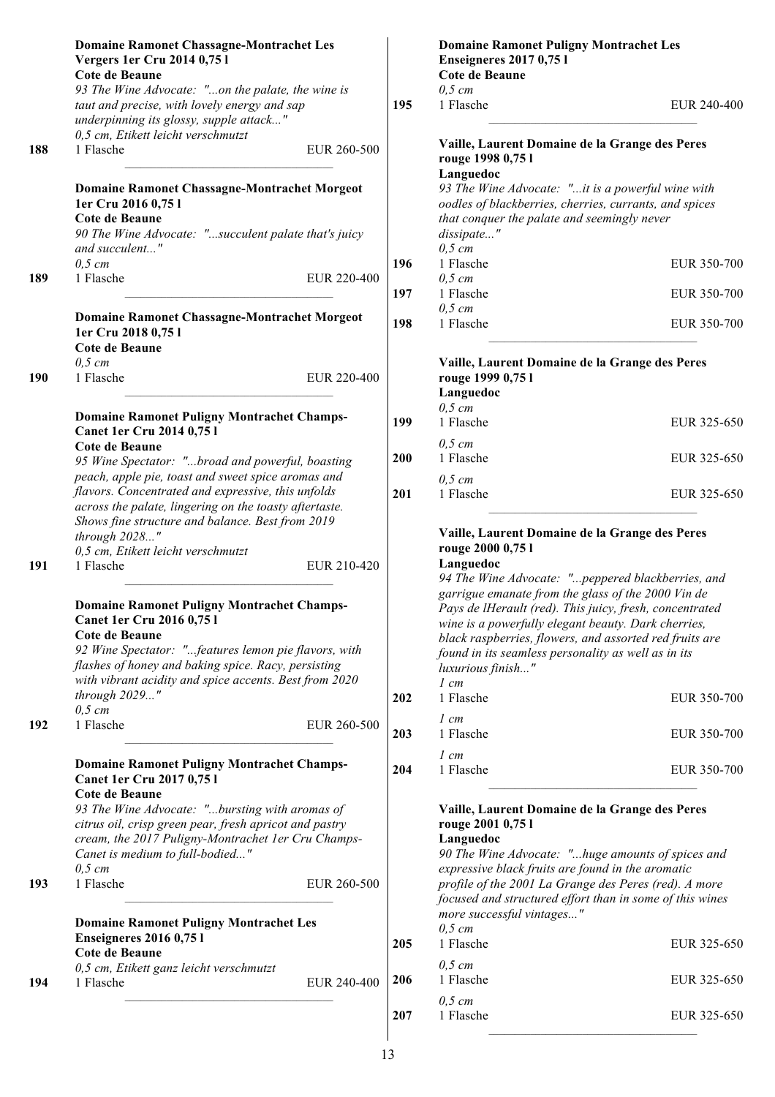|     | <b>Domaine Ramonet Chassagne-Montrachet Les</b><br>Vergers 1er Cru 2014 0,75 l<br><b>Cote de Beaune</b>                                                                            |            |
|-----|------------------------------------------------------------------------------------------------------------------------------------------------------------------------------------|------------|
|     | 93 The Wine Advocate: "on the palate, the wine is<br>taut and precise, with lovely energy and sap<br>underpinning its glossy, supple attack"<br>0,5 cm, Etikett leicht verschmutzt | 195        |
| 188 | 1 Flasche<br>EUR 260-500                                                                                                                                                           |            |
|     | <b>Domaine Ramonet Chassagne-Montrachet Morgeot</b><br>1er Cru 2016 0,75 l<br><b>Cote de Beaune</b>                                                                                |            |
|     | 90 The Wine Advocate: "succulent palate that's juicy<br>and succulent"                                                                                                             |            |
| 189 | $0,5$ cm<br>1 Flasche<br>EUR 220-400                                                                                                                                               | 196<br>197 |
|     | <b>Domaine Ramonet Chassagne-Montrachet Morgeot</b><br>1er Cru 2018 0,75 l<br><b>Cote de Beaune</b>                                                                                | 198        |
| 190 | $0.5$ cm<br>1 Flasche<br>EUR 220-400                                                                                                                                               |            |
|     | <b>Domaine Ramonet Puligny Montrachet Champs-</b><br><b>Canet 1er Cru 2014 0,75 l</b>                                                                                              | 199        |
|     | Cote de Beaune<br>95 Wine Spectator: "broad and powerful, boasting<br>peach, apple pie, toast and sweet spice aromas and                                                           | 200        |
|     | flavors. Concentrated and expressive, this unfolds<br>across the palate, lingering on the toasty aftertaste.<br>Shows fine structure and balance. Best from 2019<br>through 2028"  | 201        |
| 191 | 0,5 cm, Etikett leicht verschmutzt<br>1 Flasche<br>EUR 210-420                                                                                                                     |            |
|     | <b>Domaine Ramonet Puligny Montrachet Champs-</b><br><b>Canet 1er Cru 2016 0,751</b><br>Cote de Beaune<br>92 Wine Spectator: "features lemon pie flavors, with                     |            |
|     | flashes of honey and baking spice. Racy, persisting<br>with vibrant acidity and spice accents. Best from 2020<br>through 2029"                                                     | 202        |
| 192 | $0,5$ cm<br>1 Flasche<br>EUR 260-500                                                                                                                                               | 203        |
|     | <b>Domaine Ramonet Puligny Montrachet Champs-</b><br><b>Canet 1er Cru 2017 0,751</b><br>Cote de Beaune<br>93 The Wine Advocate: "bursting with aromas of                           | 204        |
|     | citrus oil, crisp green pear, fresh apricot and pastry<br>cream, the 2017 Puligny-Montrachet 1er Cru Champs-<br>Canet is medium to full-bodied"<br>$0,5 \, cm$                     |            |
| 193 | 1 Flasche<br>EUR 260-500                                                                                                                                                           |            |
|     | <b>Domaine Ramonet Puligny Montrachet Les</b><br><b>Enseigneres 2016 0,751</b><br><b>Cote de Beaune</b>                                                                            | 205        |
| 194 | 0,5 cm, Etikett ganz leicht verschmutzt<br>1 Flasche<br>EUR 240-400                                                                                                                | 206        |
|     |                                                                                                                                                                                    | 207        |

|     | <b>Domaine Ramonet Puligny Montrachet Les</b><br><b>Enseigneres 2017 0,751</b><br><b>Cote de Beaune</b>                                                                                                                                                                                                                                                                                                                                              |             |  |  |  |
|-----|------------------------------------------------------------------------------------------------------------------------------------------------------------------------------------------------------------------------------------------------------------------------------------------------------------------------------------------------------------------------------------------------------------------------------------------------------|-------------|--|--|--|
| 195 | $0,5 \, cm$<br>1 Flasche                                                                                                                                                                                                                                                                                                                                                                                                                             | EUR 240-400 |  |  |  |
|     | Vaille, Laurent Domaine de la Grange des Peres<br>rouge 1998 0,75 l<br>Languedoc<br>93 The Wine Advocate: "it is a powerful wine with<br>oodles of blackberries, cherries, currants, and spices<br>that conquer the palate and seemingly never<br>dissipate"                                                                                                                                                                                         |             |  |  |  |
| 196 | $0,5 \, cm$<br>1 Flasche                                                                                                                                                                                                                                                                                                                                                                                                                             | EUR 350-700 |  |  |  |
| 197 | $0,5$ cm<br>1 Flasche                                                                                                                                                                                                                                                                                                                                                                                                                                | EUR 350-700 |  |  |  |
| 198 | $0,5$ cm<br>1 Flasche                                                                                                                                                                                                                                                                                                                                                                                                                                | EUR 350-700 |  |  |  |
|     | Vaille, Laurent Domaine de la Grange des Peres<br>rouge 1999 0,75 l<br>Languedoc<br>$0,5$ cm                                                                                                                                                                                                                                                                                                                                                         |             |  |  |  |
| 199 | 1 Flasche<br>$0.5$ cm                                                                                                                                                                                                                                                                                                                                                                                                                                | EUR 325-650 |  |  |  |
| 200 | 1 Flasche<br>$0,5 \, cm$                                                                                                                                                                                                                                                                                                                                                                                                                             | EUR 325-650 |  |  |  |
| 201 | 1 Flasche                                                                                                                                                                                                                                                                                                                                                                                                                                            | EUR 325-650 |  |  |  |
|     | Vaille, Laurent Domaine de la Grange des Peres<br>rouge 2000 0,75 l<br>Languedoc<br>94 The Wine Advocate: "peppered blackberries, and<br>garrigue emanate from the glass of the 2000 Vin de<br>Pays de lHerault (red). This juicy, fresh, concentrated<br>wine is a powerfully elegant beauty. Dark cherries,<br>black raspberries, flowers, and assorted red fruits are<br>found in its seamless personality as well as in its<br>luxurious finish" |             |  |  |  |
| 202 | $1 \, cm$<br>1 Flasche                                                                                                                                                                                                                                                                                                                                                                                                                               | EUR 350-700 |  |  |  |
| 203 | 1 cm<br>1 Flasche                                                                                                                                                                                                                                                                                                                                                                                                                                    | EUR 350-700 |  |  |  |
| 204 | $l$ cm<br>1 Flasche                                                                                                                                                                                                                                                                                                                                                                                                                                  | EUR 350-700 |  |  |  |
|     | Vaille, Laurent Domaine de la Grange des Peres<br>rouge 2001 0,75 l<br>Languedoc<br>90 The Wine Advocate: "huge amounts of spices and<br>expressive black fruits are found in the aromatic<br>profile of the 2001 La Grange des Peres (red). A more<br>focused and structured effort than in some of this wines<br>more successful vintages"<br>$0.5$ cm                                                                                             |             |  |  |  |
| 205 | 1 Flasche                                                                                                                                                                                                                                                                                                                                                                                                                                            | EUR 325-650 |  |  |  |

| 206 | $0.5$ cm<br>1 Flasche | EUR 325-650 |
|-----|-----------------------|-------------|
| 207 | $0.5$ cm<br>1 Flasche | EUR 325-650 |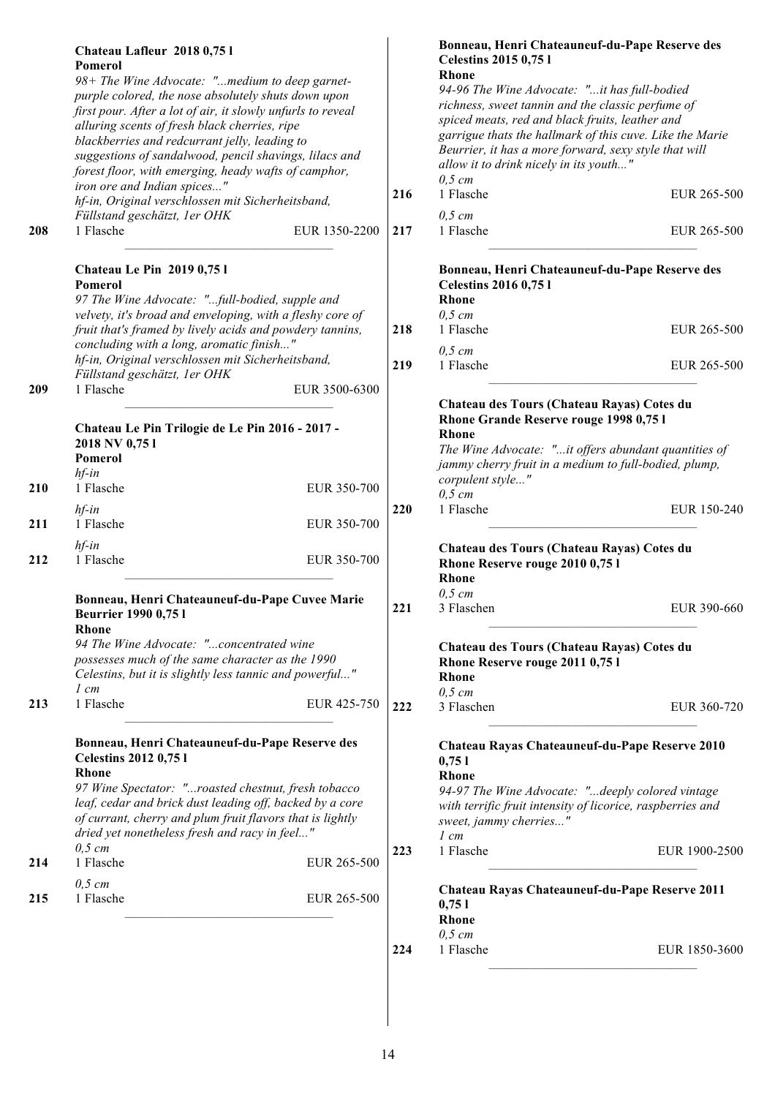|     | Chateau Lafleur 2018 0,75 l<br>Pomerol                                                                                                                                                                                                                                                                                                                                                   |     | Bonneau, Henri Chateauneuf-du-Pape Reserve des<br><b>Celestins 2015 0,751</b>                                                                                                                                                                                                                                                                   |               |
|-----|------------------------------------------------------------------------------------------------------------------------------------------------------------------------------------------------------------------------------------------------------------------------------------------------------------------------------------------------------------------------------------------|-----|-------------------------------------------------------------------------------------------------------------------------------------------------------------------------------------------------------------------------------------------------------------------------------------------------------------------------------------------------|---------------|
|     | 98+ The Wine Advocate: "medium to deep garnet-<br>purple colored, the nose absolutely shuts down upon<br>first pour. After a lot of air, it slowly unfurls to reveal<br>alluring scents of fresh black cherries, ripe<br>blackberries and redcurrant jelly, leading to<br>suggestions of sandalwood, pencil shavings, lilacs and<br>forest floor, with emerging, heady wafts of camphor, |     | <b>Rhone</b><br>94-96 The Wine Advocate: "it has full-bodied<br>richness, sweet tannin and the classic perfume of<br>spiced meats, red and black fruits, leather and<br>garrigue thats the hallmark of this cuve. Like the Marie<br>Beurrier, it has a more forward, sexy style that will<br>allow it to drink nicely in its youth"<br>$0,5$ cm |               |
|     | iron ore and Indian spices"<br>hf-in, Original verschlossen mit Sicherheitsband,                                                                                                                                                                                                                                                                                                         | 216 | 1 Flasche                                                                                                                                                                                                                                                                                                                                       | EUR 265-500   |
|     | Füllstand geschätzt, 1er OHK                                                                                                                                                                                                                                                                                                                                                             |     | $0,5$ cm                                                                                                                                                                                                                                                                                                                                        |               |
| 208 | 1 Flasche<br>EUR 1350-2200                                                                                                                                                                                                                                                                                                                                                               | 217 | 1 Flasche                                                                                                                                                                                                                                                                                                                                       | EUR 265-500   |
|     | <b>Chateau Le Pin 2019 0,751</b><br>Pomerol<br>97 The Wine Advocate: "full-bodied, supple and<br>velvety, it's broad and enveloping, with a fleshy core of                                                                                                                                                                                                                               |     | Bonneau, Henri Chateauneuf-du-Pape Reserve des<br><b>Celestins 2016 0,751</b><br><b>Rhone</b><br>$0,5$ cm                                                                                                                                                                                                                                       |               |
|     | fruit that's framed by lively acids and powdery tannins,                                                                                                                                                                                                                                                                                                                                 | 218 | 1 Flasche                                                                                                                                                                                                                                                                                                                                       | EUR 265-500   |
|     | concluding with a long, aromatic finish"<br>hf-in, Original verschlossen mit Sicherheitsband,                                                                                                                                                                                                                                                                                            |     | $0,5$ cm                                                                                                                                                                                                                                                                                                                                        |               |
|     | Füllstand geschätzt, 1er OHK                                                                                                                                                                                                                                                                                                                                                             | 219 | 1 Flasche                                                                                                                                                                                                                                                                                                                                       | EUR 265-500   |
| 209 | 1 Flasche<br>EUR 3500-6300<br>Chateau Le Pin Trilogie de Le Pin 2016 - 2017 -<br>2018 NV 0,751<br>Pomerol<br>$hf$ -in                                                                                                                                                                                                                                                                    |     | Chateau des Tours (Chateau Rayas) Cotes du<br>Rhone Grande Reserve rouge 1998 0,75 l<br>Rhone<br>The Wine Advocate: "it offers abundant quantities of<br>jammy cherry fruit in a medium to full-bodied, plump,<br>corpulent style"                                                                                                              |               |
| 210 | 1 Flasche<br>EUR 350-700                                                                                                                                                                                                                                                                                                                                                                 |     | $0,5$ cm                                                                                                                                                                                                                                                                                                                                        |               |
|     | $hf$ -in                                                                                                                                                                                                                                                                                                                                                                                 | 220 | 1 Flasche                                                                                                                                                                                                                                                                                                                                       | EUR 150-240   |
| 211 | 1 Flasche<br>EUR 350-700                                                                                                                                                                                                                                                                                                                                                                 |     |                                                                                                                                                                                                                                                                                                                                                 |               |
| 212 | $hf$ -in<br>1 Flasche<br>EUR 350-700                                                                                                                                                                                                                                                                                                                                                     |     | Chateau des Tours (Chateau Rayas) Cotes du<br>Rhone Reserve rouge 2010 0,75 l<br>Rhone                                                                                                                                                                                                                                                          |               |
|     | Bonneau, Henri Chateauneuf-du-Pape Cuvee Marie<br><b>Beurrier 1990 0,751</b>                                                                                                                                                                                                                                                                                                             | 221 | $0,5$ cm<br>3 Flaschen                                                                                                                                                                                                                                                                                                                          | EUR 390-660   |
|     | <b>Rhone</b>                                                                                                                                                                                                                                                                                                                                                                             |     |                                                                                                                                                                                                                                                                                                                                                 |               |
|     | 94 The Wine Advocate: "concentrated wine<br>possesses much of the same character as the 1990<br>Celestins, but it is slightly less tannic and powerful"<br>$1 \, cm$                                                                                                                                                                                                                     |     | Chateau des Tours (Chateau Rayas) Cotes du<br>Rhone Reserve rouge 2011 0,75 l<br><b>Rhone</b>                                                                                                                                                                                                                                                   |               |
| 213 | 1 Flasche<br>EUR 425-750                                                                                                                                                                                                                                                                                                                                                                 | 222 | $0,5$ cm<br>3 Flaschen                                                                                                                                                                                                                                                                                                                          | EUR 360-720   |
|     | Bonneau, Henri Chateauneuf-du-Pape Reserve des<br><b>Celestins 2012 0,751</b><br><b>Rhone</b>                                                                                                                                                                                                                                                                                            |     | Chateau Rayas Chateauneuf-du-Pape Reserve 2010<br>0,751<br>Rhone                                                                                                                                                                                                                                                                                |               |
|     | 97 Wine Spectator: "roasted chestnut, fresh tobacco<br>leaf, cedar and brick dust leading off, backed by a core<br>of currant, cherry and plum fruit flavors that is lightly<br>dried yet nonetheless fresh and racy in feel"                                                                                                                                                            |     | 94-97 The Wine Advocate: "deeply colored vintage<br>with terrific fruit intensity of licorice, raspberries and<br>sweet, jammy cherries"<br>$1 \, cm$                                                                                                                                                                                           |               |
| 214 | $0,5$ cm<br>1 Flasche<br>EUR 265-500                                                                                                                                                                                                                                                                                                                                                     | 223 | 1 Flasche                                                                                                                                                                                                                                                                                                                                       | EUR 1900-2500 |
| 215 | $0,5$ cm<br>1 Flasche<br>EUR 265-500                                                                                                                                                                                                                                                                                                                                                     |     | Chateau Rayas Chateauneuf-du-Pape Reserve 2011<br>0,751<br>Rhone                                                                                                                                                                                                                                                                                |               |
|     |                                                                                                                                                                                                                                                                                                                                                                                          | 224 | $0,5$ cm<br>1 Flasche                                                                                                                                                                                                                                                                                                                           | EUR 1850-3600 |
|     |                                                                                                                                                                                                                                                                                                                                                                                          |     |                                                                                                                                                                                                                                                                                                                                                 |               |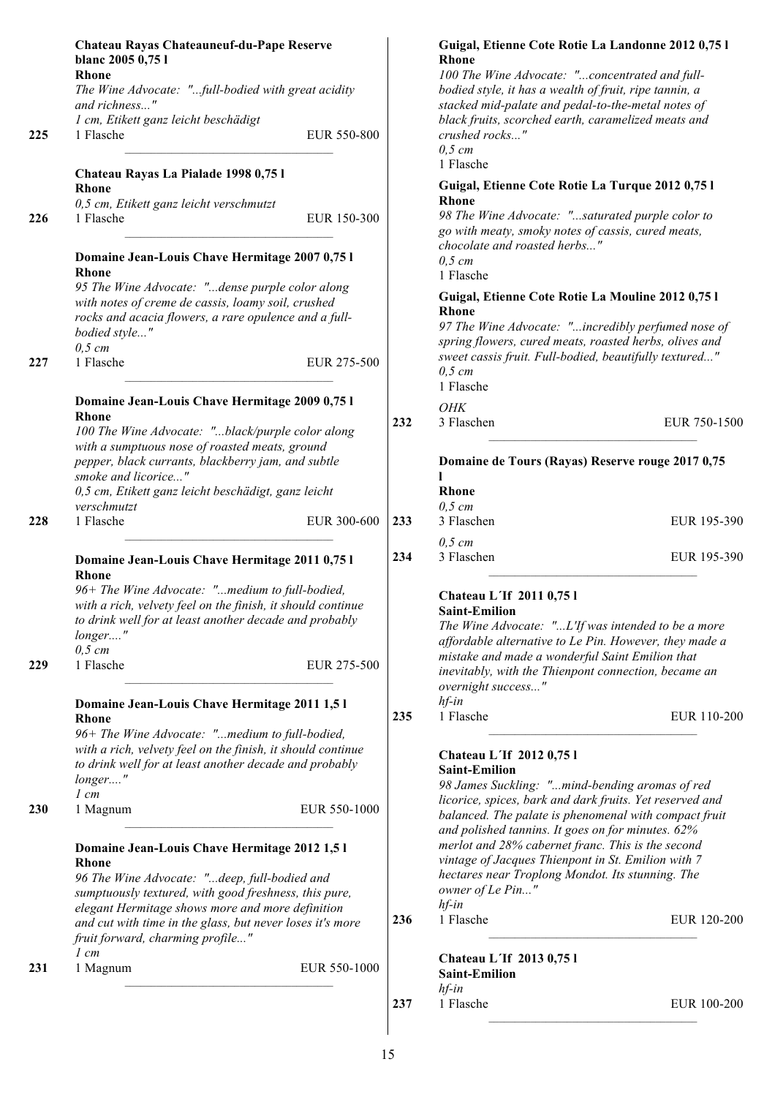|     | Chateau Rayas Chateauneuf-du-Pape Reserve<br>blanc 2005 0,75 l<br><b>Rhone</b>                                                                                 |     | Guigal, Etienne Cote Rotie La Landonne 2012 0,75 l<br><b>Rhone</b><br>100 The Wine Advocate: "concentrated and full-                   |            |
|-----|----------------------------------------------------------------------------------------------------------------------------------------------------------------|-----|----------------------------------------------------------------------------------------------------------------------------------------|------------|
|     | The Wine Advocate: "full-bodied with great acidity<br>and richness"                                                                                            |     | bodied style, it has a wealth of fruit, ripe tannin, a<br>stacked mid-palate and pedal-to-the-metal notes of                           |            |
| 225 | 1 cm, Etikett ganz leicht beschädigt<br>1 Flasche<br>EUR 550-800                                                                                               |     | black fruits, scorched earth, caramelized meats and<br>crushed rocks"<br>$0,5$ cm                                                      |            |
|     | Chateau Rayas La Pialade 1998 0,75 l                                                                                                                           |     | 1 Flasche                                                                                                                              |            |
|     | <b>Rhone</b>                                                                                                                                                   |     | Guigal, Etienne Cote Rotie La Turque 2012 0,75 l<br><b>Rhone</b>                                                                       |            |
| 226 | 0,5 cm, Etikett ganz leicht verschmutzt<br>1 Flasche<br>EUR 150-300                                                                                            |     | 98 The Wine Advocate: "saturated purple color to<br>go with meaty, smoky notes of cassis, cured meats,<br>chocolate and roasted herbs" |            |
|     | Domaine Jean-Louis Chave Hermitage 2007 0,75 l<br>Rhone                                                                                                        |     | $0,5$ cm<br>1 Flasche                                                                                                                  |            |
|     | 95 The Wine Advocate: "dense purple color along<br>with notes of creme de cassis, loamy soil, crushed<br>rocks and acacia flowers, a rare opulence and a full- |     | Guigal, Etienne Cote Rotie La Mouline 2012 0,75 l<br><b>Rhone</b>                                                                      |            |
|     | bodied style"                                                                                                                                                  |     | 97 The Wine Advocate: "incredibly perfumed nose of<br>spring flowers, cured meats, roasted herbs, olives and                           |            |
| 227 | $0,5$ cm<br>1 Flasche<br>EUR 275-500                                                                                                                           |     | sweet cassis fruit. Full-bodied, beautifully textured"<br>$0,5$ cm<br>1 Flasche                                                        |            |
|     | Domaine Jean-Louis Chave Hermitage 2009 0,75 l                                                                                                                 |     |                                                                                                                                        |            |
|     | <b>Rhone</b>                                                                                                                                                   | 232 | OHK<br>3 Flaschen                                                                                                                      | EUR 750-15 |
|     | 100 The Wine Advocate: "black/purple color along<br>with a sumptuous nose of roasted meats, ground                                                             |     |                                                                                                                                        |            |
|     | pepper, black currants, blackberry jam, and subtle<br>smoke and licorice"                                                                                      |     | Domaine de Tours (Rayas) Reserve rouge 2017 0,75                                                                                       |            |
|     | 0,5 cm, Etikett ganz leicht beschädigt, ganz leicht                                                                                                            |     | Rhone                                                                                                                                  |            |
|     | verschmutzt                                                                                                                                                    |     | $0,5$ cm                                                                                                                               |            |
| 228 | 1 Flasche<br>EUR 300-600                                                                                                                                       | 233 | 3 Flaschen                                                                                                                             | EUR 195-3  |
|     | Domaine Jean-Louis Chave Hermitage 2011 0,75 l<br><b>Rhone</b>                                                                                                 | 234 | $0,5$ cm<br>3 Flaschen                                                                                                                 | EUR 195-3  |
|     | 96+ The Wine Advocate: "medium to full-bodied,                                                                                                                 |     | Chateau L'If 2011 0,75 l                                                                                                               |            |
|     | with a rich, velvety feel on the finish, it should continue                                                                                                    |     | <b>Saint-Emilion</b>                                                                                                                   |            |
|     | to drink well for at least another decade and probably<br>longer"                                                                                              |     | The Wine Advocate: "L'If was intended to be a more                                                                                     |            |
|     | $0,5$ cm                                                                                                                                                       |     | affordable alternative to Le Pin. However, they made a                                                                                 |            |
| 229 | 1 Flasche<br>EUR 275-500                                                                                                                                       |     | mistake and made a wonderful Saint Emilion that<br>inevitably, with the Thienpont connection, became an<br>overnight success"          |            |
|     | Domaine Jean-Louis Chave Hermitage 2011 1,5 l                                                                                                                  |     | $hf$ -in                                                                                                                               |            |
|     | <b>Rhone</b><br>96+ The Wine Advocate: "medium to full-bodied,                                                                                                 | 235 | 1 Flasche                                                                                                                              | EUR 110-2  |
|     | with a rich, velvety feel on the finish, it should continue                                                                                                    |     |                                                                                                                                        |            |
|     | to drink well for at least another decade and probably                                                                                                         |     | Chateau L'If 2012 0,75 l<br><b>Saint-Emilion</b>                                                                                       |            |
|     | longer"                                                                                                                                                        |     | 98 James Suckling: "mind-bending aromas of red                                                                                         |            |
| 230 | $1$ cm<br>EUR 550-1000<br>1 Magnum                                                                                                                             |     | licorice, spices, bark and dark fruits. Yet reserved and                                                                               |            |
|     |                                                                                                                                                                |     | balanced. The palate is phenomenal with compact fruit<br>and polished tannins. It goes on for minutes. 62%                             |            |
|     | Domaine Jean-Louis Chave Hermitage 2012 1,5 l                                                                                                                  |     | merlot and 28% cabernet franc. This is the second<br>vintage of Jacques Thienpont in St. Emilion with 7                                |            |
|     | <b>Rhone</b><br>96 The Wine Advocate: "deep, full-bodied and                                                                                                   |     | hectares near Troplong Mondot. Its stunning. The                                                                                       |            |
|     | sumptuously textured, with good freshness, this pure,                                                                                                          |     | owner of Le Pin"                                                                                                                       |            |
|     | elegant Hermitage shows more and more definition                                                                                                               |     | $hf$ -in                                                                                                                               |            |
|     | and cut with time in the glass, but never loses it's more<br>fruit forward, charming profile"<br>$1 \, cm$                                                     | 236 | 1 Flasche                                                                                                                              | EUR 120-2  |
| 231 | 1 Magnum<br>EUR 550-1000                                                                                                                                       |     | Chateau L'If 2013 0,75 l<br><b>Saint-Emilion</b>                                                                                       |            |
|     |                                                                                                                                                                | 237 | $hf$ -in<br>1 Flasche                                                                                                                  | EUR 100-2  |
|     |                                                                                                                                                                |     |                                                                                                                                        |            |

**232** 3 Flaschen EUR 750-1500

**233** 3 Flaschen EUR 195-390

**234** 3 Flaschen EUR 195-390

**235** 1 Flasche EUR 110-200

**EUR 120-200** 

**237** 1 Flasche EUR 100-200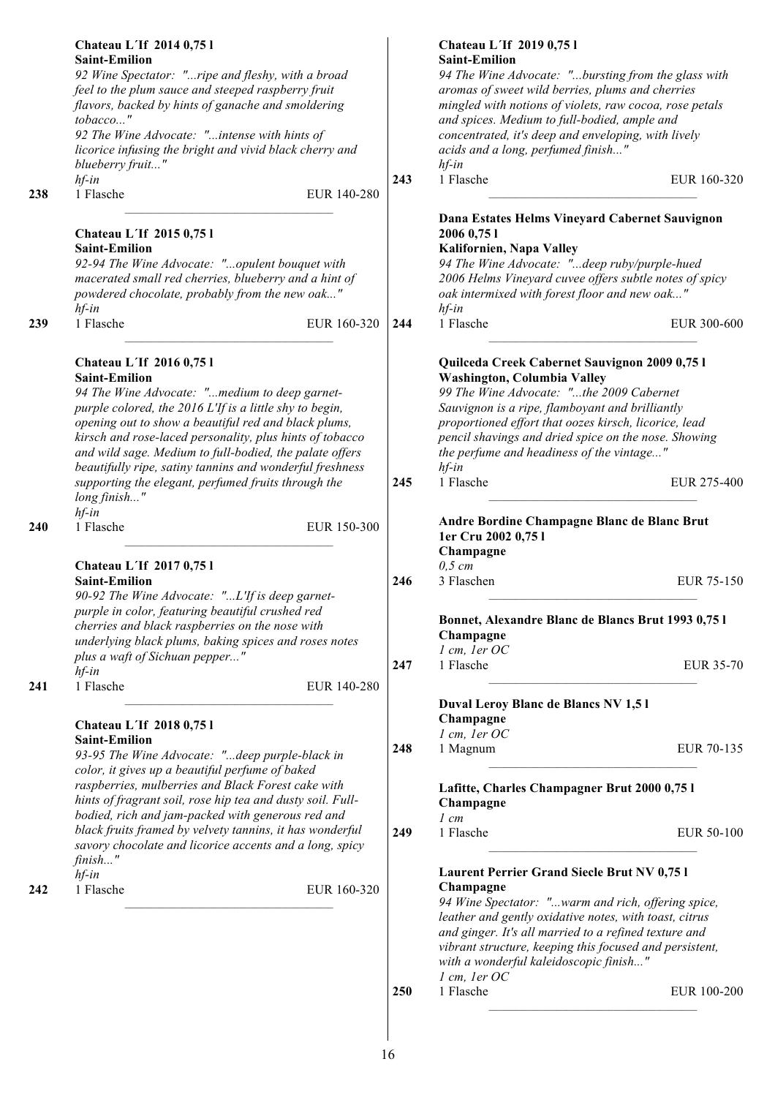|     | Chateau L'If 2014 0,75 l                                   |     | Chateau L'If 2019 0,75 l                                |                  |
|-----|------------------------------------------------------------|-----|---------------------------------------------------------|------------------|
|     | <b>Saint-Emilion</b>                                       |     | <b>Saint-Emilion</b>                                    |                  |
|     | 92 Wine Spectator: "ripe and fleshy, with a broad          |     | 94 The Wine Advocate: "bursting from the glass with     |                  |
|     | feel to the plum sauce and steeped raspberry fruit         |     | aromas of sweet wild berries, plums and cherries        |                  |
|     | flavors, backed by hints of ganache and smoldering         |     | mingled with notions of violets, raw cocoa, rose petals |                  |
|     | tobacco"                                                   |     | and spices. Medium to full-bodied, ample and            |                  |
|     | 92 The Wine Advocate: "intense with hints of               |     | concentrated, it's deep and enveloping, with lively     |                  |
|     | licorice infusing the bright and vivid black cherry and    |     | acids and a long, perfumed finish"                      |                  |
|     | blueberry fruit"                                           |     | $hf$ -in                                                |                  |
|     | $hf$ -in                                                   | 243 | 1 Flasche                                               | EUR 160-320      |
|     |                                                            |     |                                                         |                  |
| 238 | 1 Flasche<br>EUR 140-280                                   |     |                                                         |                  |
|     |                                                            |     | Dana Estates Helms Vineyard Cabernet Sauvignon          |                  |
|     |                                                            |     |                                                         |                  |
|     | Chateau L'If 2015 0,75 l                                   |     | 2006 0,75 1                                             |                  |
|     | <b>Saint-Emilion</b>                                       |     | Kalifornien, Napa Valley                                |                  |
|     | 92-94 The Wine Advocate: "opulent bouquet with             |     | 94 The Wine Advocate: "deep ruby/purple-hued            |                  |
|     | macerated small red cherries, blueberry and a hint of      |     | 2006 Helms Vineyard cuvee offers subtle notes of spicy  |                  |
|     | powdered chocolate, probably from the new oak"             |     | oak intermixed with forest floor and new oak"           |                  |
|     | $hf$ -in                                                   |     | $hf$ -in                                                |                  |
| 239 | 1 Flasche<br>EUR 160-320                                   | 244 | 1 Flasche                                               | EUR 300-600      |
|     |                                                            |     |                                                         |                  |
|     |                                                            |     |                                                         |                  |
|     | Chateau L'If 2016 0,75 l                                   |     | Quilceda Creek Cabernet Sauvignon 2009 0,75 l           |                  |
|     | <b>Saint-Emilion</b>                                       |     | Washington, Columbia Valley                             |                  |
|     |                                                            |     |                                                         |                  |
|     | 94 The Wine Advocate: "medium to deep garnet-              |     | 99 The Wine Advocate: "the 2009 Cabernet                |                  |
|     | purple colored, the 2016 L'If is a little shy to begin,    |     | Sauvignon is a ripe, flamboyant and brilliantly         |                  |
|     | opening out to show a beautiful red and black plums,       |     | proportioned effort that oozes kirsch, licorice, lead   |                  |
|     | kirsch and rose-laced personality, plus hints of tobacco   |     | pencil shavings and dried spice on the nose. Showing    |                  |
|     | and wild sage. Medium to full-bodied, the palate offers    |     | the perfume and headiness of the vintage"               |                  |
|     | beautifully ripe, satiny tannins and wonderful freshness   |     | $hf$ -in                                                |                  |
|     | supporting the elegant, perfumed fruits through the        | 245 | 1 Flasche                                               | EUR 275-400      |
|     | long finish"                                               |     |                                                         |                  |
|     |                                                            |     |                                                         |                  |
|     | $hf$ -in                                                   |     | Andre Bordine Champagne Blanc de Blanc Brut             |                  |
| 240 | 1 Flasche<br>EUR 150-300                                   |     | 1er Cru 2002 0,75 l                                     |                  |
|     |                                                            |     |                                                         |                  |
|     |                                                            |     | Champagne                                               |                  |
|     | Chateau L'If 2017 0,75 l                                   |     | $0,5$ cm                                                |                  |
|     | <b>Saint-Emilion</b>                                       | 246 | 3 Flaschen                                              | EUR 75-150       |
|     | 90-92 The Wine Advocate: "L'If is deep garnet-             |     |                                                         |                  |
|     | purple in color, featuring beautiful crushed red           |     |                                                         |                  |
|     | cherries and black raspberries on the nose with            |     | Bonnet, Alexandre Blanc de Blancs Brut 1993 0,75 l      |                  |
|     | underlying black plums, baking spices and roses notes      |     | Champagne                                               |                  |
|     | plus a waft of Sichuan pepper"                             |     | 1 cm, 1er OC                                            |                  |
|     | $hf$ -in                                                   | 247 | 1 Flasche                                               | <b>EUR 35-70</b> |
|     |                                                            |     |                                                         |                  |
| 241 | 1 Flasche<br>EUR 140-280                                   |     |                                                         |                  |
|     |                                                            |     | Duval Leroy Blanc de Blancs NV 1,51                     |                  |
|     |                                                            |     | Champagne                                               |                  |
|     | <b>Chateau L'If 2018 0,75 l</b>                            |     | $l$ cm, $l$ er OC                                       |                  |
|     | <b>Saint-Emilion</b>                                       | 248 | 1 Magnum                                                | EUR 70-135       |
|     | 93-95 The Wine Advocate: "deep purple-black in             |     |                                                         |                  |
|     | color, it gives up a beautiful perfume of baked            |     |                                                         |                  |
|     | raspberries, mulberries and Black Forest cake with         |     | Lafitte, Charles Champagner Brut 2000 0,75 l            |                  |
|     | hints of fragrant soil, rose hip tea and dusty soil. Full- |     | Champagne                                               |                  |
|     | bodied, rich and jam-packed with generous red and          |     |                                                         |                  |
|     | black fruits framed by velvety tannins, it has wonderful   |     | $1 \, cm$                                               |                  |
|     |                                                            | 249 | 1 Flasche                                               | EUR 50-100       |
|     | savory chocolate and licorice accents and a long, spicy    |     |                                                         |                  |
|     | finish"                                                    |     |                                                         |                  |
|     | $hf$ -in                                                   |     | <b>Laurent Perrier Grand Siecle Brut NV 0,751</b>       |                  |
| 242 | 1 Flasche<br>EUR 160-320                                   |     | Champagne                                               |                  |
|     |                                                            |     | 94 Wine Spectator: "warm and rich, offering spice,      |                  |
|     |                                                            |     | leather and gently oxidative notes, with toast, citrus  |                  |
|     |                                                            |     | and ginger. It's all married to a refined texture and   |                  |
|     |                                                            |     | vibrant structure, keeping this focused and persistent, |                  |
|     |                                                            |     |                                                         |                  |
|     |                                                            |     | with a wonderful kaleidoscopic finish"                  |                  |
|     |                                                            |     | 1 cm, 1er OC                                            |                  |
|     |                                                            | 250 | 1 Flasche                                               | EUR 100-200      |
|     |                                                            |     |                                                         |                  |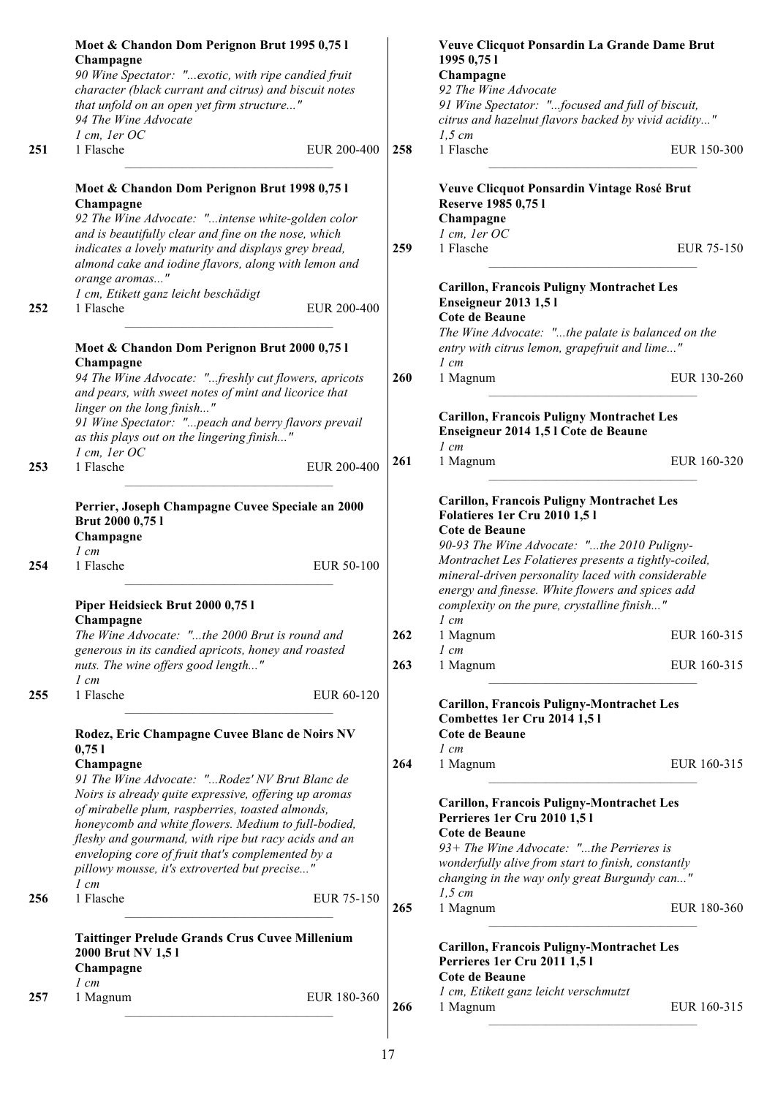|     | Moet & Chandon Dom Perignon Brut 1995 0,75 l<br>Champagne<br>90 Wine Spectator: "exotic, with ripe candied fruit                                                                                                                                                                   |             |     | Veuve Clicquot Ponsardin La Grande Dame Brut<br>1995 0,75 1<br>Champagne                                                                                                                                                                                        |             |
|-----|------------------------------------------------------------------------------------------------------------------------------------------------------------------------------------------------------------------------------------------------------------------------------------|-------------|-----|-----------------------------------------------------------------------------------------------------------------------------------------------------------------------------------------------------------------------------------------------------------------|-------------|
|     | character (black currant and citrus) and biscuit notes<br>that unfold on an open yet firm structure"<br>94 The Wine Advocate                                                                                                                                                       |             |     | 92 The Wine Advocate<br>91 Wine Spectator: "focused and full of biscuit,<br>citrus and hazelnut flavors backed by vivid acidity"                                                                                                                                |             |
| 251 | $l$ cm, $l$ er OC<br>1 Flasche                                                                                                                                                                                                                                                     | EUR 200-400 | 258 | $1,5$ cm<br>1 Flasche                                                                                                                                                                                                                                           | EUR 150-300 |
|     | Moet & Chandon Dom Perignon Brut 1998 0,75 l<br>Champagne<br>92 The Wine Advocate: "intense white-golden color                                                                                                                                                                     |             |     | Veuve Clicquot Ponsardin Vintage Rosé Brut<br>Reserve 1985 0,75 l<br>Champagne                                                                                                                                                                                  |             |
|     | and is beautifully clear and fine on the nose, which<br>indicates a lovely maturity and displays grey bread,<br>almond cake and iodine flavors, along with lemon and<br>orange aromas"                                                                                             |             | 259 | 1 cm, 1er OC<br>1 Flasche                                                                                                                                                                                                                                       | EUR 75-150  |
| 252 | 1 cm, Etikett ganz leicht beschädigt<br>1 Flasche                                                                                                                                                                                                                                  | EUR 200-400 |     | <b>Carillon, Francois Puligny Montrachet Les</b><br><b>Enseigneur 2013 1,51</b><br>Cote de Beaune                                                                                                                                                               |             |
|     | Moet & Chandon Dom Perignon Brut 2000 0,75 l<br>Champagne                                                                                                                                                                                                                          |             |     | The Wine Advocate: "the palate is balanced on the<br>entry with citrus lemon, grapefruit and lime"<br>$1 \, cm$                                                                                                                                                 |             |
|     | 94 The Wine Advocate: "freshly cut flowers, apricots<br>and pears, with sweet notes of mint and licorice that                                                                                                                                                                      |             | 260 | 1 Magnum                                                                                                                                                                                                                                                        | EUR 130-260 |
|     | linger on the long finish"<br>91 Wine Spectator: "peach and berry flavors prevail<br>as this plays out on the lingering finish"                                                                                                                                                    |             |     | <b>Carillon, Francois Puligny Montrachet Les</b><br>Enseigneur 2014 1,5 l Cote de Beaune<br>$1$ cm                                                                                                                                                              |             |
| 253 | 1 cm, 1er OC<br>1 Flasche                                                                                                                                                                                                                                                          | EUR 200-400 | 261 | 1 Magnum                                                                                                                                                                                                                                                        | EUR 160-320 |
| 254 | Perrier, Joseph Champagne Cuvee Speciale an 2000<br>Brut 2000 0,75 l<br>Champagne<br>$1$ cm<br>1 Flasche                                                                                                                                                                           | EUR 50-100  |     | <b>Carillon, Francois Puligny Montrachet Les</b><br>Folatieres 1er Cru 2010 1,51<br>Cote de Beaune<br>90-93 The Wine Advocate: "the 2010 Puligny-<br>Montrachet Les Folatieres presents a tightly-coiled,<br>mineral-driven personality laced with considerable |             |
|     | Piper Heidsieck Brut 2000 0,75 l<br>Champagne                                                                                                                                                                                                                                      |             |     | energy and finesse. White flowers and spices add<br>complexity on the pure, crystalline finish"<br>$1 \, cm$                                                                                                                                                    |             |
|     | The Wine Advocate: "the 2000 Brut is round and<br>generous in its candied apricots, honey and roasted                                                                                                                                                                              |             | 262 | 1 Magnum<br>$1 \, cm$                                                                                                                                                                                                                                           | EUR 160-315 |
|     | nuts. The wine offers good length"<br>$1 \, cm$                                                                                                                                                                                                                                    |             | 263 | 1 Magnum                                                                                                                                                                                                                                                        | EUR 160-315 |
| 255 | 1 Flasche<br>Rodez, Eric Champagne Cuvee Blanc de Noirs NV<br>0,751                                                                                                                                                                                                                | EUR 60-120  |     | <b>Carillon, Francois Puligny-Montrachet Les</b><br>Combettes 1er Cru 2014 1,51<br><b>Cote de Beaune</b><br>$1 \, cm$                                                                                                                                           |             |
|     | Champagne<br>91 The Wine Advocate: "Rodez' NV Brut Blanc de<br>Noirs is already quite expressive, offering up aromas                                                                                                                                                               |             | 264 | 1 Magnum                                                                                                                                                                                                                                                        | EUR 160-315 |
|     | of mirabelle plum, raspberries, toasted almonds,<br>honeycomb and white flowers. Medium to full-bodied,<br>fleshy and gourmand, with ripe but racy acids and an<br>enveloping core of fruit that's complemented by a<br>pillowy mousse, it's extroverted but precise"<br>$1 \, cm$ |             |     | <b>Carillon, Francois Puligny-Montrachet Les</b><br>Perrieres 1er Cru 2010 1,51<br><b>Cote de Beaune</b><br>93+ The Wine Advocate: "the Perrieres is<br>wonderfully alive from start to finish, constantly<br>changing in the way only great Burgundy can"      |             |
| 256 | 1 Flasche                                                                                                                                                                                                                                                                          | EUR 75-150  | 265 | $1,5$ cm<br>1 Magnum                                                                                                                                                                                                                                            | EUR 180-360 |
|     | <b>Taittinger Prelude Grands Crus Cuvee Millenium</b><br>2000 Brut NV 1,51<br>Champagne                                                                                                                                                                                            |             |     | <b>Carillon, Francois Puligny-Montrachet Les</b><br>Perrieres 1er Cru 2011 1,51<br><b>Cote de Beaune</b>                                                                                                                                                        |             |
| 257 | $1 \, cm$<br>1 Magnum                                                                                                                                                                                                                                                              | EUR 180-360 | 266 | 1 cm, Etikett ganz leicht verschmutzt<br>1 Magnum                                                                                                                                                                                                               | EUR 160-315 |
|     |                                                                                                                                                                                                                                                                                    |             |     |                                                                                                                                                                                                                                                                 |             |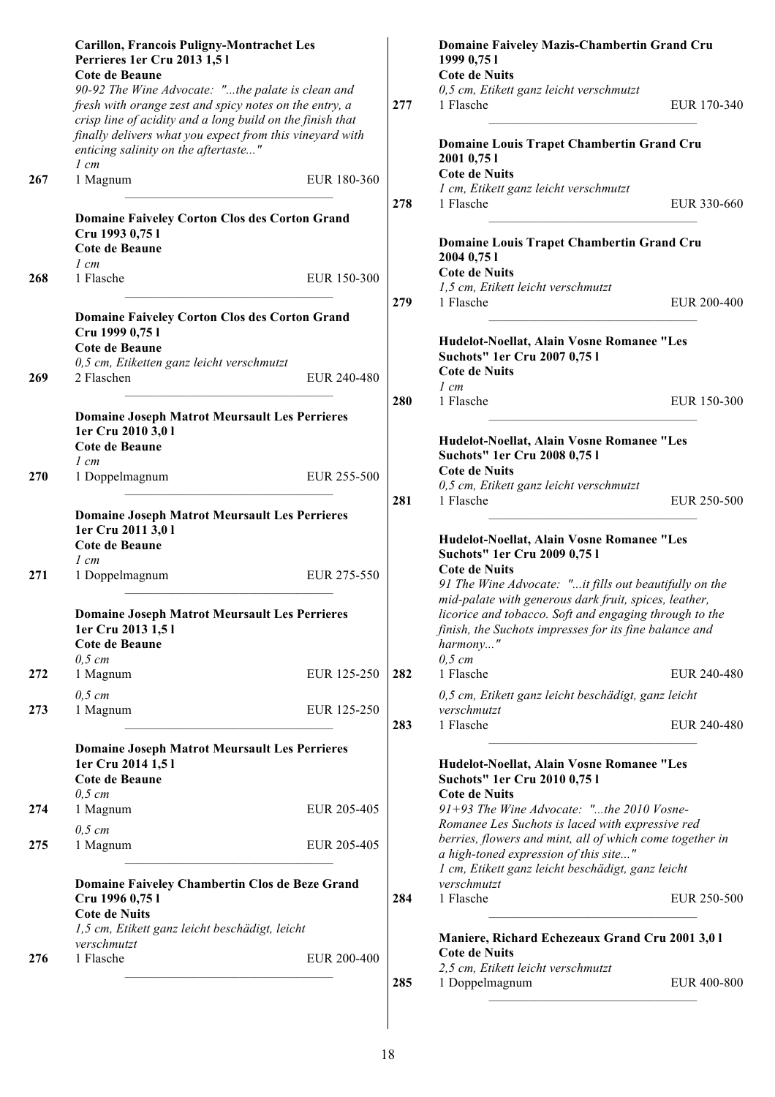|     | <b>Carillon, Francois Puligny-Montrachet Les</b><br>Perrieres 1er Cru 2013 1,51<br>Cote de Beaune                                                                        |             |     | Domaine Faiveley Mazis-Chambertin Grand Cru<br>1999 0,75 1<br><b>Cote de Nuits</b>                                                                                                                |             |
|-----|--------------------------------------------------------------------------------------------------------------------------------------------------------------------------|-------------|-----|---------------------------------------------------------------------------------------------------------------------------------------------------------------------------------------------------|-------------|
|     | 90-92 The Wine Advocate: "the palate is clean and<br>fresh with orange zest and spicy notes on the entry, a<br>crisp line of acidity and a long build on the finish that |             | 277 | 0,5 cm, Etikett ganz leicht verschmutzt<br>1 Flasche                                                                                                                                              | EUR 170-340 |
|     | finally delivers what you expect from this vineyard with<br>enticing salinity on the aftertaste"<br>$1 \, cm$                                                            |             |     | Domaine Louis Trapet Chambertin Grand Cru<br>2001 0,75 1                                                                                                                                          |             |
| 267 | 1 Magnum                                                                                                                                                                 | EUR 180-360 | 278 | <b>Cote de Nuits</b><br>1 cm, Etikett ganz leicht verschmutzt<br>1 Flasche                                                                                                                        | EUR 330-660 |
|     | <b>Domaine Faiveley Corton Clos des Corton Grand</b><br>Cru 1993 0,75 l                                                                                                  |             |     | Domaine Louis Trapet Chambertin Grand Cru                                                                                                                                                         |             |
|     | Cote de Beaune<br>$1 \, cm$                                                                                                                                              |             |     | 2004 0,75 1                                                                                                                                                                                       |             |
| 268 | 1 Flasche                                                                                                                                                                | EUR 150-300 |     | <b>Cote de Nuits</b>                                                                                                                                                                              |             |
|     |                                                                                                                                                                          |             |     | 1,5 cm, Etikett leicht verschmutzt                                                                                                                                                                |             |
|     | <b>Domaine Faiveley Corton Clos des Corton Grand</b><br>Cru 1999 0,75 l                                                                                                  |             | 279 | 1 Flasche                                                                                                                                                                                         | EUR 200-400 |
|     | Cote de Beaune                                                                                                                                                           |             |     | Hudelot-Noellat, Alain Vosne Romanee "Les<br>Suchots" 1er Cru 2007 0,751                                                                                                                          |             |
|     | 0,5 cm, Etiketten ganz leicht verschmutzt                                                                                                                                |             |     | <b>Cote de Nuits</b>                                                                                                                                                                              |             |
| 269 | 2 Flaschen                                                                                                                                                               | EUR 240-480 |     | $1 \, cm$                                                                                                                                                                                         |             |
|     |                                                                                                                                                                          |             | 280 | 1 Flasche                                                                                                                                                                                         | EUR 150-300 |
|     | <b>Domaine Joseph Matrot Meursault Les Perrieres</b><br>1er Cru 2010 3,01                                                                                                |             |     |                                                                                                                                                                                                   |             |
|     | Cote de Beaune                                                                                                                                                           |             |     | Hudelot-Noellat, Alain Vosne Romanee "Les                                                                                                                                                         |             |
|     | $1 \, cm$                                                                                                                                                                |             |     | Suchots" 1er Cru 2008 0,751                                                                                                                                                                       |             |
| 270 | 1 Doppelmagnum                                                                                                                                                           | EUR 255-500 |     | <b>Cote de Nuits</b><br>0,5 cm, Etikett ganz leicht verschmutzt                                                                                                                                   |             |
|     |                                                                                                                                                                          |             | 281 | 1 Flasche                                                                                                                                                                                         | EUR 250-500 |
|     | <b>Domaine Joseph Matrot Meursault Les Perrieres</b>                                                                                                                     |             |     |                                                                                                                                                                                                   |             |
|     | 1er Cru 2011 3,01                                                                                                                                                        |             |     | Hudelot-Noellat, Alain Vosne Romanee "Les                                                                                                                                                         |             |
|     | Cote de Beaune<br>$1 \, cm$                                                                                                                                              |             |     | Suchots" 1er Cru 2009 0,751                                                                                                                                                                       |             |
| 271 | 1 Doppelmagnum                                                                                                                                                           | EUR 275-550 |     | <b>Cote de Nuits</b><br>91 The Wine Advocate: "it fills out beautifully on the                                                                                                                    |             |
|     | <b>Domaine Joseph Matrot Meursault Les Perrieres</b><br>1er Cru 2013 1,51<br>Cote de Beaune<br>$0,5$ cm                                                                  |             |     | mid-palate with generous dark fruit, spices, leather,<br>licorice and tobacco. Soft and engaging through to the<br>finish, the Suchots impresses for its fine balance and<br>harmony"<br>$0,5$ cm |             |
| 272 | 1 Magnum                                                                                                                                                                 | EUR 125-250 | 282 | 1 Flasche                                                                                                                                                                                         | EUR 240-480 |
|     | $0,5$ cm                                                                                                                                                                 |             |     | 0,5 cm, Etikett ganz leicht beschädigt, ganz leicht                                                                                                                                               |             |
| 273 | 1 Magnum                                                                                                                                                                 | EUR 125-250 | 283 | verschmutzt<br>1 Flasche                                                                                                                                                                          | EUR 240-480 |
|     | <b>Domaine Joseph Matrot Meursault Les Perrieres</b><br>1er Cru 2014 1,5 l<br>Cote de Beaune                                                                             |             |     | Hudelot-Noellat, Alain Vosne Romanee "Les<br><b>Suchots" 1er Cru 2010 0,751</b>                                                                                                                   |             |
| 274 | $0,5$ cm<br>1 Magnum                                                                                                                                                     | EUR 205-405 |     | <b>Cote de Nuits</b><br>91+93 The Wine Advocate: "the 2010 Vosne-                                                                                                                                 |             |
|     |                                                                                                                                                                          |             |     | Romanee Les Suchots is laced with expressive red                                                                                                                                                  |             |
| 275 | $0,5$ cm<br>1 Magnum                                                                                                                                                     | EUR 205-405 |     | berries, flowers and mint, all of which come together in                                                                                                                                          |             |
|     |                                                                                                                                                                          |             |     | a high-toned expression of this site"<br>1 cm, Etikett ganz leicht beschädigt, ganz leicht                                                                                                        |             |
|     | Domaine Faiveley Chambertin Clos de Beze Grand<br>Cru 1996 0,75 l<br><b>Cote de Nuits</b>                                                                                |             | 284 | verschmutzt<br>1 Flasche                                                                                                                                                                          | EUR 250-500 |
|     | 1,5 cm, Etikett ganz leicht beschädigt, leicht                                                                                                                           |             |     |                                                                                                                                                                                                   |             |
|     | verschmutzt                                                                                                                                                              |             |     | Maniere, Richard Echezeaux Grand Cru 2001 3,0 l<br><b>Cote de Nuits</b>                                                                                                                           |             |
| 276 | 1 Flasche                                                                                                                                                                | EUR 200-400 |     | 2,5 cm, Etikett leicht verschmutzt                                                                                                                                                                |             |
|     |                                                                                                                                                                          |             | 285 | 1 Doppelmagnum                                                                                                                                                                                    | EUR 400-800 |
|     |                                                                                                                                                                          |             |     |                                                                                                                                                                                                   |             |

 $\overline{\phantom{a}}$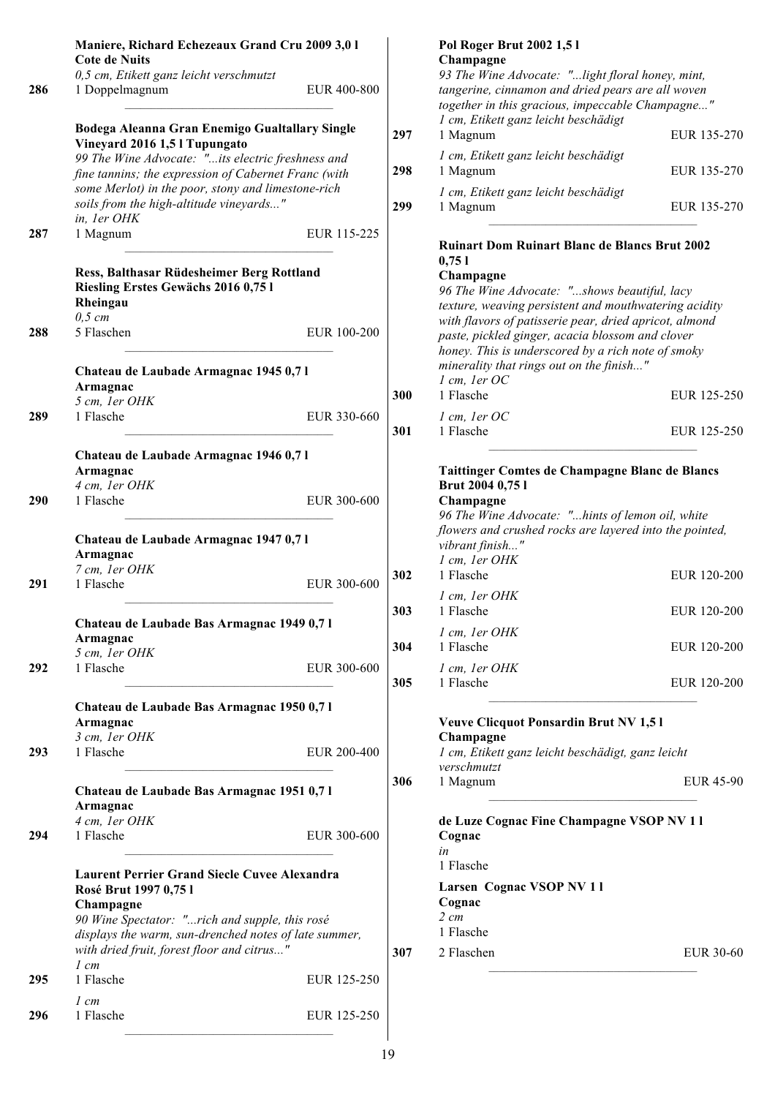|     | Maniere, Richard Echezeaux Grand Cru 2009 3,0 1<br><b>Cote de Nuits</b>                                                                                                                                                                                                                                      |             |
|-----|--------------------------------------------------------------------------------------------------------------------------------------------------------------------------------------------------------------------------------------------------------------------------------------------------------------|-------------|
| 286 | 0,5 cm, Etikett ganz leicht verschmutzt<br>1 Doppelmagnum                                                                                                                                                                                                                                                    | EUR 400-800 |
|     | Bodega Aleanna Gran Enemigo Gualtallary Single<br>Vineyard 2016 1,5 l Tupungato<br>99 The Wine Advocate: "its electric freshness and<br>fine tannins; the expression of Cabernet Franc (with<br>some Merlot) in the poor, stony and limestone-rich<br>soils from the high-altitude vineyards"<br>in, 1er OHK |             |
| 287 | 1 Magnum                                                                                                                                                                                                                                                                                                     | EUR 115-225 |
|     | Ress, Balthasar Rüdesheimer Berg Rottland<br>Riesling Erstes Gewächs 2016 0,75 l<br>Rheingau<br>$0,5 \, cm$                                                                                                                                                                                                  |             |
| 288 | 5 Flaschen                                                                                                                                                                                                                                                                                                   | EUR 100-200 |
|     | Chateau de Laubade Armagnac 1945 0,71<br>Armagnac<br>5 cm, 1er OHK                                                                                                                                                                                                                                           |             |
| 289 | 1 Flasche                                                                                                                                                                                                                                                                                                    | EUR 330-660 |
|     | Chateau de Laubade Armagnac 1946 0,71<br>Armagnac<br>4 cm, 1er OHK                                                                                                                                                                                                                                           |             |
| 290 | 1 Flasche                                                                                                                                                                                                                                                                                                    | EUR 300-600 |
|     | Chateau de Laubade Armagnac 1947 0,71<br>Armagnac                                                                                                                                                                                                                                                            |             |
| 291 | 7 cm, 1er OHK<br>1 Flasche                                                                                                                                                                                                                                                                                   | EUR 300-600 |
|     | Chateau de Laubade Bas Armagnac 1949 0,7 l<br>Armagnac                                                                                                                                                                                                                                                       |             |
| 292 | 5 cm, 1er OHK<br>1 Flasche                                                                                                                                                                                                                                                                                   | EUR 300-600 |
|     | Chateau de Laubade Bas Armagnac 1950 0,71<br>Armagnac                                                                                                                                                                                                                                                        |             |
| 293 | 3 cm, 1er OHK<br>1 Flasche                                                                                                                                                                                                                                                                                   | EUR 200-400 |
|     | Chateau de Laubade Bas Armagnac 1951 0,71<br>Armagnac                                                                                                                                                                                                                                                        |             |
| 294 | 4 cm, 1er OHK<br>1 Flasche                                                                                                                                                                                                                                                                                   | EUR 300-600 |
|     | <b>Laurent Perrier Grand Siecle Cuvee Alexandra</b><br>Rosé Brut 1997 0,75 l<br>Champagne<br>90 Wine Spectator: "rich and supple, this rosé<br>displays the warm, sun-drenched notes of late summer,<br>with dried fruit, forest floor and citrus"                                                           |             |
| 295 | $1 \, cm$<br>1 Flasche                                                                                                                                                                                                                                                                                       | EUR 125-250 |
| 296 | $l$ cm<br>1 Flasche                                                                                                                                                                                                                                                                                          | EUR 125-250 |

|     | <b>Pol Roger Brut 2002 1.51</b>                   |             |
|-----|---------------------------------------------------|-------------|
|     | Champagne                                         |             |
|     | 93 The Wine Advocate: "light floral honey, mint,  |             |
|     | tangerine, cinnamon and dried pears are all woven |             |
|     | together in this gracious, impeccable Champagne"  |             |
|     | 1 cm, Etikett ganz leicht beschädigt              |             |
| 297 | 1 Magnum                                          | EUR 135-270 |
|     | 1 cm, Etikett ganz leicht beschädigt              |             |
| 298 | 1 Magnum                                          | EUR 135-270 |
|     | 1 cm, Etikett ganz leicht beschädigt              |             |
| 299 | 1 Magnum                                          | EUR 135-270 |

#### **Ruinart Dom Ruinart Blanc de Blancs Brut 2002 0,75 l**

#### **Champagne**

|     | 96 The Wine Advocate: "shows beautiful, lacy<br>texture, weaving persistent and mouthwatering acidity<br>with flavors of patisserie pear, dried apricot, almond<br>paste, pickled ginger, acacia blossom and clover<br>honey. This is underscored by a rich note of smoky<br>minerality that rings out on the finish" |             |  |  |  |
|-----|-----------------------------------------------------------------------------------------------------------------------------------------------------------------------------------------------------------------------------------------------------------------------------------------------------------------------|-------------|--|--|--|
| 300 | $l$ cm, $l$ er OC<br>1 Flasche                                                                                                                                                                                                                                                                                        | EUR 125-250 |  |  |  |
| 301 | $l$ cm, $l$ er OC<br>1 Flasche                                                                                                                                                                                                                                                                                        | EUR 125-250 |  |  |  |

#### **Taittinger Comtes de Champagne Blanc de Blancs Brut 2004 0,75 l**

|     | Champagne                                               |             |
|-----|---------------------------------------------------------|-------------|
|     | 96 The Wine Advocate: "hints of lemon oil, white        |             |
|     | flowers and crushed rocks are layered into the pointed, |             |
|     | vibrant finish"                                         |             |
|     | 1 cm, 1er OHK                                           |             |
| 302 | 1 Flasche                                               | EUR 120-200 |
|     | 1 cm, 1er OHK                                           |             |
| 303 | 1 Flasche                                               | EUR 120-200 |
|     | 1 cm, 1er OHK                                           |             |
| 304 | 1 Flasche                                               | EUR 120-200 |
|     | 1 cm, 1er OHK                                           |             |
| 305 | 1 Flasche                                               | EUR 120-200 |
|     |                                                         |             |

|     | <b>Veuve Clicquot Ponsardin Brut NV 1,51</b><br>Champagne<br>1 cm, Etikett ganz leicht beschädigt, ganz leicht<br>verschmutzt |                  |  |  |  |
|-----|-------------------------------------------------------------------------------------------------------------------------------|------------------|--|--|--|
| 306 | 1 Magnum                                                                                                                      | <b>EUR 45-90</b> |  |  |  |
|     | de Luze Cognac Fine Champagne VSOP NV 11<br>Cognac<br>in<br>1 Flasche                                                         |                  |  |  |  |
|     | Larsen Cognac VSOP NV 11<br>Cognac<br>$2 \, cm$<br>1 Flasche                                                                  |                  |  |  |  |
| 307 | 2 Flaschen                                                                                                                    | EUR 30-60        |  |  |  |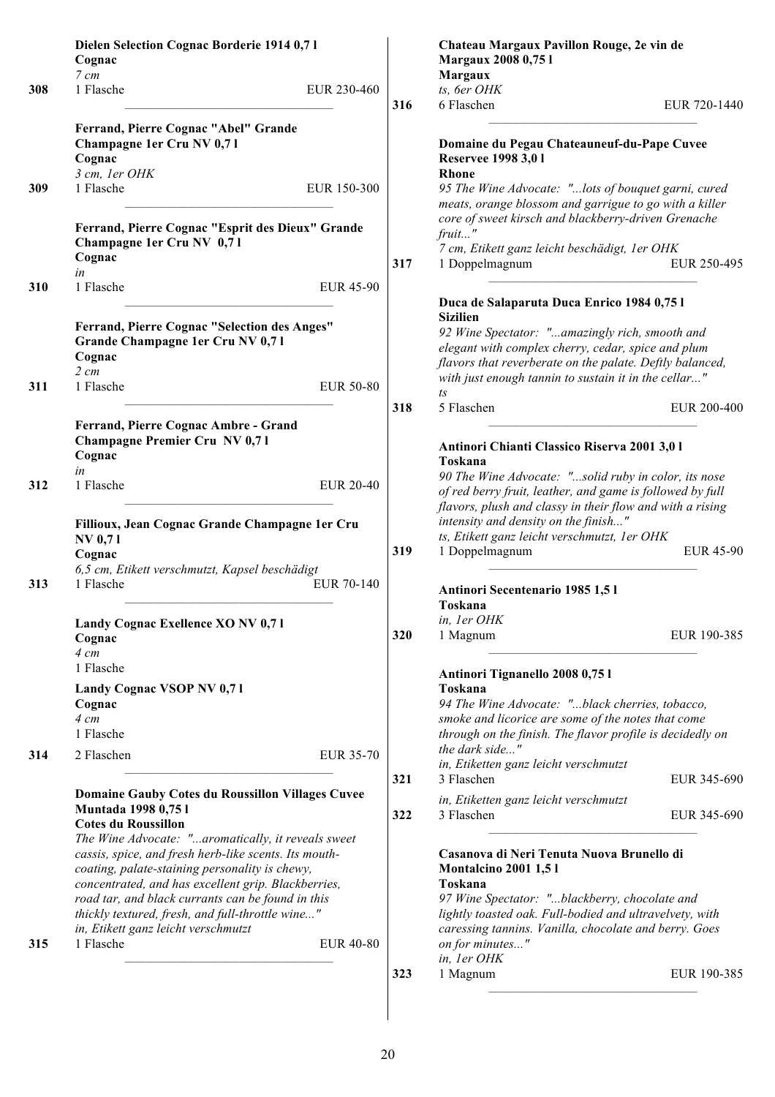|     | Dielen Selection Cognac Borderie 1914 0,71<br>Cognac                                                                                                                                                                                                                                                                                                                 |                  |     | Chateau Margaux Pavillon Rouge, 2e vin de<br>Margaux 2008 0,75 l                                                                                                                                                                                         |                            |
|-----|----------------------------------------------------------------------------------------------------------------------------------------------------------------------------------------------------------------------------------------------------------------------------------------------------------------------------------------------------------------------|------------------|-----|----------------------------------------------------------------------------------------------------------------------------------------------------------------------------------------------------------------------------------------------------------|----------------------------|
|     | 7 cm                                                                                                                                                                                                                                                                                                                                                                 |                  |     | <b>Margaux</b>                                                                                                                                                                                                                                           |                            |
| 308 | 1 Flasche                                                                                                                                                                                                                                                                                                                                                            | EUR 230-460      |     | ts, 6er OHK                                                                                                                                                                                                                                              |                            |
|     |                                                                                                                                                                                                                                                                                                                                                                      |                  | 316 | 6 Flaschen                                                                                                                                                                                                                                               | EUR 720-1440               |
|     | Ferrand, Pierre Cognac "Abel" Grande<br>Champagne 1er Cru NV 0,71<br>Cognac                                                                                                                                                                                                                                                                                          |                  |     | Domaine du Pegau Chateauneuf-du-Pape Cuvee<br>Reservee 1998 3,0 1                                                                                                                                                                                        |                            |
|     | 3 cm, 1er OHK                                                                                                                                                                                                                                                                                                                                                        |                  |     | Rhone                                                                                                                                                                                                                                                    |                            |
| 309 | 1 Flasche                                                                                                                                                                                                                                                                                                                                                            | EUR 150-300      |     | 95 The Wine Advocate: "lots of bouquet garni, cured<br>meats, orange blossom and garrigue to go with a killer                                                                                                                                            |                            |
|     | Ferrand, Pierre Cognac "Esprit des Dieux" Grande<br>Champagne 1er Cru NV 0,71<br>Cognac                                                                                                                                                                                                                                                                              |                  | 317 | core of sweet kirsch and blackberry-driven Grenache<br>fruit"<br>7 cm, Etikett ganz leicht beschädigt, 1er OHK<br>1 Doppelmagnum                                                                                                                         | EUR 250-495                |
| 310 | in<br>1 Flasche                                                                                                                                                                                                                                                                                                                                                      | <b>EUR 45-90</b> |     | Duca de Salaparuta Duca Enrico 1984 0,75 l                                                                                                                                                                                                               |                            |
| 311 | Ferrand, Pierre Cognac "Selection des Anges"<br>Grande Champagne 1er Cru NV 0,71<br>Cognac<br>$2 \, cm$<br>1 Flasche                                                                                                                                                                                                                                                 | <b>EUR 50-80</b> |     | <b>Sizilien</b><br>92 Wine Spectator: "amazingly rich, smooth and<br>elegant with complex cherry, cedar, spice and plum<br>flavors that reverberate on the palate. Deftly balanced,<br>with just enough tannin to sustain it in the cellar"              |                            |
|     |                                                                                                                                                                                                                                                                                                                                                                      |                  | 318 | $\sqrt{1}S$<br>5 Flaschen                                                                                                                                                                                                                                | EUR 200-400                |
| 312 | Ferrand, Pierre Cognac Ambre - Grand<br><b>Champagne Premier Cru NV 0,71</b><br>Cognac<br>in<br>1 Flasche                                                                                                                                                                                                                                                            | <b>EUR 20-40</b> |     | Antinori Chianti Classico Riserva 2001 3,0 l<br>Toskana<br>90 The Wine Advocate: "solid ruby in color, its nose<br>of red berry fruit, leather, and game is followed by full                                                                             |                            |
|     | Fillioux, Jean Cognac Grande Champagne 1er Cru<br><b>NV 0,71</b><br>Cognac<br>6,5 cm, Etikett verschmutzt, Kapsel beschädigt                                                                                                                                                                                                                                         |                  | 319 | flavors, plush and classy in their flow and with a rising<br>intensity and density on the finish"<br>ts, Etikett ganz leicht verschmutzt, 1er OHK<br>1 Doppelmagnum                                                                                      | <b>EUR 45-90</b>           |
| 313 | 1 Flasche                                                                                                                                                                                                                                                                                                                                                            | EUR 70-140       |     | Antinori Secentenario 1985 1,51<br>Toskana                                                                                                                                                                                                               |                            |
|     |                                                                                                                                                                                                                                                                                                                                                                      |                  |     | in, ler OHK                                                                                                                                                                                                                                              |                            |
|     | Landy Cognac Exellence XO NV 0,71<br>Cognac<br>$4 \, cm$                                                                                                                                                                                                                                                                                                             |                  | 320 | 1 Magnum                                                                                                                                                                                                                                                 | EUR 190-385                |
|     | 1 Flasche<br>Landy Cognac VSOP NV 0,71                                                                                                                                                                                                                                                                                                                               |                  |     | Antinori Tignanello 2008 0,75 l<br>Toskana                                                                                                                                                                                                               |                            |
|     | Cognac<br>$4 \, cm$<br>1 Flasche                                                                                                                                                                                                                                                                                                                                     |                  |     | 94 The Wine Advocate: "black cherries, tobacco,<br>smoke and licorice are some of the notes that come<br>through on the finish. The flavor profile is decidedly on                                                                                       |                            |
| 314 | 2 Flaschen                                                                                                                                                                                                                                                                                                                                                           | <b>EUR 35-70</b> | 321 | the dark side"<br>in, Etiketten ganz leicht verschmutzt<br>3 Flaschen                                                                                                                                                                                    |                            |
|     | <b>Domaine Gauby Cotes du Roussillon Villages Cuvee</b><br>Muntada 1998 0,75 l<br><b>Cotes du Roussillon</b>                                                                                                                                                                                                                                                         |                  | 322 | in, Etiketten ganz leicht verschmutzt<br>3 Flaschen                                                                                                                                                                                                      | EUR 345-690<br>EUR 345-690 |
|     | The Wine Advocate: "aromatically, it reveals sweet<br>cassis, spice, and fresh herb-like scents. Its mouth-<br>coating, palate-staining personality is chewy,<br>concentrated, and has excellent grip. Blackberries,<br>road tar, and black currants can be found in this<br>thickly textured, fresh, and full-throttle wine"<br>in, Etikett ganz leicht verschmutzt |                  |     | Casanova di Neri Tenuta Nuova Brunello di<br><b>Montalcino 2001 1,51</b><br>Toskana<br>97 Wine Spectator: "blackberry, chocolate and<br>lightly toasted oak. Full-bodied and ultravelvety, with<br>caressing tannins. Vanilla, chocolate and berry. Goes |                            |
| 315 | 1 Flasche                                                                                                                                                                                                                                                                                                                                                            | <b>EUR 40-80</b> |     | on for minutes"<br>in, ler OHK                                                                                                                                                                                                                           |                            |
|     |                                                                                                                                                                                                                                                                                                                                                                      |                  | 323 | 1 Magnum                                                                                                                                                                                                                                                 | EUR 190-385                |

 $\overline{\phantom{a}}$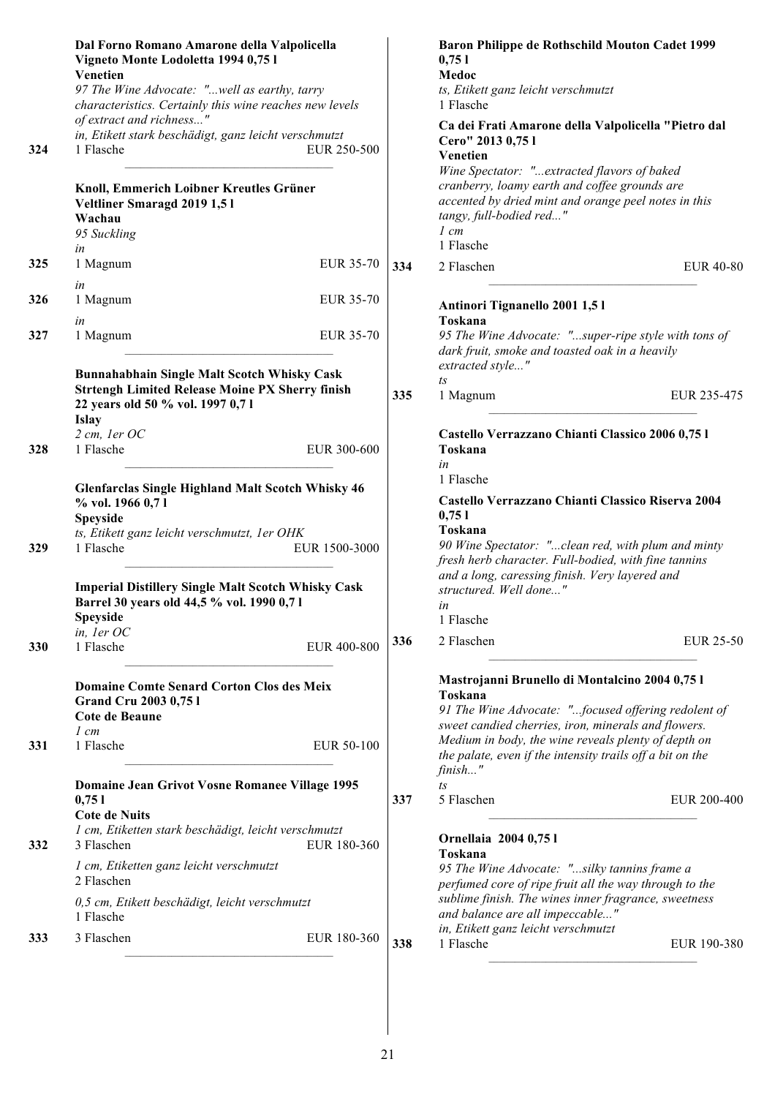|     | Dal Forno Romano Amarone della Valpolicella<br>Vigneto Monte Lodoletta 1994 0,75 l<br>Venetien<br>97 The Wine Advocate: "well as earthy, tarry<br>characteristics. Certainly this wine reaches new levels                                                                               |     | Baron Philippe de Rothschild Mouton Cadet 1999<br>0,751<br>Medoc<br>ts, Etikett ganz leicht verschmutzt<br>1 Flasche                                                                                                                                                               |
|-----|-----------------------------------------------------------------------------------------------------------------------------------------------------------------------------------------------------------------------------------------------------------------------------------------|-----|------------------------------------------------------------------------------------------------------------------------------------------------------------------------------------------------------------------------------------------------------------------------------------|
| 324 | of extract and richness"<br>in, Etikett stark beschädigt, ganz leicht verschmutzt<br>1 Flasche<br>EUR 250-500                                                                                                                                                                           |     | Ca dei Frati Amarone della Valpolicella "Pietro dal<br>Cero" 2013 0,75 l<br>Venetien<br>Wine Spectator: "extracted flavors of baked                                                                                                                                                |
|     | Knoll, Emmerich Loibner Kreutles Grüner<br>Veltliner Smaragd 2019 1,51<br>Wachau<br>95 Suckling                                                                                                                                                                                         |     | cranberry, loamy earth and coffee grounds are<br>accented by dried mint and orange peel notes in this<br>tangy, full-bodied red"<br>$1 \, cm$<br>1 Flasche                                                                                                                         |
| 325 | in<br>1 Magnum<br>EUR 35-70                                                                                                                                                                                                                                                             | 334 | 2 Flaschen<br><b>EUR 40-80</b>                                                                                                                                                                                                                                                     |
| 326 | in<br>1 Magnum<br><b>EUR 35-70</b>                                                                                                                                                                                                                                                      |     | Antinori Tignanello 2001 1,51<br>Toskana                                                                                                                                                                                                                                           |
| 327 | in<br>1 Magnum<br>EUR 35-70                                                                                                                                                                                                                                                             |     | 95 The Wine Advocate: "super-ripe style with tons of<br>dark fruit, smoke and toasted oak in a heavily                                                                                                                                                                             |
|     | Bunnahabhain Single Malt Scotch Whisky Cask<br><b>Strtengh Limited Release Moine PX Sherry finish</b><br>22 years old 50 % vol. 1997 0,71<br><b>Islay</b>                                                                                                                               | 335 | extracted style"<br>$\sqrt{1}S$<br>EUR 235-475<br>1 Magnum                                                                                                                                                                                                                         |
| 328 | 2 cm, ler OC<br>1 Flasche<br>EUR 300-600                                                                                                                                                                                                                                                |     | Castello Verrazzano Chianti Classico 2006 0,75 l<br>Toskana<br>in                                                                                                                                                                                                                  |
| 329 | <b>Glenfarclas Single Highland Malt Scotch Whisky 46</b><br>% vol. 1966 0,71<br><b>Speyside</b><br>ts, Etikett ganz leicht verschmutzt, 1er OHK<br>EUR 1500-3000<br>1 Flasche<br><b>Imperial Distillery Single Malt Scotch Whisky Cask</b><br>Barrel 30 years old 44,5 % vol. 1990 0,71 |     | 1 Flasche<br>Castello Verrazzano Chianti Classico Riserva 2004<br>0,751<br>Toskana<br>90 Wine Spectator: "clean red, with plum and minty<br>fresh herb character. Full-bodied, with fine tannins<br>and a long, caressing finish. Very layered and<br>structured. Well done"<br>in |
|     | Speyside<br>in, ler OC                                                                                                                                                                                                                                                                  |     | 1 Flasche                                                                                                                                                                                                                                                                          |
| 330 | 1 Flasche<br>EUR 400-800                                                                                                                                                                                                                                                                | 336 | 2 Flaschen<br>EUR 25-50                                                                                                                                                                                                                                                            |
|     | <b>Domaine Comte Senard Corton Clos des Meix</b><br><b>Grand Cru 2003 0,751</b><br>Cote de Beaune<br>$1 \, cm$                                                                                                                                                                          |     | Mastrojanni Brunello di Montalcino 2004 0,75 l<br>Toskana<br>91 The Wine Advocate: "focused offering redolent of<br>sweet candied cherries, iron, minerals and flowers.                                                                                                            |
| 331 | EUR 50-100<br>1 Flasche                                                                                                                                                                                                                                                                 |     | Medium in body, the wine reveals plenty of depth on<br>the palate, even if the intensity trails off a bit on the<br>finish"                                                                                                                                                        |
|     | Domaine Jean Grivot Vosne Romanee Village 1995<br>0,751<br><b>Cote de Nuits</b>                                                                                                                                                                                                         | 337 | $t_s$<br>5 Flaschen<br>EUR 200-400                                                                                                                                                                                                                                                 |
| 332 | 1 cm, Etiketten stark beschädigt, leicht verschmutzt<br>3 Flaschen<br>EUR 180-360                                                                                                                                                                                                       |     | Ornellaia 2004 0,75 l<br>Toskana                                                                                                                                                                                                                                                   |
|     | 1 cm, Etiketten ganz leicht verschmutzt<br>2 Flaschen                                                                                                                                                                                                                                   |     | 95 The Wine Advocate: "silky tannins frame a<br>perfumed core of ripe fruit all the way through to the                                                                                                                                                                             |
|     | 0,5 cm, Etikett beschädigt, leicht verschmutzt<br>1 Flasche                                                                                                                                                                                                                             |     | sublime finish. The wines inner fragrance, sweetness<br>and balance are all impeccable"<br>in, Etikett ganz leicht verschmutzt                                                                                                                                                     |
| 333 | 3 Flaschen<br>EUR 180-360                                                                                                                                                                                                                                                               | 338 | 1 Flasche<br>EUR 190-380                                                                                                                                                                                                                                                           |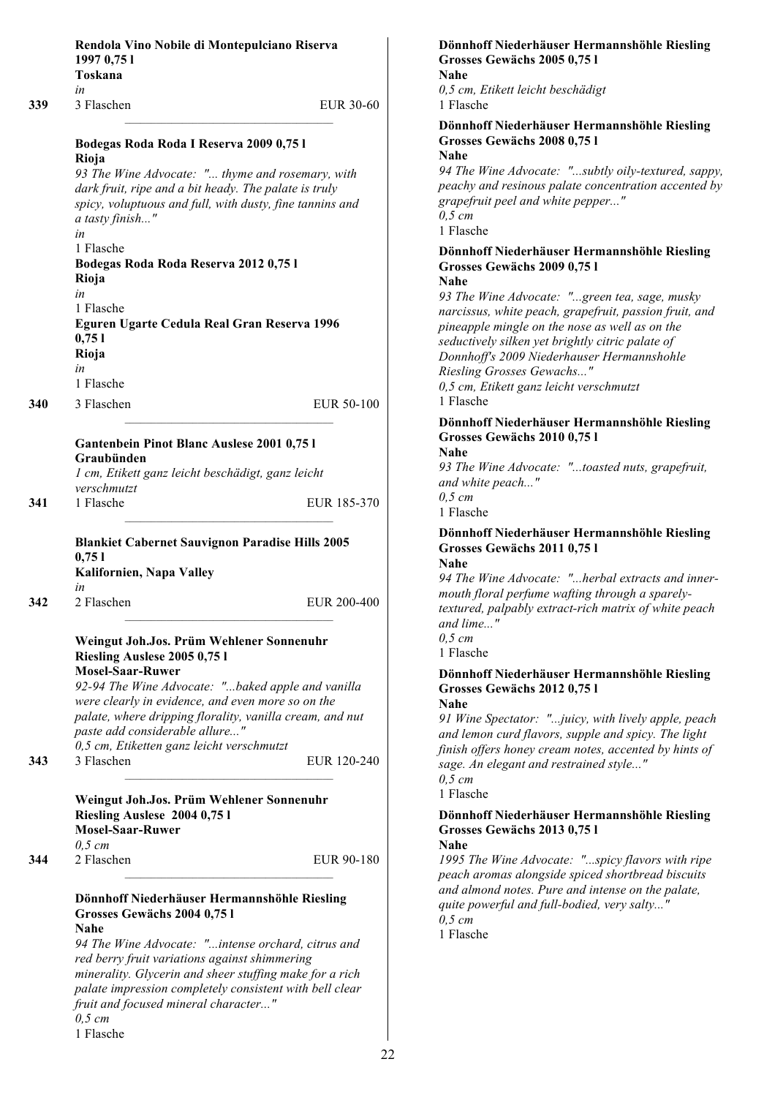|     | Rendola Vino Nobile di Montepulciano Riserva<br>1997 0,75 1<br>Toskana                                                                                                                                                                                                                                                                                   |             |
|-----|----------------------------------------------------------------------------------------------------------------------------------------------------------------------------------------------------------------------------------------------------------------------------------------------------------------------------------------------------------|-------------|
| 339 | in<br>3 Flaschen                                                                                                                                                                                                                                                                                                                                         | EUR 30-60   |
|     | Bodegas Roda Roda I Reserva 2009 0,75 l<br>Rioja<br>93 The Wine Advocate: " thyme and rosemary, with<br>dark fruit, ripe and a bit heady. The palate is truly<br>spicy, voluptuous and full, with dusty, fine tannins and<br>a tasty finish"                                                                                                             |             |
|     | in<br>1 Flasche<br>Bodegas Roda Roda Reserva 2012 0,75 l<br>Rioja<br>in<br>1 Flasche<br>Eguren Ugarte Cedula Real Gran Reserva 1996<br>0,751                                                                                                                                                                                                             |             |
|     | Rioja<br>in                                                                                                                                                                                                                                                                                                                                              |             |
| 340 | 1 Flasche<br>3 Flaschen                                                                                                                                                                                                                                                                                                                                  | EUR 50-100  |
|     | Gantenbein Pinot Blanc Auslese 2001 0,75 l<br>Graubünden<br>1 cm, Etikett ganz leicht beschädigt, ganz leicht<br>verschmutzt                                                                                                                                                                                                                             |             |
| 341 | 1 Flasche                                                                                                                                                                                                                                                                                                                                                | EUR 185-370 |
|     | <b>Blankiet Cabernet Sauvignon Paradise Hills 2005</b><br>0,751<br>Kalifornien, Napa Valley<br>in                                                                                                                                                                                                                                                        |             |
| 342 | 2 Flaschen                                                                                                                                                                                                                                                                                                                                               | EUR 200-400 |
|     | Weingut Joh.Jos. Prüm Wehlener Sonnenuhr<br>Riesling Auslese 2005 0,75 l<br><b>Mosel-Saar-Ruwer</b><br>92-94 The Wine Advocate: "baked apple and vanilla<br>were clearly in evidence, and even more so on the<br>palate, where dripping florality, vanilla cream, and nut<br>paste add considerable allure"<br>0,5 cm, Etiketten ganz leicht verschmutzt |             |
| 343 | 3 Flaschen<br>Weingut Joh.Jos. Prüm Wehlener Sonnenuhr<br>Riesling Auslese 2004 0,75 l<br><b>Mosel-Saar-Ruwer</b><br>$0,5 \, cm$                                                                                                                                                                                                                         | EUR 120-240 |
| 344 | 2 Flaschen                                                                                                                                                                                                                                                                                                                                               | EUR 90-180  |
|     | Dönnhoff Niederhäuser Hermannshöhle Riesling<br>Grosses Gewächs 2004 0,75 l<br><b>Nahe</b><br>94 The Wine Advocate: "intense orchard, citrus and<br>red berry fruit variations against shimmering<br>minerality. Glycerin and sheer stuffing make for a rich<br>palate impression completely consistent with bell clear                                  |             |

*fruit and focused mineral character..."*

*0,5 cm* 1 Flasche

#### **Dönnhoff Niederhäuser Hermannshöhle Riesling Grosses Gewächs 2005 0,75 l**

*0,5 cm, Etikett leicht beschädigt* che

**Dönnhoff Niederhäuser Hermannshöhle Riesling Grosses Gewächs 2008 0,75 l**

*94 The Wine Advocate: "...subtly oily-textured, sappy, p* and resinous palate concentration accented by *grapefruit peel and white pepper..." 0,5 cm*  $che$ 

### **Dönnhoff Niederhäuser Hermannshöhle Riesling Grosses Gewächs 2009 0,75 l**

*93 The Wine Advocate: "...green tea, sage, musky narcissus, white peach, grapefruit, passion fruit, and pineapple mingle on the nose as well as on the seductively silken yet brightly citric palate of Donnhoff's 2009 Niederhauser Hermannshohle Riesling Grosses Gewachs..."*

*0,5 cm, Etikett ganz leicht verschmutzt* che

### **Dönnhoff Niederhäuser Hermannshöhle Riesling Grosses Gewächs 2010 0,75 l**

*93 The Wine Advocate: "...toasted nuts, grapefruit, and white peach..." 0,5 cm*

che

### **Dönnhoff Niederhäuser Hermannshöhle Riesling Grosses Gewächs 2011 0,75 l**

*P* Wine Advocate: "...herbal extracts and innerfloral perfume wafting through a sparely*rd, palpably extract-rich matrix of white peach and lime..."*

che

## **Dönnhoff Niederhäuser Hermannshöhle Riesling Grosses Gewächs 2012 0,75 l**

*91 Wine Spectator: "...juicy, with lively apple, peach and lemon curd flavors, supple and spicy. The light finish offers honey cream notes, accented by hints of sage. An elegant and restrained style..."*

che

### **Dönnhoff Niederhäuser Hermannshöhle Riesling Grosses Gewächs 2013 0,75 l**

*1995 The Wine Advocate: "...spicy flavors with ripe peach aromas alongside spiced shortbread biscuits and almond notes. Pure and intense on the palate, quite powerful and full-bodied, very salty..." 0,5 cm*  $che$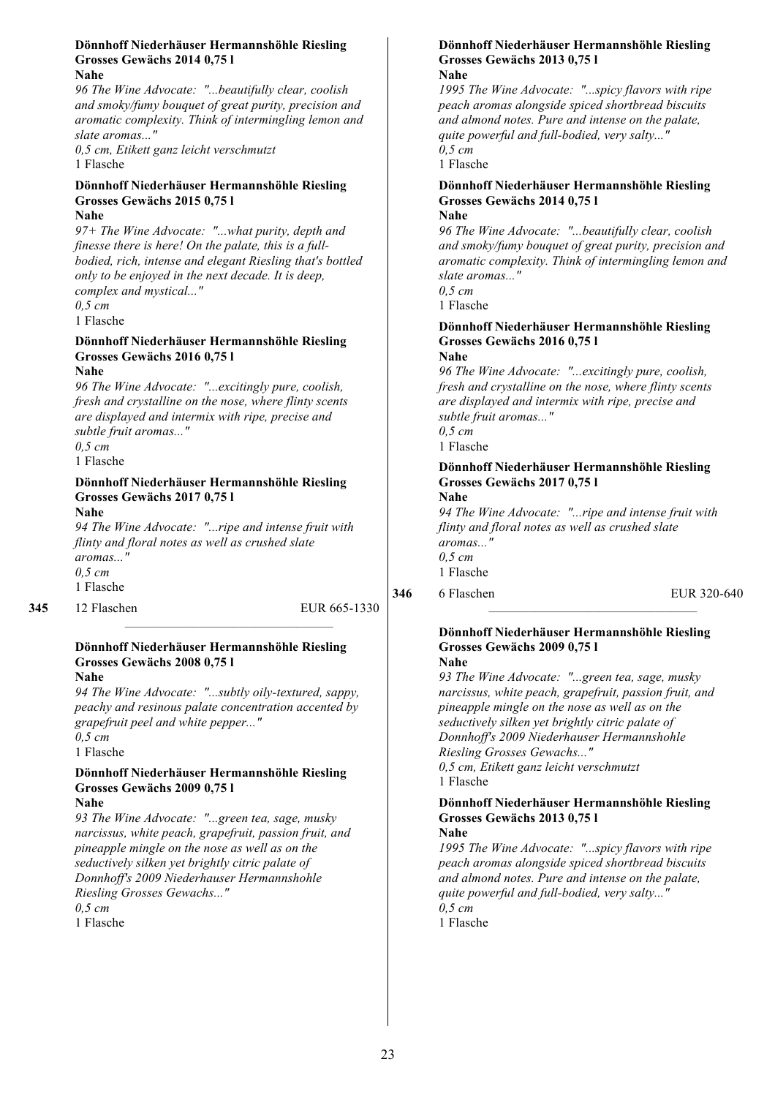#### **Dönnhoff Niederhäuser Hermannshöhle Riesling Grosses Gewächs 2014 0,75 l Nahe**

*96 The Wine Advocate: "...beautifully clear, coolish and smoky/fumy bouquet of great purity, precision and aromatic complexity. Think of intermingling lemon and slate aromas..."*

*0,5 cm, Etikett ganz leicht verschmutzt* 1 Flasche

#### **Dönnhoff Niederhäuser Hermannshöhle Riesling Grosses Gewächs 2015 0,75 l Nahe**

*97+ The Wine Advocate: "...what purity, depth and finesse there is here! On the palate, this is a fullbodied, rich, intense and elegant Riesling that's bottled only to be enjoyed in the next decade. It is deep, complex and mystical..."*

*0,5 cm*

1 Flasche

#### **Dönnhoff Niederhäuser Hermannshöhle Riesling Grosses Gewächs 2016 0,75 l**

**Nahe**

*96 The Wine Advocate: "...excitingly pure, coolish, fresh and crystalline on the nose, where flinty scents are displayed and intermix with ripe, precise and subtle fruit aromas..." 0,5 cm*

1 Flasche

#### **Dönnhoff Niederhäuser Hermannshöhle Riesling Grosses Gewächs 2017 0,75 l**

**Nahe**

*94 The Wine Advocate: "...ripe and intense fruit with flinty and floral notes as well as crushed slate aromas..." 0,5 cm* 1 Flasche

#### **345** 12 Flaschen EUR 665-1330

#### **Dönnhoff Niederhäuser Hermannshöhle Riesling Grosses Gewächs 2008 0,75 l**

**Nahe**

*94 The Wine Advocate: "...subtly oily-textured, sappy, peachy and resinous palate concentration accented by grapefruit peel and white pepper..." 0,5 cm*

1 Flasche

#### **Dönnhoff Niederhäuser Hermannshöhle Riesling Grosses Gewächs 2009 0,75 l Nahe**

*93 The Wine Advocate: "...green tea, sage, musky narcissus, white peach, grapefruit, passion fruit, and pineapple mingle on the nose as well as on the seductively silken yet brightly citric palate of Donnhoff's 2009 Niederhauser Hermannshohle Riesling Grosses Gewachs..."*

*0,5 cm* 1 Flasche

#### **Dönnhoff Niederhäuser Hermannshöhle Riesling Grosses Gewächs 2013 0,75 l Nahe**

*1995 The Wine Advocate: "...spicy flavors with ripe peach aromas alongside spiced shortbread biscuits and almond notes. Pure and intense on the palate, quite powerful and full-bodied, very salty..." 0,5 cm*

1 Flasche

#### **Dönnhoff Niederhäuser Hermannshöhle Riesling Grosses Gewächs 2014 0,75 l Nahe**

*96 The Wine Advocate: "...beautifully clear, coolish and smoky/fumy bouquet of great purity, precision and aromatic complexity. Think of intermingling lemon and slate aromas..." 0,5 cm*

1 Flasche

#### **Dönnhoff Niederhäuser Hermannshöhle Riesling Grosses Gewächs 2016 0,75 l Nahe**

*96 The Wine Advocate: "...excitingly pure, coolish, fresh and crystalline on the nose, where flinty scents are displayed and intermix with ripe, precise and subtle fruit aromas..." 0,5 cm* 1 Flasche

#### **Dönnhoff Niederhäuser Hermannshöhle Riesling Grosses Gewächs 2017 0,75 l Nahe**

*94 The Wine Advocate: "...ripe and intense fruit with flinty and floral notes as well as crushed slate aromas..." 0,5 cm* 1 Flasche

**346** 6 Flaschen EUR 320-640

#### **Dönnhoff Niederhäuser Hermannshöhle Riesling Grosses Gewächs 2009 0,75 l Nahe**

*93 The Wine Advocate: "...green tea, sage, musky narcissus, white peach, grapefruit, passion fruit, and pineapple mingle on the nose as well as on the seductively silken yet brightly citric palate of Donnhoff's 2009 Niederhauser Hermannshohle Riesling Grosses Gewachs..." 0,5 cm, Etikett ganz leicht verschmutzt*

1 Flasche

#### **Dönnhoff Niederhäuser Hermannshöhle Riesling Grosses Gewächs 2013 0,75 l Nahe**

*1995 The Wine Advocate: "...spicy flavors with ripe peach aromas alongside spiced shortbread biscuits and almond notes. Pure and intense on the palate, quite powerful and full-bodied, very salty..." 0,5 cm*

1 Flasche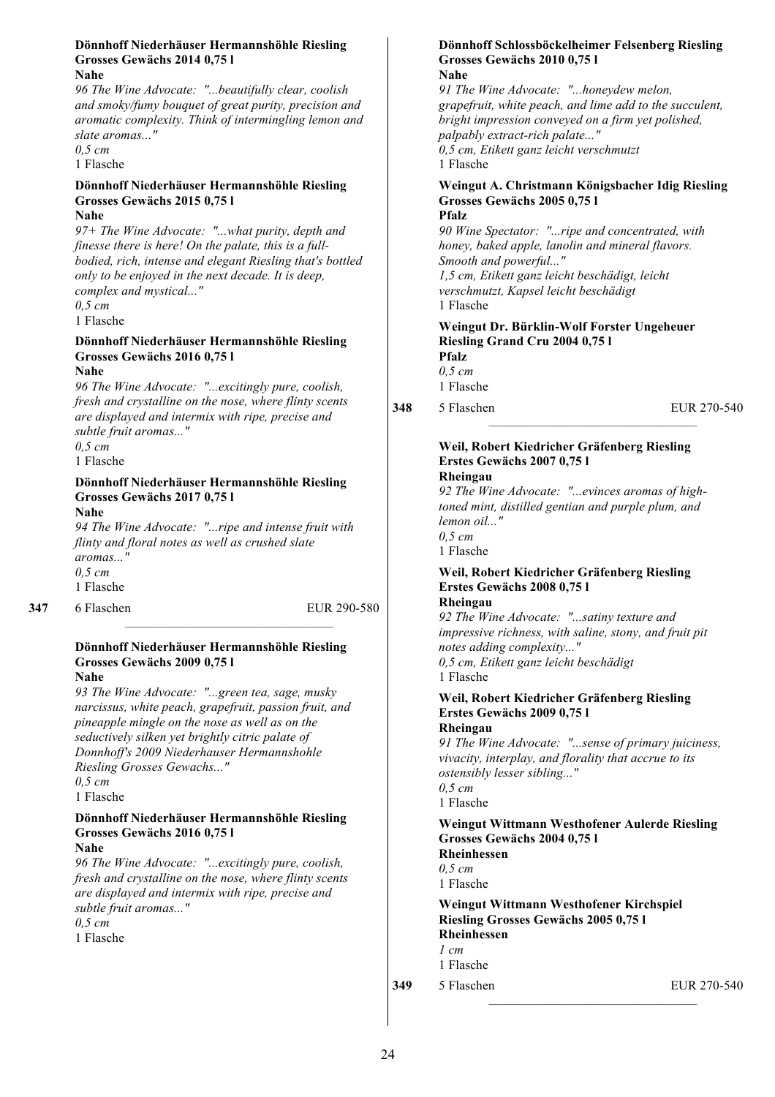#### **Dönnhoff Niederhäuser Hermannshöhle Riesling Grosses Gewächs 2014 0,75 l Nahe**

*96 The Wine Advocate: "...beautifully clear, coolish and smoky/fumy bouquet of great purity, precision and aromatic complexity. Think of intermingling lemon and slate aromas..."*

*0,5 cm*

1 Flasche

#### **Dönnhoff Niederhäuser Hermannshöhle Riesling Grosses Gewächs 2015 0,75 l Nahe**

*97+ The Wine Advocate: "...what purity, depth and finesse there is here! On the palate, this is a fullbodied, rich, intense and elegant Riesling that's bottled only to be enjoyed in the next decade. It is deep, complex and mystical..."*

*0,5 cm*

1 Flasche

#### **Dönnhoff Niederhäuser Hermannshöhle Riesling Grosses Gewächs 2016 0,75 l**

**Nahe**

*96 The Wine Advocate: "...excitingly pure, coolish, fresh and crystalline on the nose, where flinty scents are displayed and intermix with ripe, precise and subtle fruit aromas..." 0,5 cm*

1 Flasche

### **Dönnhoff Niederhäuser Hermannshöhle Riesling Grosses Gewächs 2017 0,75 l**

**Nahe**

*94 The Wine Advocate: "...ripe and intense fruit with flinty and floral notes as well as crushed slate aromas..." 0,5 cm* 1 Flasche

#### **347** 6 Flaschen EUR 290-580

#### **Dönnhoff Niederhäuser Hermannshöhle Riesling Grosses Gewächs 2009 0,75 l Nahe**

*93 The Wine Advocate: "...green tea, sage, musky narcissus, white peach, grapefruit, passion fruit, and pineapple mingle on the nose as well as on the seductively silken yet brightly citric palate of Donnhoff's 2009 Niederhauser Hermannshohle Riesling Grosses Gewachs..."*

*0,5 cm* 1 Flasche

#### **Dönnhoff Niederhäuser Hermannshöhle Riesling Grosses Gewächs 2016 0,75 l**

**Nahe**

*96 The Wine Advocate: "...excitingly pure, coolish, fresh and crystalline on the nose, where flinty scents are displayed and intermix with ripe, precise and subtle fruit aromas..."*

*0,5 cm*

1 Flasche

#### **Dönnhoff Schlossböckelheimer Felsenberg Riesling Grosses Gewächs 2010 0,75 l Nahe**

*91 The Wine Advocate: "...honeydew melon, grapefruit, white peach, and lime add to the succulent, bright impression conveyed on a firm yet polished, palpably extract-rich palate..." 0,5 cm, Etikett ganz leicht verschmutzt* 1 Flasche

#### **Weingut A. Christmann Königsbacher Idig Riesling Grosses Gewächs 2005 0,75 l Pfalz**

*90 Wine Spectator: "...ripe and concentrated, with honey, baked apple, lanolin and mineral flavors. Smooth and powerful..." 1,5 cm, Etikett ganz leicht beschädigt, leicht verschmutzt, Kapsel leicht beschädigt* 1 Flasche

#### **Weingut Dr. Bürklin-Wolf Forster Ungeheuer Riesling Grand Cru 2004 0,75 l Pfalz**

*0,5 cm* 1 Flasche

**348** 5 Flaschen EUR 270-540

### **Weil, Robert Kiedricher Gräfenberg Riesling Erstes Gewächs 2007 0,75 l**

#### **Rheingau**

*92 The Wine Advocate: "...evinces aromas of hightoned mint, distilled gentian and purple plum, and lemon oil..." 0,5 cm* 1 Flasche

#### **Weil, Robert Kiedricher Gräfenberg Riesling Erstes Gewächs 2008 0,75 l Rheingau**

*92 The Wine Advocate: "...satiny texture and impressive richness, with saline, stony, and fruit pit notes adding complexity..." 0,5 cm, Etikett ganz leicht beschädigt* 1 Flasche

#### **Weil, Robert Kiedricher Gräfenberg Riesling Erstes Gewächs 2009 0,75 l Rheingau**

*91 The Wine Advocate: "...sense of primary juiciness, vivacity, interplay, and florality that accrue to its ostensibly lesser sibling..." 0,5 cm* 1 Flasche

#### **Weingut Wittmann Westhofener Aulerde Riesling Grosses Gewächs 2004 0,75 l Rheinhessen** *0,5 cm*

1 Flasche

#### **Weingut Wittmann Westhofener Kirchspiel Riesling Grosses Gewächs 2005 0,75 l Rheinhessen** *1 cm* 1 Flasche

**349** 5 Flaschen EUR 270-540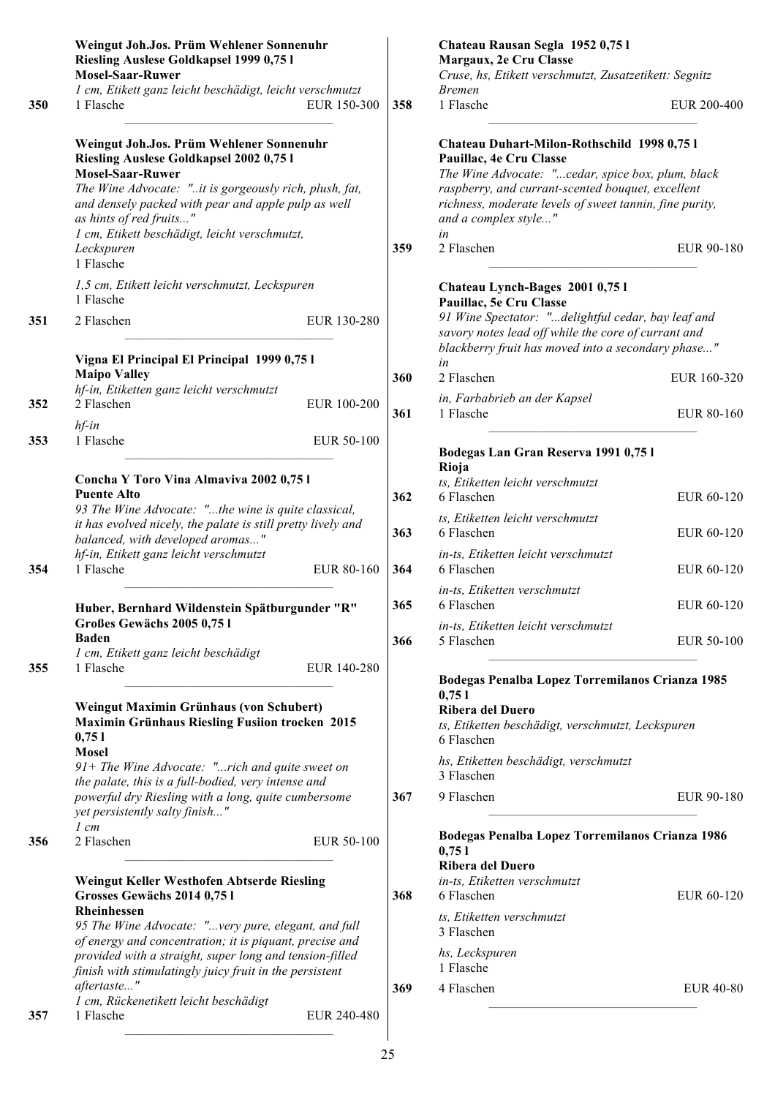|     | Weingut Joh.Jos. Prüm Wehlener Sonnenuhr<br>Riesling Auslese Goldkapsel 1999 0,75 l                                                                                                                                                                                                                         |             |     | Chateau Rausan Segla 1952 0,75 l<br>Margaux, 2e Cru Classe                                                                                                                                                                                                                |                  |
|-----|-------------------------------------------------------------------------------------------------------------------------------------------------------------------------------------------------------------------------------------------------------------------------------------------------------------|-------------|-----|---------------------------------------------------------------------------------------------------------------------------------------------------------------------------------------------------------------------------------------------------------------------------|------------------|
|     | <b>Mosel-Saar-Ruwer</b>                                                                                                                                                                                                                                                                                     |             |     | Cruse, hs, Etikett verschmutzt, Zusatzetikett: Segnitz                                                                                                                                                                                                                    |                  |
| 350 | 1 cm, Etikett ganz leicht beschädigt, leicht verschmutzt<br>1 Flasche                                                                                                                                                                                                                                       | EUR 150-300 | 358 | <b>Bremen</b><br>1 Flasche                                                                                                                                                                                                                                                | EUR 200-400      |
|     | Weingut Joh.Jos. Prüm Wehlener Sonnenuhr<br>Riesling Auslese Goldkapsel 2002 0,75 l<br><b>Mosel-Saar-Ruwer</b><br>The Wine Advocate: "it is gorgeously rich, plush, fat,<br>and densely packed with pear and apple pulp as well<br>as hints of red fruits"<br>1 cm, Etikett beschädigt, leicht verschmutzt, |             |     | Chateau Duhart-Milon-Rothschild 1998 0,75 l<br>Pauillac, 4e Cru Classe<br>The Wine Advocate: "cedar, spice box, plum, black<br>raspberry, and currant-scented bouquet, excellent<br>richness, moderate levels of sweet tannin, fine purity,<br>and a complex style"<br>in |                  |
|     | Leckspuren<br>1 Flasche                                                                                                                                                                                                                                                                                     |             | 359 | 2 Flaschen                                                                                                                                                                                                                                                                | EUR 90-180       |
|     | 1,5 cm, Etikett leicht verschmutzt, Leckspuren<br>1 Flasche                                                                                                                                                                                                                                                 |             |     | Chateau Lynch-Bages 2001 0,75 l<br>Pauillac, 5e Cru Classe                                                                                                                                                                                                                |                  |
| 351 | 2 Flaschen                                                                                                                                                                                                                                                                                                  | EUR 130-280 |     | 91 Wine Spectator: "delightful cedar, bay leaf and<br>savory notes lead off while the core of currant and<br>blackberry fruit has moved into a secondary phase"                                                                                                           |                  |
|     | Vigna El Principal El Principal 1999 0,75 l                                                                                                                                                                                                                                                                 |             |     | in                                                                                                                                                                                                                                                                        |                  |
|     | <b>Maipo Valley</b><br>hf-in, Etiketten ganz leicht verschmutzt                                                                                                                                                                                                                                             |             | 360 | 2 Flaschen                                                                                                                                                                                                                                                                | EUR 160-320      |
| 352 | 2 Flaschen<br>$hf$ -in                                                                                                                                                                                                                                                                                      | EUR 100-200 | 361 | in, Farbabrieb an der Kapsel<br>1 Flasche                                                                                                                                                                                                                                 | EUR 80-160       |
| 353 | 1 Flasche                                                                                                                                                                                                                                                                                                   | EUR 50-100  |     | Bodegas Lan Gran Reserva 1991 0,75 l<br>Rioja                                                                                                                                                                                                                             |                  |
|     | Concha Y Toro Vina Almaviva 2002 0,75 l<br><b>Puente Alto</b><br>93 The Wine Advocate: "the wine is quite classical,                                                                                                                                                                                        |             | 362 | ts, Etiketten leicht verschmutzt<br>6 Flaschen                                                                                                                                                                                                                            | EUR 60-120       |
|     | it has evolved nicely, the palate is still pretty lively and<br>balanced, with developed aromas"                                                                                                                                                                                                            |             | 363 | ts, Etiketten leicht verschmutzt<br>6 Flaschen                                                                                                                                                                                                                            | EUR 60-120       |
| 354 | hf-in, Etikett ganz leicht verschmutzt<br>1 Flasche                                                                                                                                                                                                                                                         | EUR 80-160  | 364 | in-ts, Etiketten leicht verschmutzt<br>6 Flaschen                                                                                                                                                                                                                         | EUR 60-120       |
|     | Huber, Bernhard Wildenstein Spätburgunder "R"                                                                                                                                                                                                                                                               |             | 365 | in-ts, Etiketten verschmutzt<br>6 Flaschen                                                                                                                                                                                                                                | EUR 60-120       |
|     | Großes Gewächs 2005 0,751<br><b>Baden</b><br>1 cm, Etikett ganz leicht beschädigt                                                                                                                                                                                                                           |             | 366 | in-ts, Etiketten leicht verschmutzt<br>5 Flaschen                                                                                                                                                                                                                         | EUR 50-100       |
| 355 | 1 Flasche                                                                                                                                                                                                                                                                                                   | EUR 140-280 |     | Bodegas Penalba Lopez Torremilanos Crianza 1985                                                                                                                                                                                                                           |                  |
|     | Weingut Maximin Grünhaus (von Schubert)<br>Maximin Grünhaus Riesling Fusiion trocken 2015<br>0,751                                                                                                                                                                                                          |             |     | 0,751<br><b>Ribera del Duero</b><br>ts, Etiketten beschädigt, verschmutzt, Leckspuren<br>6 Flaschen                                                                                                                                                                       |                  |
|     | <b>Mosel</b><br>$91+$ The Wine Advocate: "rich and quite sweet on<br>the palate, this is a full-bodied, very intense and                                                                                                                                                                                    |             |     | hs, Etiketten beschädigt, verschmutzt<br>3 Flaschen                                                                                                                                                                                                                       |                  |
|     | powerful dry Riesling with a long, quite cumbersome<br>yet persistently salty finish"                                                                                                                                                                                                                       |             | 367 | 9 Flaschen                                                                                                                                                                                                                                                                | EUR 90-180       |
| 356 | $1$ cm<br>2 Flaschen                                                                                                                                                                                                                                                                                        | EUR 50-100  |     | Bodegas Penalba Lopez Torremilanos Crianza 1986<br>0,751                                                                                                                                                                                                                  |                  |
|     | Weingut Keller Westhofen Abtserde Riesling<br>Grosses Gewächs 2014 0,75 l<br><b>Rheinhessen</b>                                                                                                                                                                                                             |             | 368 | <b>Ribera del Duero</b><br>in-ts, Etiketten verschmutzt<br>6 Flaschen                                                                                                                                                                                                     | EUR 60-120       |
|     | 95 The Wine Advocate: "very pure, elegant, and full<br>of energy and concentration; it is piquant, precise and                                                                                                                                                                                              |             |     | ts, Etiketten verschmutzt<br>3 Flaschen                                                                                                                                                                                                                                   |                  |
|     | provided with a straight, super long and tension-filled<br>finish with stimulatingly juicy fruit in the persistent                                                                                                                                                                                          |             |     | hs, Leckspuren<br>1 Flasche                                                                                                                                                                                                                                               |                  |
| 357 | aftertaste"<br>1 cm, Rückenetikett leicht beschädigt<br>1 Flasche                                                                                                                                                                                                                                           | EUR 240-480 | 369 | 4 Flaschen                                                                                                                                                                                                                                                                | <b>EUR 40-80</b> |
|     |                                                                                                                                                                                                                                                                                                             |             |     |                                                                                                                                                                                                                                                                           |                  |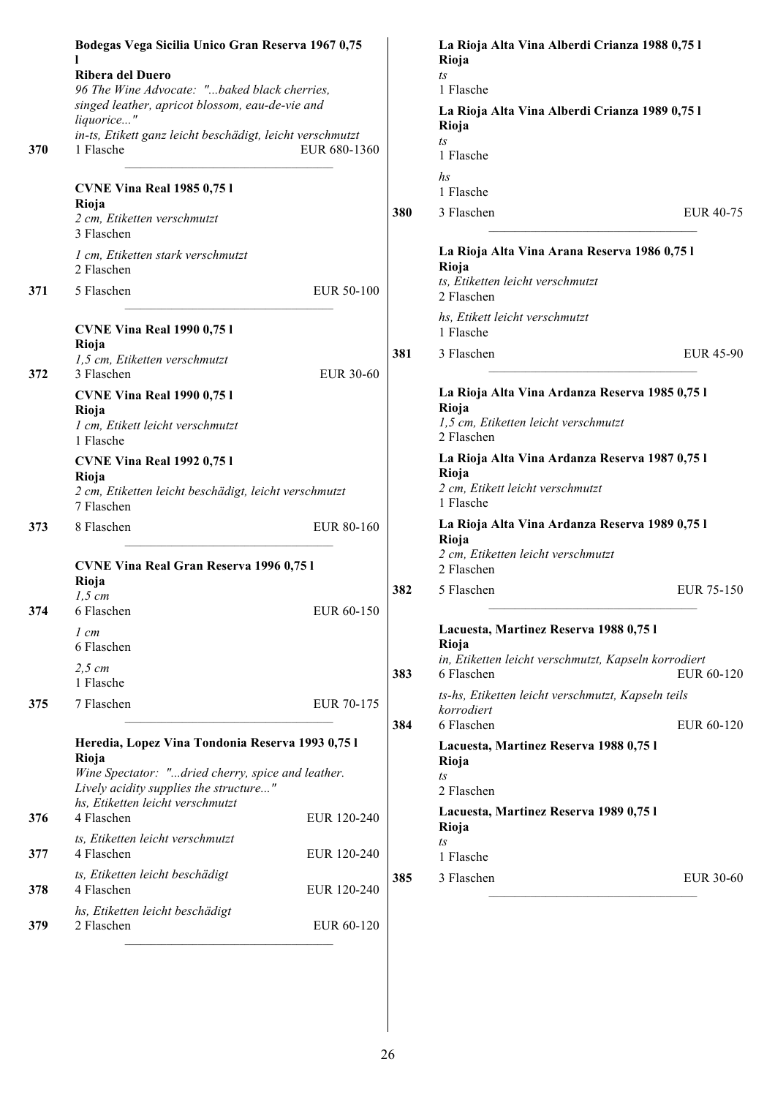| 370        | Bodegas Vega Sicilia Unico Gran Reserva 1967 0,75<br>Ribera del Duero<br>96 The Wine Advocate: "baked black cherries,<br>singed leather, apricot blossom, eau-de-vie and<br>liquorice"<br>in-ts, Etikett ganz leicht beschädigt, leicht verschmutzt<br>1 Flasche | EUR 680-1360               |            | La Rioja Alta Vina Alberdi Crianza 1988 0,75 l<br>Rioja<br>$\sqrt{1}S$<br>1 Flasche<br>La Rioja Alta Vina Alberdi Crianza 1989 0,75 l<br>Rioja<br>$t_{\rm S}$<br>1 Flasche                                                |                          |
|------------|------------------------------------------------------------------------------------------------------------------------------------------------------------------------------------------------------------------------------------------------------------------|----------------------------|------------|---------------------------------------------------------------------------------------------------------------------------------------------------------------------------------------------------------------------------|--------------------------|
|            | <b>CVNE Vina Real 1985 0,751</b><br>Rioja<br>2 cm, Etiketten verschmutzt<br>3 Flaschen<br>1 cm, Etiketten stark verschmutzt<br>2 Flaschen                                                                                                                        |                            | 380        | $\hbar s$<br>1 Flasche<br>3 Flaschen<br>La Rioja Alta Vina Arana Reserva 1986 0,751<br>Rioja<br>ts, Etiketten leicht verschmutzt                                                                                          | EUR 40-75                |
| 371        | 5 Flaschen<br><b>CVNE Vina Real 1990 0,751</b><br>Rioja<br>1,5 cm, Etiketten verschmutzt                                                                                                                                                                         | EUR 50-100                 | 381        | 2 Flaschen<br>hs, Etikett leicht verschmutzt<br>1 Flasche<br>3 Flaschen                                                                                                                                                   | EUR 45-90                |
| 372        | 3 Flaschen<br><b>CVNE Vina Real 1990 0,751</b><br>Rioja<br>1 cm, Etikett leicht verschmutzt<br>1 Flasche<br><b>CVNE Vina Real 1992 0,751</b><br>Rioja<br>2 cm, Etiketten leicht beschädigt, leicht verschmutzt<br>7 Flaschen                                     | EUR 30-60                  |            | La Rioja Alta Vina Ardanza Reserva 1985 0,75 l<br>Rioja<br>1,5 cm, Etiketten leicht verschmutzt<br>2 Flaschen<br>La Rioja Alta Vina Ardanza Reserva 1987 0,75 l<br>Rioja<br>2 cm, Etikett leicht verschmutzt<br>1 Flasche |                          |
| 373        | 8 Flaschen<br><b>CVNE Vina Real Gran Reserva 1996 0,751</b>                                                                                                                                                                                                      | EUR 80-160                 |            | La Rioja Alta Vina Ardanza Reserva 1989 0,75 l<br>Rioja<br>2 cm, Etiketten leicht verschmutzt<br>2 Flaschen                                                                                                               |                          |
| 374        | Rioja<br>$1,5$ cm<br>6 Flaschen<br>$1 \, cm$<br>6 Flaschen<br>$2,5$ cm<br>1 Flasche                                                                                                                                                                              | EUR 60-150                 | 382<br>383 | 5 Flaschen<br>Lacuesta, Martinez Reserva 1988 0,75 l<br>Rioja<br>in, Etiketten leicht verschmutzt, Kapseln korrodiert<br>6 Flaschen                                                                                       | EUR 75-150<br>EUR 60-120 |
| 375        | 7 Flaschen<br>Heredia, Lopez Vina Tondonia Reserva 1993 0,75 l<br>Rioja<br>Wine Spectator: "dried cherry, spice and leather.<br>Lively acidity supplies the structure"<br>hs, Etiketten leicht verschmutzt                                                       | EUR 70-175                 | 384        | ts-hs, Etiketten leicht verschmutzt, Kapseln teils<br>korrodiert<br>6 Flaschen<br>Lacuesta, Martinez Reserva 1988 0,75 l<br>Rioja<br>ts<br>2 Flaschen                                                                     | EUR 60-120               |
| 376<br>377 | 4 Flaschen<br>ts, Etiketten leicht verschmutzt<br>4 Flaschen                                                                                                                                                                                                     | EUR 120-240<br>EUR 120-240 |            | Lacuesta, Martinez Reserva 1989 0,75 l<br>Rioja<br>$\sqrt{1}S$<br>1 Flasche                                                                                                                                               |                          |
| 378        | ts, Etiketten leicht beschädigt<br>4 Flaschen                                                                                                                                                                                                                    | EUR 120-240                | 385        | 3 Flaschen                                                                                                                                                                                                                | <b>EUR 30-60</b>         |
| 379        | hs, Etiketten leicht beschädigt<br>2 Flaschen                                                                                                                                                                                                                    | EUR 60-120                 |            |                                                                                                                                                                                                                           |                          |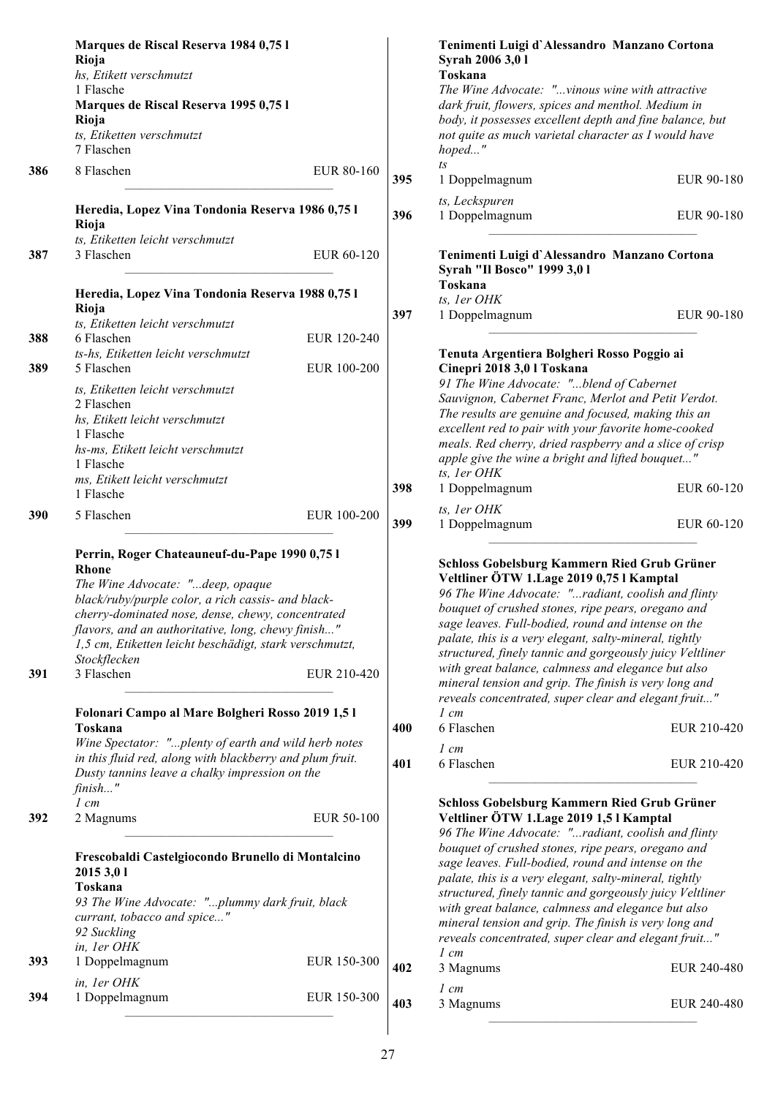|     | Marques de Riscal Reserva 1984 0,75 l<br>Rioja<br>hs, Etikett verschmutzt                                                                                                                                                                                                                                                                                   |             |     | Tenimenti Luigi d'Alessandro Manzano Cortona<br>Syrah 2006 3,01<br>Toskana                                                                                                                                                                                                                                                                                                                                                                                                                     |             |
|-----|-------------------------------------------------------------------------------------------------------------------------------------------------------------------------------------------------------------------------------------------------------------------------------------------------------------------------------------------------------------|-------------|-----|------------------------------------------------------------------------------------------------------------------------------------------------------------------------------------------------------------------------------------------------------------------------------------------------------------------------------------------------------------------------------------------------------------------------------------------------------------------------------------------------|-------------|
|     | 1 Flasche<br>Marques de Riscal Reserva 1995 0,75 l<br>Rioja<br>ts, Etiketten verschmutzt<br>7 Flaschen                                                                                                                                                                                                                                                      |             |     | The Wine Advocate: "vinous wine with attractive<br>dark fruit, flowers, spices and menthol. Medium in<br>body, it possesses excellent depth and fine balance, but<br>not quite as much varietal character as I would have<br>hoped"                                                                                                                                                                                                                                                            |             |
| 386 | 8 Flaschen                                                                                                                                                                                                                                                                                                                                                  | EUR 80-160  | 395 | $t_{\rm S}$<br>1 Doppelmagnum                                                                                                                                                                                                                                                                                                                                                                                                                                                                  | EUR 90-180  |
|     |                                                                                                                                                                                                                                                                                                                                                             |             |     | ts, Leckspuren                                                                                                                                                                                                                                                                                                                                                                                                                                                                                 |             |
|     | Heredia, Lopez Vina Tondonia Reserva 1986 0,75 l<br>Rioja<br>ts, Etiketten leicht verschmutzt                                                                                                                                                                                                                                                               |             | 396 | 1 Doppelmagnum                                                                                                                                                                                                                                                                                                                                                                                                                                                                                 | EUR 90-180  |
| 387 | 3 Flaschen                                                                                                                                                                                                                                                                                                                                                  | EUR 60-120  |     | Tenimenti Luigi d'Alessandro Manzano Cortona<br>Syrah "Il Bosco" 1999 3,01                                                                                                                                                                                                                                                                                                                                                                                                                     |             |
|     | Heredia, Lopez Vina Tondonia Reserva 1988 0,75 l                                                                                                                                                                                                                                                                                                            |             |     | Toskana<br>ts, 1er OHK                                                                                                                                                                                                                                                                                                                                                                                                                                                                         |             |
|     | Rioja<br>ts, Etiketten leicht verschmutzt                                                                                                                                                                                                                                                                                                                   |             | 397 | 1 Doppelmagnum                                                                                                                                                                                                                                                                                                                                                                                                                                                                                 | EUR 90-180  |
| 388 | 6 Flaschen                                                                                                                                                                                                                                                                                                                                                  | EUR 120-240 |     |                                                                                                                                                                                                                                                                                                                                                                                                                                                                                                |             |
| 389 | ts-hs, Etiketten leicht verschmutzt<br>5 Flaschen                                                                                                                                                                                                                                                                                                           | EUR 100-200 |     | Tenuta Argentiera Bolgheri Rosso Poggio ai<br>Cinepri 2018 3,0 l Toskana                                                                                                                                                                                                                                                                                                                                                                                                                       |             |
|     | ts, Etiketten leicht verschmutzt<br>2 Flaschen<br>hs, Etikett leicht verschmutzt<br>1 Flasche<br>hs-ms, Etikett leicht verschmutzt<br>1 Flasche                                                                                                                                                                                                             |             |     | 91 The Wine Advocate: "blend of Cabernet<br>Sauvignon, Cabernet Franc, Merlot and Petit Verdot.<br>The results are genuine and focused, making this an<br>excellent red to pair with your favorite home-cooked<br>meals. Red cherry, dried raspberry and a slice of crisp<br>apple give the wine a bright and lifted bouquet"                                                                                                                                                                  |             |
|     | ms, Etikett leicht verschmutzt                                                                                                                                                                                                                                                                                                                              |             |     | ts, 1er OHK                                                                                                                                                                                                                                                                                                                                                                                                                                                                                    |             |
|     | 1 Flasche                                                                                                                                                                                                                                                                                                                                                   |             | 398 | 1 Doppelmagnum                                                                                                                                                                                                                                                                                                                                                                                                                                                                                 | EUR 60-120  |
| 390 | 5 Flaschen                                                                                                                                                                                                                                                                                                                                                  | EUR 100-200 | 399 | ts, 1er OHK<br>1 Doppelmagnum                                                                                                                                                                                                                                                                                                                                                                                                                                                                  | EUR 60-120  |
| 391 | Perrin, Roger Chateauneuf-du-Pape 1990 0,75 l<br><b>Rhone</b><br>The Wine Advocate: "deep, opaque<br>black/ruby/purple color, a rich cassis- and black-<br>cherry-dominated nose, dense, chewy, concentrated<br>flavors, and an authoritative, long, chewy finish"<br>1,5 cm, Etiketten leicht beschädigt, stark verschmutzt,<br>Stockflecken<br>3 Flaschen | EUR 210-420 |     | Schloss Gobelsburg Kammern Ried Grub Grüner<br>Veltliner ÖTW 1.Lage 2019 0,75 l Kamptal<br>96 The Wine Advocate: "radiant, coolish and flinty<br>bouquet of crushed stones, ripe pears, oregano and<br>sage leaves. Full-bodied, round and intense on the<br>palate, this is a very elegant, salty-mineral, tightly<br>structured, finely tannic and gorgeously juicy Veltliner<br>with great balance, calmness and elegance but also<br>mineral tension and grip. The finish is very long and |             |
|     |                                                                                                                                                                                                                                                                                                                                                             |             |     | reveals concentrated, super clear and elegant fruit"                                                                                                                                                                                                                                                                                                                                                                                                                                           |             |
|     | Folonari Campo al Mare Bolgheri Rosso 2019 1,51<br>Toskana                                                                                                                                                                                                                                                                                                  |             | 400 | $1 \, cm$<br>6 Flaschen                                                                                                                                                                                                                                                                                                                                                                                                                                                                        | EUR 210-420 |
|     | Wine Spectator: "plenty of earth and wild herb notes                                                                                                                                                                                                                                                                                                        |             |     | $1 \, cm$                                                                                                                                                                                                                                                                                                                                                                                                                                                                                      |             |
|     | in this fluid red, along with blackberry and plum fruit.<br>Dusty tannins leave a chalky impression on the<br>finish"                                                                                                                                                                                                                                       |             | 401 | 6 Flaschen                                                                                                                                                                                                                                                                                                                                                                                                                                                                                     | EUR 210-420 |
| 392 | $1 \, cm$<br>2 Magnums                                                                                                                                                                                                                                                                                                                                      | EUR 50-100  |     | Schloss Gobelsburg Kammern Ried Grub Grüner<br>Veltliner ÖTW 1. Lage 2019 1,5 l Kamptal<br>96 The Wine Advocate: "radiant, coolish and flinty                                                                                                                                                                                                                                                                                                                                                  |             |
|     | Frescobaldi Castelgiocondo Brunello di Montalcino<br>2015 3,01<br><b>Toskana</b><br>93 The Wine Advocate: "plummy dark fruit, black<br>currant, tobacco and spice"<br>92 Suckling                                                                                                                                                                           |             |     | bouquet of crushed stones, ripe pears, oregano and<br>sage leaves. Full-bodied, round and intense on the<br>palate, this is a very elegant, salty-mineral, tightly<br>structured, finely tannic and gorgeously juicy Veltliner<br>with great balance, calmness and elegance but also<br>mineral tension and grip. The finish is very long and<br>reveals concentrated, super clear and elegant fruit"                                                                                          |             |
| 393 | in, ler OHK<br>1 Doppelmagnum                                                                                                                                                                                                                                                                                                                               | EUR 150-300 | 402 | $1 \, cm$<br>3 Magnums                                                                                                                                                                                                                                                                                                                                                                                                                                                                         | EUR 240-480 |
|     | in, 1er OHK                                                                                                                                                                                                                                                                                                                                                 |             |     | $1 \, cm$                                                                                                                                                                                                                                                                                                                                                                                                                                                                                      |             |
| 394 | 1 Doppelmagnum                                                                                                                                                                                                                                                                                                                                              | EUR 150-300 | 403 | 3 Magnums                                                                                                                                                                                                                                                                                                                                                                                                                                                                                      | EUR 240-480 |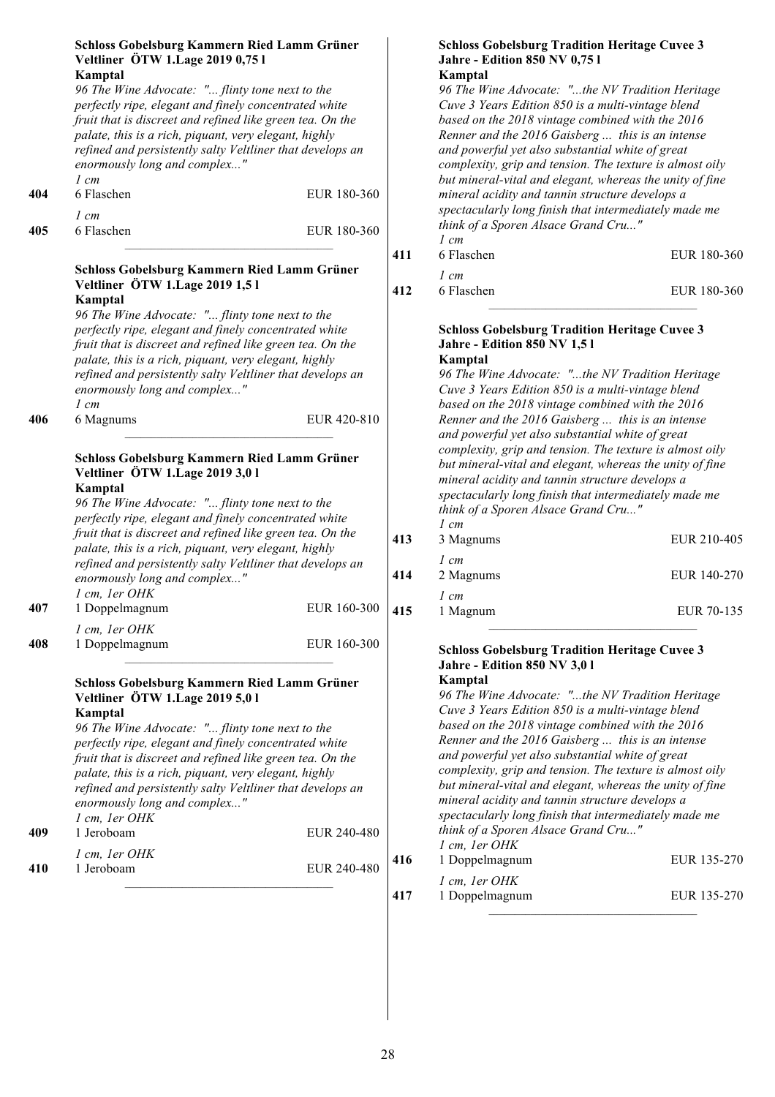| 404 | Schloss Gobelsburg Kammern Ried Lamm Grüner<br>Veltliner ÖTW 1. Lage 2019 0,75 l<br>Kamptal<br>96 The Wine Advocate: " flinty tone next to the<br>perfectly ripe, elegant and finely concentrated white<br>fruit that is discreet and refined like green tea. On the<br>palate, this is a rich, piquant, very elegant, highly<br>refined and persistently salty Veltliner that develops an<br>enormously long and complex"<br>$1 \, cm$<br>6 Flaschen<br>$1 \, cm$ | EUR 180-360 |            | <b>Schloss Gobelsburg Tradition Heritage Cuvee 3</b><br>Jahre - Edition 850 NV 0,751<br>Kamptal<br>96 The Wine Advocate: "the NV Tradition Heritage<br>Cuve 3 Years Edition 850 is a multi-vintage blend<br>based on the 2018 vintage combined with the 2016<br>Renner and the 2016 Gaisberg  this is an intense<br>and powerful yet also substantial white of great<br>complexity, grip and tension. The texture is almost oily<br>but mineral-vital and elegant, whereas the unity of fine<br>mineral acidity and tannin structure develops a<br>spectacularly long finish that intermediately made me |                            |
|-----|--------------------------------------------------------------------------------------------------------------------------------------------------------------------------------------------------------------------------------------------------------------------------------------------------------------------------------------------------------------------------------------------------------------------------------------------------------------------|-------------|------------|----------------------------------------------------------------------------------------------------------------------------------------------------------------------------------------------------------------------------------------------------------------------------------------------------------------------------------------------------------------------------------------------------------------------------------------------------------------------------------------------------------------------------------------------------------------------------------------------------------|----------------------------|
| 405 | 6 Flaschen                                                                                                                                                                                                                                                                                                                                                                                                                                                         | EUR 180-360 |            | think of a Sporen Alsace Grand Cru"<br>$1 \, cm$                                                                                                                                                                                                                                                                                                                                                                                                                                                                                                                                                         |                            |
|     | Schloss Gobelsburg Kammern Ried Lamm Grüner<br>Veltliner ÖTW 1. Lage 2019 1,51<br>Kamptal<br>96 The Wine Advocate: " flinty tone next to the<br>perfectly ripe, elegant and finely concentrated white                                                                                                                                                                                                                                                              |             | 411<br>412 | 6 Flaschen<br>$1 \, cm$<br>6 Flaschen<br><b>Schloss Gobelsburg Tradition Heritage Cuvee 3</b>                                                                                                                                                                                                                                                                                                                                                                                                                                                                                                            | EUR 180-360<br>EUR 180-360 |
|     | fruit that is discreet and refined like green tea. On the<br>palate, this is a rich, piquant, very elegant, highly<br>refined and persistently salty Veltliner that develops an<br>enormously long and complex"<br>$1 \, cm$                                                                                                                                                                                                                                       |             |            | <b>Jahre - Edition 850 NV 1,51</b><br>Kamptal<br>96 The Wine Advocate: "the NV Tradition Heritage<br>Cuve 3 Years Edition 850 is a multi-vintage blend<br>based on the 2018 vintage combined with the 2016                                                                                                                                                                                                                                                                                                                                                                                               |                            |
| 406 | 6 Magnums<br>Schloss Gobelsburg Kammern Ried Lamm Grüner<br>Veltliner ÖTW 1. Lage 2019 3,0 l<br>Kamptal<br>96 The Wine Advocate: " flinty tone next to the<br>perfectly ripe, elegant and finely concentrated white<br>fruit that is discreet and refined like green tea. On the<br>palate, this is a rich, piquant, very elegant, highly<br>refined and persistently salty Veltliner that develops an<br>enormously long and complex"<br>1 cm, 1er OHK            | EUR 420-810 | 413<br>414 | Renner and the 2016 Gaisberg  this is an intense<br>and powerful yet also substantial white of great<br>complexity, grip and tension. The texture is almost oily<br>but mineral-vital and elegant, whereas the unity of fine<br>mineral acidity and tannin structure develops a<br>spectacularly long finish that intermediately made me<br>think of a Sporen Alsace Grand Cru"<br>$1 \, cm$<br>3 Magnums<br>$1 \, cm$<br>2 Magnums                                                                                                                                                                      | EUR 210-405<br>EUR 140-270 |
| 407 | 1 Doppelmagnum                                                                                                                                                                                                                                                                                                                                                                                                                                                     | EUR 160-300 | 415        | $1 \, cm$<br>1 Magnum                                                                                                                                                                                                                                                                                                                                                                                                                                                                                                                                                                                    | EUR 70-135                 |
| 408 | 1 cm, 1er OHK<br>1 Doppelmagnum                                                                                                                                                                                                                                                                                                                                                                                                                                    | EUR 160-300 |            | <b>Schloss Gobelsburg Tradition Heritage Cuvee 3</b>                                                                                                                                                                                                                                                                                                                                                                                                                                                                                                                                                     |                            |
| 409 | Schloss Gobelsburg Kammern Ried Lamm Grüner<br>Veltliner ÖTW 1. Lage 2019 5,0 l<br>Kamptal<br>96 The Wine Advocate: " flinty tone next to the<br>perfectly ripe, elegant and finely concentrated white<br>fruit that is discreet and refined like green tea. On the<br>palate, this is a rich, piquant, very elegant, highly<br>refined and persistently salty Veltliner that develops an<br>enormously long and complex"<br>1 cm, 1er OHK<br>1 Jeroboam           | EUR 240-480 |            | <b>Jahre - Edition 850 NV 3,01</b><br>Kamptal<br>96 The Wine Advocate: "the NV Tradition Heritage<br>Cuve 3 Years Edition 850 is a multi-vintage blend<br>based on the 2018 vintage combined with the 2016<br>Renner and the 2016 Gaisberg  this is an intense<br>and powerful yet also substantial white of great<br>complexity, grip and tension. The texture is almost oily<br>but mineral-vital and elegant, whereas the unity of fine<br>mineral acidity and tannin structure develops a<br>spectacularly long finish that intermediately made me<br>think of a Sporen Alsace Grand Cru"            |                            |
|     | 1 cm, 1er OHK                                                                                                                                                                                                                                                                                                                                                                                                                                                      |             | 416        | 1 cm, 1er OHK<br>1 Doppelmagnum                                                                                                                                                                                                                                                                                                                                                                                                                                                                                                                                                                          | EUR 135-270                |
| 410 | 1 Jeroboam                                                                                                                                                                                                                                                                                                                                                                                                                                                         | EUR 240-480 | 417        | 1 cm, 1er OHK<br>1 Doppelmagnum                                                                                                                                                                                                                                                                                                                                                                                                                                                                                                                                                                          | EUR 135-270                |
|     |                                                                                                                                                                                                                                                                                                                                                                                                                                                                    |             |            |                                                                                                                                                                                                                                                                                                                                                                                                                                                                                                                                                                                                          |                            |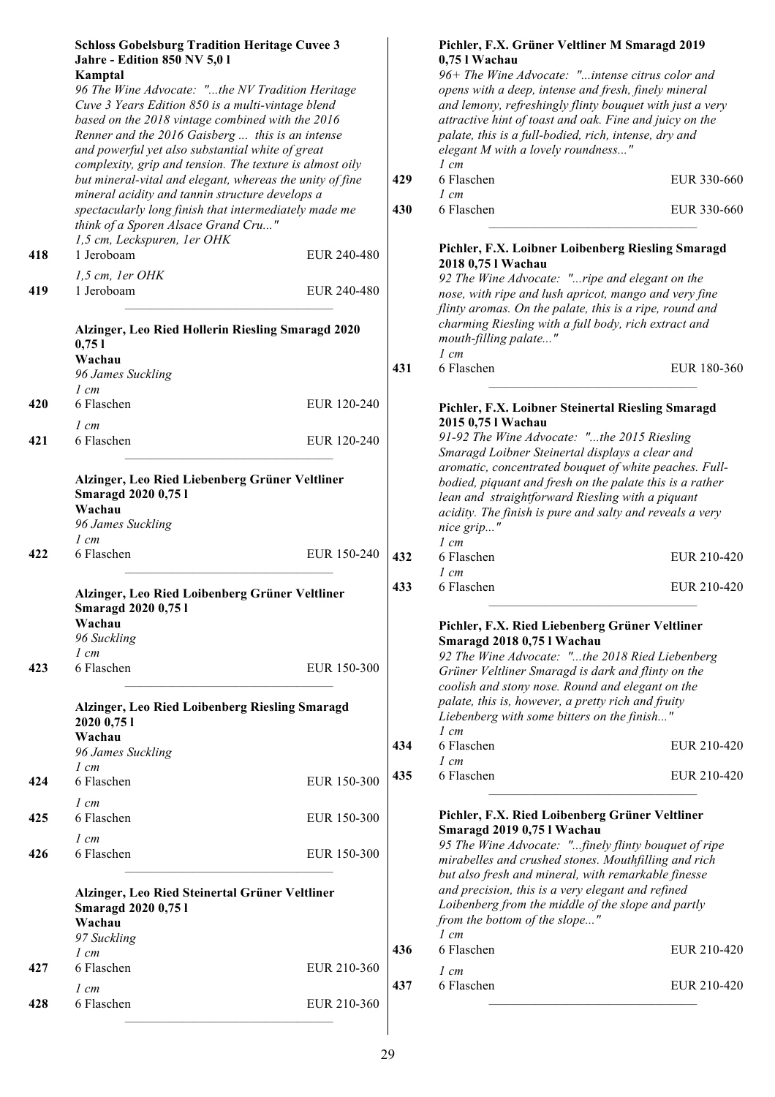|     | <b>Schloss Gobelsburg Tradition Heritage Cuvee 3</b><br><b>Jahre - Edition 850 NV 5,01</b><br>Kamptal<br>96 The Wine Advocate: "the NV Tradition Heritage<br>Cuve 3 Years Edition 850 is a multi-vintage blend<br>based on the 2018 vintage combined with the 2016<br>Renner and the 2016 Gaisberg  this is an intense<br>and powerful yet also substantial white of great<br>complexity, grip and tension. The texture is almost oily |             |            | Pichler, F.X. Grüner Veltliner M Smaragd 2019<br>0,75 l Wachau<br>96+ The Wine Advocate: "intense citrus color and<br>opens with a deep, intense and fresh, finely mineral<br>and lemony, refreshingly flinty bouquet with just a very<br>attractive hint of toast and oak. Fine and juicy on the<br>palate, this is a full-bodied, rich, intense, dry and<br>elegant M with a lovely roundness"<br>$1 \, cm$ |                            |
|-----|----------------------------------------------------------------------------------------------------------------------------------------------------------------------------------------------------------------------------------------------------------------------------------------------------------------------------------------------------------------------------------------------------------------------------------------|-------------|------------|---------------------------------------------------------------------------------------------------------------------------------------------------------------------------------------------------------------------------------------------------------------------------------------------------------------------------------------------------------------------------------------------------------------|----------------------------|
|     | but mineral-vital and elegant, whereas the unity of fine<br>mineral acidity and tannin structure develops a<br>spectacularly long finish that intermediately made me<br>think of a Sporen Alsace Grand Cru"                                                                                                                                                                                                                            |             | 429<br>430 | 6 Flaschen<br>$1 \, cm$<br>6 Flaschen                                                                                                                                                                                                                                                                                                                                                                         | EUR 330-660<br>EUR 330-660 |
|     | 1,5 cm, Leckspuren, 1er OHK<br>1 Jeroboam                                                                                                                                                                                                                                                                                                                                                                                              |             |            | Pichler, F.X. Loibner Loibenberg Riesling Smaragd                                                                                                                                                                                                                                                                                                                                                             |                            |
| 418 | $1, 5$ cm, 1er OHK                                                                                                                                                                                                                                                                                                                                                                                                                     | EUR 240-480 |            | 2018 0,75 l Wachau                                                                                                                                                                                                                                                                                                                                                                                            |                            |
| 419 | 1 Jeroboam                                                                                                                                                                                                                                                                                                                                                                                                                             | EUR 240-480 |            | 92 The Wine Advocate: "ripe and elegant on the<br>nose, with ripe and lush apricot, mango and very fine<br>flinty aromas. On the palate, this is a ripe, round and                                                                                                                                                                                                                                            |                            |
|     | Alzinger, Leo Ried Hollerin Riesling Smaragd 2020<br>0,751<br>Wachau                                                                                                                                                                                                                                                                                                                                                                   |             |            | charming Riesling with a full body, rich extract and<br>mouth-filling palate"<br>$1 \, cm$                                                                                                                                                                                                                                                                                                                    |                            |
|     | 96 James Suckling<br>$1 \, cm$                                                                                                                                                                                                                                                                                                                                                                                                         |             | 431        | 6 Flaschen                                                                                                                                                                                                                                                                                                                                                                                                    | EUR 180-360                |
| 420 | 6 Flaschen<br>$1 \, cm$                                                                                                                                                                                                                                                                                                                                                                                                                | EUR 120-240 |            | Pichler, F.X. Loibner Steinertal Riesling Smaragd<br>2015 0,75 l Wachau                                                                                                                                                                                                                                                                                                                                       |                            |
| 421 | 6 Flaschen                                                                                                                                                                                                                                                                                                                                                                                                                             | EUR 120-240 |            | 91-92 The Wine Advocate: "the 2015 Riesling<br>Smaragd Loibner Steinertal displays a clear and                                                                                                                                                                                                                                                                                                                |                            |
|     | Alzinger, Leo Ried Liebenberg Grüner Veltliner<br><b>Smaragd 2020 0,75 l</b><br>Wachau<br>96 James Suckling                                                                                                                                                                                                                                                                                                                            |             |            | aromatic, concentrated bouquet of white peaches. Full-<br>bodied, piquant and fresh on the palate this is a rather<br>lean and straightforward Riesling with a piquant<br>acidity. The finish is pure and salty and reveals a very<br>nice grip"                                                                                                                                                              |                            |
| 422 | $1 \, cm$<br>6 Flaschen                                                                                                                                                                                                                                                                                                                                                                                                                | EUR 150-240 | 432        | $1 \, cm$<br>6 Flaschen<br>$1 \, cm$                                                                                                                                                                                                                                                                                                                                                                          | EUR 210-420                |
|     | Alzinger, Leo Ried Loibenberg Grüner Veltliner<br><b>Smaragd 2020 0,751</b><br>Wachau                                                                                                                                                                                                                                                                                                                                                  |             | 433        | 6 Flaschen                                                                                                                                                                                                                                                                                                                                                                                                    | EUR 210-420                |
|     | 96 Suckling                                                                                                                                                                                                                                                                                                                                                                                                                            |             |            | Pichler, F.X. Ried Liebenberg Grüner Veltliner<br>Smaragd 2018 0,75 l Wachau                                                                                                                                                                                                                                                                                                                                  |                            |
| 423 | $1 \, cm$<br>6 Flaschen                                                                                                                                                                                                                                                                                                                                                                                                                | EUR 150-300 |            | 92 The Wine Advocate: "the 2018 Ried Liebenberg<br>Grüner Veltliner Smaragd is dark and flinty on the                                                                                                                                                                                                                                                                                                         |                            |
|     | Alzinger, Leo Ried Loibenberg Riesling Smaragd                                                                                                                                                                                                                                                                                                                                                                                         |             |            | coolish and stony nose. Round and elegant on the<br>palate, this is, however, a pretty rich and fruity                                                                                                                                                                                                                                                                                                        |                            |
|     | 2020 0,75 1                                                                                                                                                                                                                                                                                                                                                                                                                            |             |            | Liebenberg with some bitters on the finish"<br>$1 \, cm$                                                                                                                                                                                                                                                                                                                                                      |                            |
|     | Wachau<br>96 James Suckling<br>$1 \, cm$                                                                                                                                                                                                                                                                                                                                                                                               |             | 434        | 6 Flaschen<br>$1 \, cm$                                                                                                                                                                                                                                                                                                                                                                                       | EUR 210-420                |
| 424 | 6 Flaschen<br>$1 \, cm$                                                                                                                                                                                                                                                                                                                                                                                                                | EUR 150-300 | 435        | 6 Flaschen                                                                                                                                                                                                                                                                                                                                                                                                    | EUR 210-420                |
| 425 | 6 Flaschen                                                                                                                                                                                                                                                                                                                                                                                                                             | EUR 150-300 |            | Pichler, F.X. Ried Loibenberg Grüner Veltliner<br>Smaragd 2019 0,75 l Wachau                                                                                                                                                                                                                                                                                                                                  |                            |
| 426 | $1 \, cm$<br>6 Flaschen                                                                                                                                                                                                                                                                                                                                                                                                                | EUR 150-300 |            | 95 The Wine Advocate: "finely flinty bouquet of ripe<br>mirabelles and crushed stones. Mouthfilling and rich<br>but also fresh and mineral, with remarkable finesse                                                                                                                                                                                                                                           |                            |
|     | Alzinger, Leo Ried Steinertal Grüner Veltliner<br><b>Smaragd 2020 0,751</b><br>Wachau<br>97 Suckling                                                                                                                                                                                                                                                                                                                                   |             |            | and precision, this is a very elegant and refined<br>Loibenberg from the middle of the slope and partly<br>from the bottom of the slope"<br>$1 \, cm$                                                                                                                                                                                                                                                         |                            |
|     | $1$ cm                                                                                                                                                                                                                                                                                                                                                                                                                                 |             | 436        | 6 Flaschen                                                                                                                                                                                                                                                                                                                                                                                                    | EUR 210-420                |
| 427 | 6 Flaschen                                                                                                                                                                                                                                                                                                                                                                                                                             | EUR 210-360 | 437        | $1 \, cm$<br>6 Flaschen                                                                                                                                                                                                                                                                                                                                                                                       | EUR 210-420                |
| 428 | $1 \, cm$<br>6 Flaschen                                                                                                                                                                                                                                                                                                                                                                                                                | EUR 210-360 |            |                                                                                                                                                                                                                                                                                                                                                                                                               |                            |
|     |                                                                                                                                                                                                                                                                                                                                                                                                                                        |             |            |                                                                                                                                                                                                                                                                                                                                                                                                               |                            |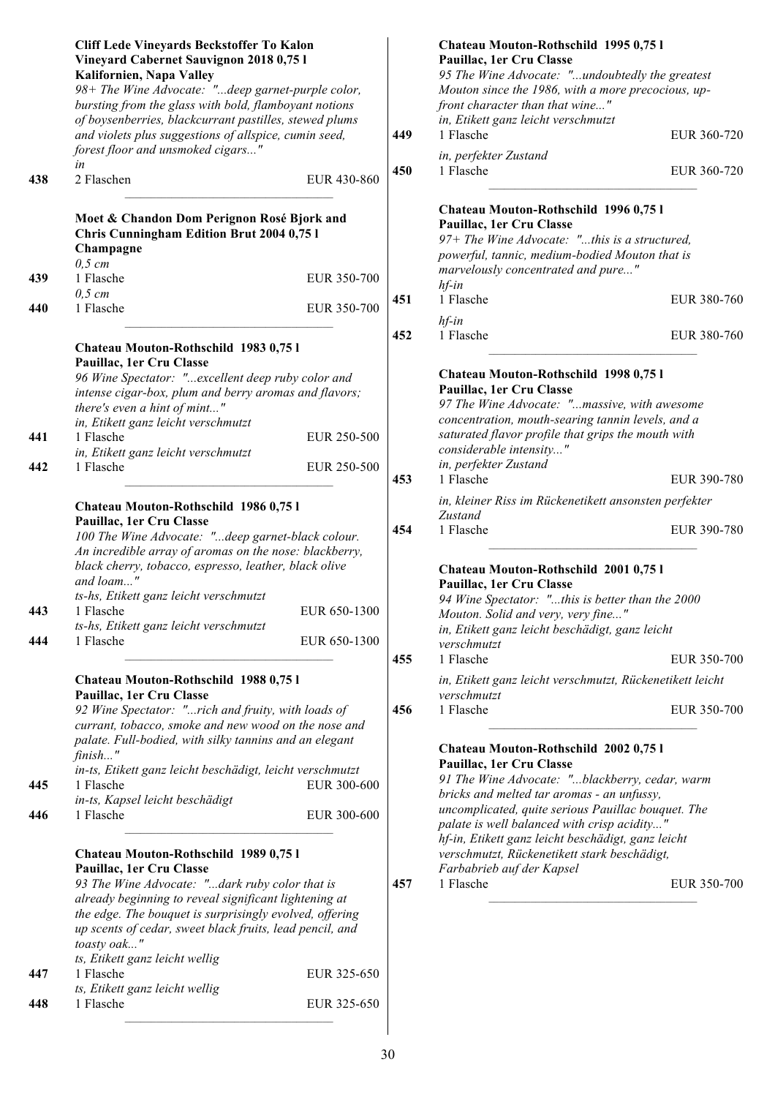|            | Cliff Lede Vineyards Beckstoffer To Kalon<br>Vineyard Cabernet Sauvignon 2018 0,75 l<br>Kalifornien, Napa Valley<br>98+ The Wine Advocate: "deep garnet-purple color,<br>bursting from the glass with bold, flamboyant notions<br>of boysenberries, blackcurrant pastilles, stewed plums<br>and violets plus suggestions of allspice, cumin seed,<br>forest floor and unsmoked cigars"                                                                                                                                                                                                                                                                                                             |                              | 449        | Chateau Mouton-Rothschild 1995 0,75 l<br>Pauillac, 1er Cru Classe<br>95 The Wine Advocate: "undoubtedly the greatest<br>Mouton since the 1986, with a more precocious, up-<br>front character than that wine"<br>in, Etikett ganz leicht verschmutzt<br>1 Flasche                                                                                                                                                                                                                                               | EUR 360-720                |
|------------|----------------------------------------------------------------------------------------------------------------------------------------------------------------------------------------------------------------------------------------------------------------------------------------------------------------------------------------------------------------------------------------------------------------------------------------------------------------------------------------------------------------------------------------------------------------------------------------------------------------------------------------------------------------------------------------------------|------------------------------|------------|-----------------------------------------------------------------------------------------------------------------------------------------------------------------------------------------------------------------------------------------------------------------------------------------------------------------------------------------------------------------------------------------------------------------------------------------------------------------------------------------------------------------|----------------------------|
| 438        | in<br>2 Flaschen                                                                                                                                                                                                                                                                                                                                                                                                                                                                                                                                                                                                                                                                                   | EUR 430-860                  | 450        | in, perfekter Zustand<br>1 Flasche                                                                                                                                                                                                                                                                                                                                                                                                                                                                              | EUR 360-720                |
| 439<br>440 | Moet & Chandon Dom Perignon Rosé Bjork and<br>Chris Cunningham Edition Brut 2004 0,75 l<br>Champagne<br>$0,5$ cm<br>1 Flasche<br>$0,5$ cm<br>1 Flasche                                                                                                                                                                                                                                                                                                                                                                                                                                                                                                                                             | EUR 350-700<br>EUR 350-700   | 451        | Chateau Mouton-Rothschild 1996 0,75 l<br>Pauillac, 1er Cru Classe<br>97+ The Wine Advocate: "this is a structured,<br>powerful, tannic, medium-bodied Mouton that is<br>marvelously concentrated and pure"<br>$hf$ -in<br>1 Flasche<br>$hf$ -in                                                                                                                                                                                                                                                                 | EUR 380-760                |
| 441<br>442 | Chateau Mouton-Rothschild 1983 0,751<br>Pauillac, 1er Cru Classe<br>96 Wine Spectator: "excellent deep ruby color and<br>intense cigar-box, plum and berry aromas and flavors;<br>there's even a hint of mint"<br>in, Etikett ganz leicht verschmutzt<br>1 Flasche<br>in, Etikett ganz leicht verschmutzt<br>1 Flasche                                                                                                                                                                                                                                                                                                                                                                             | EUR 250-500<br>EUR 250-500   | 452<br>453 | 1 Flasche<br>Chateau Mouton-Rothschild 1998 0,75 l<br>Pauillac, 1er Cru Classe<br>97 The Wine Advocate: "massive, with awesome<br>concentration, mouth-searing tannin levels, and a<br>saturated flavor profile that grips the mouth with<br>considerable intensity"<br>in, perfekter Zustand<br>1 Flasche                                                                                                                                                                                                      | EUR 380-760<br>EUR 390-780 |
| 443<br>444 | Chateau Mouton-Rothschild 1986 0,751<br>Pauillac, 1er Cru Classe<br>100 The Wine Advocate: "deep garnet-black colour.<br>An incredible array of aromas on the nose: blackberry,<br>black cherry, tobacco, espresso, leather, black olive<br>and loam"<br>ts-hs, Etikett ganz leicht verschmutzt<br>1 Flasche –<br>ts-hs, Etikett ganz leicht verschmutzt<br>1 Flasche                                                                                                                                                                                                                                                                                                                              | EUR 650-1300<br>EUR 650-1300 | 454<br>455 | in, kleiner Riss im Rückenetikett ansonsten perfekter<br>Zustand<br>1 Flasche<br>Chateau Mouton-Rothschild 2001 0,75 l<br>Pauillac, 1er Cru Classe<br>94 Wine Spectator: "this is better than the 2000<br>Mouton. Solid and very, very fine"<br>in, Etikett ganz leicht beschädigt, ganz leicht<br>verschmutzt<br>1 Flasche                                                                                                                                                                                     | EUR 390-780<br>EUR 350-700 |
| 445<br>446 | Chateau Mouton-Rothschild 1988 0,751<br>Pauillac, 1er Cru Classe<br>92 Wine Spectator: "rich and fruity, with loads of<br>currant, tobacco, smoke and new wood on the nose and<br>palate. Full-bodied, with silky tannins and an elegant<br>finish"<br>in-ts, Etikett ganz leicht beschädigt, leicht verschmutzt<br>1 Flasche<br>in-ts, Kapsel leicht beschädigt<br>1 Flasche<br>Chateau Mouton-Rothschild 1989 0,751<br>Pauillac, 1er Cru Classe<br>93 The Wine Advocate: "dark ruby color that is<br>already beginning to reveal significant lightening at<br>the edge. The bouquet is surprisingly evolved, offering<br>up scents of cedar, sweet black fruits, lead pencil, and<br>toasty oak" | EUR 300-600<br>EUR 300-600   | 456<br>457 | in, Etikett ganz leicht verschmutzt, Rückenetikett leicht<br>verschmutzt<br>1 Flasche<br>Chateau Mouton-Rothschild 2002 0,75 l<br>Pauillac, 1er Cru Classe<br>91 The Wine Advocate: "blackberry, cedar, warm<br>bricks and melted tar aromas - an unfussy,<br>uncomplicated, quite serious Pauillac bouquet. The<br>palate is well balanced with crisp acidity"<br>hf-in, Etikett ganz leicht beschädigt, ganz leicht<br>verschmutzt, Rückenetikett stark beschädigt,<br>Farbabrieb auf der Kapsel<br>1 Flasche | EUR 350-700<br>EUR 350-700 |
| 447<br>448 | ts, Etikett ganz leicht wellig<br>1 Flasche<br>ts, Etikett ganz leicht wellig<br>1 Flasche                                                                                                                                                                                                                                                                                                                                                                                                                                                                                                                                                                                                         | EUR 325-650<br>EUR 325-650   |            |                                                                                                                                                                                                                                                                                                                                                                                                                                                                                                                 |                            |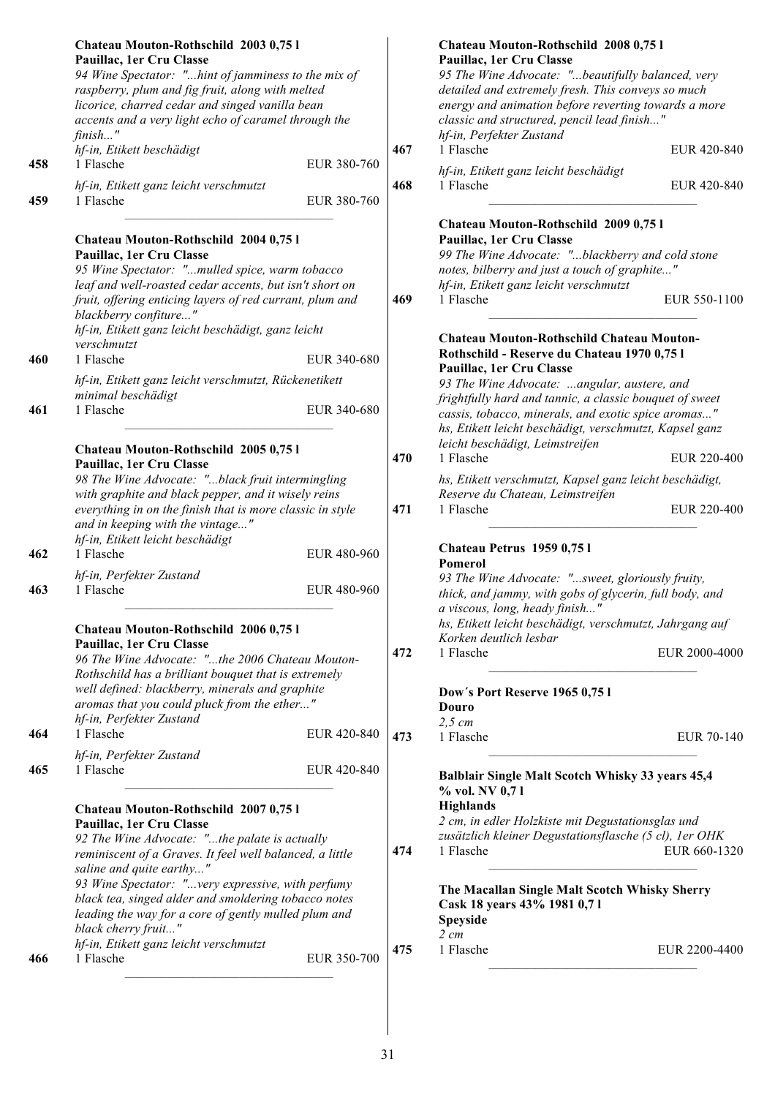|     | Chateau Mouton-Rothschild 2003 0,751<br>Pauillac, 1er Cru Classe<br>94 Wine Spectator: "hint of jamminess to the mix of<br>raspberry, plum and fig fruit, along with melted<br>licorice, charred cedar and singed vanilla bean<br>accents and a very light echo of caramel through the<br>finish"                                                                                                      |             |     | Chateau Mouton-Rothschild 2008 0,751<br>Pauillac, 1er Cru Classe<br>95 The Wine Advocate: "beautifully balanced, very<br>detailed and extremely fresh. This conveys so much<br>energy and animation before reverting towards a more<br>classic and structured, pencil lead finish"<br>hf-in, Perfekter Zustand |               |
|-----|--------------------------------------------------------------------------------------------------------------------------------------------------------------------------------------------------------------------------------------------------------------------------------------------------------------------------------------------------------------------------------------------------------|-------------|-----|----------------------------------------------------------------------------------------------------------------------------------------------------------------------------------------------------------------------------------------------------------------------------------------------------------------|---------------|
| 458 | hf-in, Etikett beschädigt<br>1 Flasche                                                                                                                                                                                                                                                                                                                                                                 | EUR 380-760 | 467 | 1 Flasche                                                                                                                                                                                                                                                                                                      | EUR 420-840   |
| 459 | hf-in, Etikett ganz leicht verschmutzt<br>1 Flasche                                                                                                                                                                                                                                                                                                                                                    | EUR 380-760 | 468 | hf-in, Etikett ganz leicht beschädigt<br>1 Flasche                                                                                                                                                                                                                                                             | EUR 420-840   |
|     | Chateau Mouton-Rothschild 2004 0,75 l<br>Pauillac, 1er Cru Classe<br>95 Wine Spectator: "mulled spice, warm tobacco<br>leaf and well-roasted cedar accents, but isn't short on<br>fruit, offering enticing layers of red currant, plum and<br>blackberry confiture"<br>hf-in, Etikett ganz leicht beschädigt, ganz leicht                                                                              |             | 469 | Chateau Mouton-Rothschild 2009 0,75 l<br>Pauillac, 1er Cru Classe<br>99 The Wine Advocate: "blackberry and cold stone<br>notes, bilberry and just a touch of graphite"<br>hf-in, Etikett ganz leicht verschmutzt<br>1 Flasche                                                                                  | EUR 550-1100  |
| 460 | verschmutzt<br>1 Flasche                                                                                                                                                                                                                                                                                                                                                                               | EUR 340-680 |     | Chateau Mouton-Rothschild Chateau Mouton-<br>Rothschild - Reserve du Chateau 1970 0,75 l                                                                                                                                                                                                                       |               |
|     | hf-in, Etikett ganz leicht verschmutzt, Rückenetikett                                                                                                                                                                                                                                                                                                                                                  |             |     | Pauillac, 1er Cru Classe<br>93 The Wine Advocate: angular, austere, and                                                                                                                                                                                                                                        |               |
| 461 | minimal beschädigt<br>1 Flasche                                                                                                                                                                                                                                                                                                                                                                        | EUR 340-680 |     | frightfully hard and tannic, a classic bouquet of sweet<br>cassis, tobacco, minerals, and exotic spice aromas"<br>hs, Etikett leicht beschädigt, verschmutzt, Kapsel ganz                                                                                                                                      |               |
|     | Chateau Mouton-Rothschild 2005 0,75 l                                                                                                                                                                                                                                                                                                                                                                  |             | 470 | leicht beschädigt, Leimstreifen<br>1 Flasche                                                                                                                                                                                                                                                                   | EUR 220-400   |
| 462 | Pauillac, 1er Cru Classe<br>98 The Wine Advocate: "black fruit intermingling<br>with graphite and black pepper, and it wisely reins<br>everything in on the finish that is more classic in style<br>and in keeping with the vintage"<br>hf-in, Etikett leicht beschädigt<br>1 Flasche                                                                                                                  | EUR 480-960 | 471 | hs, Etikett verschmutzt, Kapsel ganz leicht beschädigt,<br>Reserve du Chateau, Leimstreifen<br>1 Flasche<br>Chateau Petrus 1959 0,751                                                                                                                                                                          | EUR 220-400   |
| 463 | hf-in, Perfekter Zustand<br>1 Flasche                                                                                                                                                                                                                                                                                                                                                                  | EUR 480-960 |     | Pomerol<br>93 The Wine Advocate: "sweet, gloriously fruity,<br>thick, and jammy, with gobs of glycerin, full body, and<br>a viscous, long, heady finish"                                                                                                                                                       |               |
|     | Chateau Mouton-Rothschild 2006 0,751                                                                                                                                                                                                                                                                                                                                                                   |             |     | hs, Etikett leicht beschädigt, verschmutzt, Jahrgang auf<br>Korken deutlich lesbar                                                                                                                                                                                                                             |               |
|     | Pauillac, 1er Cru Classe<br>96 The Wine Advocate: "the 2006 Chateau Mouton-<br>Rothschild has a brilliant bouquet that is extremely<br>well defined: blackberry, minerals and graphite                                                                                                                                                                                                                 |             | 472 | 1 Flasche                                                                                                                                                                                                                                                                                                      | EUR 2000-4000 |
|     | aromas that you could pluck from the ether"<br>hf-in, Perfekter Zustand                                                                                                                                                                                                                                                                                                                                |             |     | Dow's Port Reserve 1965 0,75 l<br>Douro                                                                                                                                                                                                                                                                        |               |
| 464 | 1 Flasche                                                                                                                                                                                                                                                                                                                                                                                              | EUR 420-840 | 473 | $2,5$ cm<br>1 Flasche                                                                                                                                                                                                                                                                                          | EUR 70-140    |
| 465 | hf-in, Perfekter Zustand<br>1 Flasche                                                                                                                                                                                                                                                                                                                                                                  | EUR 420-840 |     | Balblair Single Malt Scotch Whisky 33 years 45,4                                                                                                                                                                                                                                                               |               |
|     | Chateau Mouton-Rothschild 2007 0,75 l<br>Pauillac, 1er Cru Classe<br>92 The Wine Advocate: "the palate is actually<br>reminiscent of a Graves. It feel well balanced, a little<br>saline and quite earthy"<br>93 Wine Spectator: "very expressive, with perfumy<br>black tea, singed alder and smoldering tobacco notes<br>leading the way for a core of gently mulled plum and<br>black cherry fruit" |             | 474 | % vol. NV 0,71<br><b>Highlands</b><br>2 cm, in edler Holzkiste mit Degustationsglas und<br>zusätzlich kleiner Degustationsflasche (5 cl), 1er OHK<br>1 Flasche<br>The Macallan Single Malt Scotch Whisky Sherry<br>Cask 18 years 43% 1981 0,71<br><b>Speyside</b><br>$2 \, cm$                                 | EUR 660-1320  |
| 466 | hf-in, Etikett ganz leicht verschmutzt<br>1 Flasche                                                                                                                                                                                                                                                                                                                                                    | EUR 350-700 | 475 | 1 Flasche                                                                                                                                                                                                                                                                                                      | EUR 2200-4400 |
|     |                                                                                                                                                                                                                                                                                                                                                                                                        |             |     |                                                                                                                                                                                                                                                                                                                |               |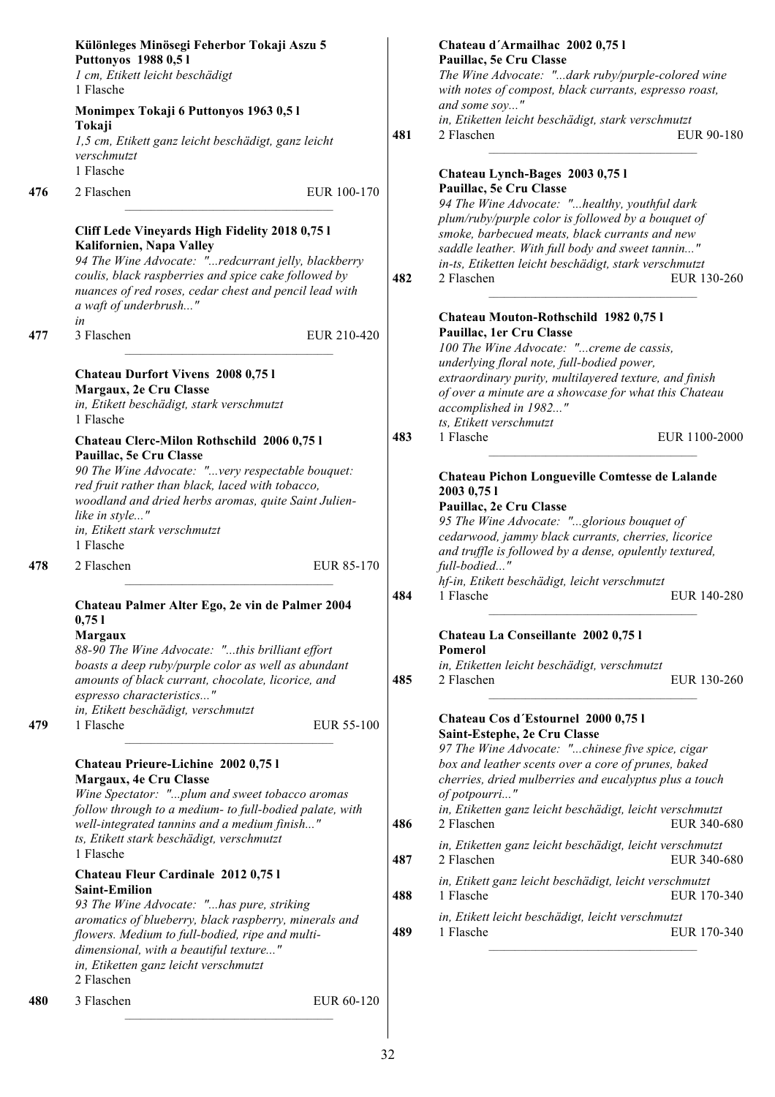|            | Különleges Minösegi Feherbor Tokaji Aszu 5<br>Puttonyos 1988 0,51<br>1 cm, Etikett leicht beschädigt<br>1 Flasche<br>Monimpex Tokaji 6 Puttonyos 1963 0,51<br>Tokaji<br>1,5 cm, Etikett ganz leicht beschädigt, ganz leicht<br>verschmutzt                                                                                                                                                                                                                                                                                                                                                                                                                                                    | 481                      | Chateau d'Armailhac 2002 0,751<br>Pauillac, 5e Cru Classe<br>The Wine Advocate: "dark ruby/purple-colored wine<br>with notes of compost, black currants, espresso roast,<br>and some soy"<br>in, Etiketten leicht beschädigt, stark verschmutzt<br>2 Flaschen<br>EUR 90-180                                                                                                                                                                                                                                                                                                                                                                                                                                                                                                                  |
|------------|-----------------------------------------------------------------------------------------------------------------------------------------------------------------------------------------------------------------------------------------------------------------------------------------------------------------------------------------------------------------------------------------------------------------------------------------------------------------------------------------------------------------------------------------------------------------------------------------------------------------------------------------------------------------------------------------------|--------------------------|----------------------------------------------------------------------------------------------------------------------------------------------------------------------------------------------------------------------------------------------------------------------------------------------------------------------------------------------------------------------------------------------------------------------------------------------------------------------------------------------------------------------------------------------------------------------------------------------------------------------------------------------------------------------------------------------------------------------------------------------------------------------------------------------|
| 476<br>477 | 1 Flasche<br>2 Flaschen<br>EUR 100-170<br>Cliff Lede Vineyards High Fidelity 2018 0,75 l<br>Kalifornien, Napa Valley<br>94 The Wine Advocate: "redcurrant jelly, blackberry<br>coulis, black raspberries and spice cake followed by<br>nuances of red roses, cedar chest and pencil lead with<br>a waft of underbrush"<br>in<br>3 Flaschen<br>EUR 210-420                                                                                                                                                                                                                                                                                                                                     | 482                      | Chateau Lynch-Bages 2003 0,75 l<br>Pauillac, 5e Cru Classe<br>94 The Wine Advocate: "healthy, youthful dark<br>plum/ruby/purple color is followed by a bouquet of<br>smoke, barbecued meats, black currants and new<br>saddle leather. With full body and sweet tannin"<br>in-ts, Etiketten leicht beschädigt, stark verschmutzt<br>2 Flaschen<br>EUR 130-260<br>Chateau Mouton-Rothschild 1982 0,75 l<br>Pauillac, 1er Cru Classe<br>100 The Wine Advocate: "creme de cassis,<br>underlying floral note, full-bodied power,                                                                                                                                                                                                                                                                 |
|            | Chateau Durfort Vivens 2008 0,75 l<br>Margaux, 2e Cru Classe<br>in, Etikett beschädigt, stark verschmutzt<br>1 Flasche<br>Chateau Clerc-Milon Rothschild 2006 0,75 l<br>Pauillac, 5e Cru Classe<br>90 The Wine Advocate: "very respectable bouquet:<br>red fruit rather than black, laced with tobacco,<br>woodland and dried herbs aromas, quite Saint Julien-<br>like in style"<br>in, Etikett stark verschmutzt<br>1 Flasche                                                                                                                                                                                                                                                               | 483                      | extraordinary purity, multilayered texture, and finish<br>of over a minute are a showcase for what this Chateau<br>accomplished in 1982"<br>ts, Etikett verschmutzt<br>1 Flasche<br>EUR 1100-2000<br>Chateau Pichon Longueville Comtesse de Lalande<br>2003 0,75 1<br>Pauillac, 2e Cru Classe<br>95 The Wine Advocate: "glorious bouquet of<br>cedarwood, jammy black currants, cherries, licorice                                                                                                                                                                                                                                                                                                                                                                                           |
| 478<br>479 | EUR 85-170<br>2 Flaschen<br>Chateau Palmer Alter Ego, 2e vin de Palmer 2004<br>0,751<br>Margaux<br>88-90 The Wine Advocate: "this brilliant effort<br>boasts a deep ruby/purple color as well as abundant<br>amounts of black currant, chocolate, licorice, and<br>espresso characteristics"<br>in, Etikett beschädigt, verschmutzt<br>1 Flasche<br>EUR 55-100<br>Chateau Prieure-Lichine 2002 0,75 l<br>Margaux, 4e Cru Classe<br>Wine Spectator: "plum and sweet tobacco aromas<br>follow through to a medium- to full-bodied palate, with<br>well-integrated tannins and a medium finish"<br>ts, Etikett stark beschädigt, verschmutzt<br>1 Flasche<br>Chateau Fleur Cardinale 2012 0,75 l | 484<br>485<br>486<br>487 | and truffle is followed by a dense, opulently textured,<br>full-bodied"<br>hf-in, Etikett beschädigt, leicht verschmutzt<br>1 Flasche<br>EUR 140-280<br>Chateau La Conseillante 2002 0,75 l<br>Pomerol<br>in, Etiketten leicht beschädigt, verschmutzt<br>2 Flaschen<br>EUR 130-260<br>Chateau Cos d'Estournel 2000 0,75 l<br>Saint-Estephe, 2e Cru Classe<br>97 The Wine Advocate: "chinese five spice, cigar<br>box and leather scents over a core of prunes, baked<br>cherries, dried mulberries and eucalyptus plus a touch<br>of potpourri"<br>in, Etiketten ganz leicht beschädigt, leicht verschmutzt<br>2 Flaschen<br>EUR 340-680<br>in, Etiketten ganz leicht beschädigt, leicht verschmutzt<br>2 Flaschen<br>EUR 340-680<br>in, Etikett ganz leicht beschädigt, leicht verschmutzt |
| 480        | <b>Saint-Emilion</b><br>93 The Wine Advocate: "has pure, striking<br>aromatics of blueberry, black raspberry, minerals and<br>flowers. Medium to full-bodied, ripe and multi-<br>dimensional, with a beautiful texture"<br>in, Etiketten ganz leicht verschmutzt<br>2 Flaschen<br>3 Flaschen<br>EUR 60-120                                                                                                                                                                                                                                                                                                                                                                                    | 488<br>489               | 1 Flasche<br>EUR 170-340<br>in, Etikett leicht beschädigt, leicht verschmutzt<br>1 Flasche<br>EUR 170-340                                                                                                                                                                                                                                                                                                                                                                                                                                                                                                                                                                                                                                                                                    |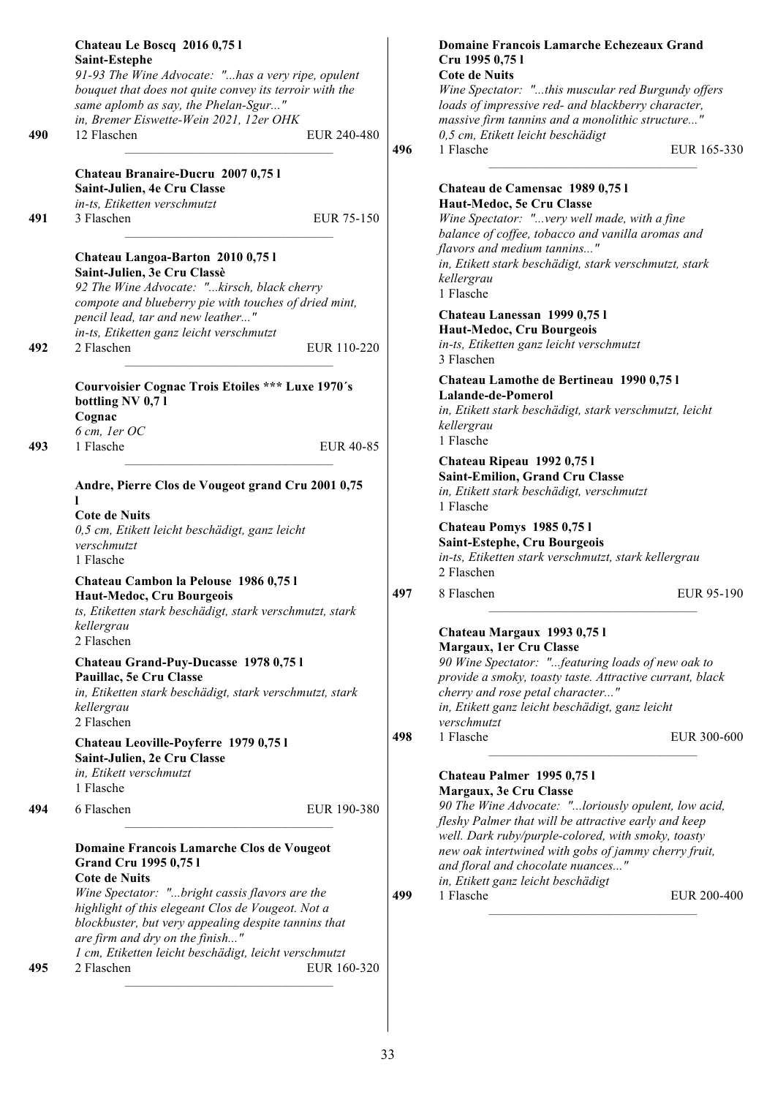|     | Chateau Le Boscq 2016 0,75 l<br>Saint-Estephe<br>91-93 The Wine Advocate: "has a very ripe, opulent<br>bouquet that does not quite convey its terroir with the<br>same aplomb as say, the Phelan-Sgur"<br>in, Bremer Eiswette-Wein 2021, 12er OHK |                  |     | Domaine Francois Lamarche Echezeaux Grand<br>Cru 1995 0,75 l<br><b>Cote de Nuits</b><br>Wine Spectator: "this muscular red Burgundy offers<br>loads of impressive red- and blackberry character,<br>massive firm tannins and a monolithic structure" |
|-----|---------------------------------------------------------------------------------------------------------------------------------------------------------------------------------------------------------------------------------------------------|------------------|-----|------------------------------------------------------------------------------------------------------------------------------------------------------------------------------------------------------------------------------------------------------|
| 490 | 12 Flaschen                                                                                                                                                                                                                                       | EUR 240-480      | 496 | 0,5 cm, Etikett leicht beschädigt<br>1 Flasche<br>EUR 165-330                                                                                                                                                                                        |
| 491 | Chateau Branaire-Ducru 2007 0,75 l<br>Saint-Julien, 4e Cru Classe<br>in-ts, Etiketten verschmutzt<br>3 Flaschen                                                                                                                                   | EUR 75-150       |     | Chateau de Camensac 1989 0,751<br>Haut-Medoc, 5e Cru Classe<br>Wine Spectator: "very well made, with a fine<br>balance of coffee, tobacco and vanilla aromas and                                                                                     |
|     | Chateau Langoa-Barton 2010 0,751<br>Saint-Julien, 3e Cru Classè<br>92 The Wine Advocate: "kirsch, black cherry<br>compote and blueberry pie with touches of dried mint,                                                                           |                  |     | flavors and medium tannins"<br>in, Etikett stark beschädigt, stark verschmutzt, stark<br>kellergrau<br>1 Flasche                                                                                                                                     |
| 492 | pencil lead, tar and new leather"<br>in-ts, Etiketten ganz leicht verschmutzt<br>2 Flaschen                                                                                                                                                       | EUR 110-220      |     | Chateau Lanessan 1999 0,751<br>Haut-Medoc, Cru Bourgeois<br>in-ts, Etiketten ganz leicht verschmutzt<br>3 Flaschen                                                                                                                                   |
| 493 | <b>Courvoisier Cognac Trois Etoiles *** Luxe 1970's</b><br>bottling NV 0,71<br>Cognac<br>6 cm, ler OC<br>1 Flasche                                                                                                                                | <b>EUR 40-85</b> |     | Chateau Lamothe de Bertineau 1990 0,75 l<br>Lalande-de-Pomerol<br>in, Etikett stark beschädigt, stark verschmutzt, leicht<br>kellergrau<br>1 Flasche                                                                                                 |
|     | Andre, Pierre Clos de Vougeot grand Cru 2001 0,75                                                                                                                                                                                                 |                  |     | Chateau Ripeau 1992 0,75 l<br>Saint-Emilion, Grand Cru Classe<br>in, Etikett stark beschädigt, verschmutzt<br>1 Flasche                                                                                                                              |
|     | <b>Cote de Nuits</b><br>0,5 cm, Etikett leicht beschädigt, ganz leicht<br>verschmutzt<br>1 Flasche                                                                                                                                                |                  |     | Chateau Pomys 1985 0,751<br>Saint-Estephe, Cru Bourgeois<br>in-ts, Etiketten stark verschmutzt, stark kellergrau                                                                                                                                     |
|     | Chateau Cambon la Pelouse 1986 0,751<br>Haut-Medoc, Cru Bourgeois<br>ts, Etiketten stark beschädigt, stark verschmutzt, stark<br>kellergrau<br>2 Flaschen                                                                                         |                  | 497 | 2 Flaschen<br>8 Flaschen<br>EUR 95-190<br>Chateau Margaux 1993 0,751                                                                                                                                                                                 |
|     | Chateau Grand-Puy-Ducasse 1978 0,75 l<br>Pauillac, 5e Cru Classe<br>in, Etiketten stark beschädigt, stark verschmutzt, stark<br>kellergrau<br>2 Flaschen                                                                                          |                  |     | Margaux, 1er Cru Classe<br>90 Wine Spectator: "featuring loads of new oak to<br>provide a smoky, toasty taste. Attractive currant, black<br>cherry and rose petal character"<br>in, Etikett ganz leicht beschädigt, ganz leicht<br>verschmutzt       |
|     | Chateau Leoville-Poyferre 1979 0,75 l<br>Saint-Julien, 2e Cru Classe<br>in, Etikett verschmutzt<br>1 Flasche                                                                                                                                      |                  | 498 | 1 Flasche<br>EUR 300-600<br>Chateau Palmer 1995 0,751<br>Margaux, 3e Cru Classe                                                                                                                                                                      |
| 494 | 6 Flaschen                                                                                                                                                                                                                                        | EUR 190-380      |     | 90 The Wine Advocate: "loriously opulent, low acid,<br>fleshy Palmer that will be attractive early and keep<br>well. Dark ruby/purple-colored, with smoky, toasty                                                                                    |
|     | Domaine Francois Lamarche Clos de Vougeot<br><b>Grand Cru 1995 0,75 l</b><br><b>Cote de Nuits</b>                                                                                                                                                 |                  |     | new oak intertwined with gobs of jammy cherry fruit,<br>and floral and chocolate nuances"<br>in, Etikett ganz leicht beschädigt                                                                                                                      |
|     | Wine Spectator: "bright cassis flavors are the<br>highlight of this elegeant Clos de Vougeot. Not a<br>blockbuster, but very appealing despite tannins that<br>are firm and dry on the finish"                                                    |                  | 499 | 1 Flasche<br>EUR 200-400                                                                                                                                                                                                                             |
| 495 | 1 cm, Etiketten leicht beschädigt, leicht verschmutzt<br>2 Flaschen                                                                                                                                                                               | EUR 160-320      |     |                                                                                                                                                                                                                                                      |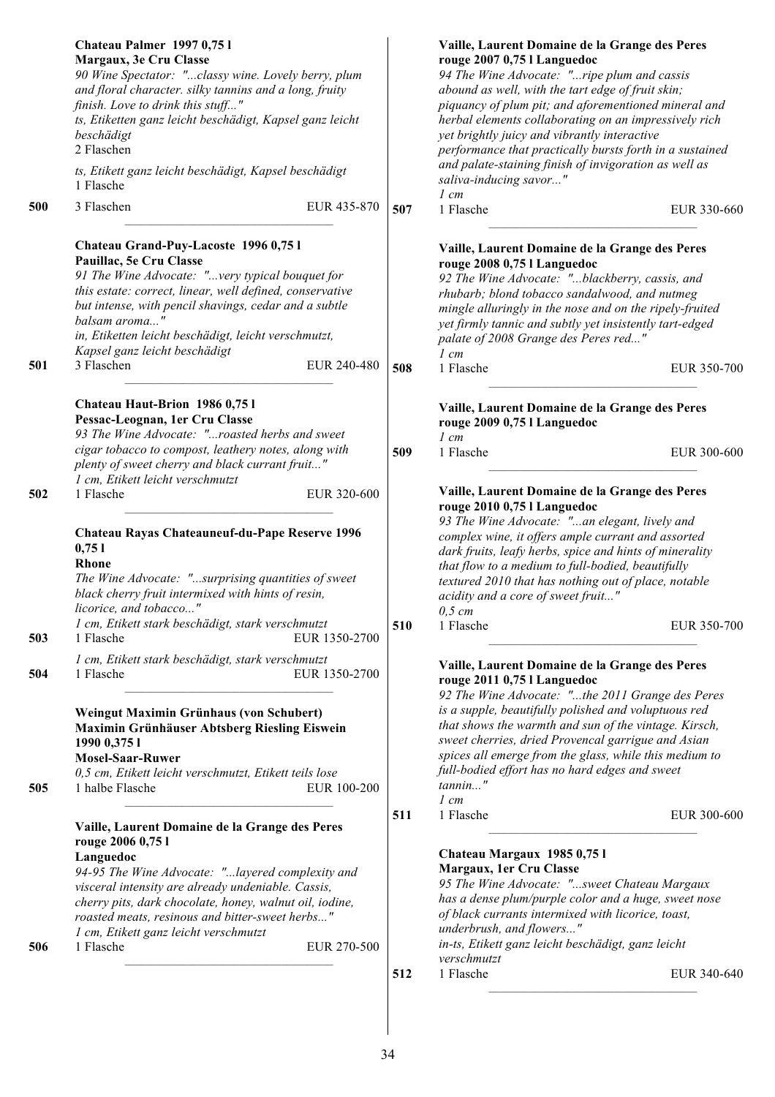|     | Chateau Palmer 1997 0,751<br>Margaux, 3e Cru Classe<br>90 Wine Spectator: "classy wine. Lovely berry, plum<br>and floral character. silky tannins and a long, fruity<br>finish. Love to drink this stuff"<br>ts, Etiketten ganz leicht beschädigt, Kapsel ganz leicht<br>beschädigt<br>2 Flaschen                                                  |     | Vaille, Laurent Domaine de la Grange des Peres<br>rouge 2007 0,75 l Languedoc<br>94 The Wine Advocate: "ripe plum and cassis<br>abound as well, with the tart edge of fruit skin;<br>piquancy of plum pit; and aforementioned mineral and<br>herbal elements collaborating on an impressively rich<br>yet brightly juicy and vibrantly interactive<br>performance that practically bursts forth in a sustained |
|-----|----------------------------------------------------------------------------------------------------------------------------------------------------------------------------------------------------------------------------------------------------------------------------------------------------------------------------------------------------|-----|----------------------------------------------------------------------------------------------------------------------------------------------------------------------------------------------------------------------------------------------------------------------------------------------------------------------------------------------------------------------------------------------------------------|
|     | ts, Etikett ganz leicht beschädigt, Kapsel beschädigt<br>1 Flasche                                                                                                                                                                                                                                                                                 |     | and palate-staining finish of invigoration as well as<br>saliva-inducing savor"<br>$1 \, cm$                                                                                                                                                                                                                                                                                                                   |
| 500 | 3 Flaschen<br>EUR 435-870                                                                                                                                                                                                                                                                                                                          | 507 | 1 Flasche<br>EUR 330-660                                                                                                                                                                                                                                                                                                                                                                                       |
|     | Chateau Grand-Puy-Lacoste 1996 0,75 l<br>Pauillac, 5e Cru Classe<br>91 The Wine Advocate: "very typical bouquet for<br>this estate: correct, linear, well defined, conservative<br>but intense, with pencil shavings, cedar and a subtle<br>balsam aroma"<br>in, Etiketten leicht beschädigt, leicht verschmutzt,<br>Kapsel ganz leicht beschädigt |     | Vaille, Laurent Domaine de la Grange des Peres<br>rouge 2008 0,75 l Languedoc<br>92 The Wine Advocate: "blackberry, cassis, and<br>rhubarb; blond tobacco sandalwood, and nutmeg<br>mingle alluringly in the nose and on the ripely-fruited<br>yet firmly tannic and subtly yet insistently tart-edged<br>palate of 2008 Grange des Peres red"<br>$1 \, cm$                                                    |
| 501 | 3 Flaschen<br>EUR 240-480                                                                                                                                                                                                                                                                                                                          | 508 | 1 Flasche<br>EUR 350-700                                                                                                                                                                                                                                                                                                                                                                                       |
|     | Chateau Haut-Brion 1986 0,751<br>Pessac-Leognan, 1er Cru Classe<br>93 The Wine Advocate: "roasted herbs and sweet                                                                                                                                                                                                                                  |     | Vaille, Laurent Domaine de la Grange des Peres<br>rouge 2009 0,75 l Languedoc<br>$1$ cm                                                                                                                                                                                                                                                                                                                        |
|     | cigar tobacco to compost, leathery notes, along with<br>plenty of sweet cherry and black currant fruit"<br>1 cm, Etikett leicht verschmutzt                                                                                                                                                                                                        | 509 | 1 Flasche<br>EUR 300-600                                                                                                                                                                                                                                                                                                                                                                                       |
| 502 | 1 Flasche<br>EUR 320-600                                                                                                                                                                                                                                                                                                                           |     | Vaille, Laurent Domaine de la Grange des Peres<br>rouge 2010 0,75 l Languedoc<br>93 The Wine Advocate: "an elegant, lively and                                                                                                                                                                                                                                                                                 |
|     | Chateau Rayas Chateauneuf-du-Pape Reserve 1996<br>0,751<br><b>Rhone</b><br>The Wine Advocate: "surprising quantities of sweet<br>black cherry fruit intermixed with hints of resin,<br>licorice, and tobacco"                                                                                                                                      |     | complex wine, it offers ample currant and assorted<br>dark fruits, leafy herbs, spice and hints of minerality<br>that flow to a medium to full-bodied, beautifully<br>textured 2010 that has nothing out of place, notable<br>acidity and a core of sweet fruit"<br>$0,5$ cm                                                                                                                                   |
| 503 | 1 cm, Etikett stark beschädigt, stark verschmutzt<br>EUR 1350-2700<br>1 Flasche                                                                                                                                                                                                                                                                    | 510 | 1 Flasche<br>EUR 350-700                                                                                                                                                                                                                                                                                                                                                                                       |
| 504 | 1 cm, Etikett stark beschädigt, stark verschmutzt<br>EUR 1350-2700<br>1 Flasche                                                                                                                                                                                                                                                                    |     | Vaille, Laurent Domaine de la Grange des Peres<br>rouge 2011 0,75 l Languedoc<br>92 The Wine Advocate: "the 2011 Grange des Peres                                                                                                                                                                                                                                                                              |
| 505 | Weingut Maximin Grünhaus (von Schubert)<br>Maximin Grünhäuser Abtsberg Riesling Eiswein<br>1990 0,375 1<br><b>Mosel-Saar-Ruwer</b><br>0,5 cm, Etikett leicht verschmutzt, Etikett teils lose<br>1 halbe Flasche<br>EUR 100-200                                                                                                                     |     | is a supple, beautifully polished and voluptuous red<br>that shows the warmth and sun of the vintage. Kirsch,<br>sweet cherries, dried Provencal garrigue and Asian<br>spices all emerge from the glass, while this medium to<br>full-bodied effort has no hard edges and sweet<br>$tannin$ "                                                                                                                  |
|     | Vaille, Laurent Domaine de la Grange des Peres                                                                                                                                                                                                                                                                                                     | 511 | $1 \, cm$<br>1 Flasche<br>EUR 300-600                                                                                                                                                                                                                                                                                                                                                                          |
|     | rouge 2006 0,75 l<br>Languedoc<br>94-95 The Wine Advocate: "layered complexity and<br>visceral intensity are already undeniable. Cassis,<br>cherry pits, dark chocolate, honey, walnut oil, iodine,<br>roasted meats, resinous and bitter-sweet herbs"<br>1 cm, Etikett ganz leicht verschmutzt                                                    |     | Chateau Margaux 1985 0,751<br>Margaux, 1er Cru Classe<br>95 The Wine Advocate: "sweet Chateau Margaux<br>has a dense plum/purple color and a huge, sweet nose<br>of black currants intermixed with licorice, toast,<br>underbrush, and flowers"                                                                                                                                                                |
| 506 | EUR 270-500<br>1 Flasche                                                                                                                                                                                                                                                                                                                           |     | in-ts, Etikett ganz leicht beschädigt, ganz leicht<br>verschmutzt                                                                                                                                                                                                                                                                                                                                              |
|     |                                                                                                                                                                                                                                                                                                                                                    | 512 | 1 Flasche<br>EUR 340-640                                                                                                                                                                                                                                                                                                                                                                                       |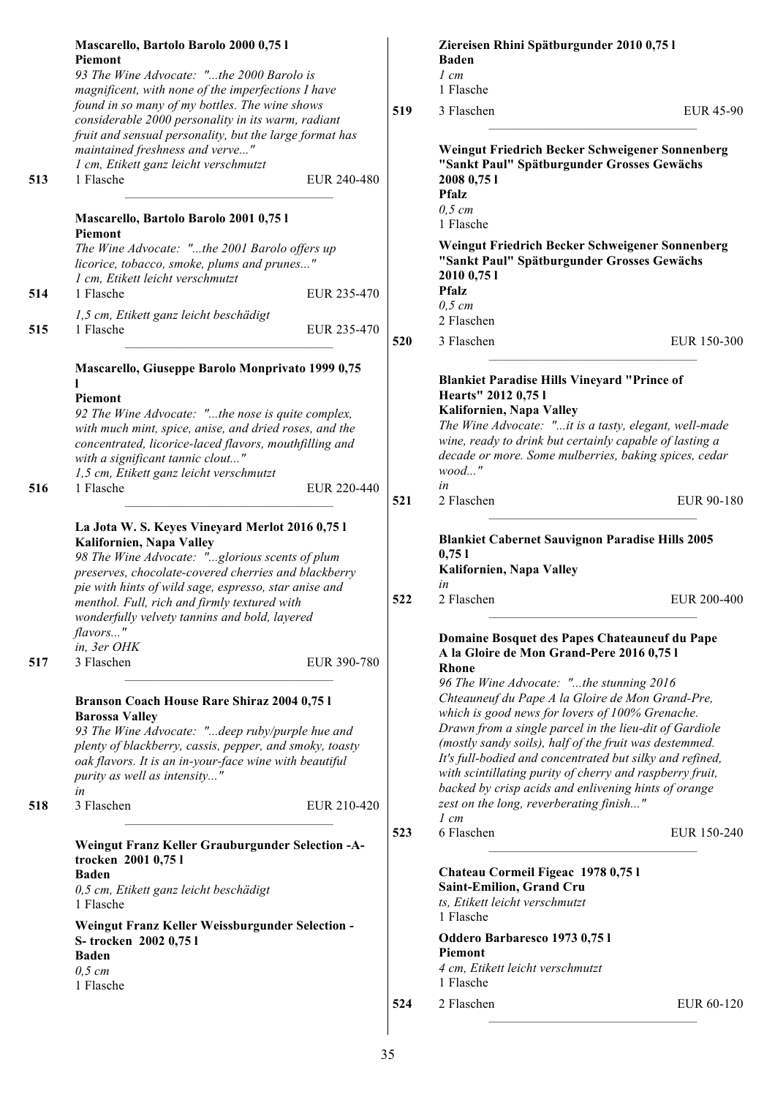|            | Mascarello, Bartolo Barolo 2000 0,75 l<br><b>Piemont</b><br>93 The Wine Advocate: "the 2000 Barolo is                                                                                                                                                                                                                                                                      |            | Ziereisen Rhini Spätburgunder 2010 0,75 l<br><b>Baden</b><br>$1$ cm                                                                                                                                                                                                                                                                                                                                                                                                                                                                                                      |
|------------|----------------------------------------------------------------------------------------------------------------------------------------------------------------------------------------------------------------------------------------------------------------------------------------------------------------------------------------------------------------------------|------------|--------------------------------------------------------------------------------------------------------------------------------------------------------------------------------------------------------------------------------------------------------------------------------------------------------------------------------------------------------------------------------------------------------------------------------------------------------------------------------------------------------------------------------------------------------------------------|
|            | magnificent, with none of the imperfections I have<br>found in so many of my bottles. The wine shows                                                                                                                                                                                                                                                                       | 519        | 1 Flasche<br>3 Flaschen<br><b>EUR 45-90</b>                                                                                                                                                                                                                                                                                                                                                                                                                                                                                                                              |
| 513        | considerable 2000 personality in its warm, radiant<br>fruit and sensual personality, but the large format has<br>maintained freshness and verve"<br>1 cm, Etikett ganz leicht verschmutzt<br>1 Flasche<br>EUR 240-480                                                                                                                                                      |            | Weingut Friedrich Becker Schweigener Sonnenberg<br>"Sankt Paul" Spätburgunder Grosses Gewächs<br>2008 0,75 1<br><b>Pfalz</b><br>$0,5$ cm                                                                                                                                                                                                                                                                                                                                                                                                                                 |
| 514<br>515 | Mascarello, Bartolo Barolo 2001 0,75 l<br><b>Piemont</b><br>The Wine Advocate: "the 2001 Barolo offers up<br>licorice, tobacco, smoke, plums and prunes"<br>1 cm, Etikett leicht verschmutzt<br>1 Flasche<br>EUR 235-470<br>1,5 cm, Etikett ganz leicht beschädigt<br>1 Flasche<br>EUR 235-470                                                                             |            | 1 Flasche<br>Weingut Friedrich Becker Schweigener Sonnenberg<br>"Sankt Paul" Spätburgunder Grosses Gewächs<br>2010 0,75 1<br><b>Pfalz</b><br>$0,5$ cm<br>2 Flaschen                                                                                                                                                                                                                                                                                                                                                                                                      |
|            |                                                                                                                                                                                                                                                                                                                                                                            | 520        | 3 Flaschen<br>EUR 150-300                                                                                                                                                                                                                                                                                                                                                                                                                                                                                                                                                |
| 516        | Mascarello, Giuseppe Barolo Monprivato 1999 0,75<br>Piemont<br>92 The Wine Advocate: "the nose is quite complex,<br>with much mint, spice, anise, and dried roses, and the<br>concentrated, licorice-laced flavors, mouthfilling and<br>with a significant tannic clout"<br>1,5 cm, Etikett ganz leicht verschmutzt<br>EUR 220-440<br>1 Flasche                            | 521        | <b>Blankiet Paradise Hills Vineyard "Prince of</b><br>Hearts" 2012 0,75 l<br>Kalifornien, Napa Valley<br>The Wine Advocate: "it is a tasty, elegant, well-made<br>wine, ready to drink but certainly capable of lasting a<br>decade or more. Some mulberries, baking spices, cedar<br>$wood$ "<br>in<br>2 Flaschen<br>EUR 90-180                                                                                                                                                                                                                                         |
|            | La Jota W. S. Keyes Vineyard Merlot 2016 0,75 l<br>Kalifornien, Napa Valley<br>98 The Wine Advocate: "glorious scents of plum<br>preserves, chocolate-covered cherries and blackberry<br>pie with hints of wild sage, espresso, star anise and<br>menthol. Full, rich and firmly textured with<br>wonderfully velvety tannins and bold, layered<br>flavors"<br>in, 3er OHK | 522        | <b>Blankiet Cabernet Sauvignon Paradise Hills 2005</b><br>0,751<br>Kalifornien, Napa Valley<br>in<br>2 Flaschen<br>EUR 200-400<br>Domaine Bosquet des Papes Chateauneuf du Pape                                                                                                                                                                                                                                                                                                                                                                                          |
| 517<br>518 | 3 Flaschen<br>EUR 390-780<br>Branson Coach House Rare Shiraz 2004 0,75 l<br><b>Barossa Valley</b><br>93 The Wine Advocate: "deep ruby/purple hue and<br>plenty of blackberry, cassis, pepper, and smoky, toasty<br>oak flavors. It is an in-your-face wine with beautiful<br>purity as well as intensity"<br>in<br>3 Flaschen<br>EUR 210-420                               |            | A la Gloire de Mon Grand-Pere 2016 0,75 l<br><b>Rhone</b><br>96 The Wine Advocate: "the stunning 2016<br>Chteauneuf du Pape A la Gloire de Mon Grand-Pre,<br>which is good news for lovers of 100% Grenache.<br>Drawn from a single parcel in the lieu-dit of Gardiole<br>(mostly sandy soils), half of the fruit was destemmed.<br>It's full-bodied and concentrated but silky and refined,<br>with scintillating purity of cherry and raspberry fruit,<br>backed by crisp acids and enlivening hints of orange<br>zest on the long, reverberating finish"<br>$1 \, cm$ |
|            | Weingut Franz Keller Grauburgunder Selection -A-<br>trocken 2001 0,75 l<br><b>Baden</b><br>0,5 cm, Etikett ganz leicht beschädigt<br>1 Flasche<br>Weingut Franz Keller Weissburgunder Selection -<br>S-trocken 2002 0,751<br><b>Baden</b><br>$0,5$ cm<br>1 Flasche                                                                                                         | 523<br>524 | 6 Flaschen<br>EUR 150-240<br>Chateau Cormeil Figeac 1978 0,75 l<br>Saint-Emilion, Grand Cru<br>ts, Etikett leicht verschmutzt<br>1 Flasche<br>Oddero Barbaresco 1973 0,75 l<br><b>Piemont</b><br>4 cm, Etikett leicht verschmutzt<br>1 Flasche<br>2 Flaschen<br>EUR 60-120                                                                                                                                                                                                                                                                                               |
|            |                                                                                                                                                                                                                                                                                                                                                                            |            |                                                                                                                                                                                                                                                                                                                                                                                                                                                                                                                                                                          |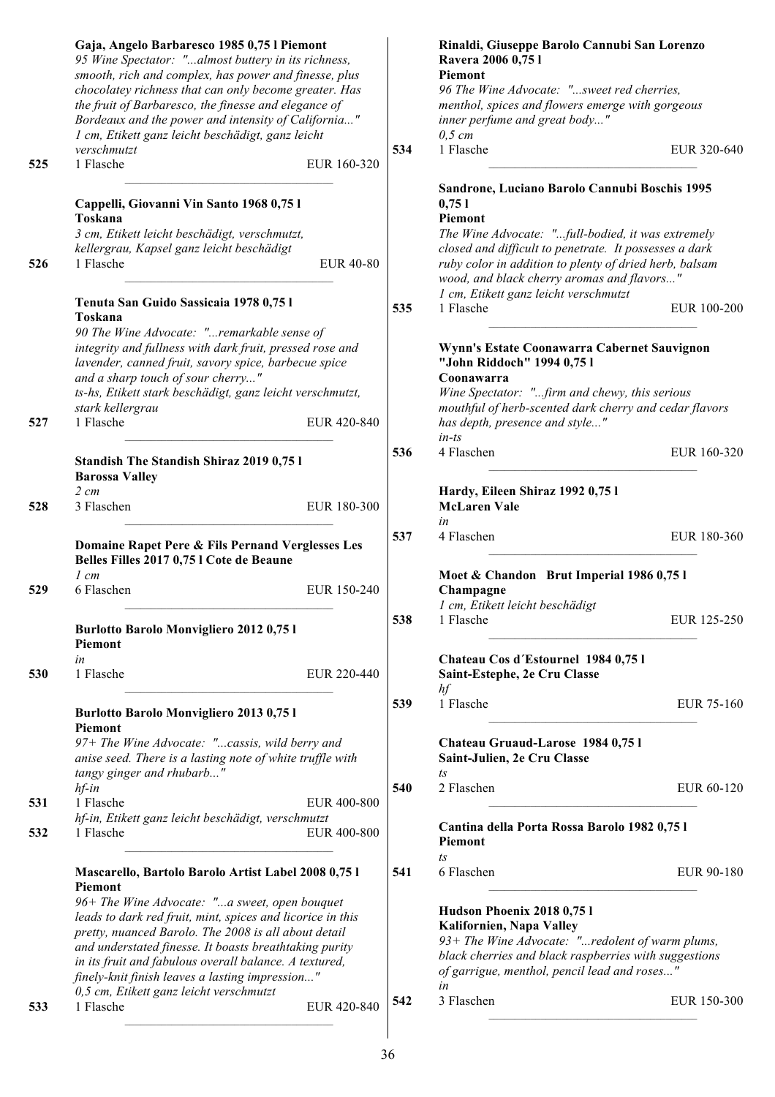|     | Gaja, Angelo Barbaresco 1985 0,75 l Piemont<br>95 Wine Spectator: "almost buttery in its richness,<br>smooth, rich and complex, has power and finesse, plus<br>chocolatey richness that can only become greater. Has<br>the fruit of Barbaresco, the finesse and elegance of<br>Bordeaux and the power and intensity of California"                                                                                                                            |     | Rinaldi, Giuseppe Barolo Cannubi San Lorenzo<br>Ravera 2006 0,75 l<br>Piemont<br>96 The Wine Advocate: "sweet red cherries,<br>menthol, spices and flowers emerge with gorgeous<br>inner perfume and great body"                                                                         |
|-----|----------------------------------------------------------------------------------------------------------------------------------------------------------------------------------------------------------------------------------------------------------------------------------------------------------------------------------------------------------------------------------------------------------------------------------------------------------------|-----|------------------------------------------------------------------------------------------------------------------------------------------------------------------------------------------------------------------------------------------------------------------------------------------|
|     | 1 cm, Etikett ganz leicht beschädigt, ganz leicht<br>verschmutzt                                                                                                                                                                                                                                                                                                                                                                                               | 534 | $0,5 \, cm$<br>1 Flasche<br>EUR 320-640                                                                                                                                                                                                                                                  |
| 525 | 1 Flasche<br>EUR 160-320                                                                                                                                                                                                                                                                                                                                                                                                                                       |     |                                                                                                                                                                                                                                                                                          |
| 526 | Cappelli, Giovanni Vin Santo 1968 0,75 l<br>Toskana<br>3 cm, Etikett leicht beschädigt, verschmutzt,<br>kellergrau, Kapsel ganz leicht beschädigt<br>1 Flasche<br><b>EUR 40-80</b>                                                                                                                                                                                                                                                                             |     | Sandrone, Luciano Barolo Cannubi Boschis 1995<br>0,751<br>Piemont<br>The Wine Advocate: "full-bodied, it was extremely<br>closed and difficult to penetrate. It possesses a dark<br>ruby color in addition to plenty of dried herb, balsam<br>wood, and black cherry aromas and flavors" |
|     | Tenuta San Guido Sassicaia 1978 0,75 l                                                                                                                                                                                                                                                                                                                                                                                                                         | 535 | 1 cm, Etikett ganz leicht verschmutzt<br>1 Flasche<br>EUR 100-200                                                                                                                                                                                                                        |
|     | Toskana<br>90 The Wine Advocate: "remarkable sense of<br>integrity and fullness with dark fruit, pressed rose and<br>lavender, canned fruit, savory spice, barbecue spice<br>and a sharp touch of sour cherry"<br>ts-hs, Etikett stark beschädigt, ganz leicht verschmutzt,<br>stark kellergrau                                                                                                                                                                |     | Wynn's Estate Coonawarra Cabernet Sauvignon<br>"John Riddoch" 1994 0,751<br>Coonawarra<br>Wine Spectator: "firm and chewy, this serious<br>mouthful of herb-scented dark cherry and cedar flavors                                                                                        |
| 527 | 1 Flasche<br>EUR 420-840                                                                                                                                                                                                                                                                                                                                                                                                                                       |     | has depth, presence and style"<br>$in-ts$                                                                                                                                                                                                                                                |
|     | <b>Standish The Standish Shiraz 2019 0,75 l</b><br><b>Barossa Valley</b>                                                                                                                                                                                                                                                                                                                                                                                       | 536 | 4 Flaschen<br>EUR 160-320                                                                                                                                                                                                                                                                |
| 528 | $2\ cm$<br>3 Flaschen<br>EUR 180-300                                                                                                                                                                                                                                                                                                                                                                                                                           |     | Hardy, Eileen Shiraz 1992 0,75 l<br><b>McLaren Vale</b><br>in                                                                                                                                                                                                                            |
|     | Domaine Rapet Pere & Fils Pernand Verglesses Les<br>Belles Filles 2017 0,75 l Cote de Beaune<br>$1 \, cm$                                                                                                                                                                                                                                                                                                                                                      | 537 | 4 Flaschen<br>EUR 180-360<br>Moet & Chandon Brut Imperial 1986 0,75 l                                                                                                                                                                                                                    |
| 529 | 6 Flaschen<br>EUR 150-240                                                                                                                                                                                                                                                                                                                                                                                                                                      |     | Champagne<br>1 cm, Etikett leicht beschädigt                                                                                                                                                                                                                                             |
|     | Burlotto Barolo Monvigliero 2012 0,75 l<br>Piemont                                                                                                                                                                                                                                                                                                                                                                                                             | 538 | 1 Flasche<br>EUR 125-250                                                                                                                                                                                                                                                                 |
| 530 | in<br>1 Flasche<br>EUR 220-440                                                                                                                                                                                                                                                                                                                                                                                                                                 |     | Chateau Cos d'Estournel 1984 0,75 l<br>Saint-Estephe, 2e Cru Classe<br>hf                                                                                                                                                                                                                |
|     | <b>Burlotto Barolo Monvigliero 2013 0,751</b><br><b>Piemont</b>                                                                                                                                                                                                                                                                                                                                                                                                | 539 | 1 Flasche<br>EUR 75-160                                                                                                                                                                                                                                                                  |
|     | 97+ The Wine Advocate: "cassis, wild berry and<br>anise seed. There is a lasting note of white truffle with<br>tangy ginger and rhubarb"                                                                                                                                                                                                                                                                                                                       |     | Chateau Gruaud-Larose 1984 0,751<br>Saint-Julien, 2e Cru Classe<br>ts                                                                                                                                                                                                                    |
| 531 | $hf$ -in<br>1 Flasche<br>EUR 400-800                                                                                                                                                                                                                                                                                                                                                                                                                           | 540 | 2 Flaschen<br>EUR 60-120                                                                                                                                                                                                                                                                 |
| 532 | hf-in, Etikett ganz leicht beschädigt, verschmutzt<br>1 Flasche<br>EUR 400-800                                                                                                                                                                                                                                                                                                                                                                                 |     | Cantina della Porta Rossa Barolo 1982 0,75 l<br>Piemont                                                                                                                                                                                                                                  |
|     | Mascarello, Bartolo Barolo Artist Label 2008 0,75 l<br><b>Piemont</b><br>96+ The Wine Advocate: "a sweet, open bouquet<br>leads to dark red fruit, mint, spices and licorice in this<br>pretty, nuanced Barolo. The 2008 is all about detail<br>and understated finesse. It boasts breathtaking purity<br>in its fruit and fabulous overall balance. A textured,<br>finely-knit finish leaves a lasting impression"<br>0,5 cm, Etikett ganz leicht verschmutzt | 541 | $\sqrt{1}S$<br>6 Flaschen<br>EUR 90-180<br>Hudson Phoenix 2018 0,75 l<br>Kalifornien, Napa Valley<br>93+ The Wine Advocate: "redolent of warm plums,<br>black cherries and black raspberries with suggestions<br>of garrigue, menthol, pencil lead and roses"<br>in                      |
| 533 | 1 Flasche<br>EUR 420-840                                                                                                                                                                                                                                                                                                                                                                                                                                       | 542 | 3 Flaschen<br>EUR 150-300                                                                                                                                                                                                                                                                |
|     |                                                                                                                                                                                                                                                                                                                                                                                                                                                                |     |                                                                                                                                                                                                                                                                                          |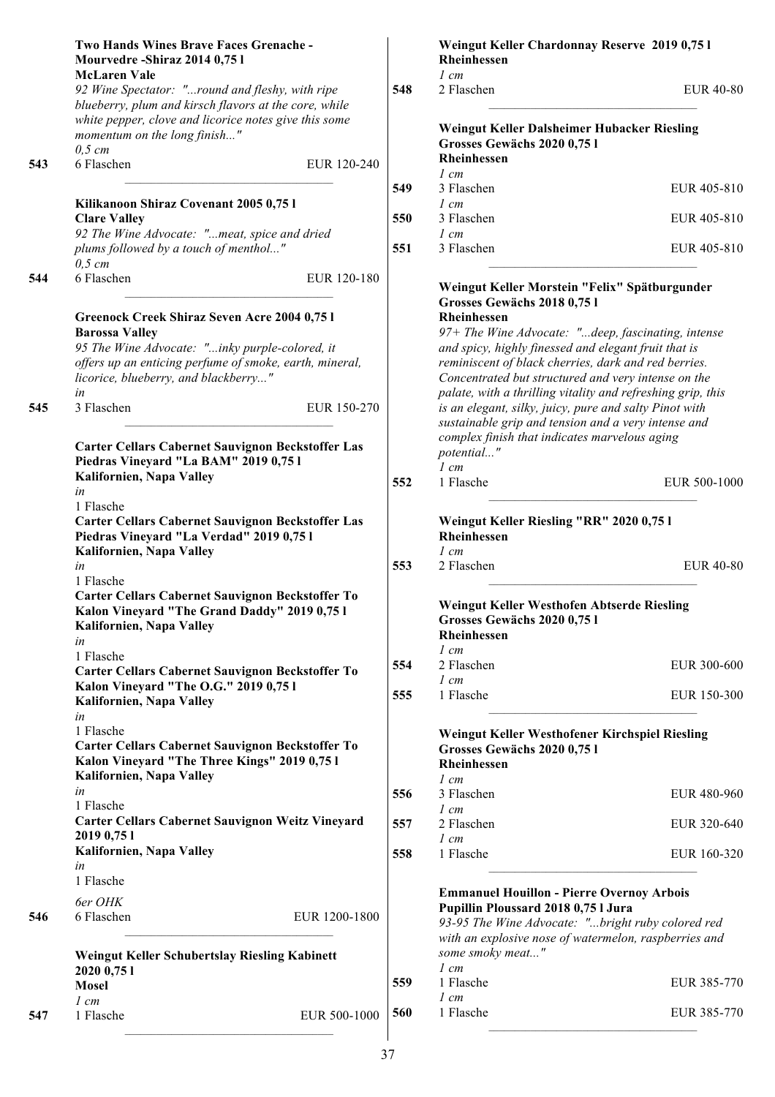|     | Two Hands Wines Brave Faces Grenache -<br>Mourvedre-Shiraz 2014 0,75 l                                                             |     | Weingut Keller Chardonnay Reserve 2019 0,75 l<br>Rheinhessen<br>$1 \, cm$                                                                    |                  |
|-----|------------------------------------------------------------------------------------------------------------------------------------|-----|----------------------------------------------------------------------------------------------------------------------------------------------|------------------|
|     | <b>McLaren Vale</b><br>92 Wine Spectator: "round and fleshy, with ripe<br>blueberry, plum and kirsch flavors at the core, while    | 548 | 2 Flaschen                                                                                                                                   | <b>EUR 40-80</b> |
|     | white pepper, clove and licorice notes give this some<br>momentum on the long finish"<br>$0,5$ cm                                  |     | Weingut Keller Dalsheimer Hubacker Riesling<br>Grosses Gewächs 2020 0,75 l<br>Rheinhessen                                                    |                  |
| 543 | 6 Flaschen<br>EUR 120-240                                                                                                          |     | $1 \, cm$                                                                                                                                    |                  |
|     |                                                                                                                                    | 549 | 3 Flaschen                                                                                                                                   | EUR 405-810      |
|     | Kilikanoon Shiraz Covenant 2005 0,75 l<br><b>Clare Valley</b>                                                                      | 550 | $1 \, cm$<br>3 Flaschen                                                                                                                      | EUR 405-810      |
|     | 92 The Wine Advocate: "meat, spice and dried<br>plums followed by a touch of menthol"<br>$0,5$ cm                                  | 551 | $1 \, cm$<br>3 Flaschen                                                                                                                      | EUR 405-810      |
| 544 | 6 Flaschen<br>EUR 120-180                                                                                                          |     | Weingut Keller Morstein "Felix" Spätburgunder                                                                                                |                  |
|     | Greenock Creek Shiraz Seven Acre 2004 0,75 l                                                                                       |     | Grosses Gewächs 2018 0,751<br>Rheinhessen                                                                                                    |                  |
|     | <b>Barossa Valley</b>                                                                                                              |     | 97+ The Wine Advocate: "deep, fascinating, intense                                                                                           |                  |
|     | 95 The Wine Advocate: "inky purple-colored, it                                                                                     |     | and spicy, highly finessed and elegant fruit that is                                                                                         |                  |
|     | offers up an enticing perfume of smoke, earth, mineral,<br>licorice, blueberry, and blackberry"                                    |     | reminiscent of black cherries, dark and red berries.<br>Concentrated but structured and very intense on the                                  |                  |
|     | in                                                                                                                                 |     | palate, with a thrilling vitality and refreshing grip, this                                                                                  |                  |
| 545 | 3 Flaschen<br>EUR 150-270                                                                                                          |     | is an elegant, silky, juicy, pure and salty Pinot with<br>sustainable grip and tension and a very intense and                                |                  |
|     | Carter Cellars Cabernet Sauvignon Beckstoffer Las<br>Piedras Vineyard "La BAM" 2019 0,75 l                                         |     | complex finish that indicates marvelous aging<br>potential"                                                                                  |                  |
|     | Kalifornien, Napa Valley<br>in                                                                                                     | 552 | $1$ cm<br>1 Flasche                                                                                                                          | EUR 500-1000     |
|     | 1 Flasche                                                                                                                          |     |                                                                                                                                              |                  |
|     | <b>Carter Cellars Cabernet Sauvignon Beckstoffer Las</b><br>Piedras Vineyard "La Verdad" 2019 0,75 l<br>Kalifornien, Napa Valley   |     | Weingut Keller Riesling "RR" 2020 0,75 l<br>Rheinhessen<br>$1 \, cm$                                                                         |                  |
|     | in<br>1 Flasche                                                                                                                    | 553 | 2 Flaschen                                                                                                                                   | <b>EUR 40-80</b> |
|     | Carter Cellars Cabernet Sauvignon Beckstoffer To<br>Kalon Vineyard "The Grand Daddy" 2019 0,75 l<br>Kalifornien, Napa Valley<br>in |     | Weingut Keller Westhofen Abtserde Riesling<br>Grosses Gewächs 2020 0,75 l<br>Rheinhessen                                                     |                  |
|     | 1 Flasche                                                                                                                          |     | $1 \, cm$                                                                                                                                    |                  |
|     | Carter Cellars Cabernet Sauvignon Beckstoffer To                                                                                   | 554 | 2 Flaschen<br>$1 \, cm$                                                                                                                      | EUR 300-600      |
|     | Kalon Vineyard "The O.G." 2019 0,75 l<br>Kalifornien, Napa Valley                                                                  | 555 | 1 Flasche                                                                                                                                    | EUR 150-300      |
|     | in<br>1 Flasche<br>Carter Cellars Cabernet Sauvignon Beckstoffer To<br>Kalon Vineyard "The Three Kings" 2019 0,75 l                |     | Weingut Keller Westhofener Kirchspiel Riesling<br>Grosses Gewächs 2020 0,75 l<br>Rheinhessen                                                 |                  |
|     | Kalifornien, Napa Valley                                                                                                           |     | $1 \, cm$                                                                                                                                    |                  |
|     | in<br>1 Flasche                                                                                                                    | 556 | 3 Flaschen                                                                                                                                   | EUR 480-960      |
|     | <b>Carter Cellars Cabernet Sauvignon Weitz Vineyard</b><br>2019 0,75 1                                                             | 557 | $1 \, cm$<br>2 Flaschen<br>$1 \, cm$                                                                                                         | EUR 320-640      |
|     | Kalifornien, Napa Valley<br>in                                                                                                     | 558 | 1 Flasche                                                                                                                                    | EUR 160-320      |
|     | 1 Flasche                                                                                                                          |     |                                                                                                                                              |                  |
| 546 | 6er OHK<br>EUR 1200-1800<br>6 Flaschen                                                                                             |     | <b>Emmanuel Houillon - Pierre Overnoy Arbois</b><br>Pupillin Ploussard 2018 0,75 l Jura<br>93-95 The Wine Advocate: "bright ruby colored red |                  |
|     | Weingut Keller Schubertslay Riesling Kabinett                                                                                      |     | with an explosive nose of watermelon, raspberries and<br>some smoky meat"                                                                    |                  |
|     | 2020 0,75 1                                                                                                                        |     | $1 \, cm$                                                                                                                                    |                  |
|     | <b>Mosel</b>                                                                                                                       | 559 | 1 Flasche                                                                                                                                    | EUR 385-770      |
|     | $1 \, cm$                                                                                                                          |     | $1 \, cm$                                                                                                                                    |                  |
| 547 | 1 Flasche<br>EUR 500-1000                                                                                                          | 560 | 1 Flasche                                                                                                                                    | EUR 385-770      |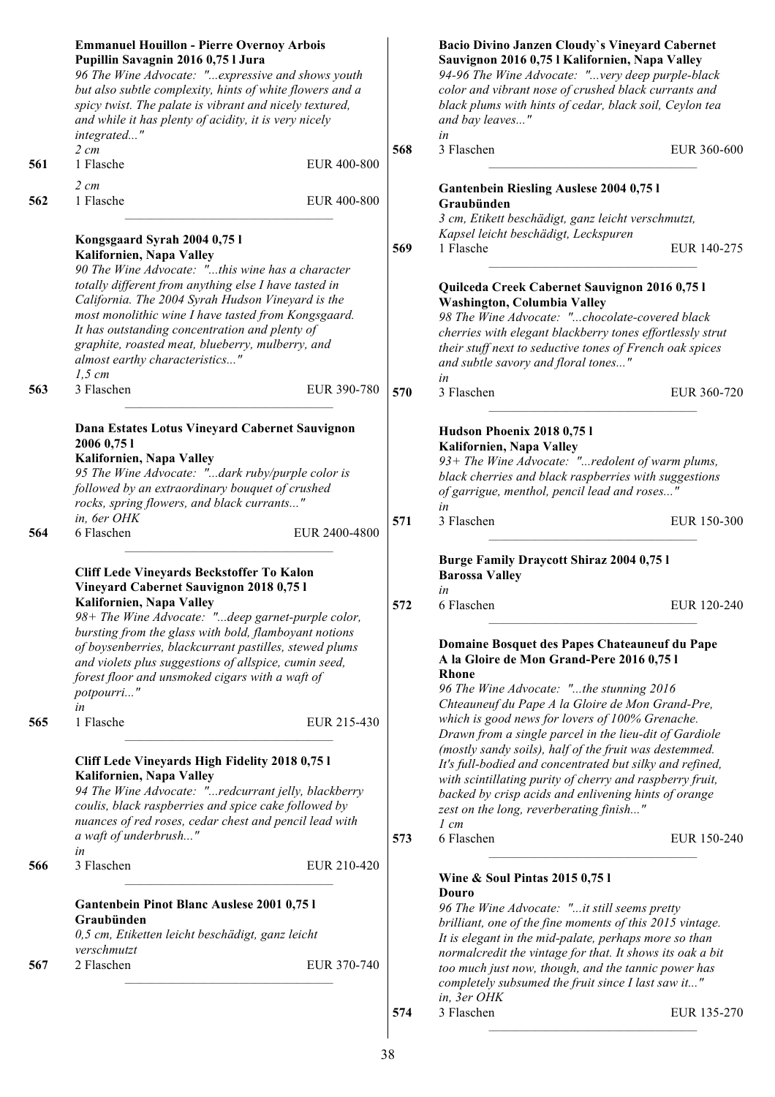| 561 | <b>Emmanuel Houillon - Pierre Overnoy Arbois</b><br>Pupillin Savagnin 2016 0,75 l Jura<br>96 The Wine Advocate: "expressive and shows youth<br>but also subtle complexity, hints of white flowers and a<br>spicy twist. The palate is vibrant and nicely textured,<br>and while it has plenty of acidity, it is very nicely<br>integrated"<br>$2 \, cm$<br>1 Flasche | EUR 400-800   | 568 | Bacio Divino Janzen Cloudy's Vineyard Cabernet<br>Sauvignon 2016 0,75 l Kalifornien, Napa Valley<br>94-96 The Wine Advocate: "very deep purple-black<br>color and vibrant nose of crushed black currants and<br>black plums with hints of cedar, black soil, Ceylon tea<br>and bay leaves"<br>in<br>3 Flaschen                                           | EUR 360-600 |
|-----|----------------------------------------------------------------------------------------------------------------------------------------------------------------------------------------------------------------------------------------------------------------------------------------------------------------------------------------------------------------------|---------------|-----|----------------------------------------------------------------------------------------------------------------------------------------------------------------------------------------------------------------------------------------------------------------------------------------------------------------------------------------------------------|-------------|
|     |                                                                                                                                                                                                                                                                                                                                                                      |               |     |                                                                                                                                                                                                                                                                                                                                                          |             |
| 562 | $2 \, cm$<br>1 Flasche                                                                                                                                                                                                                                                                                                                                               | EUR 400-800   |     | <b>Gantenbein Riesling Auslese 2004 0,75 l</b><br>Graubünden<br>3 cm, Etikett beschädigt, ganz leicht verschmutzt,<br>Kapsel leicht beschädigt, Leckspuren                                                                                                                                                                                               |             |
|     | Kongsgaard Syrah 2004 0,75 l<br>Kalifornien, Napa Valley<br>90 The Wine Advocate: "this wine has a character                                                                                                                                                                                                                                                         |               | 569 | 1 Flasche                                                                                                                                                                                                                                                                                                                                                | EUR 140-275 |
|     | totally different from anything else I have tasted in<br>California. The 2004 Syrah Hudson Vineyard is the<br>most monolithic wine I have tasted from Kongsgaard.<br>It has outstanding concentration and plenty of<br>graphite, roasted meat, blueberry, mulberry, and<br>almost earthy characteristics"<br>$1,5$ cm                                                |               |     | Quilceda Creek Cabernet Sauvignon 2016 0,75 l<br>Washington, Columbia Valley<br>98 The Wine Advocate: "chocolate-covered black<br>cherries with elegant blackberry tones effortlessly strut<br>their stuff next to seductive tones of French oak spices<br>and subtle savory and floral tones"<br>in                                                     |             |
| 563 | 3 Flaschen                                                                                                                                                                                                                                                                                                                                                           | EUR 390-780   | 570 | 3 Flaschen                                                                                                                                                                                                                                                                                                                                               | EUR 360-720 |
| 564 | Dana Estates Lotus Vineyard Cabernet Sauvignon<br>2006 0,75 1<br>Kalifornien, Napa Valley<br>95 The Wine Advocate: "dark ruby/purple color is<br>followed by an extraordinary bouquet of crushed<br>rocks, spring flowers, and black currants"<br>in, 6er OHK<br>6 Flaschen                                                                                          | EUR 2400-4800 | 571 | Hudson Phoenix 2018 0,75 l<br>Kalifornien, Napa Valley<br>93+ The Wine Advocate: "redolent of warm plums,<br>black cherries and black raspberries with suggestions<br>of garrigue, menthol, pencil lead and roses"<br>in<br>3 Flaschen                                                                                                                   | EUR 150-300 |
|     | Cliff Lede Vineyards Beckstoffer To Kalon<br>Vineyard Cabernet Sauvignon 2018 0,75 l                                                                                                                                                                                                                                                                                 |               |     | <b>Burge Family Draycott Shiraz 2004 0,75 l</b><br><b>Barossa Valley</b><br>in                                                                                                                                                                                                                                                                           |             |
| 565 | Kalifornien, Napa Valley<br>98+ The Wine Advocate: "deep garnet-purple color,<br>bursting from the glass with bold, flamboyant notions<br>of boysenberries, blackcurrant pastilles, stewed plums<br>and violets plus suggestions of allspice, cumin seed,<br>forest floor and unsmoked cigars with a waft of<br>potpourri"<br>in<br>1 Flasche                        | EUR 215-430   | 572 | 6 Flaschen<br>Domaine Bosquet des Papes Chateauneuf du Pape<br>A la Gloire de Mon Grand-Pere 2016 0,75 l<br><b>Rhone</b><br>96 The Wine Advocate: "the stunning 2016<br>Chteauneuf du Pape A la Gloire de Mon Grand-Pre,<br>which is good news for lovers of 100% Grenache.                                                                              | EUR 120-240 |
|     | Cliff Lede Vineyards High Fidelity 2018 0,75 l<br>Kalifornien, Napa Valley<br>94 The Wine Advocate: "redcurrant jelly, blackberry<br>coulis, black raspberries and spice cake followed by<br>nuances of red roses, cedar chest and pencil lead with                                                                                                                  |               |     | Drawn from a single parcel in the lieu-dit of Gardiole<br>(mostly sandy soils), half of the fruit was destemmed.<br>It's full-bodied and concentrated but silky and refined,<br>with scintillating purity of cherry and raspberry fruit,<br>backed by crisp acids and enlivening hints of orange<br>zest on the long, reverberating finish"<br>$1 \, cm$ |             |
|     | a waft of underbrush"<br>in                                                                                                                                                                                                                                                                                                                                          |               | 573 | 6 Flaschen                                                                                                                                                                                                                                                                                                                                               | EUR 150-240 |
| 566 | 3 Flaschen                                                                                                                                                                                                                                                                                                                                                           | EUR 210-420   |     | Wine & Soul Pintas 2015 0,75 l                                                                                                                                                                                                                                                                                                                           |             |
|     | Gantenbein Pinot Blanc Auslese 2001 0,75 l<br>Graubünden<br>0,5 cm, Etiketten leicht beschädigt, ganz leicht<br>verschmutzt                                                                                                                                                                                                                                          |               |     | Douro<br>96 The Wine Advocate: "it still seems pretty<br>brilliant, one of the fine moments of this 2015 vintage.<br>It is elegant in the mid-palate, perhaps more so than<br>normalcredit the vintage for that. It shows its oak a bit                                                                                                                  |             |
| 567 | 2 Flaschen                                                                                                                                                                                                                                                                                                                                                           | EUR 370-740   |     | too much just now, though, and the tannic power has<br>completely subsumed the fruit since I last saw it"<br>in, 3er OHK                                                                                                                                                                                                                                 |             |
|     |                                                                                                                                                                                                                                                                                                                                                                      |               | 574 | 3 Flaschen                                                                                                                                                                                                                                                                                                                                               | EUR 135-270 |

**574** 3 Flaschen EUR 135-270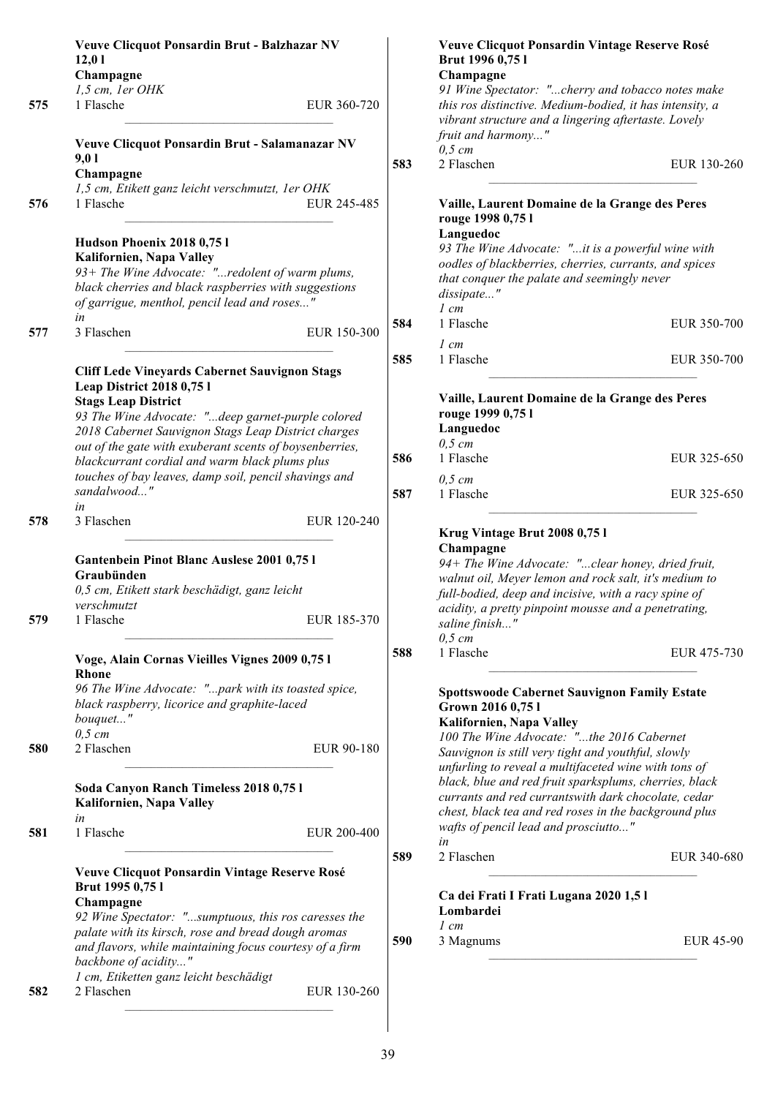|     | Veuve Clicquot Ponsardin Brut - Balzhazar NV<br>12,01<br>Champagne                                                                                                                                                                                                                                                                                                                                                            |             |  |
|-----|-------------------------------------------------------------------------------------------------------------------------------------------------------------------------------------------------------------------------------------------------------------------------------------------------------------------------------------------------------------------------------------------------------------------------------|-------------|--|
| 575 | 1,5 cm, 1er OHK<br>1 Flasche                                                                                                                                                                                                                                                                                                                                                                                                  | EUR 360-720 |  |
|     | Veuve Clicquot Ponsardin Brut - Salamanazar NV<br>9,01<br>Champagne                                                                                                                                                                                                                                                                                                                                                           |             |  |
| 576 | 1,5 cm, Etikett ganz leicht verschmutzt, 1er OHK<br>1 Flasche                                                                                                                                                                                                                                                                                                                                                                 | EUR 245-485 |  |
|     | Hudson Phoenix 2018 0,75 l<br>Kalifornien, Napa Valley<br>93+ The Wine Advocate: "redolent of warm plums,<br>black cherries and black raspberries with suggestions<br>of garrigue, menthol, pencil lead and roses"<br>in                                                                                                                                                                                                      |             |  |
| 577 | 3 Flaschen                                                                                                                                                                                                                                                                                                                                                                                                                    | EUR 150-300 |  |
|     | <b>Cliff Lede Vineyards Cabernet Sauvignon Stags</b><br><b>Leap District 2018 0,75 l</b><br><b>Stags Leap District</b><br>93 The Wine Advocate: "deep garnet-purple colored<br>2018 Cabernet Sauvignon Stags Leap District charges<br>out of the gate with exuberant scents of boysenberries,<br>blackcurrant cordial and warm black plums plus<br>touches of bay leaves, damp soil, pencil shavings and<br>sandalwood"<br>in |             |  |
| 578 | 3 Flaschen                                                                                                                                                                                                                                                                                                                                                                                                                    | EUR 120-240 |  |
|     |                                                                                                                                                                                                                                                                                                                                                                                                                               |             |  |
| 579 | Gantenbein Pinot Blanc Auslese 2001 0,75 l<br>Graubünden<br>0,5 cm, Etikett stark beschädigt, ganz leicht<br>verschmutzt<br>1 Flasche                                                                                                                                                                                                                                                                                         | EUR 185-370 |  |
|     | Voge, Alain Cornas Vieilles Vignes 2009 0,75 l<br><b>Rhone</b><br>96 The Wine Advocate: "park with its toasted spice,<br>black raspberry, licorice and graphite-laced<br>bouquet"                                                                                                                                                                                                                                             |             |  |
| 580 | $0,5$ cm<br>2 Flaschen                                                                                                                                                                                                                                                                                                                                                                                                        | EUR 90-180  |  |
|     | Soda Canyon Ranch Timeless 2018 0,75 l<br>Kalifornien, Napa Valley<br>in                                                                                                                                                                                                                                                                                                                                                      |             |  |
| 581 | 1 Flasche                                                                                                                                                                                                                                                                                                                                                                                                                     | EUR 200-400 |  |
|     | <b>Veuve Clicquot Ponsardin Vintage Reserve Rosé</b><br>Brut 1995 0,75 l<br>Champagne<br>92 Wine Spectator: "sumptuous, this ros caresses the<br>palate with its kirsch, rose and bread dough aromas<br>and flavors, while maintaining focus courtesy of a firm<br>backbone of acidity"<br>1 cm, Etiketten ganz leicht beschädigt                                                                                             |             |  |

|     | Veuve Clicquot Ponsardin Vintage Reserve Rosé<br>Brut 1996 0,75 l<br>Champagne                                                                                                                                                                                                                                                                                                                                                                                                    |             |
|-----|-----------------------------------------------------------------------------------------------------------------------------------------------------------------------------------------------------------------------------------------------------------------------------------------------------------------------------------------------------------------------------------------------------------------------------------------------------------------------------------|-------------|
|     | 91 Wine Spectator: "cherry and tobacco notes make<br>this ros distinctive. Medium-bodied, it has intensity, a<br>vibrant structure and a lingering aftertaste. Lovely<br>fruit and harmony"<br>$0,5$ cm                                                                                                                                                                                                                                                                           |             |
| 583 | 2 Flaschen                                                                                                                                                                                                                                                                                                                                                                                                                                                                        | EUR 130-260 |
|     | Vaille, Laurent Domaine de la Grange des Peres<br>rouge 1998 0,75 l<br>Languedoc<br>93 The Wine Advocate: "it is a powerful wine with<br>oodles of blackberries, cherries, currants, and spices<br>that conquer the palate and seemingly never<br>dissipate"<br>$1 \, cm$                                                                                                                                                                                                         |             |
| 584 | 1 Flasche                                                                                                                                                                                                                                                                                                                                                                                                                                                                         | EUR 350-700 |
| 585 | $1 \, cm$<br>1 Flasche                                                                                                                                                                                                                                                                                                                                                                                                                                                            | EUR 350-700 |
|     | Vaille, Laurent Domaine de la Grange des Peres<br>rouge 1999 0,75 l<br>Languedoc<br>$0,5$ cm<br>1 Flasche                                                                                                                                                                                                                                                                                                                                                                         |             |
| 586 | $0.5$ cm                                                                                                                                                                                                                                                                                                                                                                                                                                                                          | EUR 325-650 |
| 587 | 1 Flasche                                                                                                                                                                                                                                                                                                                                                                                                                                                                         | EUR 325-650 |
|     | Krug Vintage Brut 2008 0,75 l<br>Champagne<br>94+ The Wine Advocate: "clear honey, dried fruit,<br>walnut oil, Meyer lemon and rock salt, it's medium to<br>full-bodied, deep and incisive, with a racy spine of<br>acidity, a pretty pinpoint mousse and a penetrating,<br>saline finish"<br>$0,5 \, cm$                                                                                                                                                                         |             |
| 588 | 1 Flasche                                                                                                                                                                                                                                                                                                                                                                                                                                                                         | EUR 475-730 |
|     | <b>Spottswoode Cabernet Sauvignon Family Estate</b><br>Grown 2016 0,75 l<br>Kalifornien, Napa Valley<br>100 The Wine Advocate: "the 2016 Cabernet<br>Sauvignon is still very tight and youthful, slowly<br>unfurling to reveal a multifaceted wine with tons of<br>black, blue and red fruit sparksplums, cherries, black<br>currants and red currantswith dark chocolate, cedar<br>chest, black tea and red roses in the background plus<br>wafts of pencil lead and prosciutto" |             |
| 589 | in<br>2 Flaschen                                                                                                                                                                                                                                                                                                                                                                                                                                                                  | EUR 340-680 |
|     | Ca dei Frati I Frati Lugana 2020 1,5 l<br>Lombardei                                                                                                                                                                                                                                                                                                                                                                                                                               |             |
| 590 | 1 cm<br>3 Magnums                                                                                                                                                                                                                                                                                                                                                                                                                                                                 | EUR 45-90   |
|     |                                                                                                                                                                                                                                                                                                                                                                                                                                                                                   |             |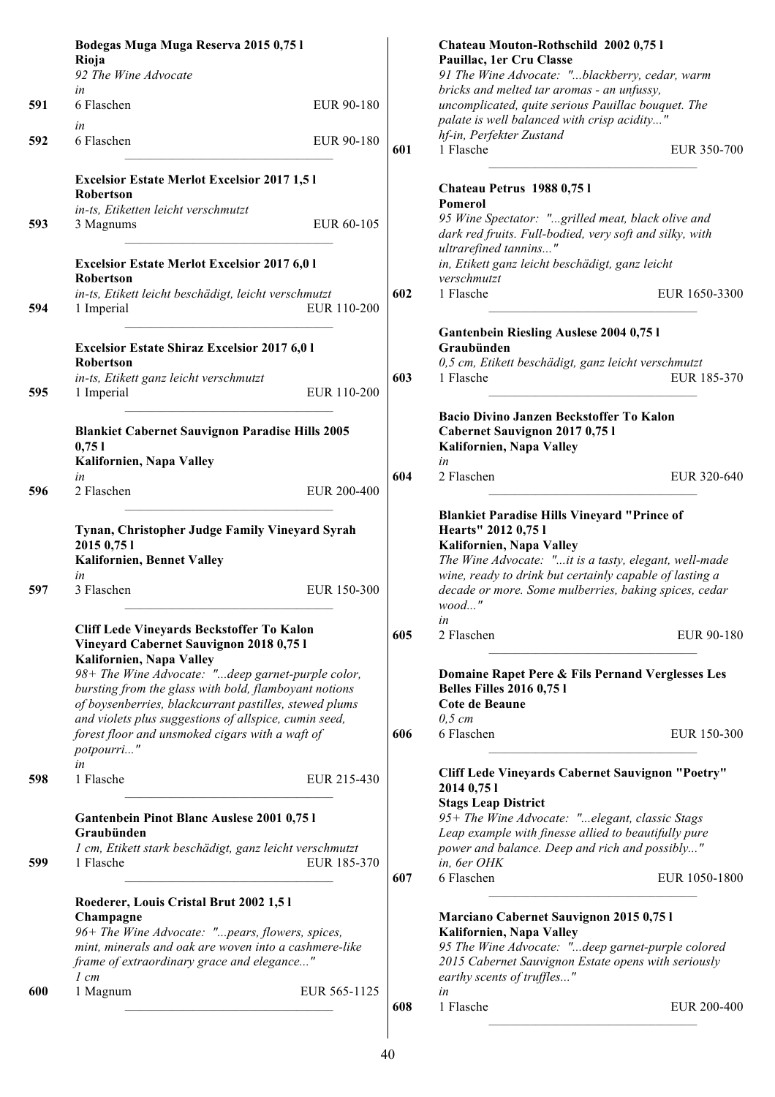| Rioja<br>92 The Wine Advocate<br>in             |                                                                                                                                                               |                                                                                                                                                                                                                                                                                                                                                                                                                                                                                                                                                                                                                                                                                                                                                                                                                                                                                                                                                                                                                             | Pauillac, 1er Cru Classe                                                                                                             |                                                                                                                                                                                                                                                                                                                                                                                                                                                                                       |
|-------------------------------------------------|---------------------------------------------------------------------------------------------------------------------------------------------------------------|-----------------------------------------------------------------------------------------------------------------------------------------------------------------------------------------------------------------------------------------------------------------------------------------------------------------------------------------------------------------------------------------------------------------------------------------------------------------------------------------------------------------------------------------------------------------------------------------------------------------------------------------------------------------------------------------------------------------------------------------------------------------------------------------------------------------------------------------------------------------------------------------------------------------------------------------------------------------------------------------------------------------------------|--------------------------------------------------------------------------------------------------------------------------------------|---------------------------------------------------------------------------------------------------------------------------------------------------------------------------------------------------------------------------------------------------------------------------------------------------------------------------------------------------------------------------------------------------------------------------------------------------------------------------------------|
|                                                 |                                                                                                                                                               |                                                                                                                                                                                                                                                                                                                                                                                                                                                                                                                                                                                                                                                                                                                                                                                                                                                                                                                                                                                                                             | 91 The Wine Advocate: "blackberry, cedar, warm                                                                                       |                                                                                                                                                                                                                                                                                                                                                                                                                                                                                       |
|                                                 |                                                                                                                                                               |                                                                                                                                                                                                                                                                                                                                                                                                                                                                                                                                                                                                                                                                                                                                                                                                                                                                                                                                                                                                                             | bricks and melted tar aromas - an unfussy,                                                                                           |                                                                                                                                                                                                                                                                                                                                                                                                                                                                                       |
| 6 Flaschen<br>in                                | EUR 90-180                                                                                                                                                    |                                                                                                                                                                                                                                                                                                                                                                                                                                                                                                                                                                                                                                                                                                                                                                                                                                                                                                                                                                                                                             | uncomplicated, quite serious Pauillac bouquet. The<br>palate is well balanced with crisp acidity"                                    |                                                                                                                                                                                                                                                                                                                                                                                                                                                                                       |
| 6 Flaschen                                      | EUR 90-180                                                                                                                                                    | 601                                                                                                                                                                                                                                                                                                                                                                                                                                                                                                                                                                                                                                                                                                                                                                                                                                                                                                                                                                                                                         | hf-in, Perfekter Zustand<br>1 Flasche                                                                                                | EUR 350-700                                                                                                                                                                                                                                                                                                                                                                                                                                                                           |
|                                                 |                                                                                                                                                               |                                                                                                                                                                                                                                                                                                                                                                                                                                                                                                                                                                                                                                                                                                                                                                                                                                                                                                                                                                                                                             |                                                                                                                                      |                                                                                                                                                                                                                                                                                                                                                                                                                                                                                       |
|                                                 |                                                                                                                                                               |                                                                                                                                                                                                                                                                                                                                                                                                                                                                                                                                                                                                                                                                                                                                                                                                                                                                                                                                                                                                                             | Pomerol                                                                                                                              |                                                                                                                                                                                                                                                                                                                                                                                                                                                                                       |
| 3 Magnums                                       | EUR 60-105                                                                                                                                                    |                                                                                                                                                                                                                                                                                                                                                                                                                                                                                                                                                                                                                                                                                                                                                                                                                                                                                                                                                                                                                             | dark red fruits. Full-bodied, very soft and silky, with                                                                              |                                                                                                                                                                                                                                                                                                                                                                                                                                                                                       |
| Robertson                                       |                                                                                                                                                               |                                                                                                                                                                                                                                                                                                                                                                                                                                                                                                                                                                                                                                                                                                                                                                                                                                                                                                                                                                                                                             | in, Etikett ganz leicht beschädigt, ganz leicht<br>verschmutzt                                                                       |                                                                                                                                                                                                                                                                                                                                                                                                                                                                                       |
| 1 Imperial                                      | EUR 110-200                                                                                                                                                   | 602                                                                                                                                                                                                                                                                                                                                                                                                                                                                                                                                                                                                                                                                                                                                                                                                                                                                                                                                                                                                                         | 1 Flasche                                                                                                                            | EUR 1650-3300                                                                                                                                                                                                                                                                                                                                                                                                                                                                         |
|                                                 |                                                                                                                                                               |                                                                                                                                                                                                                                                                                                                                                                                                                                                                                                                                                                                                                                                                                                                                                                                                                                                                                                                                                                                                                             | <b>Gantenbein Riesling Auslese 2004 0,751</b><br>Graubünden                                                                          |                                                                                                                                                                                                                                                                                                                                                                                                                                                                                       |
|                                                 |                                                                                                                                                               |                                                                                                                                                                                                                                                                                                                                                                                                                                                                                                                                                                                                                                                                                                                                                                                                                                                                                                                                                                                                                             |                                                                                                                                      |                                                                                                                                                                                                                                                                                                                                                                                                                                                                                       |
| 1 Imperial                                      | EUR 110-200                                                                                                                                                   |                                                                                                                                                                                                                                                                                                                                                                                                                                                                                                                                                                                                                                                                                                                                                                                                                                                                                                                                                                                                                             |                                                                                                                                      | EUR 185-370                                                                                                                                                                                                                                                                                                                                                                                                                                                                           |
| 0,751                                           |                                                                                                                                                               |                                                                                                                                                                                                                                                                                                                                                                                                                                                                                                                                                                                                                                                                                                                                                                                                                                                                                                                                                                                                                             | Bacio Divino Janzen Beckstoffer To Kalon<br>Cabernet Sauvignon 2017 0,75 l<br>Kalifornien, Napa Valley                               |                                                                                                                                                                                                                                                                                                                                                                                                                                                                                       |
|                                                 |                                                                                                                                                               |                                                                                                                                                                                                                                                                                                                                                                                                                                                                                                                                                                                                                                                                                                                                                                                                                                                                                                                                                                                                                             |                                                                                                                                      | EUR 320-640                                                                                                                                                                                                                                                                                                                                                                                                                                                                           |
| 2 Flaschen                                      | EUR 200-400                                                                                                                                                   |                                                                                                                                                                                                                                                                                                                                                                                                                                                                                                                                                                                                                                                                                                                                                                                                                                                                                                                                                                                                                             |                                                                                                                                      |                                                                                                                                                                                                                                                                                                                                                                                                                                                                                       |
| 2015 0,75 1<br>Kalifornien, Bennet Valley<br>in |                                                                                                                                                               |                                                                                                                                                                                                                                                                                                                                                                                                                                                                                                                                                                                                                                                                                                                                                                                                                                                                                                                                                                                                                             | Hearts" 2012 0,75 l<br>Kalifornien, Napa Valley<br>The Wine Advocate: "it is a tasty, elegant, well-made                             |                                                                                                                                                                                                                                                                                                                                                                                                                                                                                       |
| 3 Flaschen                                      | EUR 150-300                                                                                                                                                   |                                                                                                                                                                                                                                                                                                                                                                                                                                                                                                                                                                                                                                                                                                                                                                                                                                                                                                                                                                                                                             | decade or more. Some mulberries, baking spices, cedar<br>$wood$ "                                                                    |                                                                                                                                                                                                                                                                                                                                                                                                                                                                                       |
| Kalifornien, Napa Valley                        |                                                                                                                                                               | 605                                                                                                                                                                                                                                                                                                                                                                                                                                                                                                                                                                                                                                                                                                                                                                                                                                                                                                                                                                                                                         | in<br>2 Flaschen                                                                                                                     | EUR 90-180                                                                                                                                                                                                                                                                                                                                                                                                                                                                            |
|                                                 |                                                                                                                                                               |                                                                                                                                                                                                                                                                                                                                                                                                                                                                                                                                                                                                                                                                                                                                                                                                                                                                                                                                                                                                                             | Domaine Rapet Pere & Fils Pernand Verglesses Les<br><b>Belles Filles 2016 0,75 l</b><br><b>Cote de Beaune</b>                        |                                                                                                                                                                                                                                                                                                                                                                                                                                                                                       |
| potpourri"                                      |                                                                                                                                                               | 606                                                                                                                                                                                                                                                                                                                                                                                                                                                                                                                                                                                                                                                                                                                                                                                                                                                                                                                                                                                                                         | $0,5 \, cm$<br>6 Flaschen                                                                                                            | EUR 150-300                                                                                                                                                                                                                                                                                                                                                                                                                                                                           |
| in<br>1 Flasche                                 | EUR 215-430                                                                                                                                                   |                                                                                                                                                                                                                                                                                                                                                                                                                                                                                                                                                                                                                                                                                                                                                                                                                                                                                                                                                                                                                             | <b>Cliff Lede Vineyards Cabernet Sauvignon "Poetry"</b>                                                                              |                                                                                                                                                                                                                                                                                                                                                                                                                                                                                       |
| Graubünden                                      |                                                                                                                                                               |                                                                                                                                                                                                                                                                                                                                                                                                                                                                                                                                                                                                                                                                                                                                                                                                                                                                                                                                                                                                                             | <b>Stags Leap District</b><br>95+ The Wine Advocate: "elegant, classic Stags<br>Leap example with finesse allied to beautifully pure |                                                                                                                                                                                                                                                                                                                                                                                                                                                                                       |
| 1 Flasche                                       | EUR 185-370                                                                                                                                                   | 607                                                                                                                                                                                                                                                                                                                                                                                                                                                                                                                                                                                                                                                                                                                                                                                                                                                                                                                                                                                                                         | in, 6er OHK                                                                                                                          | EUR 1050-1800                                                                                                                                                                                                                                                                                                                                                                                                                                                                         |
|                                                 |                                                                                                                                                               |                                                                                                                                                                                                                                                                                                                                                                                                                                                                                                                                                                                                                                                                                                                                                                                                                                                                                                                                                                                                                             |                                                                                                                                      |                                                                                                                                                                                                                                                                                                                                                                                                                                                                                       |
| $1 \, cm$                                       |                                                                                                                                                               |                                                                                                                                                                                                                                                                                                                                                                                                                                                                                                                                                                                                                                                                                                                                                                                                                                                                                                                                                                                                                             | Kalifornien, Napa Valley<br>95 The Wine Advocate: "deep garnet-purple colored<br>2015 Cabernet Sauvignon Estate opens with seriously |                                                                                                                                                                                                                                                                                                                                                                                                                                                                                       |
| 1 Magnum                                        | EUR 565-1125                                                                                                                                                  |                                                                                                                                                                                                                                                                                                                                                                                                                                                                                                                                                                                                                                                                                                                                                                                                                                                                                                                                                                                                                             | in                                                                                                                                   | EUR 200-400                                                                                                                                                                                                                                                                                                                                                                                                                                                                           |
|                                                 | <b>Robertson</b><br>in-ts, Etiketten leicht verschmutzt<br>Robertson<br>in-ts, Etikett ganz leicht verschmutzt<br>Kalifornien, Napa Valley<br>in<br>Champagne | <b>Excelsior Estate Merlot Excelsior 2017 1,51</b><br><b>Excelsior Estate Merlot Excelsior 2017 6,01</b><br>in-ts, Etikett leicht beschädigt, leicht verschmutzt<br><b>Excelsior Estate Shiraz Excelsior 2017 6,01</b><br><b>Blankiet Cabernet Sauvignon Paradise Hills 2005</b><br>Tynan, Christopher Judge Family Vineyard Syrah<br>Cliff Lede Vineyards Beckstoffer To Kalon<br>Vineyard Cabernet Sauvignon 2018 0,75 l<br>98+ The Wine Advocate: "deep garnet-purple color,<br>bursting from the glass with bold, flamboyant notions<br>of boysenberries, blackcurrant pastilles, stewed plums<br>and violets plus suggestions of allspice, cumin seed,<br>forest floor and unsmoked cigars with a waft of<br>Gantenbein Pinot Blanc Auslese 2001 0,75 l<br>1 cm, Etikett stark beschädigt, ganz leicht verschmutzt<br>Roederer, Louis Cristal Brut 2002 1,51<br>96+ The Wine Advocate: "pears, flowers, spices,<br>mint, minerals and oak are woven into a cashmere-like<br>frame of extraordinary grace and elegance" | 603<br>604<br>608                                                                                                                    | Chateau Petrus 1988 0,751<br>95 Wine Spectator: "grilled meat, black olive and<br>ultrarefined tannins"<br>0,5 cm, Etikett beschädigt, ganz leicht verschmutzt<br>1 Flasche<br>in<br>2 Flaschen<br><b>Blankiet Paradise Hills Vineyard "Prince of</b><br>wine, ready to drink but certainly capable of lasting a<br>2014 0,75 1<br>power and balance. Deep and rich and possibly"<br>6 Flaschen<br>Marciano Cabernet Sauvignon 2015 0,75 l<br>earthy scents of truffles"<br>1 Flasche |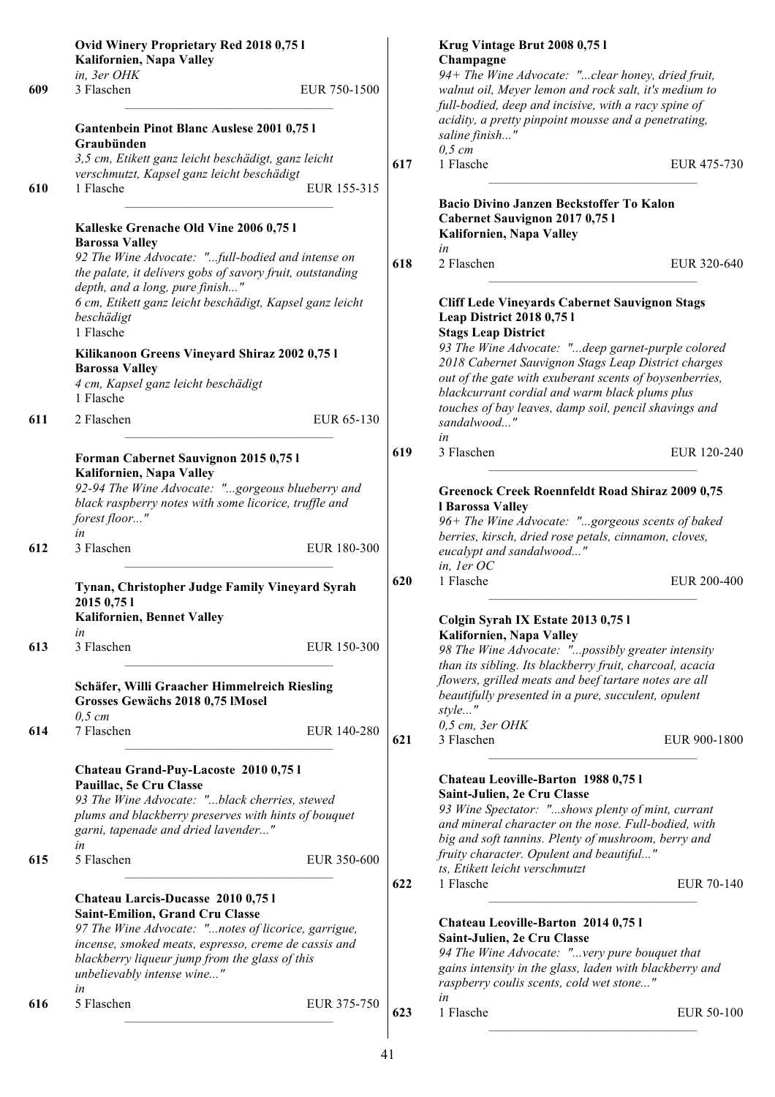|     | Ovid Winery Proprietary Red 2018 0,75 l<br>Kalifornien, Napa Valley                                                                                                                                              |              |     | Krug Vintage Brut 2008 0,75 l<br>Champagne                                                                                                                                                                            |              |
|-----|------------------------------------------------------------------------------------------------------------------------------------------------------------------------------------------------------------------|--------------|-----|-----------------------------------------------------------------------------------------------------------------------------------------------------------------------------------------------------------------------|--------------|
| 609 | in, 3er OHK<br>3 Flaschen                                                                                                                                                                                        | EUR 750-1500 |     | 94+ The Wine Advocate: "clear honey, dried fruit,<br>walnut oil, Meyer lemon and rock salt, it's medium to<br>full-bodied, deep and incisive, with a racy spine of                                                    |              |
|     | Gantenbein Pinot Blanc Auslese 2001 0,75 l<br>Graubünden                                                                                                                                                         |              |     | acidity, a pretty pinpoint mousse and a penetrating,<br>saline finish"                                                                                                                                                |              |
|     | 3,5 cm, Etikett ganz leicht beschädigt, ganz leicht<br>verschmutzt, Kapsel ganz leicht beschädigt                                                                                                                |              | 617 | $0,5$ cm<br>1 Flasche                                                                                                                                                                                                 | EUR 475-730  |
| 610 | 1 Flasche                                                                                                                                                                                                        | EUR 155-315  |     | <b>Bacio Divino Janzen Beckstoffer To Kalon</b>                                                                                                                                                                       |              |
|     | Kalleske Grenache Old Vine 2006 0,75 l<br><b>Barossa Valley</b>                                                                                                                                                  |              |     | Cabernet Sauvignon 2017 0,75 l<br>Kalifornien, Napa Valley<br>in                                                                                                                                                      |              |
|     | 92 The Wine Advocate: "full-bodied and intense on<br>the palate, it delivers gobs of savory fruit, outstanding<br>depth, and a long, pure finish"                                                                |              | 618 | 2 Flaschen                                                                                                                                                                                                            | EUR 320-640  |
|     | 6 cm, Etikett ganz leicht beschädigt, Kapsel ganz leicht<br>beschädigt<br>1 Flasche                                                                                                                              |              |     | <b>Cliff Lede Vineyards Cabernet Sauvignon Stags</b><br><b>Leap District 2018 0,751</b><br><b>Stags Leap District</b>                                                                                                 |              |
|     | Kilikanoon Greens Vineyard Shiraz 2002 0,75 l<br><b>Barossa Valley</b><br>4 cm, Kapsel ganz leicht beschädigt<br>1 Flasche                                                                                       |              |     | 93 The Wine Advocate: "deep garnet-purple colored<br>2018 Cabernet Sauvignon Stags Leap District charges<br>out of the gate with exuberant scents of boysenberries,<br>blackcurrant cordial and warm black plums plus |              |
| 611 | 2 Flaschen                                                                                                                                                                                                       | EUR 65-130   |     | touches of bay leaves, damp soil, pencil shavings and<br>sandalwood"<br>in                                                                                                                                            |              |
|     | Forman Cabernet Sauvignon 2015 0,75 l                                                                                                                                                                            |              | 619 | 3 Flaschen                                                                                                                                                                                                            | EUR 120-240  |
|     | Kalifornien, Napa Valley<br>92-94 The Wine Advocate: "gorgeous blueberry and<br>black raspberry notes with some licorice, truffle and<br>forest floor"                                                           |              |     | <b>Greenock Creek Roennfeldt Road Shiraz 2009 0,75</b><br>l Barossa Valley<br>96+ The Wine Advocate: "gorgeous scents of baked                                                                                        |              |
| 612 | in<br>3 Flaschen                                                                                                                                                                                                 | EUR 180-300  |     | berries, kirsch, dried rose petals, cinnamon, cloves,<br>eucalypt and sandalwood"<br>in, ler OC                                                                                                                       |              |
|     | Tynan, Christopher Judge Family Vineyard Syrah<br>2015 0,75 1<br><b>Kalifornien, Bennet Valley</b>                                                                                                               |              | 620 | 1 Flasche<br>Colgin Syrah IX Estate 2013 0,75 l                                                                                                                                                                       | EUR 200-400  |
| 613 | in<br>3 Flaschen                                                                                                                                                                                                 | EUR 150-300  |     | Kalifornien, Napa Valley<br>98 The Wine Advocate: "possibly greater intensity                                                                                                                                         |              |
|     | Schäfer, Willi Graacher Himmelreich Riesling<br>Grosses Gewächs 2018 0,75 IMosel<br>$0,5$ cm                                                                                                                     |              |     | than its sibling. Its blackberry fruit, charcoal, acacia<br>flowers, grilled meats and beef tartare notes are all<br>beautifully presented in a pure, succulent, opulent<br>style"                                    |              |
| 614 | 7 Flaschen                                                                                                                                                                                                       | EUR 140-280  | 621 | $0,5$ cm, $3er$ OHK<br>3 Flaschen                                                                                                                                                                                     | EUR 900-1800 |
|     | Chateau Grand-Puy-Lacoste 2010 0,75 l<br>Pauillac, 5e Cru Classe<br>93 The Wine Advocate: "black cherries, stewed<br>plums and blackberry preserves with hints of bouquet<br>garni, tapenade and dried lavender" |              |     | Chateau Leoville-Barton 1988 0,75 l<br>Saint-Julien, 2e Cru Classe<br>93 Wine Spectator: "shows plenty of mint, currant<br>and mineral character on the nose. Full-bodied, with                                       |              |
| 615 | in<br>5 Flaschen                                                                                                                                                                                                 | EUR 350-600  |     | big and soft tannins. Plenty of mushroom, berry and<br>fruity character. Opulent and beautiful"<br>ts, Etikett leicht verschmutzt                                                                                     |              |
|     | Chateau Larcis-Ducasse 2010 0,75 l                                                                                                                                                                               |              | 622 | 1 Flasche                                                                                                                                                                                                             | EUR 70-140   |
|     | <b>Saint-Emilion, Grand Cru Classe</b><br>97 The Wine Advocate: "notes of licorice, garrigue,                                                                                                                    |              |     | Chateau Leoville-Barton 2014 0,75 l                                                                                                                                                                                   |              |
|     | incense, smoked meats, espresso, creme de cassis and<br>blackberry liqueur jump from the glass of this<br>unbelievably intense wine"<br>in                                                                       |              |     | Saint-Julien, 2e Cru Classe<br>94 The Wine Advocate: "very pure bouquet that<br>gains intensity in the glass, laden with blackberry and<br>raspberry coulis scents, cold wet stone"                                   |              |
| 616 | 5 Flaschen                                                                                                                                                                                                       | EUR 375-750  | 623 | in<br>1 Flasche                                                                                                                                                                                                       | EUR 50-100   |
|     |                                                                                                                                                                                                                  |              |     |                                                                                                                                                                                                                       |              |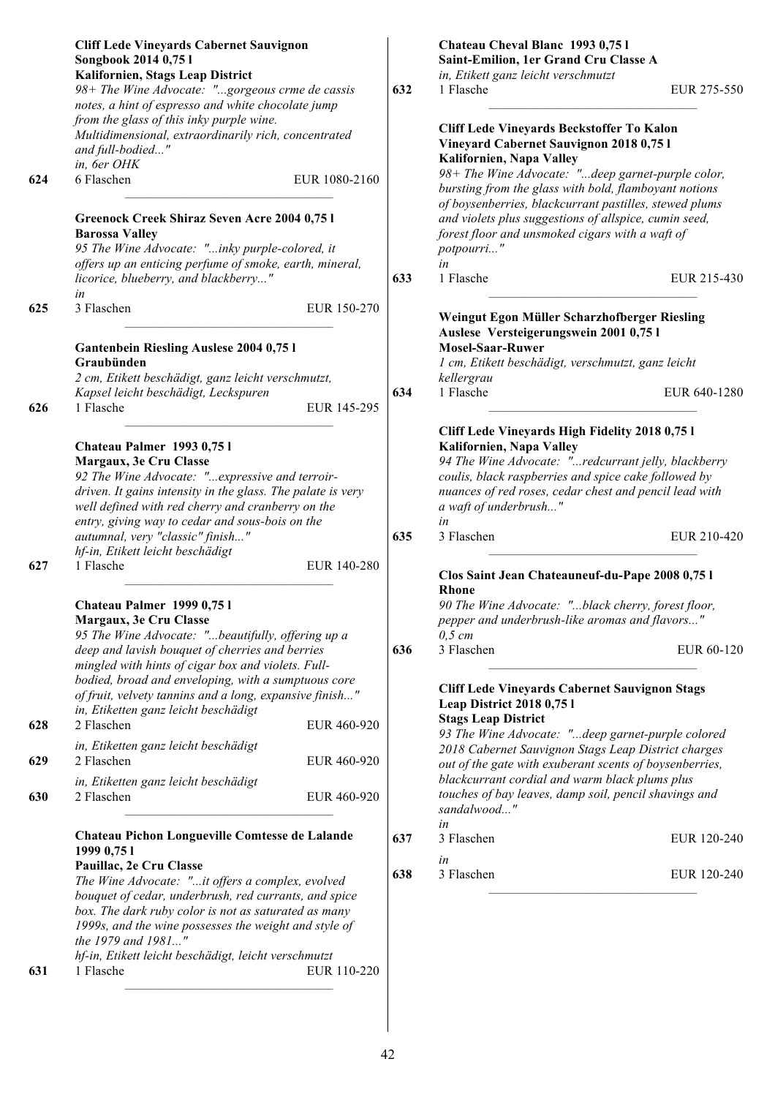|     | <b>Cliff Lede Vineyards Cabernet Sauvignon</b><br>Songbook 2014 0,75 l<br>Kalifornien, Stags Leap District                                                                                                                 |     | Chateau Cheval Blanc 1993 0,751<br>Saint-Emilion, 1er Grand Cru Classe A<br>in, Etikett ganz leicht verschmutzt                                                      |  |
|-----|----------------------------------------------------------------------------------------------------------------------------------------------------------------------------------------------------------------------------|-----|----------------------------------------------------------------------------------------------------------------------------------------------------------------------|--|
|     | 98+ The Wine Advocate: "gorgeous crme de cassis<br>notes, a hint of espresso and white chocolate jump<br>from the glass of this inky purple wine.                                                                          | 632 | 1 Flasche<br>EUR 275-550                                                                                                                                             |  |
|     | Multidimensional, extraordinarily rich, concentrated<br>and full-bodied"<br>in, 6er OHK                                                                                                                                    |     | Cliff Lede Vineyards Beckstoffer To Kalon<br>Vineyard Cabernet Sauvignon 2018 0,75 l<br>Kalifornien, Napa Valley                                                     |  |
| 624 | 6 Flaschen<br>EUR 1080-2160                                                                                                                                                                                                |     | 98+ The Wine Advocate: "deep garnet-purple color,<br>bursting from the glass with bold, flamboyant notions<br>of boysenberries, blackcurrant pastilles, stewed plums |  |
|     | Greenock Creek Shiraz Seven Acre 2004 0,75 l<br><b>Barossa Valley</b><br>95 The Wine Advocate: "inky purple-colored, it<br>offers up an enticing perfume of smoke, earth, mineral,                                         |     | and violets plus suggestions of allspice, cumin seed,<br>forest floor and unsmoked cigars with a waft of<br>potpourri"<br>in                                         |  |
|     | licorice, blueberry, and blackberry"<br>in                                                                                                                                                                                 | 633 | 1 Flasche<br>EUR 215-430                                                                                                                                             |  |
| 625 | 3 Flaschen<br>EUR 150-270                                                                                                                                                                                                  |     | Weingut Egon Müller Scharzhofberger Riesling<br>Auslese Versteigerungswein 2001 0,75 l                                                                               |  |
|     | <b>Gantenbein Riesling Auslese 2004 0,751</b><br>Graubünden                                                                                                                                                                |     | <b>Mosel-Saar-Ruwer</b><br>1 cm, Etikett beschädigt, verschmutzt, ganz leicht                                                                                        |  |
|     | 2 cm, Etikett beschädigt, ganz leicht verschmutzt,                                                                                                                                                                         |     | kellergrau                                                                                                                                                           |  |
| 626 | Kapsel leicht beschädigt, Leckspuren<br>1 Flasche<br>EUR 145-295                                                                                                                                                           | 634 | 1 Flasche<br>EUR 640-1280                                                                                                                                            |  |
|     | Chateau Palmer 1993 0,751                                                                                                                                                                                                  |     | Cliff Lede Vineyards High Fidelity 2018 0,75 l<br>Kalifornien, Napa Valley                                                                                           |  |
|     | Margaux, 3e Cru Classe<br>92 The Wine Advocate: " expressive and terroir-                                                                                                                                                  |     | 94 The Wine Advocate: "redcurrant jelly, blackberry                                                                                                                  |  |
|     | driven. It gains intensity in the glass. The palate is very<br>well defined with red cherry and cranberry on the<br>entry, giving way to cedar and sous-bois on the                                                        |     | coulis, black raspberries and spice cake followed by<br>nuances of red roses, cedar chest and pencil lead with<br>a waft of underbrush"<br>in                        |  |
|     | autumnal, very "classic" finish"<br>hf-in, Etikett leicht beschädigt                                                                                                                                                       | 635 | 3 Flaschen<br>EUR 210-420                                                                                                                                            |  |
| 627 | 1 Flasche<br>EUR 140-280                                                                                                                                                                                                   |     | Clos Saint Jean Chateauneuf-du-Pape 2008 0,75 l<br><b>Rhone</b>                                                                                                      |  |
|     | Chateau Palmer 1999 0,751<br>Margaux, 3e Cru Classe<br>95 The Wine Advocate: "beautifully, offering up a                                                                                                                   |     | 90 The Wine Advocate: "black cherry, forest floor,<br>pepper and underbrush-like aromas and flavors"<br>$0,5$ cm                                                     |  |
|     | deep and lavish bouquet of cherries and berries<br>mingled with hints of cigar box and violets. Full-                                                                                                                      | 636 | 3 Flaschen<br>EUR 60-120                                                                                                                                             |  |
|     | bodied, broad and enveloping, with a sumptuous core<br>of fruit, velvety tannins and a long, expansive finish"<br>in, Etiketten ganz leicht beschädigt                                                                     |     | <b>Cliff Lede Vineyards Cabernet Sauvignon Stags</b><br><b>Leap District 2018 0,75 l</b>                                                                             |  |
| 628 | 2 Flaschen<br>EUR 460-920                                                                                                                                                                                                  |     | <b>Stags Leap District</b><br>93 The Wine Advocate: "deep garnet-purple colored                                                                                      |  |
| 629 | in, Etiketten ganz leicht beschädigt<br>2 Flaschen<br>EUR 460-920                                                                                                                                                          |     | 2018 Cabernet Sauvignon Stags Leap District charges<br>out of the gate with exuberant scents of boysenberries,                                                       |  |
| 630 | in, Etiketten ganz leicht beschädigt<br>2 Flaschen<br>EUR 460-920                                                                                                                                                          |     | blackcurrant cordial and warm black plums plus<br>touches of bay leaves, damp soil, pencil shavings and<br>sandalwood"                                               |  |
|     | Chateau Pichon Longueville Comtesse de Lalande                                                                                                                                                                             | 637 | in<br>3 Flaschen<br>EUR 120-240                                                                                                                                      |  |
|     | 1999 0,75 1<br>Pauillac, 2e Cru Classe                                                                                                                                                                                     |     | in                                                                                                                                                                   |  |
|     | The Wine Advocate: "it offers a complex, evolved<br>bouquet of cedar, underbrush, red currants, and spice<br>box. The dark ruby color is not as saturated as many<br>1999s, and the wine possesses the weight and style of | 638 | 3 Flaschen<br>EUR 120-240                                                                                                                                            |  |
|     | the 1979 and 1981"                                                                                                                                                                                                         |     |                                                                                                                                                                      |  |
| 631 | hf-in, Etikett leicht beschädigt, leicht verschmutzt<br>1 Flasche<br>EUR 110-220                                                                                                                                           |     |                                                                                                                                                                      |  |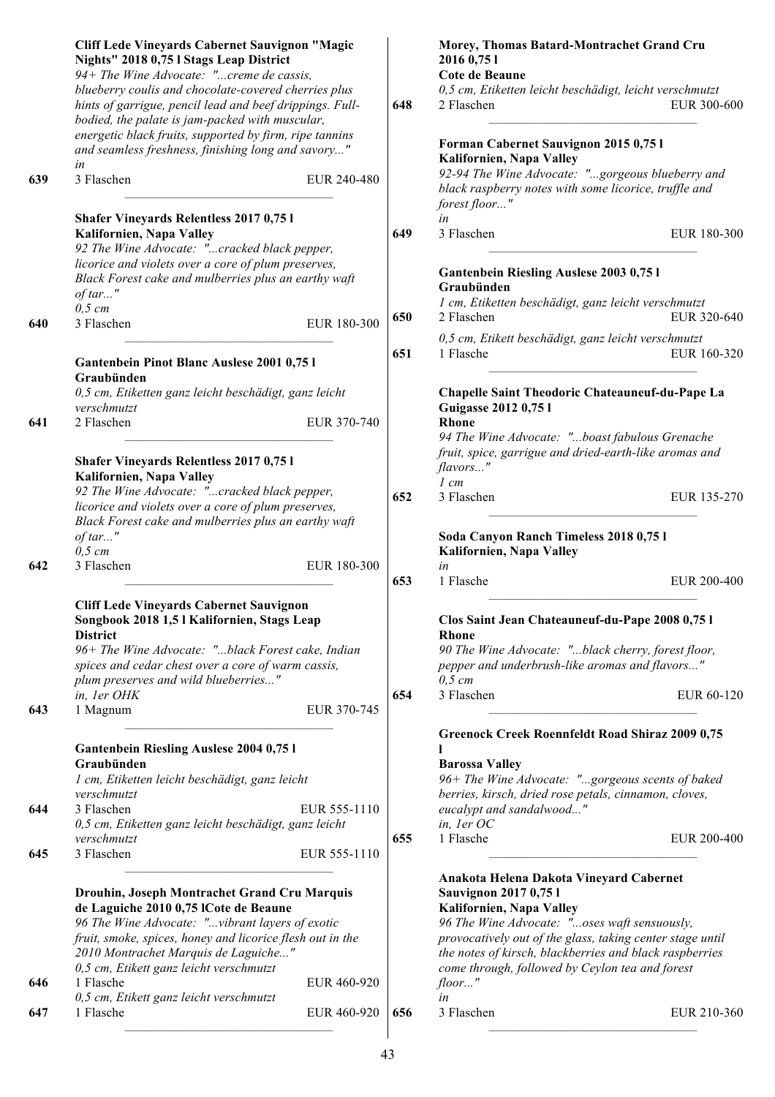|     | <b>Cliff Lede Vineyards Cabernet Sauvignon "Magic</b><br>Nights" 2018 0,75 l Stags Leap District<br>94+ The Wine Advocate: "creme de cassis,                        |              |     | Morey, Thomas Batard-Montrachet Grand Cru<br>2016 0,75 1<br>Cote de Beaune                                                 |             |
|-----|---------------------------------------------------------------------------------------------------------------------------------------------------------------------|--------------|-----|----------------------------------------------------------------------------------------------------------------------------|-------------|
|     | blueberry coulis and chocolate-covered cherries plus<br>hints of garrigue, pencil lead and beef drippings. Full-<br>bodied, the palate is jam-packed with muscular, |              | 648 | 0,5 cm, Etiketten leicht beschädigt, leicht verschmutzt<br>2 Flaschen                                                      | EUR 300-600 |
|     | energetic black fruits, supported by firm, ripe tannins<br>and seamless freshness, finishing long and savory"<br>in                                                 |              |     | Forman Cabernet Sauvignon 2015 0,75 l<br>Kalifornien, Napa Valley                                                          |             |
| 639 | 3 Flaschen                                                                                                                                                          | EUR 240-480  |     | 92-94 The Wine Advocate: "gorgeous blueberry and<br>black raspberry notes with some licorice, truffle and<br>forest floor" |             |
|     | <b>Shafer Vineyards Relentless 2017 0,751</b><br>Kalifornien, Napa Valley                                                                                           |              | 649 | in<br>3 Flaschen                                                                                                           | EUR 180-300 |
|     | 92 The Wine Advocate: "cracked black pepper,<br>licorice and violets over a core of plum preserves,<br>Black Forest cake and mulberries plus an earthy waft         |              |     | <b>Gantenbein Riesling Auslese 2003 0,751</b>                                                                              |             |
|     | $of tar$ "                                                                                                                                                          |              |     | Graubünden<br>1 cm, Etiketten beschädigt, ganz leicht verschmutzt                                                          |             |
| 640 | $0,5$ cm<br>3 Flaschen                                                                                                                                              | EUR 180-300  | 650 | 2 Flaschen                                                                                                                 | EUR 320-640 |
|     |                                                                                                                                                                     |              | 651 | 0,5 cm, Etikett beschädigt, ganz leicht verschmutzt<br>1 Flasche                                                           | EUR 160-320 |
|     | Gantenbein Pinot Blanc Auslese 2001 0,75 l<br>Graubünden                                                                                                            |              |     |                                                                                                                            |             |
|     | 0,5 cm, Etiketten ganz leicht beschädigt, ganz leicht<br>verschmutzt                                                                                                |              |     | Chapelle Saint Theodoric Chateauneuf-du-Pape La<br>Guigasse 2012 0,75 l                                                    |             |
| 641 | 2 Flaschen                                                                                                                                                          | EUR 370-740  |     | Rhone<br>94 The Wine Advocate: "boast fabulous Grenache<br>fruit, spice, garrigue and dried-earth-like aromas and          |             |
|     | Shafer Vineyards Relentless 2017 0,75 l<br>Kalifornien, Napa Valley                                                                                                 |              |     | flavors"                                                                                                                   |             |
|     | 92 The Wine Advocate: "cracked black pepper,                                                                                                                        |              | 652 | $1$ cm<br>3 Flaschen                                                                                                       | EUR 135-270 |
|     | licorice and violets over a core of plum preserves,                                                                                                                 |              |     |                                                                                                                            |             |
|     | Black Forest cake and mulberries plus an earthy waft<br>of tar"                                                                                                     |              |     | Soda Canyon Ranch Timeless 2018 0,75 l                                                                                     |             |
|     | $0.5$ cm                                                                                                                                                            |              |     | Kalifornien, Napa Valley                                                                                                   |             |
| 642 | 3 Flaschen                                                                                                                                                          | EUR 180-300  | 653 | in<br>1 Flasche                                                                                                            | EUR 200-400 |
|     |                                                                                                                                                                     |              |     |                                                                                                                            |             |
|     | <b>Cliff Lede Vineyards Cabernet Sauvignon</b><br>Songbook 2018 1,5 l Kalifornien, Stags Leap<br><b>District</b>                                                    |              |     | Clos Saint Jean Chateauneuf-du-Pape 2008 0,75 l<br><b>Rhone</b>                                                            |             |
|     | 96+ The Wine Advocate: "black Forest cake, Indian<br>spices and cedar chest over a core of warm cassis,                                                             |              |     | 90 The Wine Advocate: "black cherry, forest floor,<br>pepper and underbrush-like aromas and flavors"                       |             |
|     | plum preserves and wild blueberries"<br>in, 1er OHK                                                                                                                 |              | 654 | $0,5$ cm<br>3 Flaschen                                                                                                     | EUR 60-120  |
| 643 | 1 Magnum                                                                                                                                                            | EUR 370-745  |     |                                                                                                                            |             |
|     | <b>Gantenbein Riesling Auslese 2004 0,751</b>                                                                                                                       |              |     | <b>Greenock Creek Roennfeldt Road Shiraz 2009 0,75</b>                                                                     |             |
|     | Graubünden                                                                                                                                                          |              |     | <b>Barossa Valley</b>                                                                                                      |             |
|     | 1 cm, Etiketten leicht beschädigt, ganz leicht<br>verschmutzt                                                                                                       |              |     | 96+ The Wine Advocate: "gorgeous scents of baked                                                                           |             |
| 644 | 3 Flaschen                                                                                                                                                          | EUR 555-1110 |     | berries, kirsch, dried rose petals, cinnamon, cloves,<br>eucalypt and sandalwood"                                          |             |
|     | 0,5 cm, Etiketten ganz leicht beschädigt, ganz leicht                                                                                                               |              |     | in, 1er OC                                                                                                                 |             |
| 645 | verschmutzt<br>3 Flaschen                                                                                                                                           | EUR 555-1110 | 655 | 1 Flasche                                                                                                                  | EUR 200-400 |
|     |                                                                                                                                                                     |              |     |                                                                                                                            |             |
|     | Drouhin, Joseph Montrachet Grand Cru Marquis                                                                                                                        |              |     | Anakota Helena Dakota Vineyard Cabernet<br><b>Sauvignon 2017 0,751</b>                                                     |             |
|     | de Laguiche 2010 0,75 lCote de Beaune                                                                                                                               |              |     | Kalifornien, Napa Valley                                                                                                   |             |
|     | 96 The Wine Advocate: "vibrant layers of exotic                                                                                                                     |              |     | 96 The Wine Advocate: "oses waft sensuously,                                                                               |             |
|     | fruit, smoke, spices, honey and licorice flesh out in the<br>2010 Montrachet Marquis de Laguiche"                                                                   |              |     | provocatively out of the glass, taking center stage until<br>the notes of kirsch, blackberries and black raspberries       |             |
|     | 0,5 cm, Etikett ganz leicht verschmutzt                                                                                                                             |              |     | come through, followed by Ceylon tea and forest                                                                            |             |
| 646 | 1 Flasche                                                                                                                                                           | EUR 460-920  |     | $floor$ "                                                                                                                  |             |
| 647 | 0,5 cm, Etikett ganz leicht verschmutzt<br>1 Flasche                                                                                                                | EUR 460-920  | 656 | in<br>3 Flaschen                                                                                                           | EUR 210-360 |
|     |                                                                                                                                                                     |              |     |                                                                                                                            |             |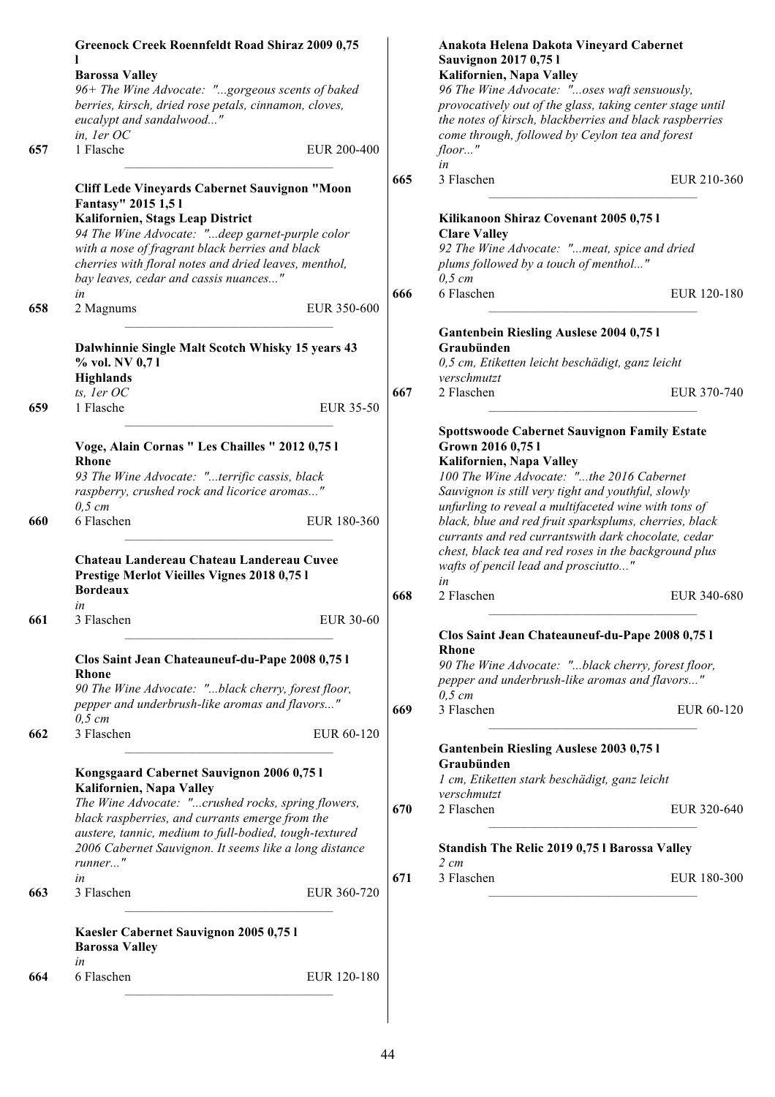|     | <b>Greenock Creek Roennfeldt Road Shiraz 2009 0,75</b><br><b>Barossa Valley</b>                                                                                              |                  |     | Anakota Helena Dakota Vineyard Cabernet<br>Sauvignon 2017 0,75 l<br>Kalifornien, Napa Valley                                                                                                                                                                    |             |
|-----|------------------------------------------------------------------------------------------------------------------------------------------------------------------------------|------------------|-----|-----------------------------------------------------------------------------------------------------------------------------------------------------------------------------------------------------------------------------------------------------------------|-------------|
|     | 96+ The Wine Advocate: "gorgeous scents of baked<br>berries, kirsch, dried rose petals, cinnamon, cloves,<br>eucalypt and sandalwood"<br>in, ler OC                          |                  |     | 96 The Wine Advocate: "oses waft sensuously,<br>provocatively out of the glass, taking center stage until<br>the notes of kirsch, blackberries and black raspberries<br>come through, followed by Ceylon tea and forest                                         |             |
| 657 | 1 Flasche                                                                                                                                                                    | EUR 200-400      |     | $floor$ "<br>in                                                                                                                                                                                                                                                 |             |
|     | Cliff Lede Vineyards Cabernet Sauvignon "Moon<br>Fantasy" 2015 1,51<br>Kalifornien, Stags Leap District                                                                      |                  | 665 | 3 Flaschen<br>Kilikanoon Shiraz Covenant 2005 0,75 l                                                                                                                                                                                                            | EUR 210-360 |
|     | 94 The Wine Advocate: "deep garnet-purple color<br>with a nose of fragrant black berries and black<br>cherries with floral notes and dried leaves, menthol,                  |                  |     | <b>Clare Valley</b><br>92 The Wine Advocate: "meat, spice and dried<br>plums followed by a touch of menthol"                                                                                                                                                    |             |
| 658 | bay leaves, cedar and cassis nuances"<br>in<br>2 Magnums                                                                                                                     | EUR 350-600      | 666 | $0,5$ cm<br>6 Flaschen                                                                                                                                                                                                                                          | EUR 120-180 |
|     | Dalwhinnie Single Malt Scotch Whisky 15 years 43<br>% vol. NV 0,71<br><b>Highlands</b>                                                                                       |                  |     | <b>Gantenbein Riesling Auslese 2004 0,751</b><br>Graubünden<br>0,5 cm, Etiketten leicht beschädigt, ganz leicht<br>verschmutzt                                                                                                                                  |             |
| 659 | ts, ler OC<br>1 Flasche                                                                                                                                                      | EUR 35-50        | 667 | 2 Flaschen                                                                                                                                                                                                                                                      | EUR 370-740 |
|     | Voge, Alain Cornas " Les Chailles " 2012 0,75 l<br><b>Rhone</b><br>93 The Wine Advocate: "terrific cassis, black<br>raspberry, crushed rock and licorice aromas"<br>$0,5$ cm |                  |     | <b>Spottswoode Cabernet Sauvignon Family Estate</b><br>Grown 2016 0,75 l<br>Kalifornien, Napa Valley<br>100 The Wine Advocate: "the 2016 Cabernet<br>Sauvignon is still very tight and youthful, slowly<br>unfurling to reveal a multifaceted wine with tons of |             |
| 660 | 6 Flaschen<br>Chateau Landereau Chateau Landereau Cuvee<br>Prestige Merlot Vieilles Vignes 2018 0,75 l                                                                       | EUR 180-360      |     | black, blue and red fruit sparksplums, cherries, black<br>currants and red currantswith dark chocolate, cedar<br>chest, black tea and red roses in the background plus<br>wafts of pencil lead and prosciutto"<br>in                                            |             |
|     | <b>Bordeaux</b><br>in                                                                                                                                                        |                  | 668 | 2 Flaschen                                                                                                                                                                                                                                                      | EUR 340-680 |
| 661 | 3 Flaschen                                                                                                                                                                   | <b>EUR 30-60</b> |     | Clos Saint Jean Chateauneuf-du-Pape 2008 0,75 l                                                                                                                                                                                                                 |             |
|     | Clos Saint Jean Chateauneuf-du-Pape 2008 0,75 l<br>Rhone<br>90 The Wine Advocate: "black cherry, forest floor,                                                               |                  |     | <b>Rhone</b><br>90 The Wine Advocate: "black cherry, forest floor,<br>pepper and underbrush-like aromas and flavors"<br>$0,5$ cm                                                                                                                                |             |
| 662 | pepper and underbrush-like aromas and flavors"<br>$0,5$ cm<br>3 Flaschen                                                                                                     | EUR 60-120       | 669 | 3 Flaschen                                                                                                                                                                                                                                                      | EUR 60-120  |
|     |                                                                                                                                                                              |                  |     | Gantenbein Riesling Auslese 2003 0,75 l<br>Graubünden                                                                                                                                                                                                           |             |
|     | Kongsgaard Cabernet Sauvignon 2006 0,75 l<br>Kalifornien, Napa Valley                                                                                                        |                  |     | 1 cm, Etiketten stark beschädigt, ganz leicht<br>verschmutzt                                                                                                                                                                                                    |             |
|     | The Wine Advocate: "crushed rocks, spring flowers,<br>black raspberries, and currants emerge from the                                                                        |                  | 670 | 2 Flaschen                                                                                                                                                                                                                                                      | EUR 320-640 |
|     | austere, tannic, medium to full-bodied, tough-textured<br>2006 Cabernet Sauvignon. It seems like a long distance<br>runner"                                                  |                  |     | Standish The Relic 2019 0,75 l Barossa Valley<br>$2 \, cm$                                                                                                                                                                                                      |             |
| 663 | in<br>3 Flaschen                                                                                                                                                             | EUR 360-720      | 671 | 3 Flaschen                                                                                                                                                                                                                                                      | EUR 180-300 |
|     | Kaesler Cabernet Sauvignon 2005 0,75 l<br><b>Barossa Valley</b>                                                                                                              |                  |     |                                                                                                                                                                                                                                                                 |             |
| 664 | in<br>6 Flaschen                                                                                                                                                             | EUR 120-180      |     |                                                                                                                                                                                                                                                                 |             |
|     |                                                                                                                                                                              |                  |     |                                                                                                                                                                                                                                                                 |             |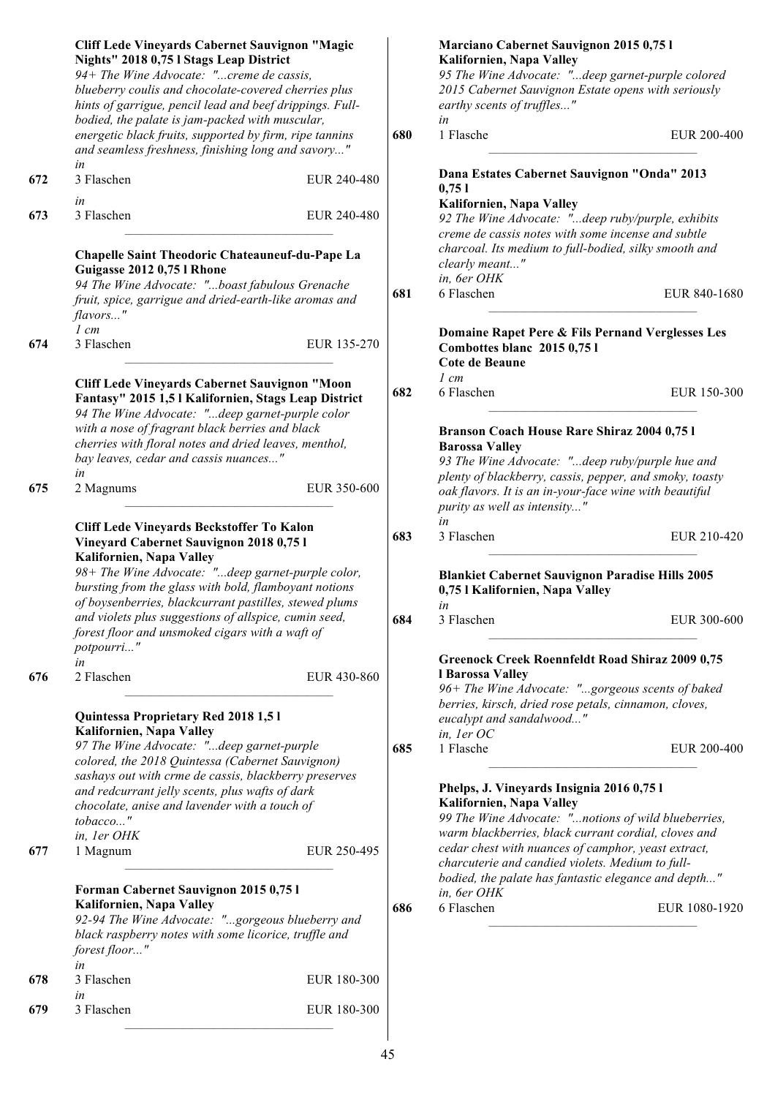|     | <b>Cliff Lede Vineyards Cabernet Sauvignon "Magic</b><br>Nights" 2018 0,75 l Stags Leap District<br>94+ The Wine Advocate: "creme de cassis,<br>blueberry coulis and chocolate-covered cherries plus<br>hints of garrigue, pencil lead and beef drippings. Full-                                                                                                            |             |            | Marciano Cabernet Sauvignon 2015 0,75 l<br>Kalifornien, Napa Valley<br>95 The Wine Advocate: "deep garnet-purple colored<br>2015 Cabernet Sauvignon Estate opens with seriously<br>earthy scents of truffles" |                            |
|-----|-----------------------------------------------------------------------------------------------------------------------------------------------------------------------------------------------------------------------------------------------------------------------------------------------------------------------------------------------------------------------------|-------------|------------|---------------------------------------------------------------------------------------------------------------------------------------------------------------------------------------------------------------|----------------------------|
|     | bodied, the palate is jam-packed with muscular,<br>energetic black fruits, supported by firm, ripe tannins<br>and seamless freshness, finishing long and savory"                                                                                                                                                                                                            |             | 680        | in<br>1 Flasche                                                                                                                                                                                               | EUR 200-400                |
| 672 | in<br>3 Flaschen<br>in                                                                                                                                                                                                                                                                                                                                                      | EUR 240-480 |            | Dana Estates Cabernet Sauvignon "Onda" 2013<br>0,751                                                                                                                                                          |                            |
| 673 | 3 Flaschen                                                                                                                                                                                                                                                                                                                                                                  | EUR 240-480 |            | Kalifornien, Napa Valley<br>92 The Wine Advocate: "deep ruby/purple, exhibits<br>creme de cassis notes with some incense and subtle                                                                           |                            |
|     | Chapelle Saint Theodoric Chateauneuf-du-Pape La<br>Guigasse 2012 0,75 l Rhone                                                                                                                                                                                                                                                                                               |             |            | charcoal. Its medium to full-bodied, silky smooth and<br>clearly meant"<br>in, 6er OHK                                                                                                                        |                            |
|     | 94 The Wine Advocate: "boast fabulous Grenache<br>fruit, spice, garrigue and dried-earth-like aromas and<br>flavors"                                                                                                                                                                                                                                                        |             | 681        | 6 Flaschen                                                                                                                                                                                                    | EUR 840-1680               |
| 674 | $1 \, cm$<br>3 Flaschen                                                                                                                                                                                                                                                                                                                                                     | EUR 135-270 |            | Domaine Rapet Pere & Fils Pernand Verglesses Les<br>Combottes blanc 2015 0,75 l<br><b>Cote de Beaune</b>                                                                                                      |                            |
|     | <b>Cliff Lede Vineyards Cabernet Sauvignon "Moon</b><br>Fantasy" 2015 1,5 l Kalifornien, Stags Leap District<br>94 The Wine Advocate: "deep garnet-purple color                                                                                                                                                                                                             |             | 682        | $1 \, cm$<br>6 Flaschen                                                                                                                                                                                       | EUR 150-300                |
| 675 | with a nose of fragrant black berries and black<br>cherries with floral notes and dried leaves, menthol,<br>bay leaves, cedar and cassis nuances"<br>in<br>2 Magnums                                                                                                                                                                                                        | EUR 350-600 |            | Branson Coach House Rare Shiraz 2004 0,75 l<br><b>Barossa Valley</b><br>93 The Wine Advocate: "deep ruby/purple hue and<br>plenty of blackberry, cassis, pepper, and smoky, toasty                            |                            |
|     | Cliff Lede Vineyards Beckstoffer To Kalon                                                                                                                                                                                                                                                                                                                                   |             |            | oak flavors. It is an in-your-face wine with beautiful<br>purity as well as intensity"<br>in                                                                                                                  |                            |
|     | Vineyard Cabernet Sauvignon 2018 0,75 l<br>Kalifornien, Napa Valley<br>98+ The Wine Advocate: "deep garnet-purple color,<br>bursting from the glass with bold, flamboyant notions<br>of boysenberries, blackcurrant pastilles, stewed plums<br>and violets plus suggestions of allspice, cumin seed,<br>forest floor and unsmoked cigars with a waft of<br>potpourri"<br>in |             | 683<br>684 | 3 Flaschen<br><b>Blankiet Cabernet Sauvignon Paradise Hills 2005</b><br>0,75 l Kalifornien, Napa Valley<br>in<br>3 Flaschen<br><b>Greenock Creek Roennfeldt Road Shiraz 2009 0,75</b>                         | EUR 210-420<br>EUR 300-600 |
| 676 | 2 Flaschen<br>Quintessa Proprietary Red 2018 1,5 l                                                                                                                                                                                                                                                                                                                          | EUR 430-860 |            | l Barossa Valley<br>96+ The Wine Advocate: "gorgeous scents of baked<br>berries, kirsch, dried rose petals, cinnamon, cloves,<br>eucalypt and sandalwood"                                                     |                            |
|     | Kalifornien, Napa Valley<br>97 The Wine Advocate: "deep garnet-purple<br>colored, the 2018 Quintessa (Cabernet Sauvignon)<br>sashays out with crme de cassis, blackberry preserves                                                                                                                                                                                          |             | 685        | in, ler OC<br>1 Flasche                                                                                                                                                                                       | EUR 200-400                |
|     | and redcurrant jelly scents, plus wafts of dark<br>chocolate, anise and lavender with a touch of<br>tobacco"<br>in, ler OHK                                                                                                                                                                                                                                                 |             |            | Phelps, J. Vineyards Insignia 2016 0,75 l<br>Kalifornien, Napa Valley<br>99 The Wine Advocate: "notions of wild blueberries,<br>warm blackberries, black currant cordial, cloves and                          |                            |
| 677 | 1 Magnum                                                                                                                                                                                                                                                                                                                                                                    | EUR 250-495 |            | cedar chest with nuances of camphor, yeast extract,<br>charcuterie and candied violets. Medium to full-<br>bodied, the palate has fantastic elegance and depth"                                               |                            |
|     | Forman Cabernet Sauvignon 2015 0,75 l<br>Kalifornien, Napa Valley<br>92-94 The Wine Advocate: "gorgeous blueberry and<br>black raspberry notes with some licorice, truffle and<br>forest floor"                                                                                                                                                                             |             | 686        | in, 6er OHK<br>6 Flaschen                                                                                                                                                                                     | EUR 1080-1920              |
| 678 | in<br>3 Flaschen<br>in                                                                                                                                                                                                                                                                                                                                                      | EUR 180-300 |            |                                                                                                                                                                                                               |                            |
| 679 | 3 Flaschen                                                                                                                                                                                                                                                                                                                                                                  | EUR 180-300 |            |                                                                                                                                                                                                               |                            |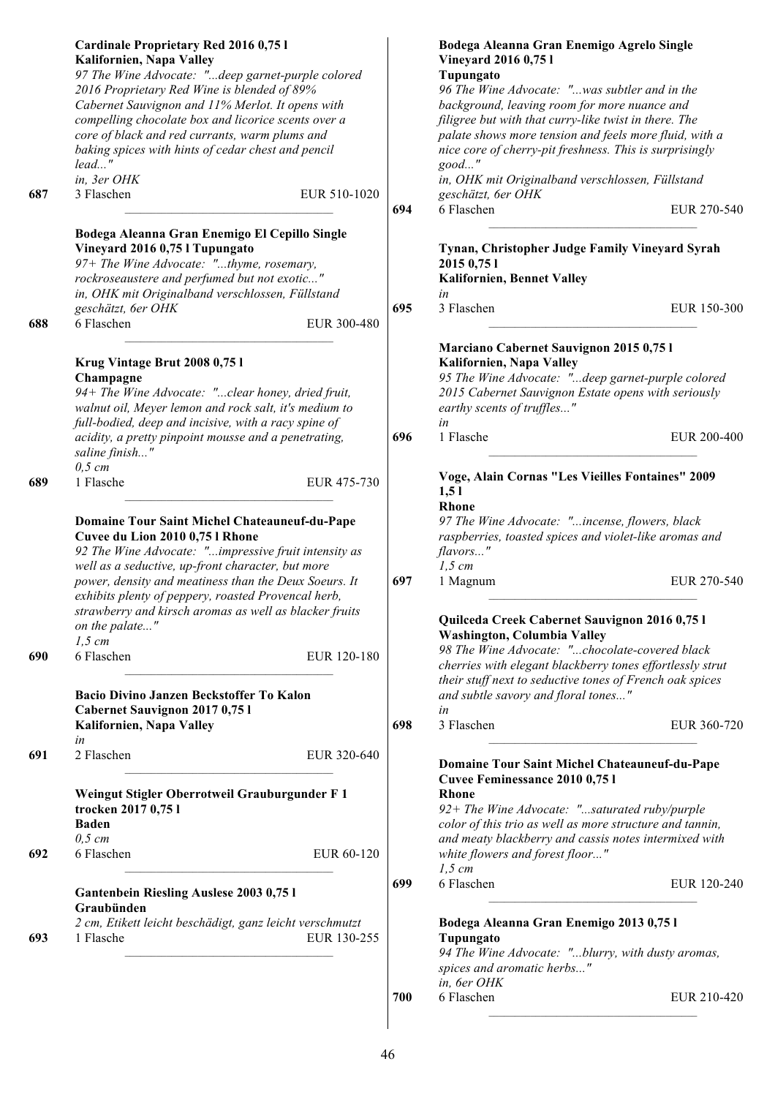|     | Cardinale Proprietary Red 2016 0,75 l<br>Kalifornien, Napa Valley<br>97 The Wine Advocate: "deep garnet-purple colored                                                                                                                                                     |     | Bodega Aleanna Gran Enemigo Agrelo Single<br>Vineyard 2016 0,75 l<br>Tupungato                                                                                                                                                                                                          |
|-----|----------------------------------------------------------------------------------------------------------------------------------------------------------------------------------------------------------------------------------------------------------------------------|-----|-----------------------------------------------------------------------------------------------------------------------------------------------------------------------------------------------------------------------------------------------------------------------------------------|
|     | 2016 Proprietary Red Wine is blended of 89%<br>Cabernet Sauvignon and 11% Merlot. It opens with<br>compelling chocolate box and licorice scents over a<br>core of black and red currants, warm plums and<br>baking spices with hints of cedar chest and pencil<br>$lead$ " |     | 96 The Wine Advocate: "was subtler and in the<br>background, leaving room for more nuance and<br>filigree but with that curry-like twist in there. The<br>palate shows more tension and feels more fluid, with a<br>nice core of cherry-pit freshness. This is surprisingly<br>$good$ " |
| 687 | in, 3er OHK<br>3 Flaschen<br>EUR 510-1020                                                                                                                                                                                                                                  |     | in, OHK mit Originalband verschlossen, Füllstand<br>geschätzt, 6er OHK                                                                                                                                                                                                                  |
|     |                                                                                                                                                                                                                                                                            | 694 | 6 Flaschen<br>EUR 270-540                                                                                                                                                                                                                                                               |
|     | Bodega Aleanna Gran Enemigo El Cepillo Single<br>Vineyard 2016 0,75 l Tupungato<br>97+ The Wine Advocate: "thyme, rosemary,<br>rockroseaustere and perfumed but not exotic"<br>in, OHK mit Originalband verschlossen, Füllstand<br>geschätzt, 6er OHK                      | 695 | Tynan, Christopher Judge Family Vineyard Syrah<br>2015 0,75 1<br>Kalifornien, Bennet Valley<br>in<br>3 Flaschen<br>EUR 150-300                                                                                                                                                          |
| 688 | 6 Flaschen<br>EUR 300-480                                                                                                                                                                                                                                                  |     |                                                                                                                                                                                                                                                                                         |
|     | Krug Vintage Brut 2008 0,75 l<br>Champagne<br>94+ The Wine Advocate: "clear honey, dried fruit,<br>walnut oil, Meyer lemon and rock salt, it's medium to<br>full-bodied, deep and incisive, with a racy spine of                                                           |     | Marciano Cabernet Sauvignon 2015 0,75 l<br>Kalifornien, Napa Valley<br>95 The Wine Advocate: "deep garnet-purple colored<br>2015 Cabernet Sauvignon Estate opens with seriously<br>earthy scents of truffles"<br>in                                                                     |
|     | acidity, a pretty pinpoint mousse and a penetrating,<br>saline finish"<br>$0,5$ cm                                                                                                                                                                                         | 696 | 1 Flasche<br>EUR 200-400                                                                                                                                                                                                                                                                |
| 689 | 1 Flasche<br>EUR 475-730                                                                                                                                                                                                                                                   |     | Voge, Alain Cornas "Les Vieilles Fontaines" 2009<br>1,51<br><b>Rhone</b>                                                                                                                                                                                                                |
|     | Domaine Tour Saint Michel Chateauneuf-du-Pape<br>Cuvee du Lion 2010 0,75 l Rhone<br>92 The Wine Advocate: "impressive fruit intensity as<br>well as a seductive, up-front character, but more                                                                              |     | 97 The Wine Advocate: "incense, flowers, black<br>raspberries, toasted spices and violet-like aromas and<br>flavors"<br>$1,5$ cm                                                                                                                                                        |
|     | power, density and meatiness than the Deux Soeurs. It<br>exhibits plenty of peppery, roasted Provencal herb,<br>strawberry and kirsch aromas as well as blacker fruits                                                                                                     | 697 | EUR 270-540<br>1 Magnum                                                                                                                                                                                                                                                                 |
|     | on the palate"                                                                                                                                                                                                                                                             |     | Quilceda Creek Cabernet Sauvignon 2016 0,75 l<br>Washington, Columbia Valley                                                                                                                                                                                                            |
| 690 | $1,5$ cm<br>6 Flaschen<br>EUR 120-180                                                                                                                                                                                                                                      |     | 98 The Wine Advocate: "chocolate-covered black<br>cherries with elegant blackberry tones effortlessly strut<br>their stuff next to seductive tones of French oak spices                                                                                                                 |
|     | Bacio Divino Janzen Beckstoffer To Kalon<br>Cabernet Sauvignon 2017 0,75 l<br>Kalifornien, Napa Valley                                                                                                                                                                     | 698 | and subtle savory and floral tones"<br>in<br>3 Flaschen<br>EUR 360-720                                                                                                                                                                                                                  |
|     | in                                                                                                                                                                                                                                                                         |     |                                                                                                                                                                                                                                                                                         |
| 691 | 2 Flaschen<br>EUR 320-640                                                                                                                                                                                                                                                  |     | <b>Domaine Tour Saint Michel Chateauneuf-du-Pape</b><br>Cuvee Feminessance 2010 0,75 l<br><b>Rhone</b>                                                                                                                                                                                  |
|     | Weingut Stigler Oberrotweil Grauburgunder F 1<br>trocken 2017 0,75 l<br><b>Baden</b><br>$0,5$ cm                                                                                                                                                                           |     | $92+$ The Wine Advocate: "saturated ruby/purple<br>color of this trio as well as more structure and tannin,<br>and meaty blackberry and cassis notes intermixed with                                                                                                                    |
| 692 | 6 Flaschen<br>EUR 60-120                                                                                                                                                                                                                                                   |     | white flowers and forest floor"<br>$1,5$ cm                                                                                                                                                                                                                                             |
|     | <b>Gantenbein Riesling Auslese 2003 0,751</b><br>Graubünden                                                                                                                                                                                                                | 699 | 6 Flaschen<br>EUR 120-240                                                                                                                                                                                                                                                               |
| 693 | 2 cm, Etikett leicht beschädigt, ganz leicht verschmutzt<br>1 Flasche<br>EUR 130-255                                                                                                                                                                                       |     | Bodega Aleanna Gran Enemigo 2013 0,75 l<br>Tupungato<br>94 The Wine Advocate: "blurry, with dusty aromas,<br>spices and aromatic herbs"                                                                                                                                                 |
|     |                                                                                                                                                                                                                                                                            | 700 | in, 6er OHK<br>6 Flaschen<br>EUR 210-420                                                                                                                                                                                                                                                |
|     |                                                                                                                                                                                                                                                                            |     |                                                                                                                                                                                                                                                                                         |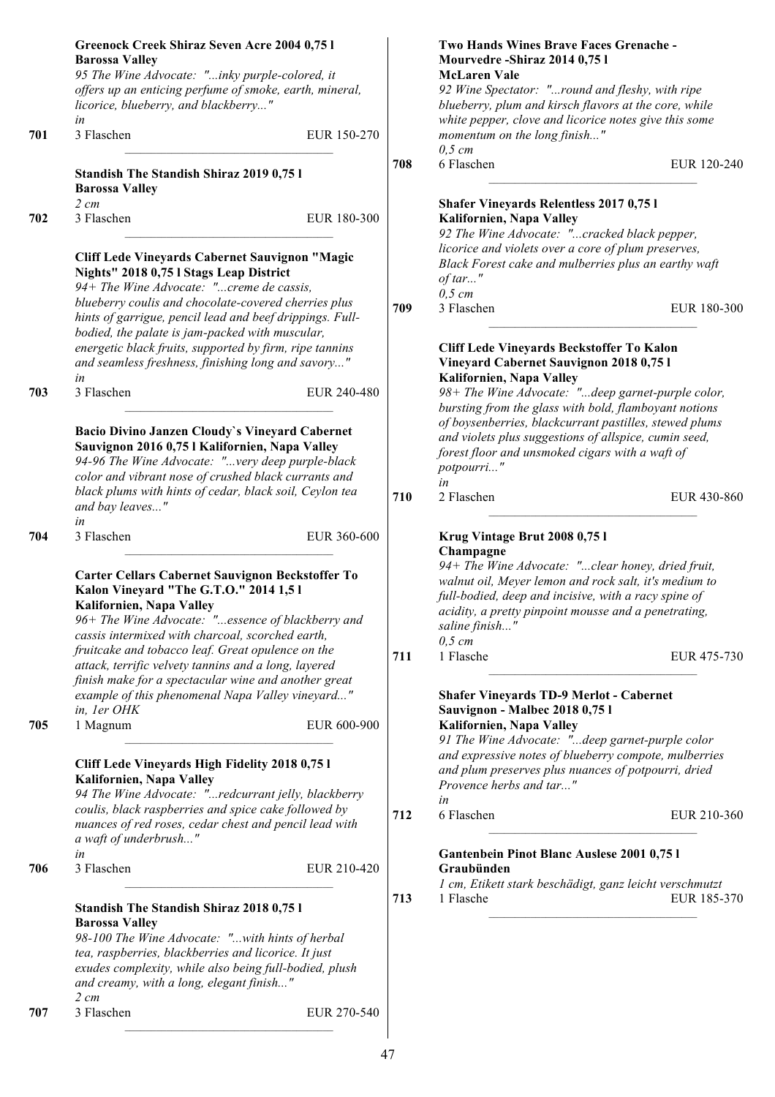|     | Greenock Creek Shiraz Seven Acre 2004 0,75 l                                                                  |             |     | Two Hands Wines Brave Faces Grenache -                                                                       |             |
|-----|---------------------------------------------------------------------------------------------------------------|-------------|-----|--------------------------------------------------------------------------------------------------------------|-------------|
|     | <b>Barossa Valley</b>                                                                                         |             |     | Mourvedre-Shiraz 2014 0,75 l                                                                                 |             |
|     | 95 The Wine Advocate: "inky purple-colored, it                                                                |             |     | <b>McLaren Vale</b>                                                                                          |             |
|     | offers up an enticing perfume of smoke, earth, mineral,<br>licorice, blueberry, and blackberry"               |             |     | 92 Wine Spectator: "round and fleshy, with ripe<br>blueberry, plum and kirsch flavors at the core, while     |             |
|     | in                                                                                                            |             |     | white pepper, clove and licorice notes give this some                                                        |             |
| 701 | 3 Flaschen                                                                                                    | EUR 150-270 |     | momentum on the long finish"<br>$0,5$ cm                                                                     |             |
|     | <b>Standish The Standish Shiraz 2019 0,751</b><br><b>Barossa Valley</b>                                       |             | 708 | 6 Flaschen                                                                                                   | EUR 120-240 |
|     | $2 \, cm$                                                                                                     |             |     | <b>Shafer Vineyards Relentless 2017 0,751</b>                                                                |             |
| 702 | 3 Flaschen                                                                                                    | EUR 180-300 |     | Kalifornien, Napa Valley                                                                                     |             |
|     |                                                                                                               |             |     | 92 The Wine Advocate: "cracked black pepper,                                                                 |             |
|     | Cliff Lede Vineyards Cabernet Sauvignon "Magic<br>Nights" 2018 0,75 l Stags Leap District                     |             |     | licorice and violets over a core of plum preserves,<br>Black Forest cake and mulberries plus an earthy waft  |             |
|     | 94+ The Wine Advocate: "creme de cassis,                                                                      |             |     | of tar"                                                                                                      |             |
|     | blueberry coulis and chocolate-covered cherries plus                                                          |             | 709 | $0,5$ cm<br>3 Flaschen                                                                                       | EUR 180-300 |
|     | hints of garrigue, pencil lead and beef drippings. Full-                                                      |             |     |                                                                                                              |             |
|     | bodied, the palate is jam-packed with muscular,                                                               |             |     |                                                                                                              |             |
|     | energetic black fruits, supported by firm, ripe tannins<br>and seamless freshness, finishing long and savory" |             |     | Cliff Lede Vineyards Beckstoffer To Kalon<br>Vineyard Cabernet Sauvignon 2018 0,75 l                         |             |
| 703 | in<br>3 Flaschen                                                                                              | EUR 240-480 |     | Kalifornien, Napa Valley<br>98+ The Wine Advocate: "deep garnet-purple color,                                |             |
|     |                                                                                                               |             |     | bursting from the glass with bold, flamboyant notions                                                        |             |
|     |                                                                                                               |             |     | of boysenberries, blackcurrant pastilles, stewed plums                                                       |             |
|     | Bacio Divino Janzen Cloudy's Vineyard Cabernet                                                                |             |     | and violets plus suggestions of allspice, cumin seed,                                                        |             |
|     | Sauvignon 2016 0,75 l Kalifornien, Napa Valley<br>94-96 The Wine Advocate: "very deep purple-black            |             |     | forest floor and unsmoked cigars with a waft of                                                              |             |
|     | color and vibrant nose of crushed black currants and                                                          |             |     | potpourri"                                                                                                   |             |
|     | black plums with hints of cedar, black soil, Ceylon tea                                                       |             |     | in                                                                                                           |             |
|     | and bay leaves"                                                                                               |             | 710 | 2 Flaschen                                                                                                   | EUR 430-860 |
|     | in                                                                                                            |             |     |                                                                                                              |             |
| 704 | 3 Flaschen                                                                                                    | EUR 360-600 |     | Krug Vintage Brut 2008 0,75 l                                                                                |             |
|     |                                                                                                               |             |     | Champagne                                                                                                    |             |
|     | Carter Cellars Cabernet Sauvignon Beckstoffer To                                                              |             |     | 94+ The Wine Advocate: "clear honey, dried fruit,                                                            |             |
|     | Kalon Vineyard "The G.T.O." 2014 1,5 l                                                                        |             |     | walnut oil, Meyer lemon and rock salt, it's medium to                                                        |             |
|     | Kalifornien, Napa Valley                                                                                      |             |     | full-bodied, deep and incisive, with a racy spine of<br>acidity, a pretty pinpoint mousse and a penetrating, |             |
|     | 96+ The Wine Advocate: "essence of blackberry and                                                             |             |     | saline finish"                                                                                               |             |
|     | cassis intermixed with charcoal, scorched earth,                                                              |             |     | $0,5$ cm                                                                                                     |             |
|     | fruitcake and tobacco leaf. Great opulence on the                                                             |             | 711 | 1 Flasche                                                                                                    | EUR 475-730 |
|     | attack, terrific velvety tannins and a long, layered                                                          |             |     |                                                                                                              |             |
|     | finish make for a spectacular wine and another great                                                          |             |     | <b>Shafer Vineyards TD-9 Merlot - Cabernet</b>                                                               |             |
|     | example of this phenomenal Napa Valley vineyard"<br>in, ler OHK                                               |             |     | Sauvignon - Malbec 2018 0,751                                                                                |             |
| 705 | 1 Magnum                                                                                                      | EUR 600-900 |     | Kalifornien, Napa Valley                                                                                     |             |
|     |                                                                                                               |             |     | 91 The Wine Advocate: "deep garnet-purple color                                                              |             |
|     |                                                                                                               |             |     | and expressive notes of blueberry compote, mulberries                                                        |             |
|     | Cliff Lede Vineyards High Fidelity 2018 0,75 l<br>Kalifornien, Napa Valley                                    |             |     | and plum preserves plus nuances of potpourri, dried                                                          |             |
|     | 94 The Wine Advocate: "redcurrant jelly, blackberry                                                           |             |     | Provence herbs and tar"                                                                                      |             |
|     | coulis, black raspberries and spice cake followed by                                                          |             |     | in                                                                                                           |             |
|     | nuances of red roses, cedar chest and pencil lead with                                                        |             | 712 | 6 Flaschen                                                                                                   | EUR 210-360 |
|     | a waft of underbrush"                                                                                         |             |     |                                                                                                              |             |
|     | in                                                                                                            |             |     | Gantenbein Pinot Blanc Auslese 2001 0,75 l                                                                   |             |
| 706 | 3 Flaschen                                                                                                    | EUR 210-420 |     | Graubünden                                                                                                   |             |
|     |                                                                                                               |             |     | 1 cm, Etikett stark beschädigt, ganz leicht verschmutzt                                                      |             |
|     | <b>Standish The Standish Shiraz 2018 0,751</b>                                                                |             | 713 | 1 Flasche                                                                                                    | EUR 185-370 |
|     | <b>Barossa Valley</b>                                                                                         |             |     |                                                                                                              |             |
|     | 98-100 The Wine Advocate: "with hints of herbal                                                               |             |     |                                                                                                              |             |
|     | tea, raspberries, blackberries and licorice. It just                                                          |             |     |                                                                                                              |             |
|     | exudes complexity, while also being full-bodied, plush                                                        |             |     |                                                                                                              |             |
|     | and creamy, with a long, elegant finish"                                                                      |             |     |                                                                                                              |             |
| 707 | $2 \, cm$<br>3 Flaschen                                                                                       | EUR 270-540 |     |                                                                                                              |             |
|     |                                                                                                               |             |     |                                                                                                              |             |
|     |                                                                                                               |             |     |                                                                                                              |             |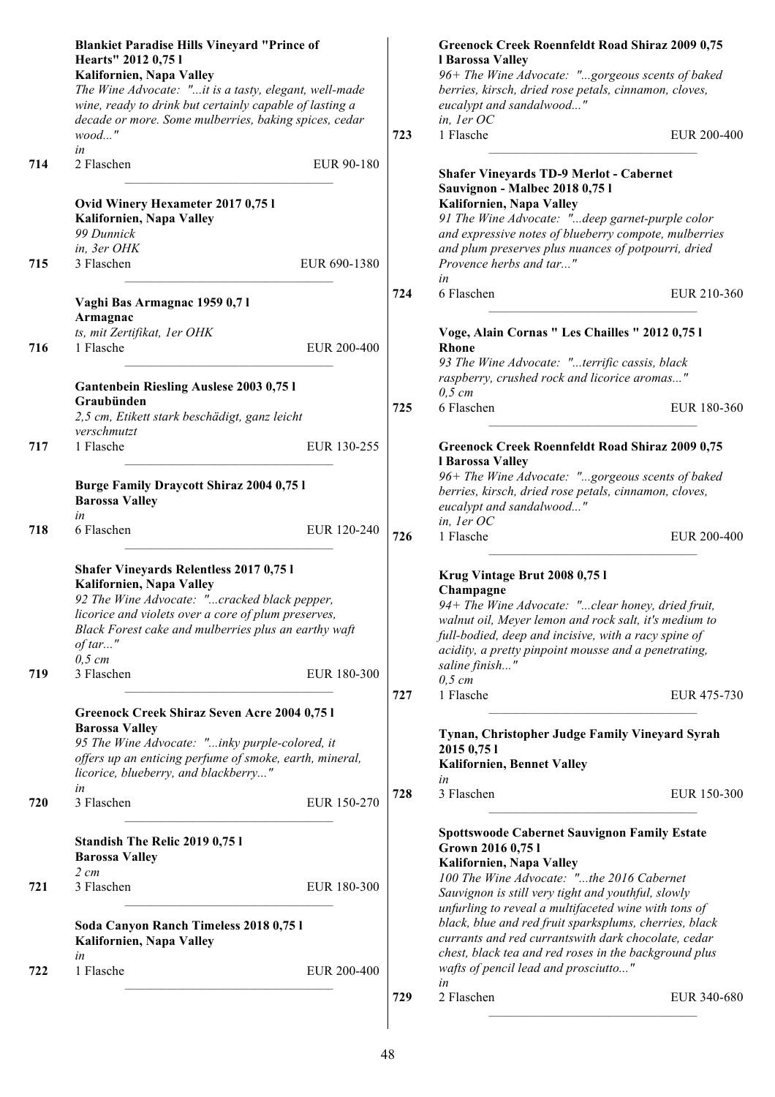|     | <b>Blankiet Paradise Hills Vineyard "Prince of</b><br>Hearts" 2012 0,75 l<br>Kalifornien, Napa Valley                                                                                                                                                                            |              |     | Greenock Creek Roennfeldt Road Shiraz 2009 0,75<br>l Barossa Valley<br>96+ The Wine Advocate: "gorgeous scents of baked                                                                                                                                                                    |
|-----|----------------------------------------------------------------------------------------------------------------------------------------------------------------------------------------------------------------------------------------------------------------------------------|--------------|-----|--------------------------------------------------------------------------------------------------------------------------------------------------------------------------------------------------------------------------------------------------------------------------------------------|
|     | The Wine Advocate: "it is a tasty, elegant, well-made<br>wine, ready to drink but certainly capable of lasting a<br>decade or more. Some mulberries, baking spices, cedar<br>$wood$ "                                                                                            |              | 723 | berries, kirsch, dried rose petals, cinnamon, cloves,<br>eucalypt and sandalwood"<br>in, ler OC<br>1 Flasche<br>EUR 200-400                                                                                                                                                                |
|     | in                                                                                                                                                                                                                                                                               |              |     |                                                                                                                                                                                                                                                                                            |
| 714 | 2 Flaschen<br>Ovid Winery Hexameter 2017 0,75 l                                                                                                                                                                                                                                  | EUR 90-180   |     | <b>Shafer Vineyards TD-9 Merlot - Cabernet</b><br>Sauvignon - Malbec 2018 0,75 l<br>Kalifornien, Napa Valley                                                                                                                                                                               |
|     | Kalifornien, Napa Valley<br>99 Dunnick<br>in, 3er OHK                                                                                                                                                                                                                            |              |     | 91 The Wine Advocate: "deep garnet-purple color<br>and expressive notes of blueberry compote, mulberries<br>and plum preserves plus nuances of potpourri, dried                                                                                                                            |
| 715 | 3 Flaschen                                                                                                                                                                                                                                                                       | EUR 690-1380 |     | Provence herbs and tar"<br>in                                                                                                                                                                                                                                                              |
|     | Vaghi Bas Armagnac 1959 0,71<br>Armagnac                                                                                                                                                                                                                                         |              | 724 | 6 Flaschen<br>EUR 210-360                                                                                                                                                                                                                                                                  |
| 716 | ts, mit Zertifikat, 1er OHK<br>1 Flasche                                                                                                                                                                                                                                         | EUR 200-400  |     | Voge, Alain Cornas " Les Chailles " 2012 0,75 l<br><b>Rhone</b>                                                                                                                                                                                                                            |
|     | Gantenbein Riesling Auslese 2003 0,75 l                                                                                                                                                                                                                                          |              |     | 93 The Wine Advocate: "terrific cassis, black<br>raspberry, crushed rock and licorice aromas"<br>$0,5$ cm                                                                                                                                                                                  |
|     | Graubünden<br>2,5 cm, Etikett stark beschädigt, ganz leicht                                                                                                                                                                                                                      |              | 725 | 6 Flaschen<br>EUR 180-360                                                                                                                                                                                                                                                                  |
| 717 | verschmutzt<br>1 Flasche                                                                                                                                                                                                                                                         | EUR 130-255  |     | <b>Greenock Creek Roennfeldt Road Shiraz 2009 0,75</b><br>l Barossa Valley                                                                                                                                                                                                                 |
|     | <b>Burge Family Draycott Shiraz 2004 0,75 l</b><br><b>Barossa Valley</b><br>in                                                                                                                                                                                                   |              |     | 96+ The Wine Advocate: "gorgeous scents of baked<br>berries, kirsch, dried rose petals, cinnamon, cloves,<br>eucalypt and sandalwood"                                                                                                                                                      |
| 718 | 6 Flaschen                                                                                                                                                                                                                                                                       | EUR 120-240  | 726 | in, ler OC<br>1 Flasche<br>EUR 200-400                                                                                                                                                                                                                                                     |
| 719 | <b>Shafer Vineyards Relentless 2017 0,751</b><br>Kalifornien, Napa Valley<br>92 The Wine Advocate: "cracked black pepper,<br>licorice and violets over a core of plum preserves,<br>Black Forest cake and mulberries plus an earthy waft<br>$of tar$ "<br>$0,5$ cm<br>3 Flaschen | EUR 180-300  |     | Krug Vintage Brut 2008 0,75 l<br>Champagne<br>94+ The Wine Advocate: "clear honey, dried fruit,<br>walnut oil, Meyer lemon and rock salt, it's medium to<br>full-bodied, deep and incisive, with a racy spine of<br>acidity, a pretty pinpoint mousse and a penetrating,<br>saline finish" |
|     |                                                                                                                                                                                                                                                                                  |              | 727 | $0,5$ cm<br>1 Flasche<br>EUR 475-730                                                                                                                                                                                                                                                       |
|     | Greenock Creek Shiraz Seven Acre 2004 0,75 l<br><b>Barossa Valley</b><br>95 The Wine Advocate: "inky purple-colored, it<br>offers up an enticing perfume of smoke, earth, mineral,<br>licorice, blueberry, and blackberry"                                                       |              |     | Tynan, Christopher Judge Family Vineyard Syrah<br>2015 0,75 1<br><b>Kalifornien, Bennet Valley</b><br>in                                                                                                                                                                                   |
| 720 | in<br>3 Flaschen                                                                                                                                                                                                                                                                 | EUR 150-270  | 728 | 3 Flaschen<br>EUR 150-300                                                                                                                                                                                                                                                                  |
|     | Standish The Relic 2019 0,75 l<br><b>Barossa Valley</b><br>$2 \, cm$                                                                                                                                                                                                             |              |     | Spottswoode Cabernet Sauvignon Family Estate<br>Grown 2016 0,75 l<br>Kalifornien, Napa Valley                                                                                                                                                                                              |
| 721 | 3 Flaschen                                                                                                                                                                                                                                                                       | EUR 180-300  |     | 100 The Wine Advocate: "the 2016 Cabernet<br>Sauvignon is still very tight and youthful, slowly<br>unfurling to reveal a multifaceted wine with tons of                                                                                                                                    |
|     | Soda Canyon Ranch Timeless 2018 0,75 l<br>Kalifornien, Napa Valley<br>in                                                                                                                                                                                                         |              |     | black, blue and red fruit sparksplums, cherries, black<br>currants and red currantswith dark chocolate, cedar<br>chest, black tea and red roses in the background plus                                                                                                                     |
| 722 | 1 Flasche                                                                                                                                                                                                                                                                        | EUR 200-400  |     | wafts of pencil lead and prosciutto"<br>in                                                                                                                                                                                                                                                 |
|     |                                                                                                                                                                                                                                                                                  |              | 729 | 2 Flaschen<br>EUR 340-680                                                                                                                                                                                                                                                                  |
|     |                                                                                                                                                                                                                                                                                  |              |     |                                                                                                                                                                                                                                                                                            |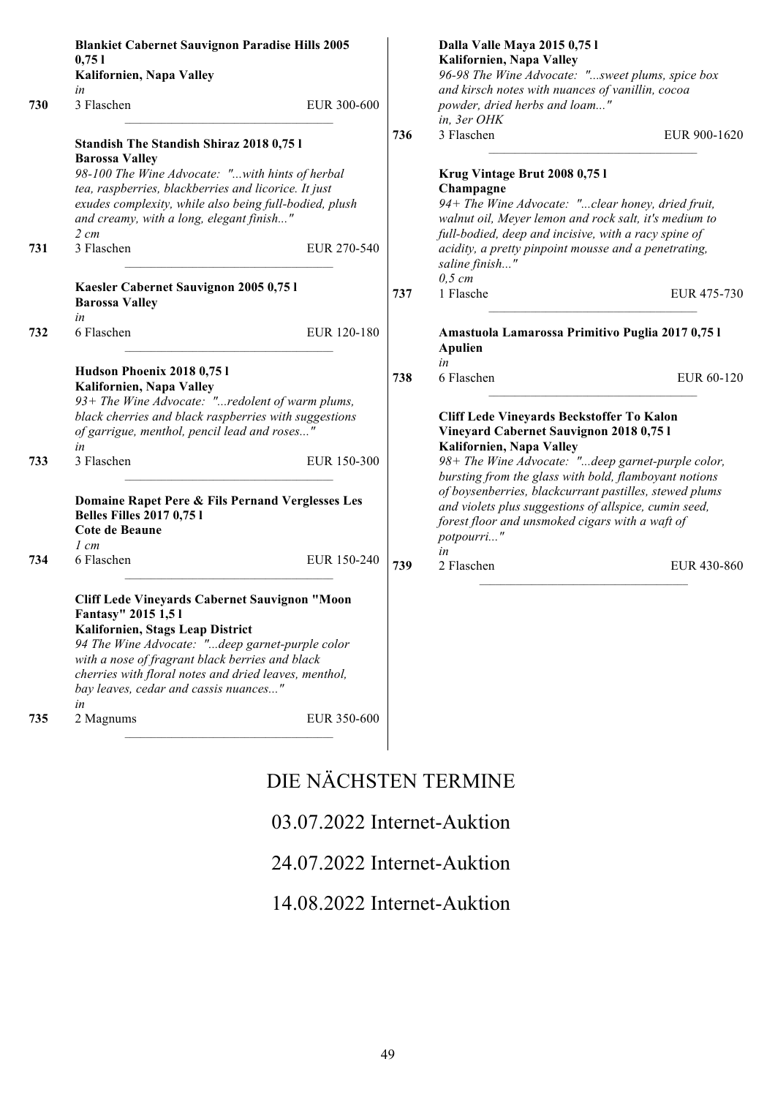|     | <b>Blankiet Cabernet Sauvignon Paradise Hills 2005</b><br>0,751<br>Kalifornien, Napa Valley<br>in                                                                                                                                                                                                                     |             |     | Dalla Valle Maya 2015 0,75 l<br>Kalifornien, Napa Valley<br>96-98 The Wine Advocate: "sweet plums, spice box<br>and kirsch notes with nuances of vanillin, cocoa                                                                                                                                     |              |
|-----|-----------------------------------------------------------------------------------------------------------------------------------------------------------------------------------------------------------------------------------------------------------------------------------------------------------------------|-------------|-----|------------------------------------------------------------------------------------------------------------------------------------------------------------------------------------------------------------------------------------------------------------------------------------------------------|--------------|
| 730 | 3 Flaschen                                                                                                                                                                                                                                                                                                            | EUR 300-600 |     | powder, dried herbs and loam"<br>in, 3er OHK                                                                                                                                                                                                                                                         |              |
|     | <b>Standish The Standish Shiraz 2018 0,751</b><br><b>Barossa Valley</b><br>98-100 The Wine Advocate: "with hints of herbal<br>tea, raspberries, blackberries and licorice. It just<br>exudes complexity, while also being full-bodied, plush<br>and creamy, with a long, elegant finish"<br>$2 \, cm$                 |             | 736 | 3 Flaschen<br>Krug Vintage Brut 2008 0,75 l<br>Champagne<br>94+ The Wine Advocate: "clear honey, dried fruit,<br>walnut oil, Meyer lemon and rock salt, it's medium to<br>full-bodied, deep and incisive, with a racy spine of                                                                       | EUR 900-1620 |
| 731 | 3 Flaschen                                                                                                                                                                                                                                                                                                            | EUR 270-540 |     | acidity, a pretty pinpoint mousse and a penetrating,<br>saline finish"<br>$0,5$ cm                                                                                                                                                                                                                   |              |
|     | Kaesler Cabernet Sauvignon 2005 0,75 l<br><b>Barossa Valley</b><br>in                                                                                                                                                                                                                                                 |             | 737 | 1 Flasche                                                                                                                                                                                                                                                                                            | EUR 475-730  |
| 732 | 6 Flaschen                                                                                                                                                                                                                                                                                                            | EUR 120-180 |     | Amastuola Lamarossa Primitivo Puglia 2017 0,75 l<br><b>Apulien</b><br>in                                                                                                                                                                                                                             |              |
| 733 | Hudson Phoenix 2018 0,75 l<br>Kalifornien, Napa Valley<br>93+ The Wine Advocate: "redolent of warm plums,<br>black cherries and black raspberries with suggestions<br>of garrigue, menthol, pencil lead and roses"<br>in<br>3 Flaschen                                                                                | EUR 150-300 | 738 | 6 Flaschen<br>Cliff Lede Vineyards Beckstoffer To Kalon<br>Vineyard Cabernet Sauvignon 2018 0,75 l<br>Kalifornien, Napa Valley                                                                                                                                                                       | EUR 60-120   |
|     | Domaine Rapet Pere & Fils Pernand Verglesses Les<br><b>Belles Filles 2017 0,75 l</b><br>Cote de Beaune<br>$1 \, cm$                                                                                                                                                                                                   |             |     | 98+ The Wine Advocate: "deep garnet-purple color,<br>bursting from the glass with bold, flamboyant notions<br>of boysenberries, blackcurrant pastilles, stewed plums<br>and violets plus suggestions of allspice, cumin seed,<br>forest floor and unsmoked cigars with a waft of<br>potpourri"<br>in |              |
| 734 | 6 Flaschen                                                                                                                                                                                                                                                                                                            | EUR 150-240 | 739 | 2 Flaschen                                                                                                                                                                                                                                                                                           | EUR 430-860  |
|     | Cliff Lede Vineyards Cabernet Sauvignon "Moon<br>Fantasy" 2015 1,51<br>Kalifornien, Stags Leap District<br>94 The Wine Advocate: "deep garnet-purple color<br>with a nose of fragrant black berries and black<br>cherries with floral notes and dried leaves, menthol,<br>bay leaves, cedar and cassis nuances"<br>in |             |     |                                                                                                                                                                                                                                                                                                      |              |
| 735 | 2 Magnums                                                                                                                                                                                                                                                                                                             | EUR 350-600 |     |                                                                                                                                                                                                                                                                                                      |              |

## DIE NÄCHSTEN TERMINE

## 03.07.2022 Internet-Auktion

## 24.07.2022 Internet-Auktion

## 14.08.2022 Internet-Auktion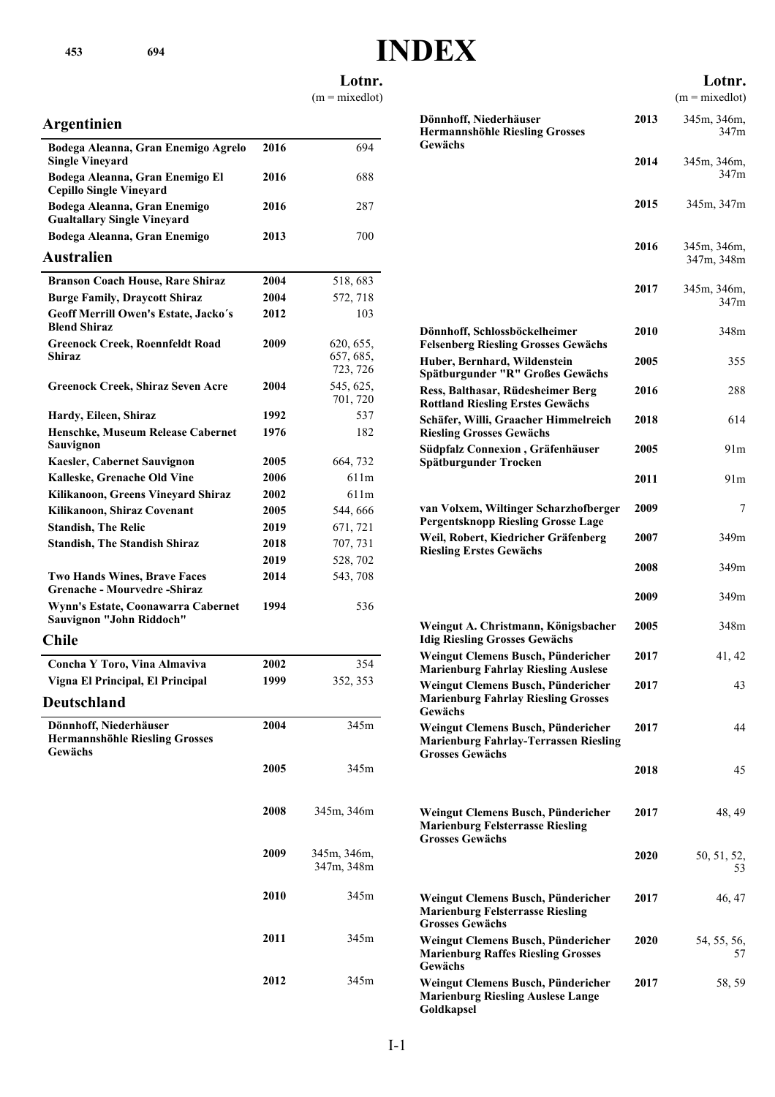**Lotnr.**

 $(m = mixedlot)$ 

#### **Argentinien**

| Bodega Aleanna, Gran Enemigo Agrelo<br><b>Single Vineyard</b>              | 2016        | 694                                |
|----------------------------------------------------------------------------|-------------|------------------------------------|
| Bodega Aleanna, Gran Enemigo El<br><b>Cepillo Single Vineyard</b>          | 2016        | 688                                |
| Bodega Aleanna, Gran Enemigo<br><b>Gualtallary Single Vineyard</b>         | 2016        | 287                                |
| Bodega Aleanna, Gran Enemigo                                               | 2013        | 700                                |
| Australien                                                                 |             |                                    |
| <b>Branson Coach House, Rare Shiraz</b>                                    | 2004        | 518, 683                           |
| <b>Burge Family, Draycott Shiraz</b>                                       | 2004        | 572, 718                           |
| Geoff Merrill Owen's Estate, Jacko's<br><b>Blend Shiraz</b>                | 2012        | 103                                |
| <b>Greenock Creek, Roennfeldt Road</b><br>Shiraz                           | 2009        | 620, 655,<br>657, 685,<br>723, 726 |
| <b>Greenock Creek, Shiraz Seven Acre</b>                                   | 2004        | 545, 625,<br>701, 720              |
| Hardy, Eileen, Shiraz                                                      | 1992        | 537                                |
| Henschke, Museum Release Cabernet<br>Sauvignon                             | 1976        | 182                                |
| Kaesler, Cabernet Sauvignon                                                | <b>2005</b> | 664, 732                           |
| Kalleske, Grenache Old Vine                                                | 2006        | 611m                               |
| Kilikanoon, Greens Vineyard Shiraz                                         | <b>2002</b> | 611 <sub>m</sub>                   |
| Kilikanoon, Shiraz Covenant                                                | 2005        | 544, 666                           |
| <b>Standish, The Relic</b>                                                 | 2019        | 671, 721                           |
| <b>Standish, The Standish Shiraz</b>                                       | 2018        | 707, 731                           |
|                                                                            | 2019        | 528, 702                           |
| <b>Two Hands Wines, Brave Faces</b><br>Grenache - Mourvedre -Shiraz        | 2014        | 543, 708                           |
| Wynn's Estate, Coonawarra Cabernet<br>Sauvignon "John Riddoch"             | 1994        | 536                                |
| Chile                                                                      |             |                                    |
| Concha Y Toro, Vina Almaviva                                               | 2002        | 354                                |
| Vigna El Principal, El Principal                                           | 1999        | 352, 353                           |
| Deutschland                                                                |             |                                    |
| Dönnhoff, Niederhäuser<br><b>Hermannshöhle Riesling Grosses</b><br>Gewächs | 2004        | 345m                               |
|                                                                            | 2005        | 345m                               |
|                                                                            | 2008        | 345m, 346m                         |
|                                                                            | 2009        | 345m, 346m,<br>347m, 348m          |
|                                                                            | 2010        | 345m                               |
|                                                                            | 2011        | 345m                               |
|                                                                            | 2012        | 345m                               |
|                                                                            |             |                                    |

| JE 2                                                                                                         |      |                            |
|--------------------------------------------------------------------------------------------------------------|------|----------------------------|
|                                                                                                              |      | Lotnr.<br>$(m = mixedlot)$ |
| Dönnhoff, Niederhäuser<br><b>Hermannshöhle Riesling Grosses</b><br>Gewächs                                   | 2013 | 345m, 346m,<br>347m        |
|                                                                                                              | 2014 | 345m, 346m,<br>347m        |
|                                                                                                              | 2015 | 345m, 347m                 |
|                                                                                                              | 2016 | 345m, 346m,<br>347m, 348m  |
|                                                                                                              | 2017 | 345m, 346m,<br>347m        |
| Dönnhoff, Schlossböckelheimer<br><b>Felsenberg Riesling Grosses Gewächs</b>                                  | 2010 | 348m                       |
| Huber, Bernhard, Wildenstein<br>Spätburgunder "R" Großes Gewächs                                             | 2005 | 355                        |
| Ress, Balthasar, Rüdesheimer Berg<br><b>Rottland Riesling Erstes Gewächs</b>                                 | 2016 | 288                        |
| Schäfer, Willi, Graacher Himmelreich<br><b>Riesling Grosses Gewächs</b>                                      | 2018 | 614                        |
| Südpfalz Connexion, Gräfenhäuser<br>Spätburgunder Trocken                                                    | 2005 | 91m                        |
|                                                                                                              | 2011 | 91m                        |
| van Volxem, Wiltinger Scharzhofberger<br><b>Pergentsknopp Riesling Grosse Lage</b>                           | 2009 | 7                          |
| Weil, Robert, Kiedricher Gräfenberg<br><b>Riesling Erstes Gewächs</b>                                        | 2007 | 349m                       |
|                                                                                                              | 2008 | 349m                       |
|                                                                                                              | 2009 | 349m                       |
| Weingut A. Christmann, Königsbacher<br><b>Idig Riesling Grosses Gewächs</b>                                  | 2005 | 348m                       |
| Weingut Clemens Busch, Pündericher<br><b>Marienburg Fahrlay Riesling Auslese</b>                             | 2017 | 41, 42                     |
| Weingut Clemens Busch, Pündericher<br><b>Marienburg Fahrlay Riesling Grosses</b><br>Gewächs                  | 2017 | 43                         |
| Weingut Clemens Busch, Pündericher<br><b>Marienburg Fahrlay-Terrassen Riesling</b><br><b>Grosses Gewächs</b> | 2017 | 44                         |
|                                                                                                              | 2018 | 45                         |
| Weingut Clemens Busch, Pündericher<br><b>Marienburg Felsterrasse Riesling</b><br><b>Grosses Gewächs</b>      | 2017 | 48, 49                     |
|                                                                                                              | 2020 | 50, 51, 52,<br>53          |
| Weingut Clemens Busch, Pündericher<br><b>Marienburg Felsterrasse Riesling</b>                                | 2017 | 46, 47                     |

**2020** 54, 55, 56,

57

**Grosses Gewächs**

**Gewächs**

**Goldkapsel**

**Weingut Clemens Busch, Pündericher Marienburg Raffes Riesling Grosses**

**Marienburg Riesling Auslese Lange**

**Weingut Clemens Busch, Pündericher 2017** 58, 59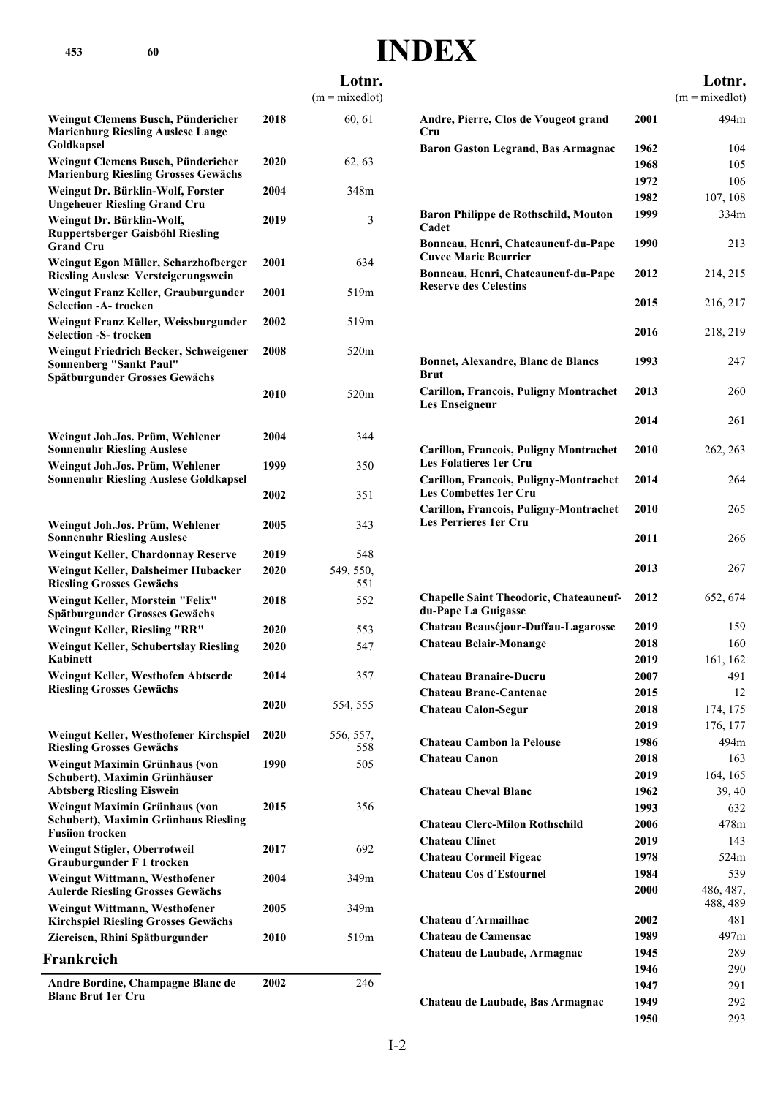|                                                                                                          |      | $(m = mixedlot)$ |                                                     |
|----------------------------------------------------------------------------------------------------------|------|------------------|-----------------------------------------------------|
| Weingut Clemens Busch, Pündericher<br><b>Marienburg Riesling Auslese Lange</b><br>Goldkapsel             | 2018 | 60, 61           | <b>Andre, Pierr</b><br>Cru<br><b>Baron Gasto</b>    |
| Weingut Clemens Busch, Pündericher<br><b>Marienburg Riesling Grosses Gewächs</b>                         | 2020 | 62, 63           |                                                     |
| Weingut Dr. Bürklin-Wolf, Forster<br><b>Ungeheuer Riesling Grand Cru</b>                                 | 2004 | 348m             |                                                     |
| Weingut Dr. Bürklin-Wolf,<br><b>Ruppertsberger Gaisböhl Riesling</b><br><b>Grand Cru</b>                 | 2019 | 3                | <b>Baron Philip</b><br>Cadet<br><b>Bonneau</b> , He |
| Weingut Egon Müller, Scharzhofberger<br><b>Riesling Auslese Versteigerungswein</b>                       | 2001 | 634              | <b>Cuvee Marie</b><br><b>Bonneau</b> , He           |
| Weingut Franz Keller, Grauburgunder<br><b>Selection -A- trocken</b>                                      | 2001 | 519m             | Reserve des                                         |
| Weingut Franz Keller, Weissburgunder<br><b>Selection -S- trocken</b>                                     | 2002 | 519m             |                                                     |
| Weingut Friedrich Becker, Schweigener<br><b>Sonnenberg "Sankt Paul"</b><br>Spätburgunder Grosses Gewächs | 2008 | 520m             | <b>Bonnet, Alex</b><br><b>Brut</b>                  |
|                                                                                                          | 2010 | 520m             | Carillon, Fra<br><b>Les Enseigne</b>                |
| Weingut Joh.Jos. Prüm, Wehlener<br><b>Sonnenuhr Riesling Auslese</b>                                     | 2004 | 344              | Carillon, Fra                                       |
| Weingut Joh.Jos. Prüm, Wehlener<br><b>Sonnenuhr Riesling Auslese Goldkapsel</b>                          | 1999 | 350              | <b>Les Folatiere</b><br>Carillon, Fra               |
|                                                                                                          | 2002 | 351              | <b>Les Combett</b><br>Carillon, Fra                 |
| Weingut Joh.Jos. Prüm, Wehlener<br><b>Sonnenuhr Riesling Auslese</b>                                     | 2005 | 343              | <b>Les Perriere</b>                                 |
| Weingut Keller, Chardonnay Reserve                                                                       | 2019 | 548              |                                                     |
| Weingut Keller, Dalsheimer Hubacker<br><b>Riesling Grosses Gewächs</b>                                   | 2020 | 549, 550,<br>551 |                                                     |
| Weingut Keller, Morstein "Felix"<br>Spätburgunder Grosses Gewächs                                        | 2018 | 552              | <b>Chapelle Sai</b><br>du-Pape La                   |
| Weingut Keller, Riesling "RR"                                                                            | 2020 | 553              | <b>Chateau Bea</b>                                  |
| <b>Weingut Keller, Schubertslay Riesling</b><br>Kabinett                                                 | 2020 | 547              | <b>Chateau Bels</b>                                 |
| Weingut Keller, Westhofen Abtserde<br><b>Riesling Grosses Gewächs</b>                                    | 2014 | 357              | Chateau Bra<br>Chateau Bra                          |
|                                                                                                          | 2020 | 554, 555         | <b>Chateau Cal</b>                                  |
| Weingut Keller, Westhofener Kirchspiel<br><b>Riesling Grosses Gewächs</b>                                | 2020 | 556, 557,<br>558 | Chateau Car                                         |
| Weingut Maximin Grünhaus (von<br>Schubert), Maximin Grünhäuser<br><b>Abtsberg Riesling Eiswein</b>       | 1990 | 505              | Chateau Car<br><b>Chateau Cho</b>                   |
| Weingut Maximin Grünhaus (von<br>Schubert), Maximin Grünhaus Riesling                                    | 2015 | 356              | <b>Chateau Cle</b>                                  |
| <b>Fusiion trocken</b><br>Weingut Stigler, Oberrotweil<br><b>Grauburgunder F 1 trocken</b>               | 2017 | 692              | <b>Chateau Clin</b><br><b>Chateau Cor</b>           |
| Weingut Wittmann, Westhofener<br><b>Aulerde Riesling Grosses Gewächs</b>                                 | 2004 | 349m             | <b>Chateau Cos</b>                                  |
| Weingut Wittmann, Westhofener<br><b>Kirchspiel Riesling Grosses Gewächs</b>                              | 2005 | 349m             | Chateau d'A                                         |
| Ziereisen, Rhini Spätburgunder                                                                           | 2010 | 519m             | Chateau de 0                                        |
| Frankreich                                                                                               |      |                  | Chateau de l                                        |
| Andre Bordine, Champagne Blanc de<br><b>Blanc Brut 1er Cru</b>                                           | 2002 | 246              |                                                     |

|                                                                         |      | Lotnr.                |
|-------------------------------------------------------------------------|------|-----------------------|
|                                                                         |      | $(m = mixedlot)$      |
| Andre, Pierre, Clos de Vougeot grand<br>Cru                             | 2001 | 494m                  |
| <b>Baron Gaston Legrand, Bas Armagnac</b>                               | 1962 | 104                   |
|                                                                         | 1968 | 105                   |
|                                                                         | 1972 | 106                   |
|                                                                         | 1982 | 107, 108              |
| Baron Philippe de Rothschild, Mouton<br>Cadet                           | 1999 | 334m                  |
| Bonneau, Henri, Chateauneuf-du-Pape<br><b>Cuvee Marie Beurrier</b>      | 1990 | 213                   |
| Bonneau, Henri, Chateauneuf-du-Pape<br><b>Reserve des Celestins</b>     | 2012 | 214, 215              |
|                                                                         | 2015 | 216, 217              |
|                                                                         | 2016 | 218, 219              |
| <b>Bonnet, Alexandre, Blanc de Blancs</b><br>Brut                       | 1993 | 247                   |
| <b>Carillon, Francois, Puligny Montrachet</b><br>Les Enseigneur         | 2013 | 260                   |
|                                                                         | 2014 | 261                   |
| <b>Carillon, Francois, Puligny Montrachet</b><br>Les Folatieres 1er Cru | 2010 | 262, 263              |
| Carillon, Francois, Puligny-Montrachet<br>Les Combettes 1er Cru         | 2014 | 264                   |
| Carillon, Francois, Puligny-Montrachet<br>Les Perrieres 1er Cru         | 2010 | 265                   |
|                                                                         | 2011 | 266                   |
|                                                                         | 2013 | 267                   |
| <b>Chapelle Saint Theodoric, Chateauneuf-</b><br>du-Pape La Guigasse    | 2012 | 652, 674              |
| Chateau Beauséjour-Duffau-Lagarosse                                     | 2019 | 159                   |
| Chateau Belair-Monange                                                  | 2018 | 160                   |
|                                                                         | 2019 | 161, 162              |
| Chateau Branaire-Ducru                                                  | 2007 | 491                   |
| <b>Chateau Brane-Cantenac</b>                                           | 2015 | 12                    |
| <b>Chateau Calon-Segur</b>                                              | 2018 | 174, 175              |
|                                                                         | 2019 | 176, 177              |
| Chateau Cambon la Pelouse                                               | 1986 | 494m                  |
| Chateau Canon                                                           | 2018 | 163                   |
|                                                                         | 2019 | 164, 165              |
| <b>Chateau Cheval Blanc</b>                                             | 1962 | 39, 40                |
|                                                                         | 1993 | 632                   |
| <b>Chateau Clerc-Milon Rothschild</b>                                   | 2006 | 478m                  |
| <b>Chateau Clinet</b>                                                   | 2019 | 143                   |
| Chateau Cormeil Figeac                                                  | 1978 | 524m                  |
| <b>Chateau Cos d'Estournel</b>                                          | 1984 | 539                   |
|                                                                         | 2000 | 486, 487,<br>488, 489 |
| Chateau d'Armailhac                                                     | 2002 | 481                   |
| <b>Chateau de Camensac</b>                                              | 1989 | 497m                  |
| Chateau de Laubade, Armagnac                                            | 1945 | 289                   |
|                                                                         | 1946 | 290                   |
|                                                                         | 1947 | 291                   |
| Chateau de Laubade, Bas Armagnac                                        | 1949 | 292                   |
|                                                                         | 1950 | 293                   |

**Lotnr.**

**453 60**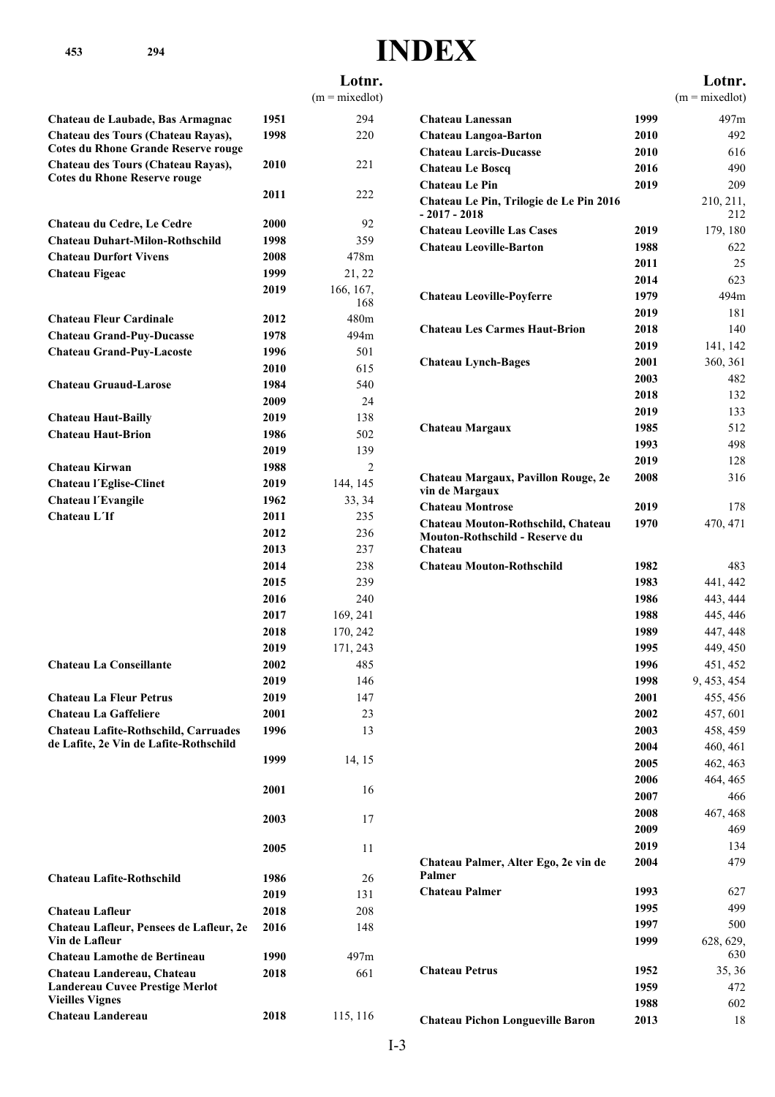**453 294**

# **INDEX**

|                                                                  |      | Lotnr.           |                                                           |      | Lotnr.           |
|------------------------------------------------------------------|------|------------------|-----------------------------------------------------------|------|------------------|
|                                                                  |      | $(m = mixedlot)$ |                                                           |      | $(m = mixedlot)$ |
| Chateau de Laubade, Bas Armagnac                                 | 1951 | 294              | <b>Chateau Lanessan</b>                                   | 1999 | 497m             |
| Chateau des Tours (Chateau Rayas),                               | 1998 | 220              | <b>Chateau Langoa-Barton</b>                              | 2010 | 492              |
| <b>Cotes du Rhone Grande Reserve rouge</b>                       |      |                  | <b>Chateau Larcis-Ducasse</b>                             | 2010 | 616              |
| Chateau des Tours (Chateau Rayas),                               | 2010 | 221              | <b>Chateau Le Boscq</b>                                   | 2016 | 490              |
| <b>Cotes du Rhone Reserve rouge</b>                              |      |                  | <b>Chateau Le Pin</b>                                     | 2019 | 209              |
|                                                                  | 2011 | 222              | Chateau Le Pin, Trilogie de Le Pin 2016<br>$-2017 - 2018$ |      | 210, 211,<br>212 |
| Chateau du Cedre, Le Cedre                                       | 2000 | 92               | <b>Chateau Leoville Las Cases</b>                         | 2019 | 179, 180         |
| <b>Chateau Duhart-Milon-Rothschild</b>                           | 1998 | 359              | <b>Chateau Leoville-Barton</b>                            | 1988 | 622              |
| <b>Chateau Durfort Vivens</b>                                    | 2008 | 478m             |                                                           | 2011 | 25               |
| <b>Chateau Figeac</b>                                            | 1999 | 21, 22           |                                                           | 2014 | 623              |
|                                                                  | 2019 | 166, 167,<br>168 | <b>Chateau Leoville-Poyferre</b>                          | 1979 | 494m             |
| <b>Chateau Fleur Cardinale</b>                                   | 2012 | 480m             |                                                           | 2019 | 181              |
| <b>Chateau Grand-Puy-Ducasse</b>                                 | 1978 | 494m             | <b>Chateau Les Carmes Haut-Brion</b>                      | 2018 | 140              |
| <b>Chateau Grand-Puy-Lacoste</b>                                 | 1996 | 501              |                                                           | 2019 | 141, 142         |
|                                                                  | 2010 | 615              | <b>Chateau Lynch-Bages</b>                                | 2001 | 360, 361         |
| <b>Chateau Gruaud-Larose</b>                                     | 1984 | 540              |                                                           | 2003 | 482              |
|                                                                  | 2009 | 24               |                                                           | 2018 | 132              |
| <b>Chateau Haut-Bailly</b>                                       | 2019 | 138              |                                                           | 2019 | 133              |
| <b>Chateau Haut-Brion</b>                                        | 1986 | 502              | Chateau Margaux                                           | 1985 | 512              |
|                                                                  | 2019 | 139              |                                                           | 1993 | 498              |
| Chateau Kirwan                                                   | 1988 | 2                |                                                           | 2019 | 128              |
| <b>Chateau l'Eglise-Clinet</b>                                   | 2019 | 144, 145         | Chateau Margaux, Pavillon Rouge, 2e                       | 2008 | 316              |
| Chateau l'Evangile                                               | 1962 | 33, 34           | vin de Margaux                                            |      |                  |
| Chateau L'If                                                     | 2011 | 235              | <b>Chateau Montrose</b>                                   | 2019 | 178              |
|                                                                  | 2012 | 236              | Chateau Mouton-Rothschild, Chateau                        | 1970 | 470, 471         |
|                                                                  | 2013 | 237              | Mouton-Rothschild - Reserve du<br>Chateau                 |      |                  |
|                                                                  | 2014 | 238              | <b>Chateau Mouton-Rothschild</b>                          | 1982 | 483              |
|                                                                  | 2015 | 239              |                                                           | 1983 | 441, 442         |
|                                                                  | 2016 | 240              |                                                           | 1986 | 443, 444         |
|                                                                  | 2017 | 169, 241         |                                                           | 1988 | 445, 446         |
|                                                                  | 2018 | 170, 242         |                                                           | 1989 | 447, 448         |
|                                                                  | 2019 | 171, 243         |                                                           | 1995 | 449, 450         |
| <b>Chateau La Conseillante</b>                                   | 2002 | 485              |                                                           | 1996 | 451, 452         |
|                                                                  | 2019 | 146              |                                                           | 1998 | 9, 453, 454      |
| <b>Chateau La Fleur Petrus</b>                                   | 2019 | 147              |                                                           | 2001 | 455, 456         |
| <b>Chateau La Gaffeliere</b>                                     | 2001 | 23               |                                                           | 2002 | 457, 601         |
| Chateau Lafite-Rothschild, Carruades                             | 1996 | 13               |                                                           | 2003 | 458, 459         |
| de Lafite, 2e Vin de Lafite-Rothschild                           |      |                  |                                                           | 2004 | 460, 461         |
|                                                                  | 1999 | 14, 15           |                                                           | 2005 | 462, 463         |
|                                                                  |      |                  |                                                           | 2006 | 464, 465         |
|                                                                  | 2001 | 16               |                                                           | 2007 | 466              |
|                                                                  |      |                  |                                                           | 2008 | 467, 468         |
|                                                                  | 2003 | 17               |                                                           | 2009 | 469              |
|                                                                  | 2005 | 11               |                                                           | 2019 | 134              |
|                                                                  |      |                  | Chateau Palmer, Alter Ego, 2e vin de                      | 2004 | 479              |
| <b>Chateau Lafite-Rothschild</b>                                 | 1986 | 26               | Palmer                                                    |      |                  |
|                                                                  | 2019 | 131              | <b>Chateau Palmer</b>                                     | 1993 | 627              |
| <b>Chateau Lafleur</b>                                           | 2018 | 208              |                                                           | 1995 | 499              |
| Chateau Lafleur, Pensees de Lafleur, 2e                          | 2016 | 148              |                                                           | 1997 | 500              |
| Vin de Lafleur                                                   |      |                  |                                                           | 1999 | 628, 629,        |
| <b>Chateau Lamothe de Bertineau</b>                              | 1990 | 497m             |                                                           |      | 630              |
| Chateau Landereau, Chateau                                       | 2018 | 661              | <b>Chateau Petrus</b>                                     | 1952 | 35, 36           |
| <b>Landereau Cuvee Prestige Merlot</b><br><b>Vieilles Vignes</b> |      |                  |                                                           | 1959 | 472              |
| Chateau Landereau                                                | 2018 | 115, 116         |                                                           | 1988 | 602              |
|                                                                  |      |                  | <b>Chateau Pichon Longueville Baron</b>                   | 2013 | 18               |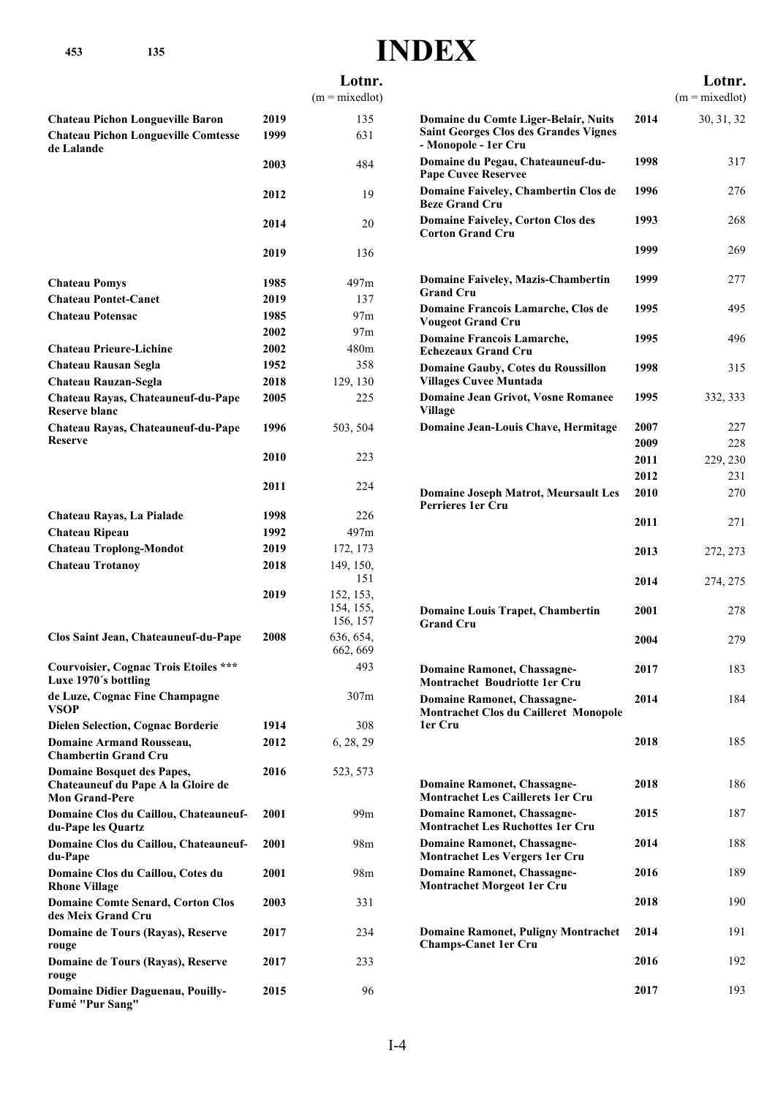| 453<br>135                                                                                       |      |                            | <b>INDEX</b>                                                                                                 |              |                            |
|--------------------------------------------------------------------------------------------------|------|----------------------------|--------------------------------------------------------------------------------------------------------------|--------------|----------------------------|
|                                                                                                  |      | Lotnr.<br>$(m = mixedlot)$ |                                                                                                              |              | Lotnr.<br>$(m = mixedlot)$ |
| <b>Chateau Pichon Longueville Baron</b>                                                          | 2019 | 135                        |                                                                                                              | 2014         |                            |
| <b>Chateau Pichon Longueville Comtesse</b><br>de Lalande                                         | 1999 | 631                        | Domaine du Comte Liger-Belair, Nuits<br><b>Saint Georges Clos des Grandes Vignes</b><br>- Monopole - 1er Cru |              | 30, 31, 32                 |
|                                                                                                  | 2003 | 484                        | Domaine du Pegau, Chateauneuf-du-<br><b>Pape Cuvee Reservee</b>                                              | 1998         | 317                        |
|                                                                                                  | 2012 | 19                         | Domaine Faiveley, Chambertin Clos de<br><b>Beze Grand Cru</b>                                                | 1996         | 276                        |
|                                                                                                  | 2014 | 20                         | <b>Domaine Faiveley, Corton Clos des</b><br><b>Corton Grand Cru</b>                                          | 1993         | 268                        |
|                                                                                                  | 2019 | 136                        |                                                                                                              | 1999         | 269                        |
| <b>Chateau Pomys</b>                                                                             | 1985 | 497m                       | <b>Domaine Faiveley, Mazis-Chambertin</b>                                                                    | 1999         | 277                        |
| <b>Chateau Pontet-Canet</b>                                                                      | 2019 | 137                        | <b>Grand Cru</b>                                                                                             |              |                            |
| <b>Chateau Potensac</b>                                                                          | 1985 | 97 <sub>m</sub>            | Domaine Francois Lamarche, Clos de                                                                           | 1995         | 495                        |
|                                                                                                  | 2002 | 97 <sub>m</sub>            | <b>Vougeot Grand Cru</b><br><b>Domaine Francois Lamarche,</b>                                                | 1995         | 496                        |
| <b>Chateau Prieure-Lichine</b>                                                                   | 2002 | 480m                       | <b>Echezeaux Grand Cru</b>                                                                                   |              |                            |
| <b>Chateau Rausan Segla</b>                                                                      | 1952 | 358                        | Domaine Gauby, Cotes du Roussillon                                                                           | 1998         | 315                        |
| Chateau Rauzan-Segla                                                                             | 2018 | 129, 130                   | <b>Villages Cuvee Muntada</b>                                                                                |              |                            |
| Chateau Rayas, Chateauneuf-du-Pape<br><b>Reserve blanc</b>                                       | 2005 | 225                        | <b>Domaine Jean Grivot, Vosne Romanee</b><br><b>Village</b>                                                  | 1995         | 332, 333                   |
| Chateau Rayas, Chateauneuf-du-Pape                                                               | 1996 | 503, 504                   | Domaine Jean-Louis Chave, Hermitage                                                                          | 2007         | 227                        |
| <b>Reserve</b>                                                                                   |      |                            |                                                                                                              | 2009         | 228                        |
|                                                                                                  | 2010 | 223                        |                                                                                                              | 2011         | 229, 230                   |
|                                                                                                  | 2011 | 224                        | <b>Domaine Joseph Matrot, Meursault Les</b>                                                                  | 2012<br>2010 | 231<br>270                 |
| Chateau Rayas, La Pialade                                                                        | 1998 | 226                        | <b>Perrieres 1er Cru</b>                                                                                     | 2011         | 271                        |
| Chateau Ripeau                                                                                   | 1992 | 497m                       |                                                                                                              |              |                            |
| <b>Chateau Troplong-Mondot</b>                                                                   | 2019 | 172, 173                   |                                                                                                              | 2013         | 272, 273                   |
| <b>Chateau Trotanoy</b>                                                                          | 2018 | 149, 150,<br>151           |                                                                                                              | 2014         | 274, 275                   |
|                                                                                                  | 2019 | 152, 153,                  |                                                                                                              |              |                            |
|                                                                                                  |      | 154, 155,<br>156, 157      | <b>Domaine Louis Trapet, Chambertin</b><br>Grand Cru                                                         | 2001         | 278                        |
| Clos Saint Jean, Chateauneuf-du-Pape                                                             | 2008 | 636, 654,<br>662, 669      |                                                                                                              | 2004         | 279                        |
| <b>Courvoisier, Cognac Trois Etoiles ***</b><br>Luxe 1970's bottling                             |      | 493                        | <b>Domaine Ramonet, Chassagne-</b><br><b>Montrachet Boudriotte 1er Cru</b>                                   | 2017         | 183                        |
| de Luze, Cognac Fine Champagne<br>VSOP                                                           |      | 307m                       | <b>Domaine Ramonet, Chassagne-</b><br><b>Montrachet Clos du Cailleret Monopole</b>                           | 2014         | 184                        |
| <b>Dielen Selection, Cognac Borderie</b>                                                         | 1914 | 308                        | 1er Cru                                                                                                      |              |                            |
| <b>Domaine Armand Rousseau,</b><br><b>Chambertin Grand Cru</b>                                   | 2012 | 6, 28, 29                  |                                                                                                              | 2018         | 185                        |
| <b>Domaine Bosquet des Papes,</b><br>Chateauneuf du Pape A la Gloire de<br><b>Mon Grand-Pere</b> | 2016 | 523, 573                   | <b>Domaine Ramonet, Chassagne-</b><br><b>Montrachet Les Caillerets 1er Cru</b>                               | 2018         | 186                        |
| Domaine Clos du Caillou, Chateauneuf-<br>du-Pape les Quartz                                      | 2001 | 99 <sub>m</sub>            | <b>Domaine Ramonet, Chassagne-</b><br><b>Montrachet Les Ruchottes 1er Cru</b>                                | 2015         | 187                        |
| Domaine Clos du Caillou, Chateauneuf-<br>du-Pape                                                 | 2001 | 98 <sub>m</sub>            | <b>Domaine Ramonet, Chassagne-</b><br>Montrachet Les Vergers 1er Cru                                         | 2014         | 188                        |
| Domaine Clos du Caillou, Cotes du<br><b>Rhone Village</b>                                        | 2001 | 98m                        | <b>Domaine Ramonet, Chassagne-</b><br><b>Montrachet Morgeot 1er Cru</b>                                      | 2016         | 189                        |
| <b>Domaine Comte Senard, Corton Clos</b><br>des Meix Grand Cru                                   | 2003 | 331                        |                                                                                                              | 2018         | 190                        |
| Domaine de Tours (Rayas), Reserve<br>rouge                                                       | 2017 | 234                        | <b>Domaine Ramonet, Puligny Montrachet</b><br><b>Champs-Canet 1er Cru</b>                                    | 2014         | 191                        |
| Domaine de Tours (Rayas), Reserve<br>rouge                                                       | 2017 | 233                        |                                                                                                              | 2016         | 192                        |
| Domaine Didier Daguenau, Pouilly-<br>Fumé "Pur Sang"                                             | 2015 | 96                         |                                                                                                              | 2017         | 193                        |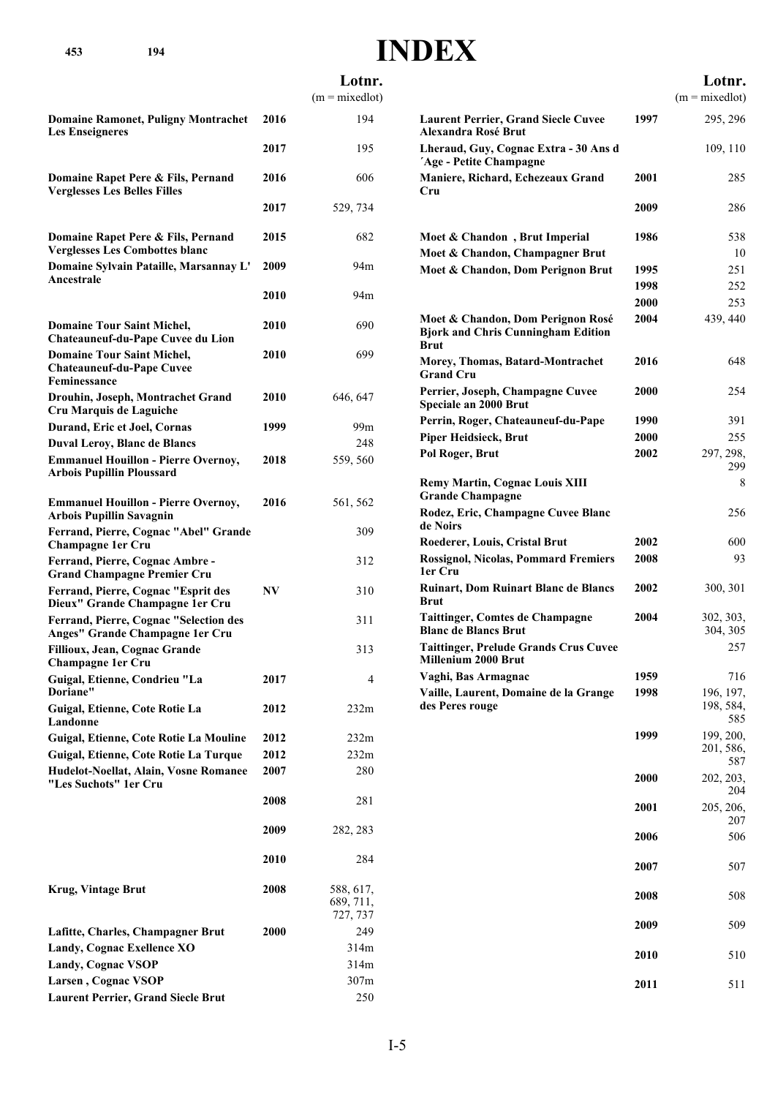**453 194**

## **INDEX**

|                                                                                                                       |              | Lotnr.<br>$(m = mixedlot)$         |
|-----------------------------------------------------------------------------------------------------------------------|--------------|------------------------------------|
| <b>Domaine Ramonet, Puligny Montrachet</b>                                                                            | 2016         | 194                                |
| <b>Les Enseigneres</b>                                                                                                | 2017         | 195                                |
| Domaine Rapet Pere & Fils, Pernand                                                                                    | 2016         | 606                                |
| <b>Verglesses Les Belles Filles</b>                                                                                   | 2017         | 529, 734                           |
| Domaine Rapet Pere & Fils, Pernand                                                                                    | 2015         | 682                                |
| <b>Verglesses Les Combottes blanc</b><br>Domaine Sylvain Pataille, Marsannay L'                                       | 2009         | 94m                                |
| Ancestrale                                                                                                            | 2010         | 94m                                |
| <b>Domaine Tour Saint Michel,</b>                                                                                     | 2010         | 690                                |
| Chateauneuf-du-Pape Cuvee du Lion                                                                                     |              |                                    |
| <b>Domaine Tour Saint Michel,</b><br><b>Chateauneuf-du-Pape Cuvee</b><br>Feminessance                                 | 2010         | 699                                |
| Drouhin, Joseph, Montrachet Grand<br>Cru Marquis de Laguiche                                                          | 2010         | 646, 647                           |
| Durand, Eric et Joel, Cornas                                                                                          | 1999         | 99m                                |
| <b>Duval Leroy, Blanc de Blancs</b><br><b>Emmanuel Houillon - Pierre Overnoy,</b><br><b>Arbois Pupillin Ploussard</b> | 2018         | 248<br>559, 560                    |
| <b>Emmanuel Houillon - Pierre Overnoy,</b><br><b>Arbois Pupillin Savagnin</b>                                         | 2016         | 561, 562                           |
| Ferrand, Pierre, Cognac "Abel" Grande<br>Champagne 1er Cru                                                            |              | 309                                |
| Ferrand, Pierre, Cognac Ambre -<br><b>Grand Champagne Premier Cru</b>                                                 |              | 312                                |
| Ferrand, Pierre, Cognac "Esprit des<br>Dieux" Grande Champagne 1er Cru                                                | NV           | 310                                |
| Ferrand, Pierre, Cognac "Selection des<br>Anges" Grande Champagne 1er Cru                                             |              | 311                                |
| Fillioux, Jean, Cognac Grande<br><b>Champagne 1er Cru</b>                                                             |              | 313                                |
| Guigal, Etienne, Condrieu "La<br>Doriane"                                                                             | 2017         | 4                                  |
| Guigal, Etienne, Cote Rotie La<br>Landonne                                                                            | 2012         | 232m                               |
| Guigal, Etienne, Cote Rotie La Mouline                                                                                | 2012         | 232m                               |
| Guigal, Etienne, Cote Rotie La Turque<br>Hudelot-Noellat, Alain, Vosne Romanee<br>"Les Suchots" 1er Cru               | 2012<br>2007 | 232m<br>280                        |
|                                                                                                                       | 2008         | 281                                |
|                                                                                                                       | 2009         | 282, 283                           |
|                                                                                                                       | 2010         | 284                                |
| <b>Krug, Vintage Brut</b>                                                                                             | 2008         | 588, 617,<br>689, 711,<br>727, 737 |
| Lafitte, Charles, Champagner Brut                                                                                     | <b>2000</b>  | 249                                |
| Landy, Cognac Exellence XO                                                                                            |              | 314m                               |
| <b>Landy, Cognac VSOP</b><br>Larsen, Cognac VSOP                                                                      |              | 314m<br>307m                       |
| <b>Laurent Perrier, Grand Siecle Brut</b>                                                                             |              | 250                                |

|                                                                                               |             | Lotnr.                        |
|-----------------------------------------------------------------------------------------------|-------------|-------------------------------|
|                                                                                               |             | $(m = mixedlot)$              |
| <b>Laurent Perrier, Grand Siecle Cuvee</b><br>Alexandra Rosé Brut                             | 1997        | 295, 296                      |
| Lheraud, Guy, Cognac Extra - 30 Ans d<br>'Age - Petite Champagne                              |             | 109, 110                      |
| Maniere, Richard, Echezeaux Grand<br>Cru                                                      | 2001        | 285                           |
|                                                                                               | 2009        | 286                           |
| Moet & Chandon, Brut Imperial                                                                 | 1986        | 538                           |
| Moet & Chandon, Champagner Brut                                                               |             | 10                            |
| Moet & Chandon, Dom Perignon Brut                                                             | 1995        | 251                           |
|                                                                                               | 1998        | 252                           |
|                                                                                               | <b>2000</b> | 253                           |
| Moet & Chandon, Dom Perignon Rosé<br><b>Bjork and Chris Cunningham Edition</b><br><b>Brut</b> | 2004        | 439, 440                      |
| Morey, Thomas, Batard-Montrachet<br><b>Grand Cru</b>                                          | 2016        | 648                           |
| Perrier, Joseph, Champagne Cuvee<br>Speciale an 2000 Brut                                     | 2000        | 254                           |
| Perrin, Roger, Chateauneuf-du-Pape                                                            | 1990        | 391                           |
| <b>Piper Heidsieck, Brut</b>                                                                  | 2000        | 255                           |
| Pol Roger, Brut                                                                               | 2002        | 297, 298,<br>299              |
| <b>Remy Martin, Cognac Louis XIII</b><br><b>Grande Champagne</b>                              |             | 8                             |
| Rodez, Eric, Champagne Cuvee Blanc<br>de Noirs                                                |             | 256                           |
| Roederer, Louis, Cristal Brut                                                                 | 2002        | 600                           |
| <b>Rossignol, Nicolas, Pommard Fremiers</b><br>1er Cru                                        | 2008        | 93                            |
| <b>Ruinart, Dom Ruinart Blanc de Blancs</b><br><b>Brut</b>                                    | 2002        | 300, 301                      |
| <b>Taittinger, Comtes de Champagne</b><br><b>Blanc de Blancs Brut</b>                         | 2004        | 302, 303,<br>304, 305         |
| <b>Taittinger, Prelude Grands Crus Cuvee</b><br>Millenium 2000 Brut                           |             | 257                           |
| Vaghi, Bas Armagnac                                                                           | 1959        | 716                           |
| Vaille, Laurent, Domaine de la Grange<br>des Peres rouge                                      | 1998        | 196, 197,<br>198, 584,<br>585 |
|                                                                                               | 1999        | 199, 200,                     |
|                                                                                               |             | 201, 586,<br>587              |
|                                                                                               | <b>2000</b> | 202, 203,<br>204              |
|                                                                                               | 2001        | 205, 206,<br>207              |
|                                                                                               | 2006        | 506                           |
|                                                                                               | 2007        | 507                           |
|                                                                                               | 2008        | 508                           |
|                                                                                               | 2009        | 509                           |
|                                                                                               | 2010        | 510                           |
|                                                                                               | 2011        | 511                           |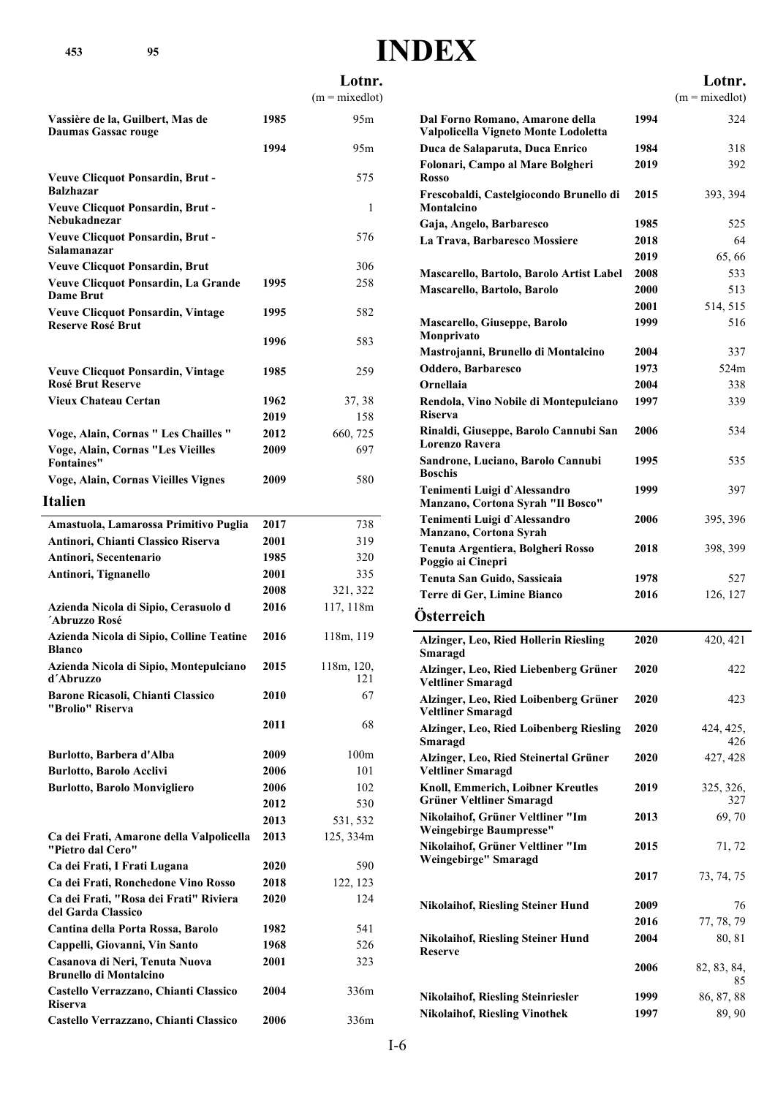### **Lotnr.**

|                                                                      |             | $(m = mixedlot)$  |
|----------------------------------------------------------------------|-------------|-------------------|
| Vassière de la, Guilbert, Mas de                                     | 1985        | 95m               |
| Daumas Gassac rouge                                                  |             |                   |
|                                                                      | 1994        | 95m               |
| <b>Veuve Clicquot Ponsardin, Brut -</b><br><b>Balzhazar</b>          |             | 575               |
| <b>Veuve Clicquot Ponsardin, Brut -</b><br>Nebukadnezar              |             | 1                 |
| <b>Veuve Clicquot Ponsardin, Brut -</b><br>Salamanazar               |             | 576               |
| <b>Veuve Clicquot Ponsardin, Brut</b>                                |             | 306               |
| Veuve Clicquot Ponsardin, La Grande<br><b>Dame Brut</b>              | 1995        | 258               |
| <b>Veuve Clicquot Ponsardin, Vintage</b><br><b>Reserve Rosé Brut</b> | 1995        | 582               |
|                                                                      | 1996        | 583               |
| <b>Veuve Clicquot Ponsardin, Vintage</b><br><b>Rosé Brut Reserve</b> | 1985        | 259               |
| Vieux Chateau Certan                                                 | 1962        | 37, 38            |
|                                                                      | 2019        | 158               |
| Voge, Alain, Cornas " Les Chailles "                                 | 2012        | 660, 725          |
| <b>Voge, Alain, Cornas "Les Vieilles</b><br><b>Fontaines"</b>        | 2009        | 697               |
| <b>Voge, Alain, Cornas Vieilles Vignes</b>                           | 2009        | 580               |
| <b>Italien</b>                                                       |             |                   |
| Amastuola, Lamarossa Primitivo Puglia                                | 2017        | 738               |
| Antinori, Chianti Classico Riserva                                   | <b>2001</b> | 319               |
| Antinori, Secentenario                                               | 1985        | 320               |
| Antinori, Tignanello                                                 | 2001        | 335               |
|                                                                      | 2008        | 321, 322          |
| Azienda Nicola di Sipio, Cerasuolo d<br>´Abruzzo Rosé                | 2016        | 117, 118m         |
| Azienda Nicola di Sipio, Colline Teatine<br>Blanco                   | 2016        | 118m, 119         |
| Azienda Nicola di Sipio, Montepulciano<br>d'Abruzzo                  | 2015        | 118m, 120,<br>121 |
| Barone Ricasoli, Chianti Classico<br>"Brolio" Riserva                | 2010        | 67                |
|                                                                      | 2011        | 68                |
| Burlotto, Barbera d'Alba                                             | 2009        | 100 <sub>m</sub>  |
| <b>Burlotto, Barolo Acclivi</b>                                      | 2006        | 101               |
| <b>Burlotto, Barolo Monvigliero</b>                                  | 2006        | 102               |
|                                                                      | 2012        | 530               |
|                                                                      | 2013        | 531, 532          |
| Ca dei Frati, Amarone della Valpolicella<br>"Pietro dal Cero"        | 2013        | 125, 334m         |
| Ca dei Frati, I Frati Lugana                                         | 2020        | 590               |
| Ca dei Frati, Ronchedone Vino Rosso                                  | 2018        | 122, 123          |
| Ca dei Frati, "Rosa dei Frati" Riviera<br>del Garda Classico         | 2020        | 124               |
| Cantina della Porta Rossa, Barolo                                    | 1982        | 541               |
| Cappelli, Giovanni, Vin Santo                                        | 1968        | 526               |
| Casanova di Neri, Tenuta Nuova<br>Brunello di Montalcino             | 2001        | 323               |
| Castello Verrazzano, Chianti Classico<br><b>Riserva</b>              | 2004        | 336m              |
| Castello Verrazzano, Chianti Classico                                | 2006        | 336m              |

|                                                                                     |              | Lotnr.            |
|-------------------------------------------------------------------------------------|--------------|-------------------|
|                                                                                     |              | $(m = mixedlot)$  |
| Dal Forno Romano, Amarone della<br>Valpolicella Vigneto Monte Lodoletta             | 1994         | 324               |
| Duca de Salaparuta, Duca Enrico                                                     | 1984         | 318               |
| Folonari, Campo al Mare Bolgheri<br><b>Rosso</b>                                    | 2019         | 392               |
| Frescobaldi, Castelgiocondo Brunello di<br>Montalcino                               | 2015         | 393, 394          |
| Gaja, Angelo, Barbaresco                                                            | 1985         | 525               |
| La Trava, Barbaresco Mossiere                                                       | 2018         | 64                |
|                                                                                     | 2019         | 65,66             |
| Mascarello, Bartolo, Barolo Artist Label                                            | 2008         | 533               |
| Mascarello, Bartolo, Barolo                                                         | 2000         | 513               |
|                                                                                     | 2001         | 514, 515          |
| Mascarello, Giuseppe, Barolo<br>Monprivato                                          | 1999         | 516               |
| Mastrojanni, Brunello di Montalcino                                                 | 2004         | 337               |
| Oddero, Barbaresco                                                                  | 1973         | 524m              |
| Ornellaia                                                                           | 2004         | 338               |
| Rendola, Vino Nobile di Montepulciano<br><b>Riserva</b>                             | 1997<br>2006 | 339<br>534        |
| Rinaldi, Giuseppe, Barolo Cannubi San<br>Lorenzo Ravera                             |              |                   |
| Sandrone, Luciano, Barolo Cannubi<br><b>Boschis</b><br>Tenimenti Luigi d'Alessandro | 1995<br>1999 | 535<br>397        |
| Manzano, Cortona Syrah "Il Bosco"                                                   |              |                   |
| Tenimenti Luigi d'Alessandro<br>Manzano, Cortona Syrah                              | 2006         | 395, 396          |
| Tenuta Argentiera, Bolgheri Rosso<br>Poggio ai Cinepri                              | 2018         | 398, 399          |
| Tenuta San Guido, Sassicaia                                                         | 1978         | 527               |
| Terre di Ger, Limine Bianco                                                         | 2016         | 126, 127          |
| Österreich                                                                          |              |                   |
| Alzinger, Leo, Ried Hollerin Riesling<br>Smaragd                                    | 2020         | 420, 421          |
| Alzinger, Leo, Ried Liebenberg Grüner<br><b>Veltliner Smaragd</b>                   | 2020         | 422               |
| Alzinger, Leo, Ried Loibenberg Grüner<br><b>Veltliner Smaragd</b>                   | 2020         | 423               |
| Alzinger, Leo, Ried Loibenberg Riesling<br>Smaragd                                  | 2020         | 424, 425,<br>426  |
| Alzinger, Leo, Ried Steinertal Grüner<br><b>Veltliner Smaragd</b>                   | 2020         | 427, 428          |
| Knoll, Emmerich, Loibner Kreutles<br><b>Grüner Veltliner Smaragd</b>                | 2019         | 325, 326,<br>327  |
| Nikolaihof, Grüner Veltliner "Im<br><b>Weingebirge Baumpresse"</b>                  | 2013         | 69,70             |
| Nikolaihof, Grüner Veltliner "Im<br>Weingebirge" Smaragd                            | 2015         | 71, 72            |
|                                                                                     | 2017         | 73, 74, 75        |
| <b>Nikolaihof, Riesling Steiner Hund</b>                                            | 2009         | 76                |
|                                                                                     | 2016         | 77, 78, 79        |
| <b>Nikolaihof, Riesling Steiner Hund</b><br><b>Reserve</b>                          | 2004         | 80, 81            |
|                                                                                     | 2006         | 82, 83, 84,<br>85 |
| <b>Nikolaihof, Riesling Steinriesler</b>                                            | 1999         | 86, 87, 88        |
| <b>Nikolaihof, Riesling Vinothek</b>                                                | 1997         | 89, 90            |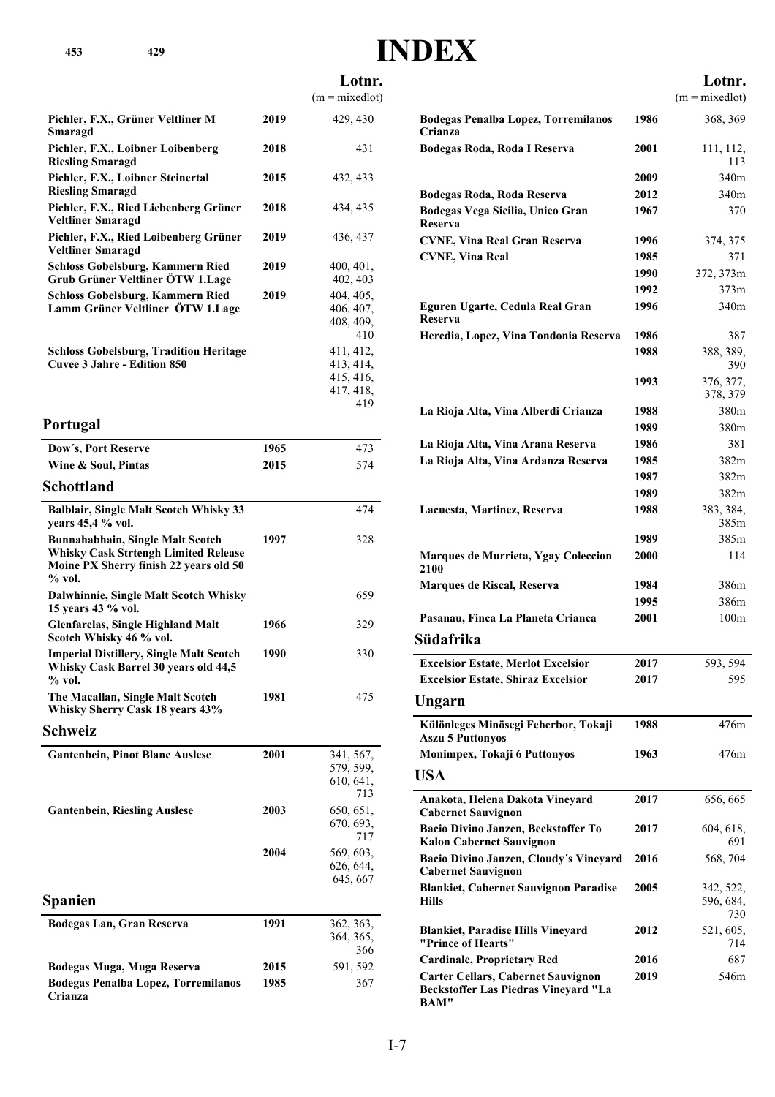**Lotnr.**

|                                                                                                                                            |      | $(m = mixedlot)$                                        |
|--------------------------------------------------------------------------------------------------------------------------------------------|------|---------------------------------------------------------|
| Pichler, F.X., Grüner Veltliner M<br>Smaragd                                                                                               | 2019 | 429, 430                                                |
| Pichler, F.X., Loibner Loibenberg<br><b>Riesling Smaragd</b>                                                                               | 2018 | 431                                                     |
| Pichler, F.X., Loibner Steinertal<br><b>Riesling Smaragd</b>                                                                               | 2015 | 432, 433                                                |
| Pichler, F.X., Ried Liebenberg Grüner<br><b>Veltliner Smaragd</b>                                                                          | 2018 | 434, 435                                                |
| Pichler, F.X., Ried Loibenberg Grüner<br><b>Veltliner Smaragd</b>                                                                          | 2019 | 436, 437                                                |
| <b>Schloss Gobelsburg, Kammern Ried</b><br>Grub Grüner Veltliner ÖTW 1.Lage                                                                | 2019 | 400, 401,<br>402, 403                                   |
| Schloss Gobelsburg, Kammern Ried<br>Lamm Grüner Veltliner ÖTW 1.Lage                                                                       | 2019 | 404, 405,<br>406, 407,<br>408, 409,<br>410              |
| <b>Schloss Gobelsburg, Tradition Heritage</b><br>Cuvee 3 Jahre - Edition 850                                                               |      | 411, 412,<br>413, 414,<br>415, 416,<br>417, 418,<br>419 |
| Portugal                                                                                                                                   |      |                                                         |
| Dow's, Port Reserve                                                                                                                        | 1965 | 473                                                     |
| Wine & Soul, Pintas                                                                                                                        | 2015 | 574                                                     |
| <b>Schottland</b>                                                                                                                          |      |                                                         |
| <b>Balblair, Single Malt Scotch Whisky 33</b><br>years 45,4 % vol.                                                                         |      | 474                                                     |
| <b>Bunnahabhain, Single Malt Scotch</b><br><b>Whisky Cask Strtengh Limited Release</b><br>Moine PX Sherry finish 22 years old 50<br>% vol. | 1997 | 328                                                     |
| Dalwhinnie, Single Malt Scotch Whisky<br>15 years 43 % vol.                                                                                |      | 659                                                     |
| <b>Glenfarclas, Single Highland Malt</b><br>Scotch Whisky 46 % vol.                                                                        | 1966 | 329                                                     |
| <b>Imperial Distillery, Single Malt Scotch</b><br>Whisky Cask Barrel 30 years old 44,5<br>$%$ vol.                                         | 1990 | 330                                                     |
| The Macallan, Single Malt Scotch                                                                                                           | 1981 | 475                                                     |

**Schweiz**

**Whisky Sherry Cask 18 years 43%**

| <b>Gantenbein, Pinot Blanc Auslese</b>         | 2001 | 341, 567,<br>579, 599,<br>610, 641,<br>713 |
|------------------------------------------------|------|--------------------------------------------|
| <b>Gantenbein, Riesling Auslese</b>            | 2003 | 650, 651,<br>670, 693,<br>717              |
|                                                | 2004 | 569, 603,<br>626, 644,<br>645, 667         |
| <b>Spanien</b>                                 |      |                                            |
| Bodegas Lan, Gran Reserva                      | 1991 | 362, 363,<br>364, 365,<br>366              |
| Bodegas Muga, Muga Reserva                     | 2015 | 591, 592                                   |
| Bodegas Penalba Lopez, Torremilanos<br>Crianza | 1985 | 367                                        |

|                                                                                                  |      | Lotnr.                        |
|--------------------------------------------------------------------------------------------------|------|-------------------------------|
|                                                                                                  |      | $(m = mixedlot)$              |
| <b>Bodegas Penalba Lopez, Torremilanos</b><br>Crianza                                            | 1986 | 368, 369                      |
| Bodegas Roda, Roda I Reserva                                                                     | 2001 | 111, 112,<br>113              |
|                                                                                                  | 2009 | 340m                          |
| Bodegas Roda, Roda Reserva                                                                       | 2012 | 340m                          |
| Bodegas Vega Sicilia, Unico Gran<br>Reserva                                                      | 1967 | 370                           |
| <b>CVNE, Vina Real Gran Reserva</b>                                                              | 1996 | 374, 375                      |
| <b>CVNE, Vina Real</b>                                                                           | 1985 | 371                           |
|                                                                                                  | 1990 | 372, 373m                     |
|                                                                                                  | 1992 | 373m                          |
| Eguren Ugarte, Cedula Real Gran<br>Reserva                                                       | 1996 | 340m                          |
| Heredia, Lopez, Vina Tondonia Reserva                                                            | 1986 | 387                           |
|                                                                                                  | 1988 | 388, 389,<br>390              |
|                                                                                                  | 1993 | 376, 377,<br>378, 379         |
| La Rioja Alta, Vina Alberdi Crianza                                                              | 1988 | 380m                          |
|                                                                                                  | 1989 | 380m                          |
| La Rioja Alta, Vina Arana Reserva                                                                | 1986 | 381                           |
| La Rioja Alta, Vina Ardanza Reserva                                                              | 1985 | 382m                          |
|                                                                                                  | 1987 | 382m                          |
|                                                                                                  | 1989 | 382m                          |
| Lacuesta, Martinez, Reserva                                                                      | 1988 | 383, 384,<br>385m             |
|                                                                                                  | 1989 | 385m                          |
| Marques de Murrieta, Ygay Coleccion<br>2100                                                      | 2000 | 114                           |
| Marques de Riscal, Reserva                                                                       | 1984 | 386m                          |
|                                                                                                  | 1995 | 386m                          |
| Pasanau, Finca La Planeta Crianca<br>Südafrika                                                   | 2001 | 100m                          |
|                                                                                                  |      |                               |
| <b>Excelsior Estate, Merlot Excelsior</b>                                                        | 2017 | 593, 594                      |
| <b>Excelsior Estate, Shiraz Excelsior</b>                                                        | 2017 | 595                           |
| Ungarn                                                                                           |      |                               |
| Különleges Minösegi Feherbor, Tokaji<br><b>Aszu 5 Puttonyos</b>                                  | 1988 | 476m                          |
| Monimpex, Tokaji 6 Puttonyos                                                                     | 1963 | 476m                          |
| <b>USA</b>                                                                                       |      |                               |
| Anakota, Helena Dakota Vineyard<br><b>Cabernet Sauvignon</b>                                     | 2017 | 656, 665                      |
| Bacio Divino Janzen, Beckstoffer To<br><b>Kalon Cabernet Sauvignon</b>                           | 2017 | 604, 618,<br>691              |
| Bacio Divino Janzen, Cloudy's Vineyard<br><b>Cabernet Sauvignon</b>                              | 2016 | 568, 704                      |
| <b>Blankiet, Cabernet Sauvignon Paradise</b><br>Hills                                            | 2005 | 342, 522,<br>596, 684,<br>730 |
| <b>Blankiet, Paradise Hills Vineyard</b><br>"Prince of Hearts"                                   | 2012 | 521, 605,<br>714              |
| <b>Cardinale, Proprietary Red</b>                                                                | 2016 | 687                           |
| <b>Carter Cellars, Cabernet Sauvignon</b><br><b>Beckstoffer Las Piedras Vineyard "La</b><br>BAM" | 2019 | 546m                          |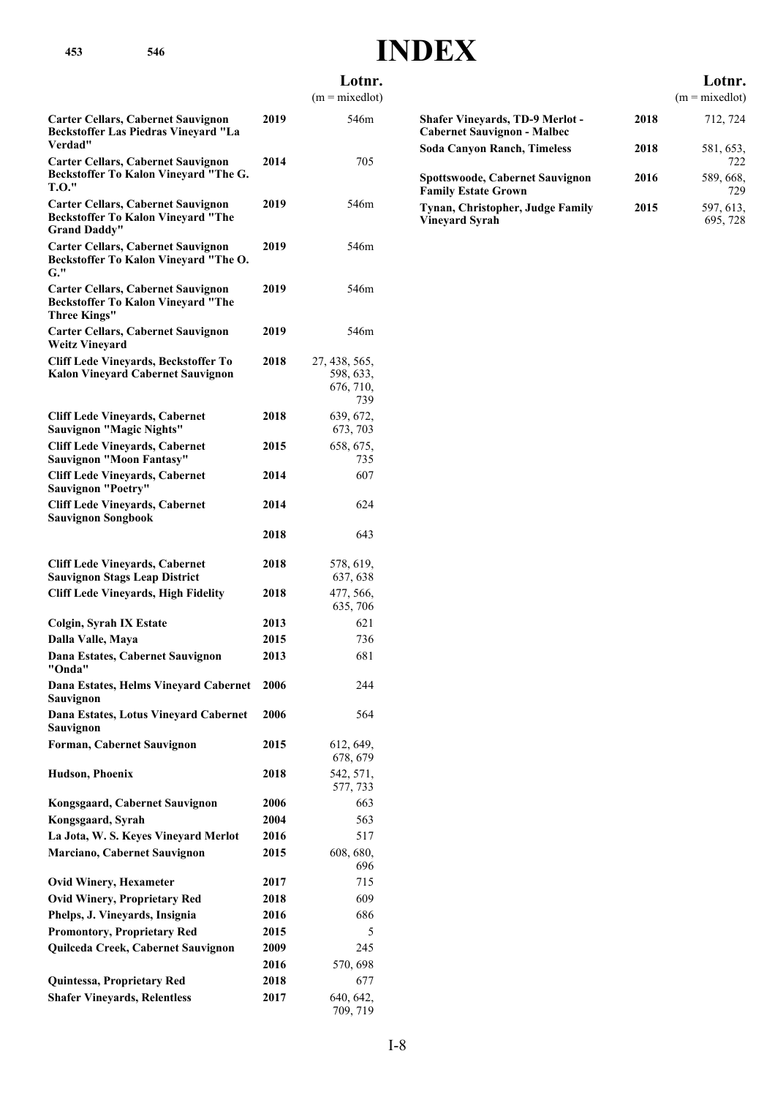### **Lotnr.**

 $(m = mixedlot)$ 

|                                                                                                               |      | $(m = mixedlot)$                               |
|---------------------------------------------------------------------------------------------------------------|------|------------------------------------------------|
| <b>Carter Cellars, Cabernet Sauvignon</b><br><b>Beckstoffer Las Piedras Vineyard "La</b><br>Verdad"           | 2019 | 546m                                           |
| <b>Carter Cellars, Cabernet Sauvignon</b><br>Beckstoffer To Kalon Vineyard "The G.<br><b>T.O."</b>            | 2014 | 705                                            |
| <b>Carter Cellars, Cabernet Sauvignon</b><br><b>Beckstoffer To Kalon Vineyard "The</b><br><b>Grand Daddy"</b> | 2019 | 546m                                           |
| <b>Carter Cellars, Cabernet Sauvignon</b><br>Beckstoffer To Kalon Vineyard "The O.<br>$G.$ "                  | 2019 | 546m                                           |
| <b>Carter Cellars, Cabernet Sauvignon</b><br><b>Beckstoffer To Kalon Vineyard "The</b><br><b>Three Kings"</b> | 2019 | 546m                                           |
| <b>Carter Cellars, Cabernet Sauvignon</b><br><b>Weitz Vineyard</b>                                            | 2019 | 546m                                           |
| <b>Cliff Lede Vineyards, Beckstoffer To</b><br><b>Kalon Vineyard Cabernet Sauvignon</b>                       | 2018 | 27, 438, 565,<br>598, 633,<br>676, 710,<br>739 |
| <b>Cliff Lede Vineyards, Cabernet</b><br><b>Sauvignon "Magic Nights"</b>                                      | 2018 | 639, 672,<br>673, 703                          |
| <b>Cliff Lede Vineyards, Cabernet</b><br><b>Sauvignon "Moon Fantasy"</b>                                      | 2015 | 658, 675,<br>735                               |
| <b>Cliff Lede Vineyards, Cabernet</b><br><b>Sauvignon "Poetry"</b>                                            | 2014 | 607                                            |
| <b>Cliff Lede Vineyards, Cabernet</b><br><b>Sauvignon Songbook</b>                                            | 2014 | 624                                            |
|                                                                                                               | 2018 | 643                                            |
| <b>Cliff Lede Vineyards, Cabernet</b><br><b>Sauvignon Stags Leap District</b>                                 | 2018 | 578, 619,<br>637, 638                          |
| <b>Cliff Lede Vineyards, High Fidelity</b>                                                                    | 2018 | 477, 566,<br>635, 706                          |
| Colgin, Syrah IX Estate                                                                                       | 2013 | 621                                            |
| Dalla Valle, Maya                                                                                             | 2015 | 736                                            |
| Dana Estates, Cabernet Sauvignon<br>"Onda"                                                                    | 2013 | 681                                            |
| Dana Estates, Helms Vineyard Cabernet<br>Sauvignon                                                            | 2006 | 244                                            |
| Dana Estates, Lotus Vineyard Cabernet<br>Sauvignon                                                            | 2006 | 564                                            |
| Forman, Cabernet Sauvignon                                                                                    | 2015 | 612, 649,<br>678, 679                          |
| <b>Hudson, Phoenix</b>                                                                                        | 2018 | 542, 571,<br>577, 733                          |
| Kongsgaard, Cabernet Sauvignon                                                                                | 2006 | 663                                            |
| Kongsgaard, Syrah                                                                                             | 2004 | 563                                            |
| La Jota, W. S. Keyes Vineyard Merlot                                                                          | 2016 | 517                                            |
| <b>Marciano, Cabernet Sauvignon</b>                                                                           | 2015 | 608, 680,<br>696                               |
| <b>Ovid Winery, Hexameter</b>                                                                                 | 2017 | 715                                            |
| <b>Ovid Winery, Proprietary Red</b>                                                                           | 2018 | 609                                            |
| Phelps, J. Vineyards, Insignia                                                                                | 2016 | 686                                            |
| <b>Promontory, Proprietary Red</b>                                                                            | 2015 | 5                                              |
| Quilceda Creek, Cabernet Sauvignon                                                                            | 2009 | 245                                            |
|                                                                                                               | 2016 | 570, 698                                       |
| Quintessa, Proprietary Red                                                                                    | 2018 | 677                                            |
| <b>Shafer Vineyards, Relentless</b>                                                                           | 2017 | 640, 642,                                      |
|                                                                                                               |      | 709, 719                                       |

|      | $\mu = \mu \Delta \lambda$ |
|------|----------------------------|
| 2018 | 712, 724                   |
| 2018 | 581, 653,<br>722           |
| 2016 | 589, 668.<br>729           |
| 2015 | 597, 613,<br>695, 728      |
|      |                            |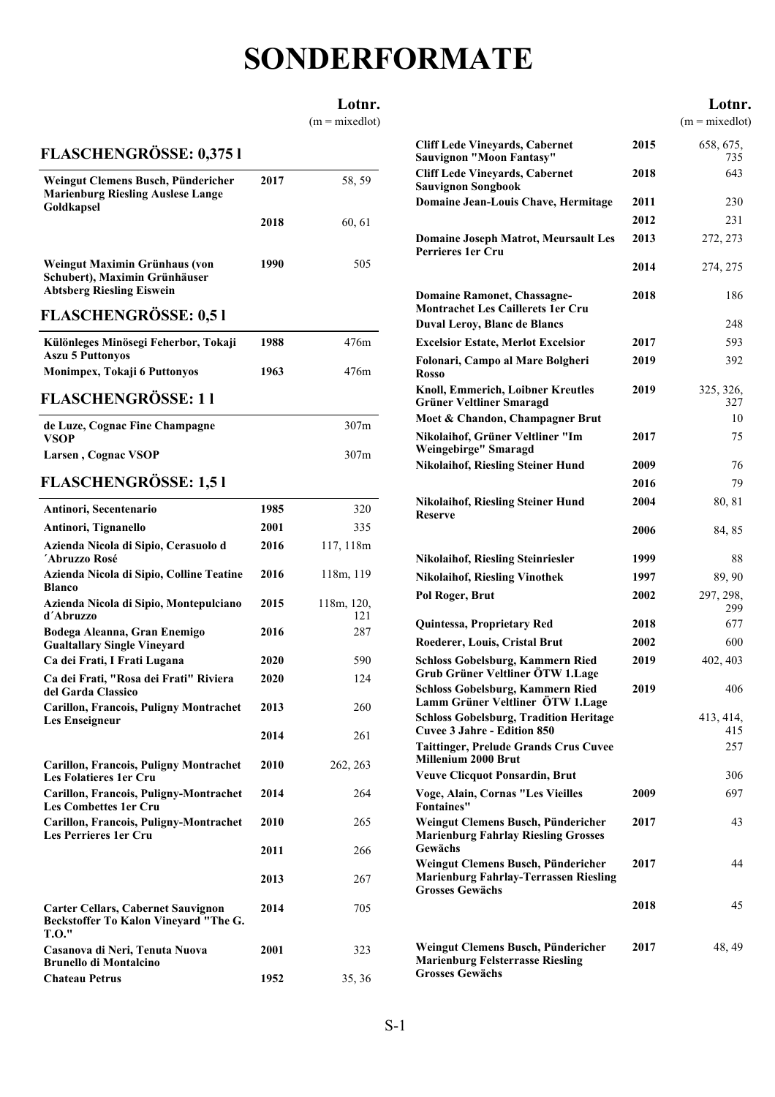## **SONDERFORMATE**

#### **Lotnr.**

 $(m = mixedlot)$ 

### **FLASCHENGRÖSSE: 0,375 l**

| Weingut Clemens Busch, Pündericher<br><b>Marienburg Riesling Auslese Lange</b><br>Goldkapsel       | 2017 | 58, 59 |
|----------------------------------------------------------------------------------------------------|------|--------|
|                                                                                                    | 2018 | 60, 61 |
| Weingut Maximin Grünhaus (von<br>Schubert), Maximin Grünhäuser<br><b>Abtsberg Riesling Eiswein</b> | 1990 | 505    |

#### **FLASCHENGRÖSSE: 0,5 l**

| Különleges Minösegi Feherbor, Tokaji<br><b>Aszu 5 Puttonyos</b> | 1988 | 476m |
|-----------------------------------------------------------------|------|------|
| <b>Monimpex, Tokaji 6 Puttonyos</b>                             | 1963 | 476m |
| EL LOCHENCDÖGGE, 1 1                                            |      |      |

## **FLASCHENGRÖSSE: 1 l**

| de Luze, Cognac Fine Champagne | 307m |
|--------------------------------|------|
| <b>VSOP</b>                    |      |
| Larsen, Cognac VSOP            | 307m |

### **FLASCHENGRÖSSE: 1,5 l**

| Antinori, Secentenario                                                                             | 1985 | 320               |
|----------------------------------------------------------------------------------------------------|------|-------------------|
| Antinori, Tignanello                                                                               | 2001 | 335               |
| Azienda Nicola di Sipio, Cerasuolo d<br>'Abruzzo Rosé                                              | 2016 | 117, 118m         |
| Azienda Nicola di Sipio, Colline Teatine<br><b>Blanco</b>                                          | 2016 | 118m, 119         |
| Azienda Nicola di Sipio, Montepulciano<br>d'Abruzzo                                                | 2015 | 118m, 120,<br>121 |
| Bodega Aleanna, Gran Enemigo<br><b>Gualtallary Single Vineyard</b>                                 | 2016 | 287               |
| Ca dei Frati, I Frati Lugana                                                                       | 2020 | 590               |
| Ca dei Frati, "Rosa dei Frati" Riviera<br>del Garda Classico                                       | 2020 | 124               |
| <b>Carillon, Francois, Puligny Montrachet</b><br>Les Enseigneur                                    | 2013 | 260               |
|                                                                                                    | 2014 | 261               |
| <b>Carillon, Francois, Puligny Montrachet</b><br><b>Les Folatieres 1er Cru</b>                     | 2010 | 262, 263          |
| Carillon, Francois, Puligny-Montrachet<br><b>Les Combettes 1er Cru</b>                             | 2014 | 264               |
| Carillon, Francois, Puligny-Montrachet<br><b>Les Perrieres 1er Cru</b>                             | 2010 | 265               |
|                                                                                                    | 2011 | 266               |
|                                                                                                    | 2013 | 267               |
| <b>Carter Cellars, Cabernet Sauvignon</b><br>Beckstoffer To Kalon Vineyard "The G.<br><b>T.O."</b> | 2014 | 705               |
| Casanova di Neri, Tenuta Nuova<br><b>Brunello di Montalcino</b>                                    | 2001 | 323               |
| <b>Chateau Petrus</b>                                                                              | 1952 | 35, 36            |

|                                                                                |      | Lotnr.<br>$(m = mixedlot)$ |
|--------------------------------------------------------------------------------|------|----------------------------|
| <b>Cliff Lede Vineyards, Cabernet</b><br><b>Sauvignon "Moon Fantasy"</b>       | 2015 | 658, 675,<br>735           |
| <b>Cliff Lede Vineyards, Cabernet</b><br><b>Sauvignon Songbook</b>             | 2018 | 643                        |
| Domaine Jean-Louis Chave, Hermitage                                            | 2011 | 230                        |
|                                                                                | 2012 | 231                        |
| <b>Domaine Joseph Matrot, Meursault Les</b><br><b>Perrieres 1er Cru</b>        | 2013 | 272, 273                   |
|                                                                                | 2014 | 274, 275                   |
| <b>Domaine Ramonet, Chassagne-</b><br><b>Montrachet Les Caillerets 1er Cru</b> | 2018 | 186                        |
| <b>Duval Leroy, Blanc de Blancs</b>                                            |      | 248                        |
| <b>Excelsior Estate, Merlot Excelsior</b>                                      | 2017 | 593                        |
| Folonari, Campo al Mare Bolgheri<br><b>Rosso</b>                               | 2019 | 392                        |
| <b>Knoll, Emmerich, Loibner Kreutles</b><br><b>Grüner Veltliner Smaragd</b>    | 2019 | 325, 326,<br>327           |
| Moet & Chandon, Champagner Brut                                                |      | 10                         |
| Nikolaihof, Grüner Veltliner "Im                                               | 2017 | 75                         |

**Nikolaihof, Riesling Steiner Hund 2009** 76 **Nikolaihof, Riesling Steiner Hund 2016** 79 **Nikolaihof, Riesling Steiner Hund 2004** 80, 81

**Nikolaihof, Riesling Steiner Hund 2006** 84, 85

**Nikolaihof, Riesling Steinriesler 1999** 88 **Nikolaihof, Riesling Vinothek 1997** 89, 90

**Quintessa, Proprietary Red 2018** 677 **Roederer, Louis, Cristal Brut 2002** 600 **Schloss Gobelsburg, Kammern Ried 2019** 402, 403

**Schloss Gobelsburg, Kammern Ried 2019** 406

**Taittinger, Prelude Grands Crus Cuvee** 257

**Veuve Clicquot Ponsardin, Brut** 2006 **Voge, Alain, Cornas "Les Vieilles 2009** 697

**Weingut Clemens Busch, Pündericher 2017** 43

**Weingut Clemens Busch, Pündericher 2017** 44

**Weingut Clemens Busch, Pündericher 2018** 45

**Weingut Clemens Busch, Pündericher 2017** 48, 49

**Weingebirge" Smaragd**

**Reserve**

**Pol Roger, Brut**

**Grub Grüner Veltliner ÖTW 1.Lage**

**Lamm Grüner Veltliner ÖTW 1.Lage**

**Marienburg Fahrlay Riesling Grosses**

**Marienburg Fahrlay-Terrassen Riesling**

**Marienburg Felsterrasse Riesling**

**Cuvee 3 Jahre - Edition 850**

**Millenium 2000 Brut**

**Fontaines"**

**Gewächs**

**Grosses Gewächs**

**Grosses Gewächs**

**Schloss Gobelsburg, Tradition Heritage**

299

**NV** 413, 414, 415

**2002** 297, 298,

S-1